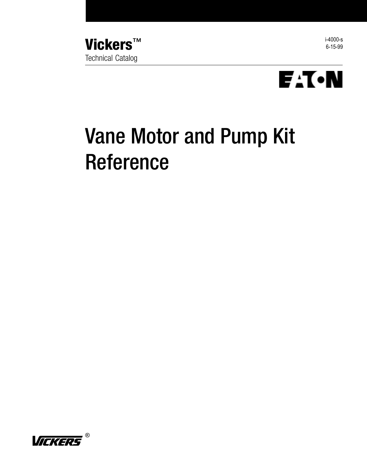





# Vane Motor and Pump Kit Reference

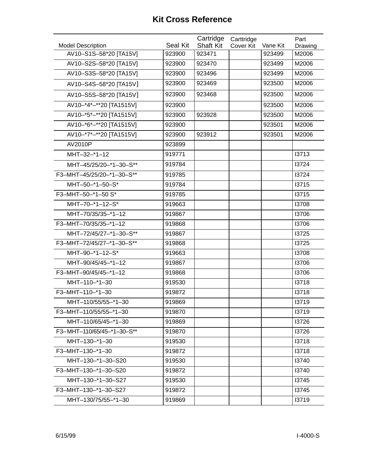|                            |          | Cartridge        | Carttridge |          | Part    |
|----------------------------|----------|------------------|------------|----------|---------|
| <b>Model Description</b>   | Seal Kit | <b>Shaft Kit</b> | Cover Kit  | Vane Kit | Drawing |
| AV10-S1S-58*20 [TA15V]     | 923900   | 923471           |            | 923499   | M2006   |
| AV10-S2S-58*20 [TA15V]     | 923900   | 923470           |            | 923499   | M2006   |
| AV10-S3S-58*20 [TA15V]     | 923900   | 923496           |            | 923499   | M2006   |
| AV10-S4S-58*20 [TA15V]     | 923900   | 923469           |            | 923500   | M2006   |
| AV10-S5S-58*20 [TA15V]     | 923900   | 923468           |            | 923500   | M2006   |
| AV10-*4*-**20 [TA1515V]    | 923900   |                  |            | 923500   | M2006   |
| AV10-*5*-**20 [TA1515V]    | 923900   | 923928           |            | 923500   | M2006   |
| AV10-*6*-**20 [TA1515V]    | 923900   |                  |            | 923501   | M2006   |
| AV10-*7*-**20 [TA1515V]    | 923900   | 923912           |            | 923501   | M2006   |
| AV2010P                    | 923899   |                  |            |          |         |
| MHT-32-*1-12               | 919771   |                  |            |          | 13713   |
| MHT-45/25/20-*1-30-S**     | 919784   |                  |            |          | 13724   |
| F3-MHT-45/25/20-*1-30-S**  | 919785   |                  |            |          | 13724   |
| MHT-50-*1-50-S*            | 919784   |                  |            |          | 13715   |
| F3-MHT-50-*1-50 S*         | 919785   |                  |            |          | 13715   |
| MHT-70-*1-12-S*            | 919663   |                  |            |          | 13708   |
| MHT-70/35/35-*1-12         | 919867   |                  |            |          | 13706   |
| F3-MHT-70/35/35-*1-12      | 919868   |                  |            |          | 13706   |
| MHT-72/45/27-*1-30-S**     | 919867   |                  |            |          | 13725   |
| F3-MHT-72/45/27-*1-30-S**  | 919868   |                  |            |          | 13725   |
| MHT-90-*1-12-S*            | 919663   |                  |            |          | 13708   |
| MHT-90/45/45-*1-12         | 919867   |                  |            |          | 13706   |
| F3-MHT-90/45/45-*1-12      | 919868   |                  |            |          | 13706   |
| MHT-110-*1-30              | 919530   |                  |            |          | 13718   |
| F3-MHT-110-*1-30           | 919872   |                  |            |          | 13718   |
| MHT-110/55/55-*1-30        | 919869   |                  |            |          | 13719   |
| F3-MHT-110/55/55-*1-30     | 919870   |                  |            |          | 13719   |
| MHT-110/65/45-*1-30        | 919869   |                  |            |          | 13726   |
| F3-MHT-110/65/45-*1-30-S** | 919870   |                  |            |          | 13726   |
| MHT-130-*1-30              | 919530   |                  |            |          | 13718   |
| F3-MHT-130-*1-30           | 919872   |                  |            |          | 13718   |
| MHT-130-*1-30-S20          | 919530   |                  |            |          | 13740   |
| F3-MHT-130-*1-30-S20       | 919872   |                  |            |          | 13740   |
| MHT-130-*1-30-S27          | 919530   |                  |            |          | 13745   |
| F3-MHT-130-*1-30-S27       | 919872   |                  |            |          | 13745   |
| MHT-130/75/55-*1-30        | 919869   |                  |            |          | 13719   |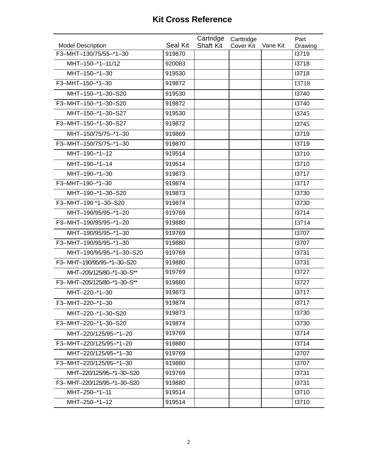|                             |          | Cartridge        | Carttridge |          | Part    |
|-----------------------------|----------|------------------|------------|----------|---------|
| <b>Model Description</b>    | Seal Kit | <b>Shaft Kit</b> | Cover Kit  | Vane Kit | Drawing |
| F3-MHT-130/75/55-*1-30      | 919870   |                  |            |          | 13719   |
| MHT-150-*1-11/12            | 920083   |                  |            |          | 13718   |
| MHT-150-*1-30               | 919530   |                  |            |          | 13718   |
| F3-MHT-150-*1-30            | 919872   |                  |            |          | I3718   |
| MHT-150-*1-30-S20           | 919530   |                  |            |          | 13740   |
| F3-MHT-150-*1-30-S20        | 919872   |                  |            |          | 13740   |
| MHT-150-*1-30-S27           | 919530   |                  |            |          | 13745   |
| F3-MHT-150-*1-30-S27        | 919872   |                  |            |          | 13745   |
| MHT-150/75/75-*1-30         | 919869   |                  |            |          | 13719   |
| F3-MHT-150/75/75-*1-30      | 919870   |                  |            |          | 13719   |
| MHT-190-*1-12               | 919514   |                  |            |          | 13710   |
| MHT-190-*1-14               | 919514   |                  |            |          | 13710   |
| MHT-190-*1-30               | 919873   |                  |            |          | 13717   |
| F3-MHT-190-*1-30            | 919874   |                  |            |          | 13717   |
| MHT-190-*1-30-S20           | 919873   |                  |            |          | 13730   |
| F3-MHT-190 *1-30-S20        | 919874   |                  |            |          | 13730   |
| MHT-190/95/95-*1-20         | 919769   |                  |            |          | 13714   |
| F3-MHT-190/95/95-*1-20      | 919880   |                  |            |          | I3714   |
| MHT-190/95/95-*1-30         | 919769   |                  |            |          | 13707   |
| F3-MHT-190/95/95-*1-30      | 919880   |                  |            |          | 13707   |
| MHT-190/95/95-*1-30-S20     | 919769   |                  |            |          | 13731   |
| F3-MHT-190/95/95-*1-30-S20  | 919880   |                  |            |          | 13731   |
| MHT-205/125/80-*1-30-S**    | 919769   |                  |            |          | 13727   |
| F3-MHT-205/125/80-*1-30-S** | 919880   |                  |            |          | 13727   |
| MHT-220-*1-30               | 919873   |                  |            |          | 13717   |
| F3-MHT-220-*1-30            | 919874   |                  |            |          | 13717   |
| MHT-220-*1-30-S20           | 919873   |                  |            |          | 13730   |
| F3-MHT-220-*1-30-S20        | 919874   |                  |            |          | 13730   |
| MHT-220/125/95-*1-20        | 919769   |                  |            |          | 13714   |
| F3-MHT-220/125/95-*1-20     | 919880   |                  |            |          | 13714   |
| MHT-220/125/95-*1-30        | 919769   |                  |            |          | 13707   |
| F3-MHT-220/125/95-*1-30     | 919880   |                  |            |          | 13707   |
| MHT-220/125/95-*1-30-S20    | 919769   |                  |            |          | 13731   |
| F3-MHT-220/125/95-*1-30-S20 | 919880   |                  |            |          | 13731   |
| MHT-250-*1-11               | 919514   |                  |            |          | 13710   |
| MHT-250-*1-12               | 919514   |                  |            |          | 13710   |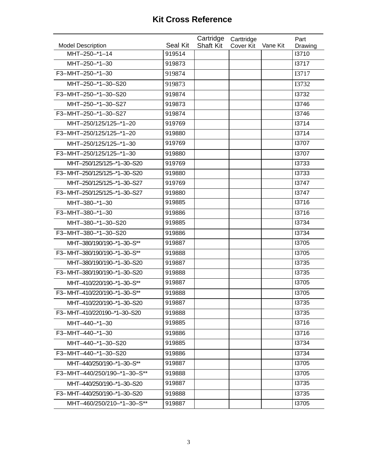|                                           |                           | Cartridge        | Carttridge |          | Part             |
|-------------------------------------------|---------------------------|------------------|------------|----------|------------------|
| <b>Model Description</b><br>MHT-250-*1-14 | <b>Seal Kit</b><br>919514 | <b>Shaft Kit</b> | Cover Kit  | Vane Kit | Drawing<br>13710 |
| MHT-250-*1-30                             | 919873                    |                  |            |          | 13717            |
| F3-MHT-250-*1-30                          |                           |                  |            |          |                  |
|                                           | 919874                    |                  |            |          | I3717            |
| MHT-250-*1-30-S20                         | 919873                    |                  |            |          | I3732            |
| F3-MHT-250-*1-30-S20                      | 919874                    |                  |            |          | 13732            |
| MHT-250-*1-30-S27                         | 919873                    |                  |            |          | 13746            |
| F3-MHT-250-*1-30-S27                      | 919874                    |                  |            |          | 13746            |
| MHT-250/125/125-*1-20                     | 919769                    |                  |            |          | 13714            |
| F3-MHT-250/125/125-*1-20                  | 919880                    |                  |            |          | 13714            |
| MHT-250/125/125-*1-30                     | 919769                    |                  |            |          | 13707            |
| F3-MHT-250/125/125-*1-30                  | 919880                    |                  |            |          | 13707            |
| MHT-250/125/125-*1-30-S20                 | 919769                    |                  |            |          | 13733            |
| F3-MHT-250/125/125-*1-30-S20              | 919880                    |                  |            |          | 13733            |
| MHT-250/125/125-*1-30-S27                 | 919769                    |                  |            |          | 13747            |
| F3-MHT-250/125/125-*1-30-S27              | 919880                    |                  |            |          | 13747            |
| MHT-380-*1-30                             | 919885                    |                  |            |          | 13716            |
| F3-MHT-380-*1-30                          | 919886                    |                  |            |          | 13716            |
| MHT-380-*1-30-S20                         | 919885                    |                  |            |          | 13734            |
| F3-MHT-380-*1-30-S20                      | 919886                    |                  |            |          | 13734            |
| MHT-380/190/190-*1-30-S**                 | 919887                    |                  |            |          | 13705            |
| F3-MHT-380/190/190-*1-30-S**              | 919888                    |                  |            |          | 13705            |
| MHT-380/190/190-*1-30-S20                 | 919887                    |                  |            |          | 13735            |
| F3-MHT-380/190/190-*1-30-S20              | 919888                    |                  |            |          | 13735            |
| MHT-410/220/190-*1-30-S**                 | 919887                    |                  |            |          | 13705            |
| F3-MHT-410/220/190-*1-30-S**              | 919888                    |                  |            |          | 13705            |
| MHT-410/220/190-*1-30-S20                 | 919887                    |                  |            |          | 13735            |
| F3-MHT-410/220190-*1-30-S20               | 919888                    |                  |            |          | 13735            |
| MHT-440-*1-30                             | 919885                    |                  |            |          | 13716            |
| F3-MHT-440-*1-30                          | 919886                    |                  |            |          | 13716            |
| MHT-440-*1-30-S20                         | 919885                    |                  |            |          | 13734            |
| F3-MHT-440-*1-30-S20                      | 919886                    |                  |            |          | 13734            |
| MHT-440/250/190-*1-30-S**                 | 919887                    |                  |            |          | 13705            |
| F3-MHT-440/250/190-*1-30-S**              | 919888                    |                  |            |          | 13705            |
| MHT-440/250/190-*1-30-S20                 | 919887                    |                  |            |          | 13735            |
| F3-MHT-440/250/190-*1-30-S20              | 919888                    |                  |            |          | 13735            |
| MHT-460/250/210-*1-30-S**                 | 919887                    |                  |            |          | 13705            |
|                                           |                           |                  |            |          |                  |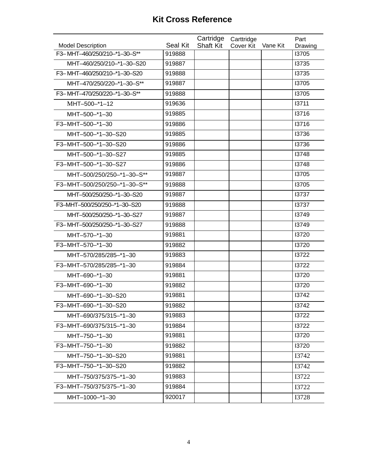|                                                          | <b>Seal Kit</b> | Cartridge        | Carttridge |          | Part             |
|----------------------------------------------------------|-----------------|------------------|------------|----------|------------------|
| <b>Model Description</b><br>F3-MHT-460/250/210-*1-30-S** | 919888          | <b>Shaft Kit</b> | Cover Kit  | Vane Kit | Drawing<br>13705 |
| MHT-460/250/210-*1-30-S20                                | 919887          |                  |            |          | 13735            |
| F3-MHT-460/250/210-*1-30-S20                             | 919888          |                  |            |          | 13735            |
| MHT-470/250/220-*1-30-S**                                | 919887          |                  |            |          | 13705            |
|                                                          |                 |                  |            |          |                  |
| F3-MHT-470/250/220-*1-30-S**                             | 919888          |                  |            |          | 13705            |
| MHT-500-*1-12                                            | 919636          |                  |            |          | 13711            |
| MHT-500-*1-30                                            | 919885          |                  |            |          | 13716            |
| F3-MHT-500-*1-30                                         | 919886          |                  |            |          | 13716            |
| MHT-500-*1-30-S20                                        | 919885          |                  |            |          | 13736            |
| F3-MHT-500-*1-30-S20                                     | 919886          |                  |            |          | 13736            |
| MHT-500-*1-30-S27                                        | 919885          |                  |            |          | 13748            |
| F3-MHT-500-*1-30-S27                                     | 919886          |                  |            |          | 13748            |
| MHT-500/250/250-*1-30-S**                                | 919887          |                  |            |          | 13705            |
| F3-MHT-500/250/250-*1-30-S**                             | 919888          |                  |            |          | 13705            |
| MHT-500/250/250-*1-30-S20                                | 919887          |                  |            |          | 13737            |
| F3-MHT-500/250/250-*1-30-S20                             | 919888          |                  |            |          | 13737            |
| MHT-500/250/250-*1-30-S27                                | 919887          |                  |            |          | 13749            |
| F3-MHT-500/250/250-*1-30-S27                             | 919888          |                  |            |          | 13749            |
| MHT-570-*1-30                                            | 919881          |                  |            |          | 13720            |
| F3-MHT-570-*1-30                                         | 919882          |                  |            |          | 13720            |
| MHT-570/285/285-*1-30                                    | 919883          |                  |            |          | 13722            |
| F3-MHT-570/285/285-*1-30                                 | 919884          |                  |            |          | 13722            |
| MHT-690-*1-30                                            | 919881          |                  |            |          | 13720            |
| F3-MHT-690-*1-30                                         | 919882          |                  |            |          | 13720            |
| MHT-690-*1-30-S20                                        | 919881          |                  |            |          | 13742            |
| F3-MHT-690-*1-30-S20                                     | 919882          |                  |            |          | 13742            |
| MHT-690/375/315-*1-30                                    | 919883          |                  |            |          | 13722            |
| F3-MHT-690/375/315-*1-30                                 | 919884          |                  |            |          | 13722            |
| MHT-750-*1-30                                            | 919881          |                  |            |          | 13720            |
| F3-MHT-750-*1-30                                         | 919882          |                  |            |          | 13720            |
| MHT-750-*1-30-S20                                        | 919881          |                  |            |          | I3742            |
| F3-MHT-750-*1-30-S20                                     | 919882          |                  |            |          | I3742            |
| MHT-750/375/375-*1-30                                    | 919883          |                  |            |          | I3722            |
| F3-MHT-750/375/375-*1-30                                 | 919884          |                  |            |          | I3722            |
| MHT-1000-*1-30                                           | 920017          |                  |            |          | I3728            |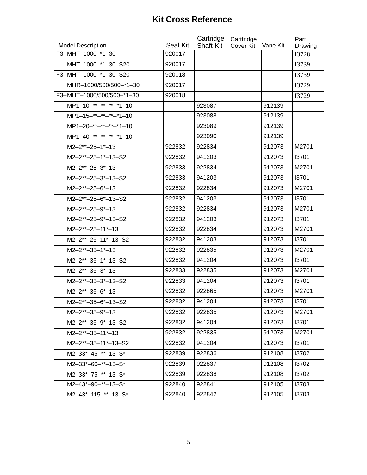|                                               |                           | Cartridge        | Carttridge |          | Part                    |
|-----------------------------------------------|---------------------------|------------------|------------|----------|-------------------------|
| <b>Model Description</b><br>F3-MHT-1000-*1-30 | <b>Seal Kit</b><br>920017 | <b>Shaft Kit</b> | Cover Kit  | Vane Kit | Drawing<br><b>I3728</b> |
|                                               |                           |                  |            |          |                         |
| MHT-1000-*1-30-S20                            | 920017                    |                  |            |          | I3739                   |
| F3-MHT-1000-*1-30-S20                         | 920018                    |                  |            |          | I3739                   |
| MHR-1000/500/500-*1-30                        | 920017                    |                  |            |          | I3729                   |
| F3-MHT-1000/500/500-*1-30                     | 920018                    |                  |            |          | I3729                   |
| MP1-10-**-**-**-*1-10                         |                           | 923087           |            | 912139   |                         |
| MP1-15-**-**-**-*1-10                         |                           | 923088           |            | 912139   |                         |
| MP1-20-**-**-**-*1-10                         |                           | 923089           |            | 912139   |                         |
| MP1-40-**-**-**-*1-10                         |                           | 923090           |            | 912139   |                         |
| $M2 - 2^{**} - 25 - 1^{*} - 13$               | 922832                    | 922834           |            | 912073   | M2701                   |
| M2-2**-25-1*-13-S2                            | 922832                    | 941203           |            | 912073   | 13701                   |
| $M2 - 2^{**} - 25 - 3^{*} - 13$               | 922833                    | 922834           |            | 912073   | M2701                   |
| M2-2**-25-3*-13-S2                            | 922833                    | 941203           |            | 912073   | 13701                   |
| $M2 - 2^{**} - 25 - 6^{*} - 13$               | 922832                    | 922834           |            | 912073   | M2701                   |
| M2-2**-25-6*-13-S2                            | 922832                    | 941203           |            | 912073   | 13701                   |
| $M2 - 2^{**} - 25 - 9^{*} - 13$               | 922832                    | 922834           |            | 912073   | M2701                   |
| M2-2**-25-9*-13-S2                            | 922832                    | 941203           |            | 912073   | 13701                   |
| $M2 - 2** - 25 - 11*-13$                      | 922832                    | 922834           |            | 912073   | M2701                   |
| M2-2**-25-11*-13-S2                           | 922832                    | 941203           |            | 912073   | 13701                   |
| $M2 - 2^{**} - 35 - 1^{*} - 13$               | 922832                    | 922835           |            | 912073   | M2701                   |
| M2-2**-35-1*-13-S2                            | 922832                    | 941204           |            | 912073   | 13701                   |
| $M2 - 2^{**} - 35 - 3^{*} - 13$               | 922833                    | 922835           |            | 912073   | M2701                   |
| M2-2**-35-3*-13-S2                            | 922833                    | 941204           |            | 912073   | 13701                   |
| $M2 - 2^{**} - 35 - 6^{*} - 13$               | 922832                    | 922865           |            | 912073   | M2701                   |
| M2-2**-35-6*-13-S2                            | 922832                    | 941204           |            | 912073   | 13701                   |
| $M2 - 2^{**} - 35 - 9^{*} - 13$               | 922832                    | 922835           |            | 912073   | M2701                   |
| M2-2**-35-9*-13-S2                            | 922832                    | 941204           |            | 912073   | 13701                   |
| $M2 - 2^{**} - 35 - 11^{*} - 13$              | 922832                    | 922835           |            | 912073   | M2701                   |
| M2-2**-35-11*-13-S2                           | 922832                    | 941204           |            | 912073   | 13701                   |
| M2-33*-45-**-13-S*                            | 922839                    | 922836           |            | 912108   | 13702                   |
| $M2 - 33 - 60 - 13 - 5$                       | 922839                    | 922837           |            | 912108   | 13702                   |
| $M2-33*-75-**-13-S*$                          | 922839                    | 922838           |            | 912108   | 13702                   |
| $M2-43*-90-*-13-S*$                           | 922840                    | 922841           |            | 912105   | 13703                   |
| M2-43*-115-**-13-S*                           | 922840                    | 922842           |            | 912105   | 13703                   |
|                                               |                           |                  |            |          |                         |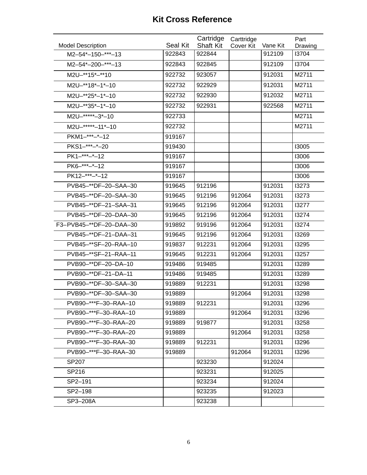| <b>Model Description</b> | Seal Kit | Cartridge<br><b>Shaft Kit</b> | Carttridge<br>Cover Kit | Vane Kit | Part<br>Drawing |
|--------------------------|----------|-------------------------------|-------------------------|----------|-----------------|
| M2-54*-150-***-13        | 922843   | 922844                        |                         | 912109   | 13704           |
| M2-54*-200-***-13        | 922843   | 922845                        |                         | 912109   | 13704           |
| M2U-**15*-**10           | 922732   | 923057                        |                         | 912031   | M2711           |
| M2U-**18*-1*-10          | 922732   | 922929                        |                         | 912031   | M2711           |
| M2U-**25*-1*-10          | 922732   | 922930                        |                         | 912032   | M2711           |
| M2U-**35*-1*-10          | 922732   | 922931                        |                         | 922568   | M2711           |
| M2U-*****-3*-10          | 922733   |                               |                         |          | M2711           |
| M2U-*****-11*-10         | 922732   |                               |                         |          | M2711           |
| PKM1-***-*-12            | 919167   |                               |                         |          |                 |
| PKS1-***-*-20            | 919430   |                               |                         |          | 13005           |
| PK1-***-*-12             | 919167   |                               |                         |          | 13006           |
| PK6-***-*-12             | 919167   |                               |                         |          | 13006           |
| PK12-***-*-12            | 919167   |                               |                         |          | 13006           |
| PVB45-**DF-20-SAA-30     | 919645   | 912196                        |                         | 912031   | 13273           |
| PVB45-**DF-20-SAA-30     | 919645   | 912196                        | 912064                  | 912031   | 13273           |
| PVB45-**DF-21-SAA-31     | 919645   | 912196                        | 912064                  | 912031   | 13277           |
| PVB45-**DF-20-DAA-30     | 919645   | 912196                        | 912064                  | 912031   | 13274           |
| F3-PVB45-**DF-20-DAA-30  | 919892   | 919196                        | 912064                  | 912031   | 13274           |
| PVB45-**DF-21-DAA-31     | 919645   | 912196                        | 912064                  | 912031   | 13269           |
| PVB45-**SF-20-RAA-10     | 919837   | 912231                        | 912064                  | 912031   | 13295           |
| PVB45-**SF-21-RAA-11     | 919645   | 912231                        | 912064                  | 912031   | 13257           |
| PVB90-**DF-20-DA-10      | 919486   | 919485                        |                         | 912031   | 13289           |
| PVB90-**DF-21-DA-11      | 919486   | 919485                        |                         | 912031   | 13289           |
| PVB90-**DF-30-SAA-30     | 919889   | 912231                        |                         | 912031   | 13298           |
| PVB90-**DF-30-SAA-30     | 919889   |                               | 912064                  | 912031   | 13298           |
| PVB90-***F-30-RAA-10     | 919889   | 912231                        |                         | 912031   | 13296           |
| PVB90-***F-30-RAA-10     | 919889   |                               | 912064                  | 912031   | 13296           |
| PVB90-***F-30-RAA-20     | 919889   | 919877                        |                         | 912031   | 13258           |
| PVB90-***F-30-RAA-20     | 919889   |                               | 912064                  | 912031   | 13258           |
| PVB90-***F-30-RAA-30     | 919889   | 912231                        |                         | 912031   | 13296           |
| PVB90-***F-30-RAA-30     | 919889   |                               | 912064                  | 912031   | 13296           |
| SP207                    |          | 923230                        |                         | 912024   |                 |
| SP216                    |          | 923231                        |                         | 912025   |                 |
| SP2-191                  |          | 923234                        |                         | 912024   |                 |
| SP2-198                  |          | 923235                        |                         | 912023   |                 |
| SP3-208A                 |          | 923238                        |                         |          |                 |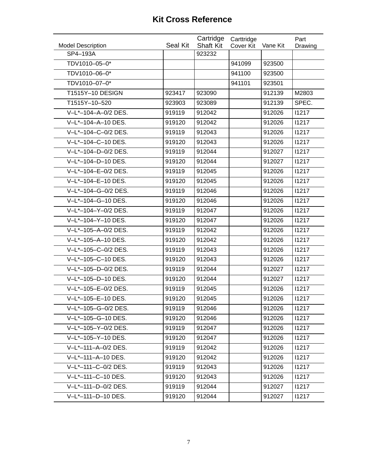|                          |          | Cartridge        | Carttridge |          | Part    |
|--------------------------|----------|------------------|------------|----------|---------|
| <b>Model Description</b> | Seal Kit | <b>Shaft Kit</b> | Cover Kit  | Vane Kit | Drawing |
| SP4-193A                 |          | 923232           |            |          |         |
| TDV1010-05-0*            |          |                  | 941099     | 923500   |         |
| TDV1010-06-0*            |          |                  | 941100     | 923500   |         |
| TDV1010-07-0*            |          |                  | 941101     | 923501   |         |
| T1515Y-10 DESIGN         | 923417   | 923090           |            | 912139   | M2803   |
| T1515Y-10-520            | 923903   | 923089           |            | 912139   | SPEC.   |
| V-L*-104-A-0/2 DES.      | 919119   | 912042           |            | 912026   | 11217   |
| V-L*-104-A-10 DES.       | 919120   | 912042           |            | 912026   | 11217   |
| V-L*-104-C-0/2 DES.      | 919119   | 912043           |            | 912026   | 11217   |
| V-L*-104-C-10 DES.       | 919120   | 912043           |            | 912026   | 11217   |
| V-L*-104-D-0/2 DES.      | 919119   | 912044           |            | 912027   | 11217   |
| V-L*-104-D-10 DES.       | 919120   | 912044           |            | 912027   | 11217   |
| V-L*-104-E-0/2 DES.      | 919119   | 912045           |            | 912026   | 11217   |
| V-L*-104-E-10 DES.       | 919120   | 912045           |            | 912026   | 11217   |
| V-L*-104-G-0/2 DES.      | 919119   | 912046           |            | 912026   | 11217   |
| V-L*-104-G-10 DES.       | 919120   | 912046           |            | 912026   | 11217   |
| V-L*-104-Y-0/2 DES.      | 919119   | 912047           |            | 912026   | 11217   |
| V-L*-104-Y-10 DES.       | 919120   | 912047           |            | 912026   | 11217   |
| V-L*-105-A-0/2 DES.      | 919119   | 912042           |            | 912026   | 11217   |
| V-L*-105-A-10 DES.       | 919120   | 912042           |            | 912026   | 11217   |
| V-L*-105-C-0/2 DES.      | 919119   | 912043           |            | 912026   | 11217   |
| V-L*-105-C-10 DES.       | 919120   | 912043           |            | 912026   | 11217   |
| V-L*-105-D-0/2 DES.      | 919119   | 912044           |            | 912027   | 11217   |
| V-L*-105-D-10 DES.       | 919120   | 912044           |            | 912027   | 11217   |
| V-L*-105-E-0/2 DES.      | 919119   | 912045           |            | 912026   | 11217   |
| V-L*-105-E-10 DES.       | 919120   | 912045           |            | 912026   | 11217   |
| V-L*-105-G-0/2 DES.      | 919119   | 912046           |            | 912026   | 11217   |
| V-L*-105-G-10 DES.       | 919120   | 912046           |            | 912026   | 11217   |
| V-L*-105-Y-0/2 DES.      | 919119   | 912047           |            | 912026   | 11217   |
| V-L*-105-Y-10 DES.       | 919120   | 912047           |            | 912026   | 11217   |
| V-L*-111-A-0/2 DES.      | 919119   | 912042           |            | 912026   | 11217   |
| V-L*-111-A-10 DES.       | 919120   | 912042           |            | 912026   | 11217   |
| V-L*-111-C-0/2 DES.      | 919119   | 912043           |            | 912026   | 11217   |
| V-L*-111-C-10 DES.       | 919120   | 912043           |            | 912026   | 11217   |
| V-L*-111-D-0/2 DES.      | 919119   | 912044           |            | 912027   | 11217   |
| V-L*-111-D-10 DES.       | 919120   | 912044           |            | 912027   | 11217   |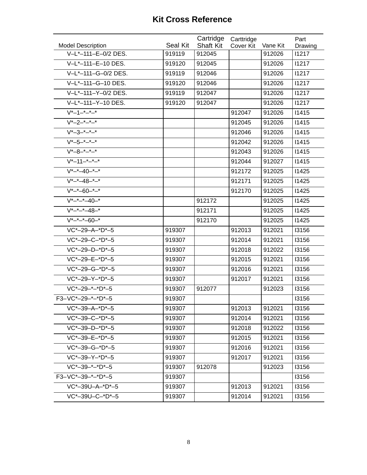|                                              |          | Cartridge        | Carttridge |          | Part    |
|----------------------------------------------|----------|------------------|------------|----------|---------|
| <b>Model Description</b>                     | Seal Kit | <b>Shaft Kit</b> | Cover Kit  | Vane Kit | Drawing |
| V-L*-111-E-0/2 DES.                          | 919119   | 912045           |            | 912026   | 11217   |
| V-L*-111-E-10 DES.                           | 919120   | 912045           |            | 912026   | 11217   |
| V-L*-111-G-0/2 DES.                          | 919119   | 912046           |            | 912026   | 11217   |
| V-L*-111-G-10 DES.                           | 919120   | 912046           |            | 912026   | 11217   |
| V-L*-111-Y-0/2 DES.                          | 919119   | 912047           |            | 912026   | 11217   |
| V-L*-111-Y-10 DES.                           | 919120   | 912047           |            | 912026   | 11217   |
| $V^*$ -1- $^*$ - $^*$ - $^*$                 |          |                  | 912047     | 912026   | 11415   |
| $V^*$ -2- $^*$ - $^*$ - $^*$                 |          |                  | 912045     | 912026   | 11415   |
| $V^*$ -3- $^*$ - $^*$ - $^*$                 |          |                  | 912046     | 912026   | 11415   |
| $V*-5-+-*-$                                  |          |                  | 912042     | 912026   | 11415   |
| $V*-8-*-*-*$                                 |          |                  | 912043     | 912026   | 11415   |
| $V^*$ -11- $^*$ - $^*$ - $^*$                |          |                  | 912044     | 912027   | 11415   |
| $V^*$ -*-40-*-*                              |          |                  | 912172     | 912025   | 11425   |
| $V^*$ -*-48-*-*                              |          |                  | 912171     | 912025   | 11425   |
| $V^*$ -*-60-*-*                              |          |                  | 912170     | 912025   | 11425   |
| $V^*$ -* -* -40-*                            |          | 912172           |            | 912025   | 11425   |
| $\overline{V^{*}-^{*}-^{*}-48}$ <sup>*</sup> |          | 912171           |            | 912025   | 11425   |
| $V^*$ -*-*-60-*                              |          | 912170           |            | 912025   | 11425   |
| VC*-29-A-*D*-5                               | 919307   |                  | 912013     | 912021   | 13156   |
| $VC*-29-C-*D*-5$                             | 919307   |                  | 912014     | 912021   | 13156   |
| VC*-29-D-*D*-5                               | 919307   |                  | 912018     | 912022   | 13156   |
| VC*-29-E-*D*-5                               | 919307   |                  | 912015     | 912021   | 13156   |
| VC*-29-G-*D*-5                               | 919307   |                  | 912016     | 912021   | 13156   |
| $VC*-29-Y-*D*-5$                             | 919307   |                  | 912017     | 912021   | 13156   |
| $VC*-29-+-*D*-5$                             | 919307   | 912077           |            | 912023   | 13156   |
| F3-VC*-29-*-*D*-5                            | 919307   |                  |            |          | 13156   |
| $VC*-39-A-*D*-5$                             | 919307   |                  | 912013     | 912021   | 13156   |
| $VC*-39-C-*D*-5$                             | 919307   |                  | 912014     | 912021   | 13156   |
| $VC*-39-D-*D*-5$                             | 919307   |                  | 912018     | 912022   | 13156   |
| VC*-39-E-*D*-5                               | 919307   |                  | 912015     | 912021   | 13156   |
| $VC*-39-G-*D*-5$                             | 919307   |                  | 912016     | 912021   | 13156   |
| VC*-39-Y-*D*-5                               | 919307   |                  | 912017     | 912021   | 13156   |
| $VC*-39-*-D*-5$                              | 919307   | 912078           |            | 912023   | 13156   |
| F3-VC*-39-*-*D*-5                            | 919307   |                  |            |          | 13156   |
| VC*-39U-A-*D*-5                              | 919307   |                  | 912013     | 912021   | 13156   |
| VC*-39U-C-*D*-5                              | 919307   |                  | 912014     | 912021   | 13156   |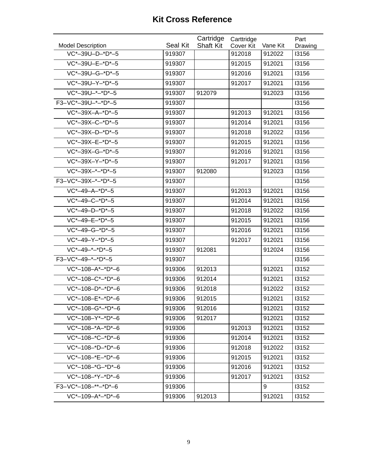|        | Cartridge                                               | Carttridge                 |                                                   | Part                                             |
|--------|---------------------------------------------------------|----------------------------|---------------------------------------------------|--------------------------------------------------|
|        |                                                         |                            |                                                   | Drawing                                          |
|        |                                                         |                            |                                                   | 13156                                            |
|        |                                                         |                            |                                                   | 13156                                            |
|        |                                                         |                            |                                                   | 13156                                            |
|        |                                                         |                            |                                                   | 13156                                            |
| 919307 |                                                         |                            | 912023                                            | 13156                                            |
| 919307 |                                                         |                            |                                                   | 13156                                            |
| 919307 |                                                         | 912013                     | 912021                                            | 13156                                            |
| 919307 |                                                         | 912014                     | 912021                                            | 13156                                            |
| 919307 |                                                         | 912018                     | 912022                                            | 13156                                            |
| 919307 |                                                         | 912015                     | 912021                                            | 13156                                            |
| 919307 |                                                         | 912016                     | 912021                                            | 13156                                            |
| 919307 |                                                         | 912017                     | 912021                                            | 13156                                            |
| 919307 | 912080                                                  |                            | 912023                                            | 13156                                            |
| 919307 |                                                         |                            |                                                   | 13156                                            |
| 919307 |                                                         | 912013                     | 912021                                            | 13156                                            |
| 919307 |                                                         | 912014                     | 912021                                            | 13156                                            |
| 919307 |                                                         | 912018                     | 912022                                            | 13156                                            |
| 919307 |                                                         | 912015                     | 912021                                            | 13156                                            |
| 919307 |                                                         | 912016                     | 912021                                            | 13156                                            |
| 919307 |                                                         | 912017                     | 912021                                            | 13156                                            |
| 919307 | 912081                                                  |                            | 912024                                            | 13156                                            |
| 919307 |                                                         |                            |                                                   | 13156                                            |
| 919306 | 912013                                                  |                            | 912021                                            | 13152                                            |
| 919306 | 912014                                                  |                            | 912021                                            | 13152                                            |
| 919306 | 912018                                                  |                            | 912022                                            | 13152                                            |
| 919306 | 912015                                                  |                            | 912021                                            | 13152                                            |
| 919306 | 912016                                                  |                            | 912021                                            | 13152                                            |
| 919306 | 912017                                                  |                            | 912021                                            | 13152                                            |
| 919306 |                                                         | 912013                     | 912021                                            | 13152                                            |
| 919306 |                                                         | 912014                     | 912021                                            | 13152                                            |
| 919306 |                                                         | 912018                     | 912022                                            | 13152                                            |
| 919306 |                                                         | 912015                     | 912021                                            | 13152                                            |
| 919306 |                                                         | 912016                     | 912021                                            | 13152                                            |
| 919306 |                                                         | 912017                     | 912021                                            | 13152                                            |
| 919306 |                                                         |                            | 9                                                 | 13152                                            |
| 919306 | 912013                                                  |                            | 912021                                            | 13152                                            |
|        | <b>Seal Kit</b><br>919307<br>919307<br>919307<br>919307 | <b>Shaft Kit</b><br>912079 | Cover Kit<br>912018<br>912015<br>912016<br>912017 | Vane Kit<br>912022<br>912021<br>912021<br>912021 |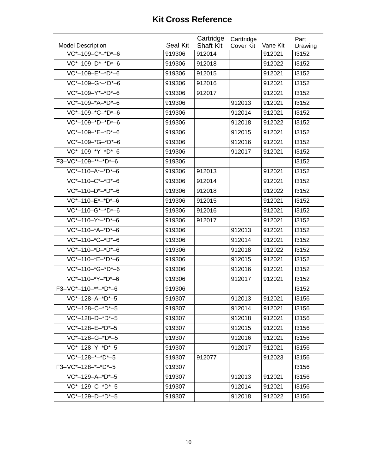|                          |          | Cartridge        | Carttridge |          | Part    |
|--------------------------|----------|------------------|------------|----------|---------|
| <b>Model Description</b> | Seal Kit | <b>Shaft Kit</b> | Cover Kit  | Vane Kit | Drawing |
| VC*-109-C*-*D*-6         | 919306   | 912014           |            | 912021   | 13152   |
| VC*-109-D*-*D*-6         | 919306   | 912018           |            | 912022   | 13152   |
| VC*-109-E*-*D*-6         | 919306   | 912015           |            | 912021   | 13152   |
| VC*-109-G*-*D*-6         | 919306   | 912016           |            | 912021   | 13152   |
| VC*-109-Y*-*D*-6         | 919306   | 912017           |            | 912021   | 13152   |
| VC*-109-*A-*D*-6         | 919306   |                  | 912013     | 912021   | 13152   |
| VC*-109-*C-*D*-6         | 919306   |                  | 912014     | 912021   | 13152   |
| $VC*-109-*D-*D*-6$       | 919306   |                  | 912018     | 912022   | 13152   |
| VC*-109-*E-*D*-6         | 919306   |                  | 912015     | 912021   | 13152   |
| $VC*-109-*G-*D*-6$       | 919306   |                  | 912016     | 912021   | 13152   |
| VC*-109-*Y-*D*-6         | 919306   |                  | 912017     | 912021   | 13152   |
| F3-VC*-109-**-*D*-6      | 919306   |                  |            |          | 13152   |
| $VC*-110-A*-D*-6$        | 919306   | 912013           |            | 912021   | 13152   |
| VC*-110-C*-*D*-6         | 919306   | 912014           |            | 912021   | 13152   |
| $VC*-110-D*-D*-6$        | 919306   | 912018           |            | 912022   | 13152   |
| VC*-110-E*-*D*-6         | 919306   | 912015           |            | 912021   | 13152   |
| VC*-110-G*-*D*-6         | 919306   | 912016           |            | 912021   | 13152   |
| VC*-110-Y*-*D*-6         | 919306   | 912017           |            | 912021   | 13152   |
| VC*-110-*A-*D*-6         | 919306   |                  | 912013     | 912021   | 13152   |
| VC*-110-*C-*D*-6         | 919306   |                  | 912014     | 912021   | 13152   |
| $VC*-110-*D-*D*-6$       | 919306   |                  | 912018     | 912022   | 13152   |
| VC*-110-*E-*D*-6         | 919306   |                  | 912015     | 912021   | 13152   |
| VC*-110-*G-*D*-6         | 919306   |                  | 912016     | 912021   | 13152   |
| VC*-110-*Y-*D*-6         | 919306   |                  | 912017     | 912021   | 13152   |
| F3-VC*-110-**-*D*-6      | 919306   |                  |            |          | 13152   |
| VC*-128-A-*D*-5          | 919307   |                  | 912013     | 912021   | 13156   |
| $VC*-128-C-*D*-5$        | 919307   |                  | 912014     | 912021   | 13156   |
| VC*-128-D-*D*-5          | 919307   |                  | 912018     | 912021   | 13156   |
| VC*-128-E-*D*-5          | 919307   |                  | 912015     | 912021   | 13156   |
| $VC*-128-G-*D*-5$        | 919307   |                  | 912016     | 912021   | 13156   |
| VC*-128-Y-*D*-5          | 919307   |                  | 912017     | 912021   | 13156   |
| $VC*-128-+-*D*-5$        | 919307   | 912077           |            | 912023   | 13156   |
| $F3-VC*-128-+-D*-5$      | 919307   |                  |            |          | 13156   |
| $VC*-129-A-*D*-5$        | 919307   |                  | 912013     | 912021   | 13156   |
| $VC*-129-C-*D*-5$        | 919307   |                  | 912014     | 912021   | 13156   |
| VC*-129-D-*D*-5          | 919307   |                  | 912018     | 912022   | 13156   |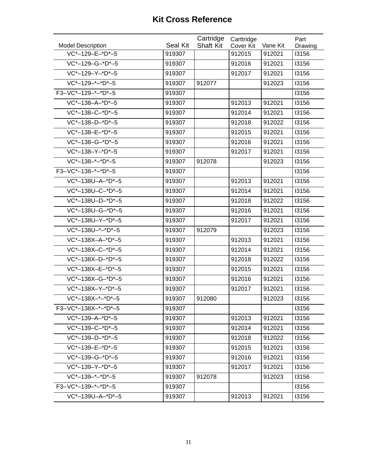|                          |                 | Cartridge        | Carttridge |          | Part    |
|--------------------------|-----------------|------------------|------------|----------|---------|
| <b>Model Description</b> | <b>Seal Kit</b> | <b>Shaft Kit</b> | Cover Kit  | Vane Kit | Drawing |
| VC*-129-E-*D*-5          | 919307          |                  | 912015     | 912021   | 13156   |
| VC*-129-G-*D*-5          | 919307          |                  | 912016     | 912021   | 13156   |
| VC*-129-Y-*D*-5          | 919307          |                  | 912017     | 912021   | 13156   |
| VC*-129-*-*D*-5          | 919307          | 912077           |            | 912023   | 13156   |
| F3-VC*-129-*-*D*-5       | 919307          |                  |            |          | 13156   |
| VC*-138-A-*D*-5          | 919307          |                  | 912013     | 912021   | 13156   |
| VC*-138-C-*D*-5          | 919307          |                  | 912014     | 912021   | 13156   |
| VC*-138-D-*D*-5          | 919307          |                  | 912018     | 912022   | 13156   |
| VC*-138-E-*D*-5          | 919307          |                  | 912015     | 912021   | 13156   |
| VC*-138-G-*D*-5          | 919307          |                  | 912016     | 912021   | 13156   |
| VC*-138-Y-*D*-5          | 919307          |                  | 912017     | 912021   | 13156   |
| $VC*-138-+-*D*-5$        | 919307          | 912078           |            | 912023   | 13156   |
| F3-VC*-138-*-*D*-5       | 919307          |                  |            |          | 13156   |
| VC*-138U-A-*D*-5         | 919307          |                  | 912013     | 912021   | 13156   |
| VC*-138U-C-*D*-5         | 919307          |                  | 912014     | 912021   | 13156   |
| VC*-138U-D-*D*-5         | 919307          |                  | 912018     | 912022   | 13156   |
| VC*-138U-G-*D*-5         | 919307          |                  | 912016     | 912021   | 13156   |
| VC*-138U-Y-*D*-5         | 919307          |                  | 912017     | 912021   | 13156   |
| VC*-138U-*-*D*-5         | 919307          | 912079           |            | 912023   | 13156   |
| VC*-138X-A-*D*-5         | 919307          |                  | 912013     | 912021   | 13156   |
| VC*-138X-C-*D*-5         | 919307          |                  | 912014     | 912021   | 13156   |
| VC*-138X-D-*D*-5         | 919307          |                  | 912018     | 912022   | 13156   |
| VC*-138X-E-*D*-5         | 919307          |                  | 912015     | 912021   | 13156   |
| VC*-138X-G-*D*-5         | 919307          |                  | 912016     | 912021   | 13156   |
| VC*-138X-Y-*D*-5         | 919307          |                  | 912017     | 912021   | 13156   |
| VC*-138X-*-*D*-5         | 919307          | 912080           |            | 912023   | 13156   |
| F3-VC*-138X-*-*D*-5      | 919307          |                  |            |          | 13156   |
| $VC*-139-A-*D*-5$        | 919307          |                  | 912013     | 912021   | 13156   |
| $VC*-139-C-*D*-5$        | 919307          |                  | 912014     | 912021   | 13156   |
| $VC*-139-D-*D*-5$        | 919307          |                  | 912018     | 912022   | 13156   |
| VC*-139-E-*D*-5          | 919307          |                  | 912015     | 912021   | 13156   |
| VC*-139-G-*D*-5          | 919307          |                  | 912016     | 912021   | 13156   |
| VC*-139-Y-*D*-5          | 919307          |                  | 912017     | 912021   | 13156   |
| $VC*-139-+-D*-5$         | 919307          | 912078           |            | 912023   | 13156   |
| F3-VC*-139-*-*D*-5       | 919307          |                  |            |          | 13156   |
| VC*-139U-A-*D*-5         | 919307          |                  | 912013     | 912021   | 13156   |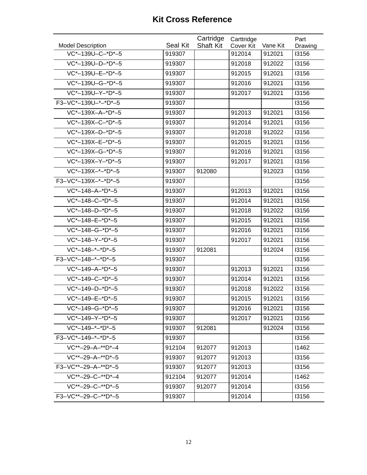|                          |                 | Cartridge        | Carttridge |          | Part    |
|--------------------------|-----------------|------------------|------------|----------|---------|
| <b>Model Description</b> | <b>Seal Kit</b> | <b>Shaft Kit</b> | Cover Kit  | Vane Kit | Drawing |
| VC*-139U-C-*D*-5         | 919307          |                  | 912014     | 912021   | 13156   |
| VC*-139U-D-*D*-5         | 919307          |                  | 912018     | 912022   | 13156   |
| VC*-139U-E-*D*-5         | 919307          |                  | 912015     | 912021   | 13156   |
| VC*-139U-G-*D*-5         | 919307          |                  | 912016     | 912021   | 13156   |
| VC*-139U-Y-*D*-5         | 919307          |                  | 912017     | 912021   | 13156   |
| F3-VC*-139U-*-*D*-5      | 919307          |                  |            |          | 13156   |
| VC*-139X-A-*D*-5         | 919307          |                  | 912013     | 912021   | 13156   |
| VC*-139X-C-*D*-5         | 919307          |                  | 912014     | 912021   | 13156   |
| VC*-139X-D-*D*-5         | 919307          |                  | 912018     | 912022   | 13156   |
| VC*-139X-E-*D*-5         | 919307          |                  | 912015     | 912021   | 13156   |
| VC*-139X-G-*D*-5         | 919307          |                  | 912016     | 912021   | 13156   |
| VC*-139X-Y-*D*-5         | 919307          |                  | 912017     | 912021   | 13156   |
| $VC*-139X-+-D*-5$        | 919307          | 912080           |            | 912023   | 13156   |
| F3-VC*-139X-*-*D*-5      | 919307          |                  |            |          | 13156   |
| VC*-148-A-*D*-5          | 919307          |                  | 912013     | 912021   | 13156   |
| VC*-148-C-*D*-5          | 919307          |                  | 912014     | 912021   | 13156   |
| VC*-148-D-*D*-5          | 919307          |                  | 912018     | 912022   | 13156   |
| VC*-148-E-*D*-5          | 919307          |                  | 912015     | 912021   | 13156   |
| VC*-148-G-*D*-5          | 919307          |                  | 912016     | 912021   | 13156   |
| VC*-148-Y-*D*-5          | 919307          |                  | 912017     | 912021   | 13156   |
| $VC*-148-+-D*-5$         | 919307          | 912081           |            | 912024   | 13156   |
| F3-VC*-148-*-*D*-5       | 919307          |                  |            |          | 13156   |
| VC*-149-A-*D*-5          | 919307          |                  | 912013     | 912021   | 13156   |
| VC*-149-C-*D*-5          | 919307          |                  | 912014     | 912021   | 13156   |
| VC*-149-D-*D*-5          | 919307          |                  | 912018     | 912022   | 13156   |
| VC*-149-E-*D*-5          | 919307          |                  | 912015     | 912021   | 13156   |
| $VC*-149-G-*D*-5$        | 919307          |                  | 912016     | 912021   | 13156   |
| $VC*-149-Y-*D*-5$        | 919307          |                  | 912017     | 912021   | 13156   |
| $VC*-149-+-D*-5$         | 919307          | 912081           |            | 912024   | 13156   |
| $F3-VC*-149-+-D*-5$      | 919307          |                  |            |          | 13156   |
| $VC^{**}-29-A-*D*-4$     | 912104          | 912077           | 912013     |          | 11462   |
| VC**-29-A-**D*-5         | 919307          | 912077           | 912013     |          | 13156   |
| F3-VC**-29-A-**D*-5      | 919307          | 912077           | 912013     |          | 13156   |
| VC**-29-C-**D*-4         | 912104          | 912077           | 912014     |          | 11462   |
| VC**-29-C-**D*-5         | 919307          | 912077           | 912014     |          | 13156   |
| F3-VC**-29-C-**D*-5      | 919307          |                  | 912014     |          | 13156   |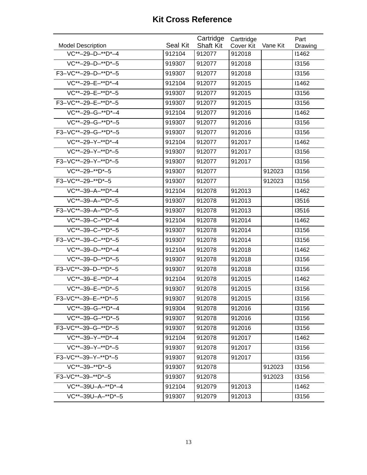| <b>Model Description</b> | Seal Kit | Cartridge<br><b>Shaft Kit</b> | Carttridge<br>Cover Kit | Vane Kit | Part<br>Drawing |
|--------------------------|----------|-------------------------------|-------------------------|----------|-----------------|
| VC**-29-D-**D*-4         | 912104   | 912077                        | 912018                  |          | 11462           |
| VC**-29-D-**D*-5         | 919307   | 912077                        | 912018                  |          | 13156           |
| F3-VC**-29-D-**D*-5      | 919307   | 912077                        | 912018                  |          | 13156           |
| VC**-29-E-**D*-4         | 912104   | 912077                        | 912015                  |          | 11462           |
| VC**-29-E-**D*-5         | 919307   | 912077                        | 912015                  |          | 13156           |
| F3-VC**-29-E-**D*-5      | 919307   | 912077                        | 912015                  |          | 13156           |
| VC**-29-G-**D*-4         | 912104   | 912077                        | 912016                  |          | 11462           |
| VC**-29-G-**D*-5         | 919307   | 912077                        | 912016                  |          | 13156           |
| F3-VC**-29-G-**D*-5      | 919307   | 912077                        | 912016                  |          | 13156           |
| VC**-29-Y-**D*-4         | 912104   | 912077                        | 912017                  |          | 11462           |
| VC**-29-Y-**D*-5         | 919307   | 912077                        | 912017                  |          | 13156           |
| F3-VC**-29-Y-**D*-5      | 919307   | 912077                        | 912017                  |          | 13156           |
| VC**-29-**D*-5           | 919307   | 912077                        |                         | 912023   | 13156           |
| F3-VC**-29-**D*-5        | 919307   | 912077                        |                         | 912023   | 13156           |
| VC**-39-A-**D*-4         | 912104   | 912078                        | 912013                  |          | 11462           |
| VC**-39-A-**D*-5         | 919307   | 912078                        | 912013                  |          | 13516           |
| F3-VC**-39-A-**D*-5      | 919307   | 912078                        | 912013                  |          | 13516           |
| VC**-39-C-**D*-4         | 912104   | 912078                        | 912014                  |          | 11462           |
| VC**-39-C-**D*-5         | 919307   | 912078                        | 912014                  |          | 13156           |
| F3-VC**-39-C-**D*-5      | 919307   | 912078                        | 912014                  |          | 13156           |
| VC**-39-D-**D*-4         | 912104   | 912078                        | 912018                  |          | 11462           |
| VC**-39-D-**D*-5         | 919307   | 912078                        | 912018                  |          | 13156           |
| F3-VC**-39-D-**D*-5      | 919307   | 912078                        | 912018                  |          | 13156           |
| VC**-39-E-**D*-4         | 912104   | 912078                        | 912015                  |          | 11462           |
| VC**-39-E-**D*-5         | 919307   | 912078                        | 912015                  |          | 13156           |
| F3-VC**-39-E-**D*-5      | 919307   | 912078                        | 912015                  |          | 13156           |
| VC**-39-G-**D*-4         | 919304   | 912078                        | 912016                  |          | 13156           |
| $VC**-39-G-*D*-5$        | 919307   | 912078                        | 912016                  |          | 13156           |
| F3-VC**-39-G-**D*-5      | 919307   | 912078                        | 912016                  |          | 13156           |
| $VC^{**}-39-Y-*D*-4$     | 912104   | 912078                        | 912017                  |          | 11462           |
| $VC**-39-Y-*D*-5$        | 919307   | 912078                        | 912017                  |          | 13156           |
| F3-VC**-39-Y-**D*-5      | 919307   | 912078                        | 912017                  |          | 13156           |
| $VC^{**}-39-**D*-5$      | 919307   | 912078                        |                         | 912023   | 13156           |
| F3-VC**-39-**D*-5        | 919307   | 912078                        |                         | 912023   | 13156           |
| VC**-39U-A-**D*-4        | 912104   | 912079                        | 912013                  |          | 11462           |
| VC**-39U-A-**D*-5        | 919307   | 912079                        | 912013                  |          | 13156           |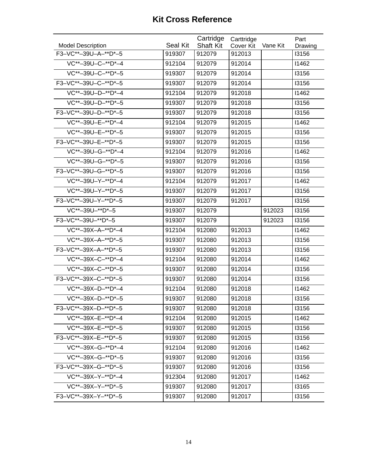| <b>Model Description</b> | <b>Seal Kit</b> | Cartridge<br><b>Shaft Kit</b> | Carttridge<br>Cover Kit | Vane Kit | Part<br>Drawing |
|--------------------------|-----------------|-------------------------------|-------------------------|----------|-----------------|
| F3-VC**-39U-A-**D*-5     | 919307          | 912079                        | 912013                  |          | <b>I3156</b>    |
| VC**-39U-C-**D*-4        | 912104          | 912079                        | 912014                  |          | 11462           |
| VC**-39U-C-**D*-5        | 919307          | 912079                        | 912014                  |          | 13156           |
| F3-VC**-39U-C-**D*-5     | 919307          | 912079                        | 912014                  |          | 13156           |
| VC**-39U-D-**D*-4        | 912104          | 912079                        | 912018                  |          | 11462           |
| VC**-39U-D-**D*-5        | 919307          | 912079                        | 912018                  |          | 13156           |
| F3-VC**-39U-D-**D*-5     | 919307          | 912079                        | 912018                  |          | 13156           |
| VC**-39U-E-**D*-4        | 912104          | 912079                        | 912015                  |          | 11462           |
| VC**-39U-E-**D*-5        | 919307          | 912079                        | 912015                  |          | 13156           |
| F3-VC**-39U-E-**D*-5     | 919307          | 912079                        | 912015                  |          | 13156           |
| VC**-39U-G-**D*-4        | 912104          | 912079                        | 912016                  |          | 11462           |
| VC**-39U-G-**D*-5        | 919307          | 912079                        | 912016                  |          | 13156           |
| F3-VC**-39U-G-**D*-5     | 919307          | 912079                        | 912016                  |          | 13156           |
| VC**-39U-Y-**D*-4        | 912104          | 912079                        | 912017                  |          | 11462           |
| VC**-39U-Y-**D*-5        | 919307          | 912079                        | 912017                  |          | 13156           |
| F3-VC**-39U-Y-**D*-5     | 919307          | 912079                        | 912017                  |          | 13156           |
| VC**-39U-**D*-5          | 919307          | 912079                        |                         | 912023   | 13156           |
| F3-VC**-39U-**D*-5       | 919307          | 912079                        |                         | 912023   | 13156           |
| VC**-39X-A-**D*-4        | 912104          | 912080                        | 912013                  |          | 11462           |
| VC**-39X-A-**D*-5        | 919307          | 912080                        | 912013                  |          | 13156           |
| F3-VC**-39X-A-**D*-5     | 919307          | 912080                        | 912013                  |          | 13156           |
| VC**-39X-C-**D*-4        | 912104          | 912080                        | 912014                  |          | 11462           |
| VC**-39X-C-**D*-5        | 919307          | 912080                        | 912014                  |          | 13156           |
| F3-VC**-39X-C-**D*-5     | 919307          | 912080                        | 912014                  |          | 13156           |
| VC**-39X-D-**D*-4        | 912104          | 912080                        | 912018                  |          | 11462           |
| VC**-39X-D-**D*-5        | 919307          | 912080                        | 912018                  |          | 13156           |
| F3-VC**-39X-D-**D*-5     | 919307          | 912080                        | 912018                  |          | 13156           |
| VC**-39X-E-**D*-4        | 912104          | 912080                        | 912015                  |          | 11462           |
| VC**-39X-E-**D*-5        | 919307          | 912080                        | 912015                  |          | 13156           |
| F3-VC**-39X-E-**D*-5     | 919307          | 912080                        | 912015                  |          | 13156           |
| $VC^{**}-39X-G-**D*-4$   | 912104          | 912080                        | 912016                  |          | 11462           |
| VC**-39X-G-**D*-5        | 919307          | 912080                        | 912016                  |          | 13156           |
| F3-VC**-39X-G-**D*-5     | 919307          | 912080                        | 912016                  |          | 13156           |
| VC**-39X-Y-**D*-4        | 912304          | 912080                        | 912017                  |          | 11462           |
| VC**-39X-Y-**D*-5        | 919307          | 912080                        | 912017                  |          | <b>I3165</b>    |
| F3-VC**-39X-Y-**D*-5     | 919307          | 912080                        | 912017                  |          | 13156           |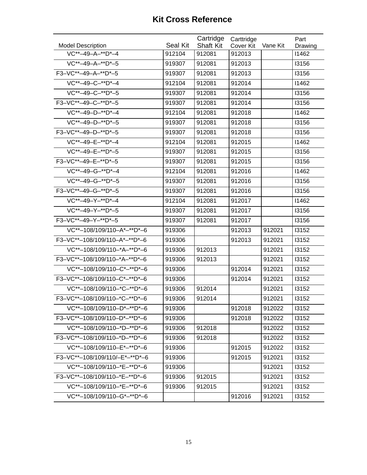| <b>Model Description</b>       | Seal Kit | Cartridge<br><b>Shaft Kit</b> | Carttridge<br>Cover Kit | Vane Kit | Part<br>Drawing |
|--------------------------------|----------|-------------------------------|-------------------------|----------|-----------------|
| VC**-49-A-**D*-4               | 912104   | 912081                        | 912013                  |          | 11462           |
| VC**-49-A-**D*-5               | 919307   | 912081                        | 912013                  |          | 13156           |
| F3-VC**-49-A-**D*-5            | 919307   | 912081                        | 912013                  |          | 13156           |
| VC**-49-C-**D*-4               | 912104   | 912081                        | 912014                  |          | 11462           |
| VC**-49-C-**D*-5               | 919307   | 912081                        | 912014                  |          | 13156           |
| F3-VC**-49-C-**D*-5            | 919307   | 912081                        | 912014                  |          | 13156           |
| VC**-49-D-**D*-4               | 912104   | 912081                        | 912018                  |          | 11462           |
| VC**-49-D-**D*-5               | 919307   | 912081                        | 912018                  |          | 13156           |
| F3-VC**-49-D-**D*-5            | 919307   | 912081                        | 912018                  |          | 13156           |
| VC**-49-E-**D*-4               | 912104   | 912081                        | 912015                  |          | 11462           |
| VC**-49-E-**D*-5               | 919307   | 912081                        | 912015                  |          | 13156           |
| F3-VC**-49-E-**D*-5            | 919307   | 912081                        | 912015                  |          | 13156           |
| VC**-49-G-**D*-4               | 912104   | 912081                        | 912016                  |          | 11462           |
| VC**-49-G-**D*-5               | 919307   | 912081                        | 912016                  |          | 13156           |
| F3-VC**-49-G-**D*-5            | 919307   | 912081                        | 912016                  |          | 13156           |
| VC**-49-Y-**D*-4               | 912104   | 912081                        | 912017                  |          | 11462           |
| VC**-49-Y-**D*-5               | 919307   | 912081                        | 912017                  |          | 13156           |
| F3-VC**-49-Y-**D*-5            | 919307   | 912081                        | 912017                  |          | 13156           |
| VC**-108/109/110-A*-**D*-6     | 919306   |                               | 912013                  | 912021   | 13152           |
| F3-VC**-108/109/110-A*-**D*-6  | 919306   |                               | 912013                  | 912021   | 13152           |
| VC**-108/109/110-*A-**D*-6     | 919306   | 912013                        |                         | 912021   | 13152           |
| F3-VC**-108/109/110-*A-**D*-6  | 919306   | 912013                        |                         | 912021   | 13152           |
| VC**-108/109/110-C*-**D*-6     | 919306   |                               | 912014                  | 912021   | 13152           |
| F3-VC**-108/109/110-C*-**D*-6  | 919306   |                               | 912014                  | 912021   | 13152           |
| VC**-108/109/110-*C-**D*-6     | 919306   | 912014                        |                         | 912021   | 13152           |
| F3-VC**-108/109/110-*C-**D*-6  | 919306   | 912014                        |                         | 912021   | 13152           |
| VC**-108/109/110-D*-**D*-6     | 919306   |                               | 912018                  | 912022   | 13152           |
| F3-VC**-108/109/110-D*-**D*-6  | 919306   |                               | 912018                  | 912022   | 13152           |
| VC**-108/109/110-*D-**D*-6     | 919306   | 912018                        |                         | 912022   | 13152           |
| F3-VC**-108/109/110-*D-**D*-6  | 919306   | 912018                        |                         | 912022   | 13152           |
| VC**-108/109/110-E*-**D*-6     | 919306   |                               | 912015                  | 912022   | 13152           |
| F3-VC**-108/109/110/-E*-**D*-6 | 919306   |                               | 912015                  | 912021   | 13152           |
| VC**-108/109/110-*E-**D*-6     | 919306   |                               |                         | 912021   | 13152           |
| F3-VC**-108/109/110-*E-**D*-6  | 919306   | 912015                        |                         | 912021   | 13152           |
| VC**-108/109/110-*E-**D*-6     | 919306   | 912015                        |                         | 912021   | 13152           |
| VC**-108/109/110-G*-**D*-6     |          |                               | 912016                  | 912021   | 13152           |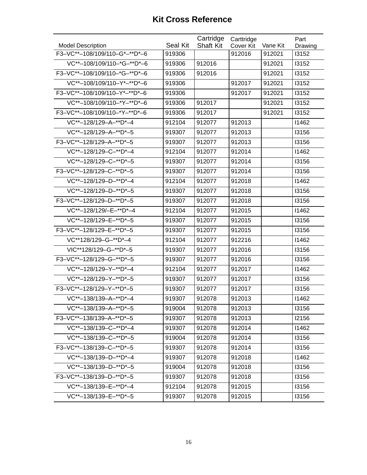|                               |                 | Cartridge        | Carttridge |          | Part         |
|-------------------------------|-----------------|------------------|------------|----------|--------------|
| <b>Model Description</b>      | <b>Seal Kit</b> | <b>Shaft Kit</b> | Cover Kit  | Vane Kit | Drawing      |
| F3-VC**-108/109/110-G*-**D*-6 | 919306          |                  | 912016     | 912021   | 13152        |
| VC**-108/109/110-*G-**D*-6    | 919306          | 912016           |            | 912021   | 13152        |
| F3-VC**-108/109/110-*G-**D*-6 | 919306          | 912016           |            | 912021   | 13152        |
| VC**-108/109/110-Y*-**D*-6    | 919306          |                  | 912017     | 912021   | 13152        |
| F3-VC**-108/109/110-Y*-**D*-6 | 919306          |                  | 912017     | 912021   | 13152        |
| VC**-108/109/110-*Y-**D*-6    | 919306          | 912017           |            | 912021   | 13152        |
| F3-VC**-108/109/110-*Y-**D*-6 | 919306          | 912017           |            | 912021   | 13152        |
| VC**-128/129-A-**D*-4         | 912104          | 912077           | 912013     |          | 11462        |
| VC**-128/129-A-**D*-5         | 919307          | 912077           | 912013     |          | 13156        |
| F3-VC**-128/129-A-**D*-5      | 919307          | 912077           | 912013     |          | 13156        |
| VC**-128/129-C-**D*-4         | 912104          | 912077           | 912014     |          | 11462        |
| VC**-128/129-C-**D*-5         | 919307          | 912077           | 912014     |          | 13156        |
| F3-VC**-128/129-C-**D*-5      | 919307          | 912077           | 912014     |          | 13156        |
| VC**-128/129-D-**D*-4         | 912104          | 912077           | 912018     |          | 11462        |
| VC**-128/129-D-**D*-5         | 919307          | 912077           | 912018     |          | 13156        |
| F3-VC**-128/129-D-**D*-5      | 919307          | 912077           | 912018     |          | <b>I3156</b> |
| VC**-128/129/-E-**D*-4        | 912104          | 912077           | 912015     |          | 11462        |
| VC**-128/129-E-**D*-5         | 919307          | 912077           | 912015     |          | 13156        |
| F3-VC**-128/129-E-**D*-5      | 919307          | 912077           | 912015     |          | 13156        |
| VC**128/129-G-**D*-4          | 912104          | 912077           | 912216     |          | 11462        |
| VIC**128/129-G-**D*-5         | 919307          | 912077           | 912016     |          | 13156        |
| F3-VC**-128/129-G-**D*-5      | 919307          | 912077           | 912016     |          | 13156        |
| VC**-128/129-Y-**D*-4         | 912104          | 912077           | 912017     |          | 11462        |
| VC**-128/129-Y-**D*-5         | 919307          | 912077           | 912017     |          | 13156        |
| F3-VC**-128/129-Y-**D*-5      | 919307          | 912077           | 912017     |          | 13156        |
| VC**-138/139-A-**D*-4         | 919307          | 912078           | 912013     |          | 11462        |
| VC**-138/139-A-**D*-5         | 919004          | 912078           | 912013     |          | 13156        |
| F3-VC**-138/139-A-**D*-5      | 919307          | 912078           | 912013     |          | <b>I2156</b> |
| VC**-138/139-C-**D*-4         | 919307          | 912078           | 912014     |          | 11462        |
| $VC^{**}-138/139-C-**D*-5$    | 919004          | 912078           | 912014     |          | 13156        |
| F3-VC**-138/139-C-**D*-5      | 919307          | 912078           | 912014     |          | 13156        |
| VC**-138/139-D-**D*-4         | 919307          | 912078           | 912018     |          | 11462        |
| VC**-138/139-D-**D*-5         | 919004          | 912078           | 912018     |          | 13156        |
| F3-VC**-138/139-D-**D*-5      | 919307          | 912078           | 912018     |          | 13156        |
| VC**-138/139-E-**D*-4         | 912104          | 912078           | 912015     |          | 13156        |
| VC**-138/139-E-**D*-5         | 919307          | 912078           | 912015     |          | 13156        |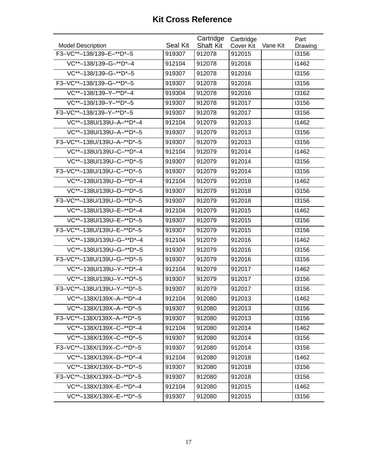| <b>Model Description</b>   | <b>Seal Kit</b> | Cartridge<br><b>Shaft Kit</b> | Carttridge<br><b>Cover Kit</b> | Vane Kit | Part<br>Drawing |
|----------------------------|-----------------|-------------------------------|--------------------------------|----------|-----------------|
| F3-VC**-138/139-E-**D*-5   | 919307          | 912078                        | 912015                         |          | 13156           |
| VC**-138/139-G-**D*-4      | 912104          | 912078                        | 912016                         |          | 11462           |
| VC**-138/139-G-**D*-5      | 919307          | 912078                        | 912016                         |          | 13156           |
| F3-VC**-138/139-G-**D*-5   | 919307          | 912078                        | 912016                         |          | 13156           |
| VC**-138/139-Y-**D*-4      | 919304          | 912078                        | 912016                         |          | 13162           |
| VC**-138/139-Y-**D*-5      | 919307          | 912078                        | 912017                         |          | 13156           |
| F3-VC**-138/139-Y-**D*-5   | 919307          | 912078                        | 912017                         |          | 13156           |
| VC**-138U/139U-A-**D*-4    | 912104          | 912079                        | 912013                         |          | 11462           |
| VC**-138U/139U-A-**D*-5    | 919307          | 912079                        | 912013                         |          | 13156           |
| F3-VC**-138U/139U-A-**D*-5 | 919307          | 912079                        | 912013                         |          | 13156           |
| VC**-138U/139U-C-**D*-4    | 912104          | 912079                        | 912014                         |          | 11462           |
| VC**-138U/139U-C-**D*-5    | 919307          | 912079                        | 912014                         |          | 13156           |
| F3-VC**-138U/139U-C-**D*-5 | 919307          | 912079                        | 912014                         |          | 13156           |
| VC**-138U/139U-D-**D*-4    | 912104          | 912079                        | 912018                         |          | 11462           |
| VC**-138U/139U-D-**D*-5    | 919307          | 912079                        | 912018                         |          | 13156           |
| F3-VC**-138U/139U-D-**D*-5 | 919307          | 912079                        | 912018                         |          | 13156           |
| VC**-138U/139U-E-**D*-4    | 912104          | 912079                        | 912015                         |          | 11462           |
| VC**-138U/139U-E-**D*-5    | 919307          | 912079                        | 912015                         |          | 13156           |
| F3-VC**-138U/139U-E-**D*-5 | 919307          | 912079                        | 912015                         |          | 13156           |
| VC**-138U/139U-G-**D*-4    | 912104          | 912079                        | 912016                         |          | 11462           |
| VC**-138U/139U-G-**D*-5    | 919307          | 912079                        | 912016                         |          | 13156           |
| F3-VC**-138U/139U-G-**D*-5 | 919307          | 912079                        | 912016                         |          | 13156           |
| VC**-138U/139U-Y-**D*-4    | 912104          | 912079                        | 912017                         |          | 11462           |
| VC**-138U/139U-Y-**D*-5    | 919307          | 912079                        | 912017                         |          | 13156           |
| F3-VC**-138U/139U-Y-**D*-5 | 919307          | 912079                        | 912017                         |          | 13156           |
| VC**-138X/139X-A-**D*-4    | 912104          | 912080                        | 912013                         |          | 11462           |
| VC**-138X/139X-A-**D*-5    | 919307          | 912080                        | 912013                         |          | 13156           |
| F3-VC**-138X/139X-A-**D*-5 | 919307          | 912080                        | 912013                         |          | 13156           |
| VC**-138X/139X-C-**D*-4    | 912104          | 912080                        | 912014                         |          | 11462           |
| VC**-138X/139X-C-**D*-5    | 919307          | 912080                        | 912014                         |          | 13156           |
| F3-VC**-138X/139X-C-**D*-5 | 919307          | 912080                        | 912014                         |          | 13156           |
| VC**-138X/139X-D-**D*-4    | 912104          | 912080                        | 912018                         |          | 11462           |
| VC**-138X/139X-D-**D*-5    | 919307          | 912080                        | 912018                         |          | 13156           |
| F3-VC**-138X/139X-D-**D*-5 | 919307          | 912080                        | 912018                         |          | 13156           |
| VC**-138X/139X-E-**D*-4    | 912104          | 912080                        | 912015                         |          | 11462           |
| VC**-138X/139X-E-**D*-5    | 919307          | 912080                        | 912015                         |          | 13156           |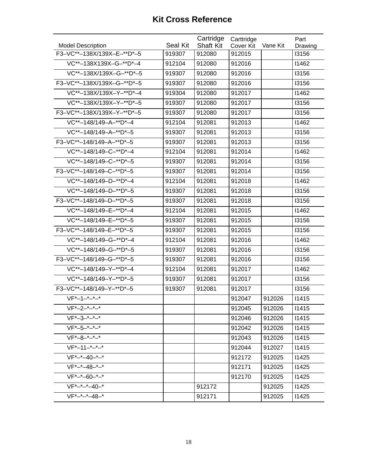| <b>Model Description</b>   | <b>Seal Kit</b> | Cartridge<br><b>Shaft Kit</b> | Carttridge<br>Cover Kit | Vane Kit | Part<br>Drawing |
|----------------------------|-----------------|-------------------------------|-------------------------|----------|-----------------|
| F3-VC**-138X/139X-E-**D*-5 | 919307          | 912080                        | 912015                  |          | 13156           |
| VC**-138X139X-G-**D*-4     | 912104          | 912080                        | 912016                  |          | 11462           |
| VC**-138X/139X-G-**D*-5    | 919307          | 912080                        | 912016                  |          | 13156           |
| F3-VC**-138X/139X-G-**D*-5 | 919307          | 912080                        | 912016                  |          | 13156           |
| VC**-138X/139X-Y-**D*-4    | 919304          | 912080                        | 912017                  |          | 11462           |
| VC**-138X/139X-Y-**D*-5    | 919307          | 912080                        | 912017                  |          | 13156           |
| F3-VC**-138X/139X-Y-**D*-5 | 919307          | 912080                        | 912017                  |          | 13156           |
| VC**-148/149-A-**D*-4      | 912104          | 912081                        | 912013                  |          | 11462           |
| VC**-148/149-A-**D*-5      | 919307          | 912081                        | 912013                  |          | 13156           |
| F3-VC**-148/149-A-**D*-5   | 919307          | 912081                        | 912013                  |          | 13156           |
| VC**-148/149-C-**D*-4      | 912104          | 912081                        | 912014                  |          | 11462           |
| VC**-148/149-C-**D*-5      | 919307          | 912081                        | 912014                  |          | 13156           |
| F3-VC**-148/149-C-**D*-5   | 919307          | 912081                        | 912014                  |          | 13156           |
| VC**-148/149-D-**D*-4      | 912104          | 912081                        | 912018                  |          | 11462           |
| VC**-148/149-D-**D*-5      | 919307          | 912081                        | 912018                  |          | 13156           |
| F3-VC**-148/149-D-**D*-5   | 919307          | 912081                        | 912018                  |          | 13156           |
| VC**-148/149-E-**D*-4      | 912104          | 912081                        | 912015                  |          | 11462           |
| VC**-148/149-E-**D*-5      | 919307          | 912081                        | 912015                  |          | 13156           |
| F3-VC**-148/149-E-**D*-5   | 919307          | 912081                        | 912015                  |          | 13156           |
| VC**-148/149-G-**D*-4      | 912104          | 912081                        | 912016                  |          | 11462           |
| VC**-148/149-G-**D*-5      | 919307          | 912081                        | 912016                  |          | 13156           |
| F3-VC**-148/149-G-**D*-5   | 919307          | 912081                        | 912016                  |          | 13156           |
| VC**-148/149-Y-**D*-4      | 912104          | 912081                        | 912017                  |          | 11462           |
| VC**-148/149-Y-**D*-5      | 919307          | 912081                        | 912017                  |          | 13156           |
| F3-VC**-148/149-Y-**D*-5   | 919307          | 912081                        | 912017                  |          | 13156           |
| $VF*-1-+---$               |                 |                               | 912047                  | 912026   | 11415           |
| $VF*-2-*-*-*$              |                 |                               | 912045                  | 912026   | 11415           |
| $VF*-3-*-*-*$              |                 |                               | 912046                  | 912026   | 11415           |
| $VF*-5-*-*-*$              |                 |                               | 912042                  | 912026   | 11415           |
| $VF*-8-*-*-*$              |                 |                               | 912043                  | 912026   | 11415           |
| $VF*-11-+---$              |                 |                               | 912044                  | 912027   | 11415           |
| $VF*-+40-+-$               |                 |                               | 912172                  | 912025   | 11425           |
| $VF*-+48-+-$               |                 |                               | 912171                  | 912025   | 11425           |
| $VF*--60-+-$               |                 |                               | 912170                  | 912025   | 11425           |
| $VF*-*-*-40-*$             |                 | 912172                        |                         | 912025   | 11425           |
| $VF*-+-*-48-*$             |                 | 912171                        |                         | 912025   | 11425           |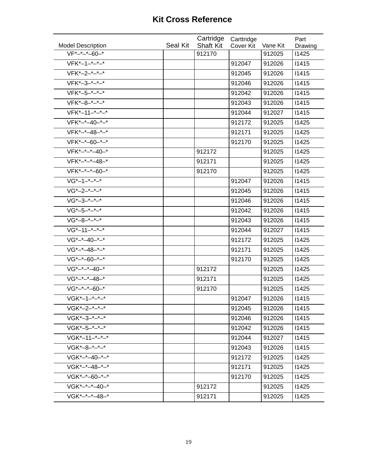| <b>Model Description</b> | Seal Kit | Cartridge<br><b>Shaft Kit</b> | Carttridge<br><b>Cover Kit</b> | Vane Kit | Part<br>Drawing |
|--------------------------|----------|-------------------------------|--------------------------------|----------|-----------------|
| $VF*-+-*-60-*$           |          | 912170                        |                                | 912025   | <b>I1425</b>    |
| $VFK*-1-+-*-$            |          |                               | 912047                         | 912026   | 11415           |
| $VFK*-2-*-*-*$           |          |                               | 912045                         | 912026   | 11415           |
| $VFK*-3-*-*-*$           |          |                               | 912046                         | 912026   | 11415           |
| $VFK*-5-*-*-*$           |          |                               | 912042                         | 912026   | 11415           |
| $VFK*-8-*-*-*$           |          |                               | 912043                         | 912026   | 11415           |
| $VFK*-11-^{*}-^{*}-^{*}$ |          |                               | 912044                         | 912027   | 11415           |
| $VFK*-*-40-*-*$          |          |                               | 912172                         | 912025   | 11425           |
| $VFK*-*-48-*-*$          |          |                               | 912171                         | 912025   | 11425           |
| VFK*-*-60-*-*            |          |                               | 912170                         | 912025   | 11425           |
| $VFK*-*-*-40-*$          |          | 912172                        |                                | 912025   | 11425           |
| VFK*-*-*-48-*            |          | 912171                        |                                | 912025   | 11425           |
| VFK*-*-*-60-*            |          | 912170                        |                                | 912025   | 11425           |
| $VG*-1-+-*-$             |          |                               | 912047                         | 912026   | 11415           |
| $VG*-2-*-*-*$            |          |                               | 912045                         | 912026   | 11415           |
| $VG*-3-*-*-*$            |          |                               | 912046                         | 912026   | 11415           |
| $VG*-5-*-*-*$            |          |                               | 912042                         | 912026   | 11415           |
| $VG*-8-*-*-*$            |          |                               | 912043                         | 912026   | 11415           |
| $VG*-11-+---$            |          |                               | 912044                         | 912027   | 11415           |
| $VG*-+40-+-$             |          |                               | 912172                         | 912025   | 11425           |
| $VG*-+48-+-$             |          |                               | 912171                         | 912025   | 11425           |
| $VG*-+60-+-$             |          |                               | 912170                         | 912025   | 11425           |
| $VG^*$ -* -* -40 -*      |          | 912172                        |                                | 912025   | 11425           |
| $VG^*$ -* -* -48 -*      |          | 912171                        |                                | 912025   | 11425           |
| $VG^*$ -* -* -60-*       |          | 912170                        |                                | 912025   | 11425           |
| VGK*-1-*-*-*             |          |                               | 912047                         | 912026   | 11415           |
| VGK*-2-*-*-*             |          |                               | 912045                         | 912026   | 11415           |
| $V$ GK*-3-*-*-*          |          |                               | 912046                         | 912026   | 11415           |
| VGK*-5-*-*-*             |          |                               | 912042                         | 912026   | 11415           |
| VGK*-11-*-*-*            |          |                               | 912044                         | 912027   | 11415           |
| $V$ GK*-8-*-*-*          |          |                               | 912043                         | 912026   | 11415           |
| VGK*-*-40-*-*            |          |                               | 912172                         | 912025   | 11425           |
| VGK*-*-48-*-*            |          |                               | 912171                         | 912025   | 11425           |
| VGK*-*-60-*-*            |          |                               | 912170                         | 912025   | 11425           |
| VGK*-*-*-40-*            |          | 912172                        |                                | 912025   | 11425           |
| VGK*-*-*-48-*            |          | 912171                        |                                | 912025   | 11425           |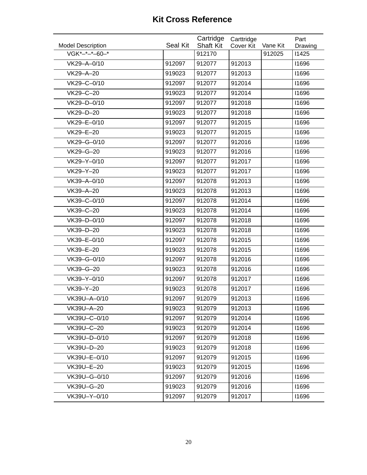| <b>Model Description</b> | <b>Seal Kit</b> | Cartridge<br><b>Shaft Kit</b> | Carttridge<br>Cover Kit | Vane Kit | Part<br>Drawing |
|--------------------------|-----------------|-------------------------------|-------------------------|----------|-----------------|
| VGK*-*-*-60-*            |                 | 912170                        |                         | 912025   | 11425           |
| VK29-A-0/10              | 912097          | 912077                        | 912013                  |          | 11696           |
| VK29-A-20                | 919023          | 912077                        | 912013                  |          | 11696           |
| VK29-C-0/10              | 912097          | 912077                        | 912014                  |          | 11696           |
| VK29-C-20                | 919023          | 912077                        | 912014                  |          | 11696           |
| VK29-D-0/10              | 912097          | 912077                        | 912018                  |          | 11696           |
| VK29-D-20                | 919023          | 912077                        | 912018                  |          | 11696           |
| VK29-E-0/10              | 912097          | 912077                        | 912015                  |          | 11696           |
| VK29-E-20                | 919023          | 912077                        | 912015                  |          | 11696           |
| VK29-G-0/10              | 912097          | 912077                        | 912016                  |          | 11696           |
| VK29-G-20                | 919023          | 912077                        | 912016                  |          | 11696           |
| VK29-Y-0/10              | 912097          | 912077                        | 912017                  |          | 11696           |
| VK29-Y-20                | 919023          | 912077                        | 912017                  |          | 11696           |
| VK39-A-0/10              | 912097          | 912078                        | 912013                  |          | 11696           |
| VK39-A-20                | 919023          | 912078                        | 912013                  |          | 11696           |
| VK39-C-0/10              | 912097          | 912078                        | 912014                  |          | 11696           |
| VK39-C-20                | 919023          | 912078                        | 912014                  |          | 11696           |
| VK39-D-0/10              | 912097          | 912078                        | 912018                  |          | 11696           |
| VK39-D-20                | 919023          | 912078                        | 912018                  |          | 11696           |
| VK39-E-0/10              | 912097          | 912078                        | 912015                  |          | 11696           |
| VK39-E-20                | 919023          | 912078                        | 912015                  |          | 11696           |
| VK39-G-0/10              | 912097          | 912078                        | 912016                  |          | 11696           |
| VK39-G-20                | 919023          | 912078                        | 912016                  |          | 11696           |
| VK39-Y-0/10              | 912097          | 912078                        | 912017                  |          | 11696           |
| VK39-Y-20                | 919023          | 912078                        | 912017                  |          | 11696           |
| VK39U-A-0/10             | 912097          | 912079                        | 912013                  |          | 11696           |
| VK39U-A-20               | 919023          | 912079                        | 912013                  |          | 11696           |
| VK39U-C-0/10             | 912097          | 912079                        | 912014                  |          | 11696           |
| VK39U-C-20               | 919023          | 912079                        | 912014                  |          | 11696           |
| VK39U-D-0/10             | 912097          | 912079                        | 912018                  |          | 11696           |
| VK39U-D-20               | 919023          | 912079                        | 912018                  |          | 11696           |
| VK39U-E-0/10             | 912097          | 912079                        | 912015                  |          | 11696           |
| VK39U-E-20               | 919023          | 912079                        | 912015                  |          | 11696           |
| VK39U-G-0/10             | 912097          | 912079                        | 912016                  |          | 11696           |
| VK39U-G-20               | 919023          | 912079                        | 912016                  |          | 11696           |
| VK39U-Y-0/10             | 912097          | 912079                        | 912017                  |          | 11696           |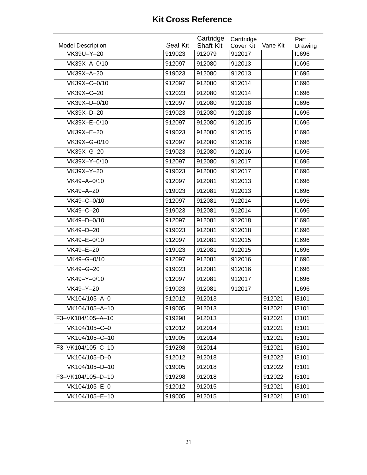| <b>Model Description</b> | Seal Kit | Cartridge<br><b>Shaft Kit</b> | Carttridge<br>Cover Kit | Vane Kit | Part<br>Drawing |
|--------------------------|----------|-------------------------------|-------------------------|----------|-----------------|
| VK39U-Y-20               | 919023   | 912079                        | 912017                  |          | 11696           |
| VK39X-A-0/10             | 912097   | 912080                        | 912013                  |          | 11696           |
| VK39X-A-20               | 919023   | 912080                        | 912013                  |          | 11696           |
| VK39X-C-0/10             | 912097   | 912080                        | 912014                  |          | 11696           |
| VK39X-C-20               | 912023   | 912080                        | 912014                  |          | 11696           |
| VK39X-D-0/10             | 912097   | 912080                        | 912018                  |          | 11696           |
| VK39X-D-20               | 919023   | 912080                        | 912018                  |          | 11696           |
| VK39X-E-0/10             | 912097   | 912080                        | 912015                  |          | 11696           |
| VK39X-E-20               | 919023   | 912080                        | 912015                  |          | 11696           |
| VK39X-G-0/10             | 912097   | 912080                        | 912016                  |          | 11696           |
| VK39X-G-20               | 919023   | 912080                        | 912016                  |          | 11696           |
| VK39X-Y-0/10             | 912097   | 912080                        | 912017                  |          | 11696           |
| VK39X-Y-20               | 919023   | 912080                        | 912017                  |          | 11696           |
| VK49-A-0/10              | 912097   | 912081                        | 912013                  |          | 11696           |
| VK49-A-20                | 919023   | 912081                        | 912013                  |          | 11696           |
| VK49-C-0/10              | 912097   | 912081                        | 912014                  |          | 11696           |
| VK49-C-20                | 919023   | 912081                        | 912014                  |          | 11696           |
| VK49-D-0/10              | 912097   | 912081                        | 912018                  |          | 11696           |
| VK49-D-20                | 919023   | 912081                        | 912018                  |          | 11696           |
| VK49-E-0/10              | 912097   | 912081                        | 912015                  |          | 11696           |
| VK49-E-20                | 919023   | 912081                        | 912015                  |          | 11696           |
| VK49-G-0/10              | 912097   | 912081                        | 912016                  |          | 11696           |
| VK49-G-20                | 919023   | 912081                        | 912016                  |          | 11696           |
| VK49-Y-0/10              | 912097   | 912081                        | 912017                  |          | 11696           |
| VK49-Y-20                | 919023   | 912081                        | 912017                  |          | 11696           |
| VK104/105-A-0            | 912012   | 912013                        |                         | 912021   | 13101           |
| VK104/105-A-10           | 919005   | 912013                        |                         | 912021   | 13101           |
| F3-VK104/105-A-10        | 919298   | 912013                        |                         | 912021   | 13101           |
| VK104/105-C-0            | 912012   | 912014                        |                         | 912021   | 13101           |
| VK104/105-C-10           | 919005   | 912014                        |                         | 912021   | 13101           |
| F3-VK104/105-C-10        | 919298   | 912014                        |                         | 912021   | 13101           |
| VK104/105-D-0            | 912012   | 912018                        |                         | 912022   | 13101           |
| VK104/105-D-10           | 919005   | 912018                        |                         | 912022   | 13101           |
| F3-VK104/105-D-10        | 919298   | 912018                        |                         | 912022   | 13101           |
| VK104/105-E-0            | 912012   | 912015                        |                         | 912021   | 13101           |
| VK104/105-E-10           | 919005   | 912015                        |                         | 912021   | 13101           |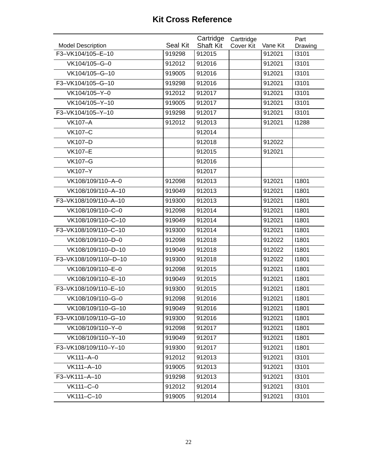| <b>Model Description</b> | Seal Kit | Cartridge<br><b>Shaft Kit</b> | Carttridge<br><b>Cover Kit</b> | Vane Kit | Part<br>Drawing |
|--------------------------|----------|-------------------------------|--------------------------------|----------|-----------------|
| F3-VK104/105-E-10        | 919298   | 912015                        |                                | 912021   | 13101           |
| VK104/105-G-0            | 912012   | 912016                        |                                | 912021   | 13101           |
| VK104/105-G-10           | 919005   | 912016                        |                                | 912021   | 13101           |
| F3-VK104/105-G-10        | 919298   | 912016                        |                                | 912021   | 13101           |
| VK104/105-Y-0            | 912012   | 912017                        |                                | 912021   | 13101           |
| VK104/105-Y-10           | 919005   | 912017                        |                                | 912021   | 13101           |
| F3-VK104/105-Y-10        | 919298   | 912017                        |                                | 912021   | 13101           |
| <b>VK107-A</b>           | 912012   | 912013                        |                                | 912021   | 11288           |
| <b>VK107-C</b>           |          | 912014                        |                                |          |                 |
| <b>VK107-D</b>           |          | 912018                        |                                | 912022   |                 |
| <b>VK107-E</b>           |          | 912015                        |                                | 912021   |                 |
| <b>VK107-G</b>           |          | 912016                        |                                |          |                 |
| <b>VK107-Y</b>           |          | 912017                        |                                |          |                 |
| VK108/109/110-A-0        | 912098   | 912013                        |                                | 912021   | 11801           |
| VK108/109/110-A-10       | 919049   | 912013                        |                                | 912021   | 11801           |
| F3-VK108/109/110-A-10    | 919300   | 912013                        |                                | 912021   | 11801           |
| VK108/109/110-C-0        | 912098   | 912014                        |                                | 912021   | 11801           |
| VK108/109/110-C-10       | 919049   | 912014                        |                                | 912021   | 11801           |
| F3-VK108/109/110-C-10    | 919300   | 912014                        |                                | 912021   | 11801           |
| VK108/109/110-D-0        | 912098   | 912018                        |                                | 912022   | 11801           |
| VK108/109/110-D-10       | 919049   | 912018                        |                                | 912022   | 11801           |
| F3-VK108/109/110/-D-10   | 919300   | 912018                        |                                | 912022   | 11801           |
| VK108/109/110-E-0        | 912098   | 912015                        |                                | 912021   | 11801           |
| VK108/109/110-E-10       | 919049   | 912015                        |                                | 912021   | 11801           |
| F3-VK108/109/110-E-10    | 919300   | 912015                        |                                | 912021   | 11801           |
| VK108/109/110-G-0        | 912098   | 912016                        |                                | 912021   | 11801           |
| VK108/109/110-G-10       | 919049   | 912016                        |                                | 912021   | 11801           |
| F3-VK108/109/110-G-10    | 919300   | 912016                        |                                | 912021   | 11801           |
| VK108/109/110-Y-0        | 912098   | 912017                        |                                | 912021   | 11801           |
| VK108/109/110-Y-10       | 919049   | 912017                        |                                | 912021   | 11801           |
| F3-VK108/109/110-Y-10    | 919300   | 912017                        |                                | 912021   | 11801           |
| VK111-A-0                | 912012   | 912013                        |                                | 912021   | 13101           |
| VK111-A-10               | 919005   | 912013                        |                                | 912021   | 13101           |
| F3-VK111-A-10            | 919298   | 912013                        |                                | 912021   | 13101           |
| VK111-C-0                | 912012   | 912014                        |                                | 912021   | 13101           |
| VK111-C-10               | 919005   | 912014                        |                                | 912021   | 13101           |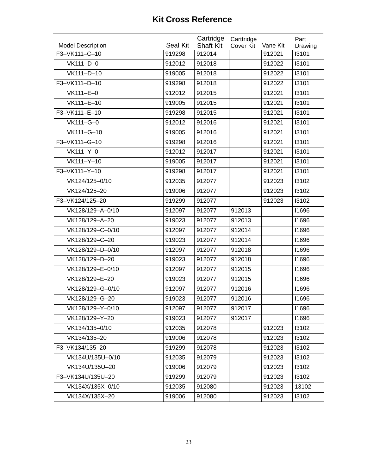| <b>Model Description</b> | Seal Kit | Cartridge<br><b>Shaft Kit</b> | Carttridge<br><b>Cover Kit</b> | Vane Kit | Part             |
|--------------------------|----------|-------------------------------|--------------------------------|----------|------------------|
| F3-VK111-C-10            | 919298   | 912014                        |                                | 912021   | Drawing<br>13101 |
| VK111-D-0                | 912012   | 912018                        |                                | 912022   | 13101            |
| VK111-D-10               | 919005   | 912018                        |                                | 912022   | 13101            |
| F3-VK111-D-10            | 919298   | 912018                        |                                | 912022   | 13101            |
| VK111-E-0                | 912012   | 912015                        |                                | 912021   | 13101            |
|                          |          |                               |                                | 912021   | 13101            |
| VK111-E-10               | 919005   | 912015                        |                                |          |                  |
| F3-VK111-E-10            | 919298   | 912015                        |                                | 912021   | 13101            |
| VK111-G-0                | 912012   | 912016                        |                                | 912021   | 13101            |
| VK111-G-10               | 919005   | 912016                        |                                | 912021   | 13101            |
| F3-VK111-G-10            | 919298   | 912016                        |                                | 912021   | 13101            |
| VK111-Y-0                | 912012   | 912017                        |                                | 912021   | 13101            |
| VK111-Y-10               | 919005   | 912017                        |                                | 912021   | 13101            |
| F3-VK111-Y-10            | 919298   | 912017                        |                                | 912021   | 13101            |
| VK124/125-0/10           | 912035   | 912077                        |                                | 912023   | 13102            |
| VK124/125-20             | 919006   | 912077                        |                                | 912023   | 13102            |
| F3-VK124/125-20          | 919299   | 912077                        |                                | 912023   | 13102            |
| VK128/129-A-0/10         | 912097   | 912077                        | 912013                         |          | 11696            |
| VK128/129-A-20           | 919023   | 912077                        | 912013                         |          | 11696            |
| VK128/129-C-0/10         | 912097   | 912077                        | 912014                         |          | 11696            |
| VK128/129-C-20           | 919023   | 912077                        | 912014                         |          | 11696            |
| VK128/129-D-0/10         | 912097   | 912077                        | 912018                         |          | 11696            |
| VK128/129-D-20           | 919023   | 912077                        | 912018                         |          | 11696            |
| VK128/129-E-0/10         | 912097   | 912077                        | 912015                         |          | 11696            |
| VK128/129-E-20           | 919023   | 912077                        | 912015                         |          | 11696            |
| VK128/129-G-0/10         | 912097   | 912077                        | 912016                         |          | 11696            |
| VK128/129-G-20           | 919023   | 912077                        | 912016                         |          | 11696            |
| VK128/129-Y-0/10         | 912097   | 912077                        | 912017                         |          | 11696            |
| VK128/129-Y-20           | 919023   | 912077                        | 912017                         |          | 11696            |
| VK134/135-0/10           | 912035   | 912078                        |                                | 912023   | 13102            |
| VK134/135-20             | 919006   | 912078                        |                                | 912023   | 13102            |
| F3-VK134/135-20          | 919299   | 912078                        |                                | 912023   | 13102            |
| VK134U/135U-0/10         | 912035   | 912079                        |                                | 912023   | 13102            |
| VK134U/135U-20           | 919006   | 912079                        |                                | 912023   | 13102            |
| F3-VK134U/135U-20        | 919299   | 912079                        |                                | 912023   | 13102            |
| VK134X/135X-0/10         | 912035   | 912080                        |                                | 912023   | 13102            |
| VK134X/135X-20           | 919006   | 912080                        |                                | 912023   | 13102            |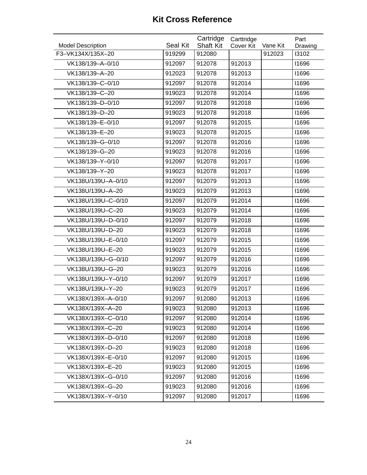| <b>Model Description</b> | <b>Seal Kit</b> | Cartridge<br><b>Shaft Kit</b> | Carttridge<br><b>Cover Kit</b> | Vane Kit | Part<br>Drawing |
|--------------------------|-----------------|-------------------------------|--------------------------------|----------|-----------------|
| F3-VK134X/135X-20        | 919299          | 912080                        |                                | 912023   | 13102           |
| VK138/139-A-0/10         | 912097          | 912078                        | 912013                         |          | 11696           |
| VK138/139-A-20           | 912023          | 912078                        | 912013                         |          | 11696           |
| VK138/139-C-0/10         | 912097          | 912078                        | 912014                         |          | 11696           |
| VK138/139-C-20           | 919023          | 912078                        | 912014                         |          | 11696           |
| VK138/139-D-0/10         | 912097          | 912078                        | 912018                         |          | 11696           |
| VK138/139-D-20           | 919023          | 912078                        | 912018                         |          | 11696           |
| VK138/139-E-0/10         | 912097          | 912078                        | 912015                         |          | 11696           |
| VK138/139-E-20           | 919023          | 912078                        | 912015                         |          | 11696           |
| VK138/139-G-0/10         | 912097          | 912078                        | 912016                         |          | 11696           |
| VK138/139-G-20           | 919023          | 912078                        | 912016                         |          | 11696           |
| VK138/139-Y-0/10         | 912097          | 912078                        | 912017                         |          | 11696           |
| VK138/139-Y-20           | 919023          | 912078                        | 912017                         |          | 11696           |
| VK138U/139U-A-0/10       | 912097          | 912079                        | 912013                         |          | 11696           |
| VK138U/139U-A-20         | 919023          | 912079                        | 912013                         |          | 11696           |
| VK138U/139U-C-0/10       | 912097          | 912079                        | 912014                         |          | 11696           |
| VK138U/139U-C-20         | 919023          | 912079                        | 912014                         |          | 11696           |
| VK138U/139U-D-0/10       | 912097          | 912079                        | 912018                         |          | 11696           |
| VK138U/139U-D-20         | 919023          | 912079                        | 912018                         |          | 11696           |
| VK138U/139U-E-0/10       | 912097          | 912079                        | 912015                         |          | 11696           |
| VK138U/139U-E-20         | 919023          | 912079                        | 912015                         |          | 11696           |
| VK138U/139U-G-0/10       | 912097          | 912079                        | 912016                         |          | 11696           |
| VK138U/139U-G-20         | 919023          | 912079                        | 912016                         |          | 11696           |
| VK138U/139U-Y-0/10       | 912097          | 912079                        | 912017                         |          | 11696           |
| VK138U/139U-Y-20         | 919023          | 912079                        | 912017                         |          | 11696           |
| VK138X/139X-A-0/10       | 912097          | 912080                        | 912013                         |          | 11696           |
| VK138X/139X-A-20         | 919023          | 912080                        | 912013                         |          | 11696           |
| VK138X/139X-C-0/10       | 912097          | 912080                        | 912014                         |          | 11696           |
| VK138X/139X-C-20         | 919023          | 912080                        | 912014                         |          | 11696           |
| VK138X/139X-D-0/10       | 912097          | 912080                        | 912018                         |          | 11696           |
| VK138X/139X-D-20         | 919023          | 912080                        | 912018                         |          | 11696           |
| VK138X/139X-E-0/10       | 912097          | 912080                        | 912015                         |          | 11696           |
| VK138X/139X-E-20         | 919023          | 912080                        | 912015                         |          | 11696           |
| VK138X/139X-G-0/10       | 912097          | 912080                        | 912016                         |          | 11696           |
| VK138X/139X-G-20         | 919023          | 912080                        | 912016                         |          | 11696           |
| VK138X/139X-Y-0/10       | 912097          | 912080                        | 912017                         |          | 11696           |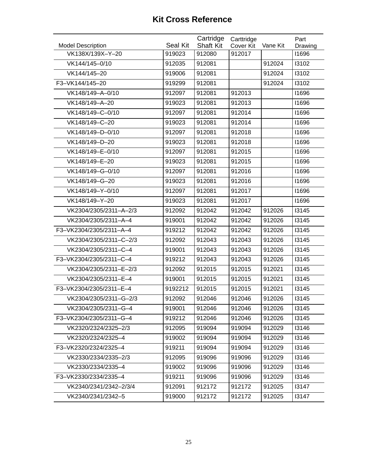| <b>Model Description</b> | Seal Kit | Cartridge<br><b>Shaft Kit</b> | Carttridge<br>Cover Kit | Vane Kit | Part<br>Drawing |
|--------------------------|----------|-------------------------------|-------------------------|----------|-----------------|
| VK138X/139X-Y-20         | 919023   | 912080                        | 912017                  |          | 11696           |
| VK144/145-0/10           | 912035   | 912081                        |                         | 912024   | 13102           |
| VK144/145-20             | 919006   | 912081                        |                         | 912024   | 13102           |
| F3-VK144/145-20          | 919299   | 912081                        |                         | 912024   | 13102           |
| VK148/149-A-0/10         | 912097   | 912081                        | 912013                  |          | 11696           |
| VK148/149-A-20           | 919023   | 912081                        | 912013                  |          | 11696           |
| VK148/149-C-0/10         | 912097   | 912081                        | 912014                  |          | 11696           |
| VK148/149-C-20           | 919023   | 912081                        | 912014                  |          | 11696           |
| VK148/149-D-0/10         | 912097   | 912081                        | 912018                  |          | 11696           |
| VK148/149-D-20           | 919023   | 912081                        | 912018                  |          | 11696           |
| VK148/149-E-0/10         | 912097   | 912081                        | 912015                  |          | 11696           |
| VK148/149-E-20           | 919023   | 912081                        | 912015                  |          | 11696           |
| VK148/149-G-0/10         | 912097   | 912081                        | 912016                  |          | 11696           |
| VK148/149-G-20           | 919023   | 912081                        | 912016                  |          | 11696           |
| VK148/149-Y-0/10         | 912097   | 912081                        | 912017                  |          | 11696           |
| VK148/149-Y-20           | 919023   | 912081                        | 912017                  |          | 11696           |
| VK2304/2305/2311-A-2/3   | 912092   | 912042                        | 912042                  | 912026   | 13145           |
| VK2304/2305/2311-A-4     | 919001   | 912042                        | 912042                  | 912026   | 13145           |
| F3-VK2304/2305/2311-A-4  | 919212   | 912042                        | 912042                  | 912026   | 13145           |
| VK2304/2305/2311-C-2/3   | 912092   | 912043                        | 912043                  | 912026   | 13145           |
| VK2304/2305/2311-C-4     | 919001   | 912043                        | 912043                  | 912026   | 13145           |
| F3-VK2304/2305/2311-C-4  | 919212   | 912043                        | 912043                  | 912026   | 13145           |
| VK2304/2305/2311-E-2/3   | 912092   | 912015                        | 912015                  | 912021   | 13145           |
| VK2304/2305/2311-E-4     | 919001   | 912015                        | 912015                  | 912021   | 13145           |
| F3-VK2304/2305/2311-E-4  | 9192212  | 912015                        | 912015                  | 912021   | 13145           |
| VK2304/2305/2311-G-2/3   | 912092   | 912046                        | 912046                  | 912026   | 13145           |
| VK2304/2305/2311-G-4     | 919001   | 912046                        | 912046                  | 912026   | 13145           |
| F3-VK2304/2305/2311-G-4  | 919212   | 912046                        | 912046                  | 912026   | 13145           |
| VK2320/2324/2325-2/3     | 912095   | 919094                        | 919094                  | 912029   | 13146           |
| VK2320/2324/2325-4       | 919002   | 919094                        | 919094                  | 912029   | 13146           |
| F3-VK2320/2324/2325-4    | 919211   | 919094                        | 919094                  | 912029   | 13146           |
| VK2330/2334/2335-2/3     | 912095   | 919096                        | 919096                  | 912029   | 13146           |
| VK2330/2334/2335-4       | 919002   | 919096                        | 919096                  | 912029   | 13146           |
| F3-VK2330/2334/2335-4    | 919211   | 919096                        | 919096                  | 912029   | 13146           |
| VK2340/2341/2342-2/3/4   | 912091   | 912172                        | 912172                  | 912025   | 13147           |
| VK2340/2341/2342-5       | 919000   | 912172                        | 912172                  | 912025   | 13147           |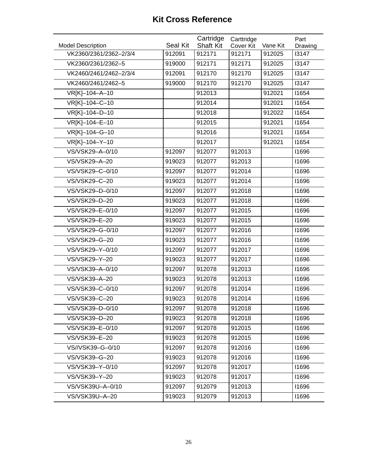| <b>Model Description</b> | Seal Kit | Cartridge<br><b>Shaft Kit</b> | Carttridge<br>Cover Kit | Vane Kit | Part<br>Drawing |
|--------------------------|----------|-------------------------------|-------------------------|----------|-----------------|
| VK2360/2361/2362-2/3/4   | 912091   | 912171                        | 912171                  | 912025   | 13147           |
| VK2360/2361/2362-5       | 919000   | 912171                        | 912171                  | 912025   | 13147           |
| VK2460/2461/2462-2/3/4   | 912091   | 912170                        | 912170                  | 912025   | 13147           |
| VK2460/2461/2462-5       | 919000   | 912170                        | 912170                  | 912025   | 13147           |
| VR[K]-104-A-10           |          | 912013                        |                         | 912021   | 11654           |
| VR[K]-104-C-10           |          | 912014                        |                         | 912021   | 11654           |
| VR[K]-104-D-10           |          | 912018                        |                         | 912022   | 11654           |
| VR[K]-104-E-10           |          | 912015                        |                         | 912021   | 11654           |
| VR[K]-104-G-10           |          | 912016                        |                         | 912021   | 11654           |
| VR[K]-104-Y-10           |          | 912017                        |                         | 912021   | 11654           |
| VS/VSK29-A-0/10          | 912097   | 912077                        | 912013                  |          | 11696           |
| VS/VSK29-A-20            | 919023   | 912077                        | 912013                  |          | 11696           |
| VS/VSK29-C-0/10          | 912097   | 912077                        | 912014                  |          | 11696           |
| VS/VSK29-C-20            | 919023   | 912077                        | 912014                  |          | 11696           |
| VS/VSK29-D-0/10          | 912097   | 912077                        | 912018                  |          | 11696           |
| VS/VSK29-D-20            | 919023   | 912077                        | 912018                  |          | 11696           |
| VS/VSK29-E-0/10          | 912097   | 912077                        | 912015                  |          | 11696           |
| VS/VSK29-E-20            | 919023   | 912077                        | 912015                  |          | 11696           |
| VS/VSK29-G-0/10          | 912097   | 912077                        | 912016                  |          | 11696           |
| VS/VSK29-G-20            | 919023   | 912077                        | 912016                  |          | 11696           |
| VS/VSK29-Y-0/10          | 912097   | 912077                        | 912017                  |          | 11696           |
| VS/VSK29-Y-20            | 919023   | 912077                        | 912017                  |          | 11696           |
| VS/VSK39-A-0/10          | 912097   | 912078                        | 912013                  |          | 11696           |
| VS/VSK39-A-20            | 919023   | 912078                        | 912013                  |          | 11696           |
| VS/VSK39-C-0/10          | 912097   | 912078                        | 912014                  |          | 11696           |
| VS/VSK39-C-20            | 919023   | 912078                        | 912014                  |          | 11696           |
| VS/VSK39-D-0/10          | 912097   | 912078                        | 912018                  |          | 11696           |
| VS/VSK39-D-20            | 919023   | 912078                        | 912018                  |          | 11696           |
| VS/VSK39-E-0/10          | 912097   | 912078                        | 912015                  |          | 11696           |
| VS/VSK39-E-20            | 919023   | 912078                        | 912015                  |          | 11696           |
| VS//VSK39-G-0/10         | 912097   | 912078                        | 912016                  |          | 11696           |
| VS/VSK39-G-20            | 919023   | 912078                        | 912016                  |          | 11696           |
| VS/VSK39-Y-0/10          | 912097   | 912078                        | 912017                  |          | 11696           |
| VS/VSK39-Y-20            | 919023   | 912078                        | 912017                  |          | 11696           |
| VS/VSK39U-A-0/10         | 912097   | 912079                        | 912013                  |          | 11696           |
| VS/VSK39U-A-20           | 919023   | 912079                        | 912013                  |          | 11696           |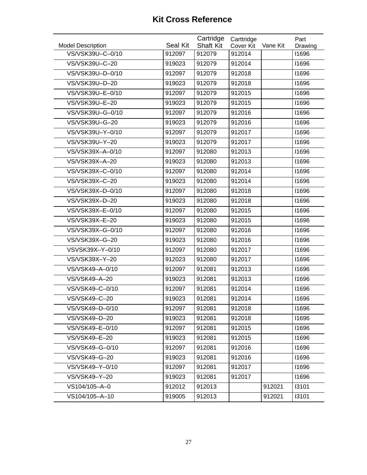| <b>Model Description</b> | Seal Kit | Cartridge<br><b>Shaft Kit</b> | Carttridge<br>Cover Kit | Vane Kit | Part<br>Drawing |
|--------------------------|----------|-------------------------------|-------------------------|----------|-----------------|
| VS/VSK39U-C-0/10         | 912097   | 912079                        | 912014                  |          | 11696           |
| VS/VSK39U-C-20           | 919023   | 912079                        | 912014                  |          | 11696           |
| VS/VSK39U-D-0/10         | 912097   | 912079                        | 912018                  |          | 11696           |
| VS/VSK39U-D-20           | 919023   | 912079                        | 912018                  |          | 11696           |
| VS/VSK39U-E-0/10         | 912097   | 912079                        | 912015                  |          | 11696           |
| VS/VSK39U-E-20           | 919023   | 912079                        | 912015                  |          | 11696           |
| VS/VSK39U-G-0/10         | 912097   | 912079                        | 912016                  |          | 11696           |
| VS/VSK39U-G-20           | 919023   | 912079                        | 912016                  |          | 11696           |
| VS/VSK39U-Y-0/10         | 912097   | 912079                        | 912017                  |          | 11696           |
| VS/VSK39U-Y-20           | 919023   | 912079                        | 912017                  |          | 11696           |
| VS/VSK39X-A-0/10         | 912097   | 912080                        | 912013                  |          | 11696           |
| VS/VSK39X-A-20           | 919023   | 912080                        | 912013                  |          | 11696           |
| VS/VSK39X-C-0/10         | 912097   | 912080                        | 912014                  |          | 11696           |
| VS/VSK39X-C-20           | 919023   | 912080                        | 912014                  |          | 11696           |
| VS/VSK39X-D-0/10         | 912097   | 912080                        | 912018                  |          | 11696           |
| VS/VSK39X-D-20           | 919023   | 912080                        | 912018                  |          | 11696           |
| VS/VSK39X-E-0/10         | 912097   | 912080                        | 912015                  |          | 11696           |
| VS/VSK39X-E-20           | 919023   | 912080                        | 912015                  |          | 11696           |
| VS/VSK39X-G-0/10         | 912097   | 912080                        | 912016                  |          | 11696           |
| VS/VSK39X-G-20           | 919023   | 912080                        | 912016                  |          | 11696           |
| VSVSK39X-Y-0/10          | 912097   | 912080                        | 912017                  |          | 11696           |
| VS/VSK39X-Y-20           | 912023   | 912080                        | 912017                  |          | 11696           |
| VS/VSK49-A-0/10          | 912097   | 912081                        | 912013                  |          | 11696           |
| VS/VSK49-A-20            | 919023   | 912081                        | 912013                  |          | 11696           |
| VS/VSK49-C-0/10          | 912097   | 912081                        | 912014                  |          | 11696           |
| VS/VSK49-C-20            | 919023   | 912081                        | 912014                  |          | 11696           |
| VS/VSK49-D-0/10          | 912097   | 912081                        | 912018                  |          | 11696           |
| VS/VSK49-D-20            | 919023   | 912081                        | 912018                  |          | 11696           |
| VS/VSK49-E-0/10          | 912097   | 912081                        | 912015                  |          | 11696           |
| VS/VSK49-E-20            | 919023   | 912081                        | 912015                  |          | 11696           |
| VS/VSK49-G-0/10          | 912097   | 912081                        | 912016                  |          | 11696           |
| VS/VSK49-G-20            | 919023   | 912081                        | 912016                  |          | 11696           |
| VS/VSK49-Y-0/10          | 912097   | 912081                        | 912017                  |          | 11696           |
| VS/VSK49-Y-20            | 919023   | 912081                        | 912017                  |          | 11696           |
| VS104/105-A-0            | 912012   | 912013                        |                         | 912021   | 13101           |
| VS104/105-A-10           | 919005   | 912013                        |                         | 912021   | 13101           |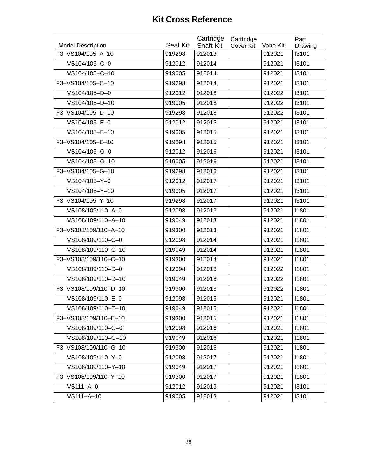| F3-VS104/105-A-10<br>919298<br>912013<br>912021<br>13101<br>VS104/105-C-0<br>912021<br>13101<br>912012<br>912014<br>VS104/105-C-10<br>13101<br>912014<br>912021<br>919005<br>F3-VS104/105-C-10<br>919298<br>912014<br>912021<br>13101<br>VS104/105-D-0<br>912012<br>912018<br>912022<br>13101<br>VS104/105-D-10<br>919005<br>912018<br>912022<br>13101<br>F3-VS104/105-D-10<br>919298<br>912018<br>912022<br>13101<br>VS104/105-E-0<br>13101<br>912012<br>912015<br>912021<br>VS104/105-E-10<br>919005<br>912015<br>912021<br>13101<br>F3-VS104/105-E-10<br>13101<br>919298<br>912015<br>912021<br>VS104/105-G-0<br>912012<br>912016<br>912021<br>13101<br>VS104/105-G-10<br>919005<br>912016<br>912021<br>13101<br>F3-VS104/105-G-10<br>919298<br>912016<br>912021<br>13101<br>VS104/105-Y-0<br>13101<br>912012<br>912017<br>912021<br>VS104/105-Y-10<br>919005<br>912017<br>912021<br>13101<br>F3-VS104/105-Y-10<br>912021<br>13101<br>919298<br>912017<br>VS108/109/110-A-0<br>912013<br>912021<br>11801<br>912098<br>VS108/109/110-A-10<br>919049<br>912013<br>912021<br>11801<br>F3-VS108/109/110-A-10<br>912013<br>912021<br>11801<br>919300<br>VS108/109/110-C-0<br>912014<br>912021<br>11801<br>912098<br>VS108/109/110-C-10<br>919049<br>912014<br>912021<br>11801<br>F3-VS108/109/110-C-10<br>919300<br>912014<br>912021<br>11801<br>VS108/109/110-D-0<br>912098<br>912018<br>912022<br>11801<br>VS108/109/110-D-10<br>919049<br>912018<br>912022<br>11801<br>F3-VS108/109/110-D-10<br>919300<br>912018<br>912022<br>11801<br>VS108/109/110-E-0<br>912098<br>912015<br>912021<br>11801<br>VS108/109/110-E-10<br>11801<br>919049<br>912015<br>912021<br>11801<br>F3-VS108/109/110-E-10<br>919300<br>912015<br>912021<br>VS108/109/110-G-0<br>912016<br>912021<br>11801<br>912098<br>VS108/109/110-G-10<br>919049<br>912016<br>912021<br>11801<br>F3-VS108/109/110-G-10<br>919300<br>912016<br>912021<br>11801<br>VS108/109/110-Y-0<br>11801<br>912098<br>912017<br>912021<br>VS108/109/110-Y-10<br>919049<br>912017<br>912021<br>11801<br>F3-VS108/109/110-Y-10<br>919300<br>912017<br>912021<br>11801<br>VS111-A-0<br>912012<br>912013<br>912021<br>13101 | <b>Model Description</b> | Seal Kit | Cartridge<br><b>Shaft Kit</b> | Carttridge | Vane Kit | Part    |
|---------------------------------------------------------------------------------------------------------------------------------------------------------------------------------------------------------------------------------------------------------------------------------------------------------------------------------------------------------------------------------------------------------------------------------------------------------------------------------------------------------------------------------------------------------------------------------------------------------------------------------------------------------------------------------------------------------------------------------------------------------------------------------------------------------------------------------------------------------------------------------------------------------------------------------------------------------------------------------------------------------------------------------------------------------------------------------------------------------------------------------------------------------------------------------------------------------------------------------------------------------------------------------------------------------------------------------------------------------------------------------------------------------------------------------------------------------------------------------------------------------------------------------------------------------------------------------------------------------------------------------------------------------------------------------------------------------------------------------------------------------------------------------------------------------------------------------------------------------------------------------------------------------------------------------------------------------------------------------------------------------------------------------------------------------------------------------------------------------------------------------------------------------------------|--------------------------|----------|-------------------------------|------------|----------|---------|
|                                                                                                                                                                                                                                                                                                                                                                                                                                                                                                                                                                                                                                                                                                                                                                                                                                                                                                                                                                                                                                                                                                                                                                                                                                                                                                                                                                                                                                                                                                                                                                                                                                                                                                                                                                                                                                                                                                                                                                                                                                                                                                                                                                     |                          |          |                               | Cover Kit  |          | Drawing |
|                                                                                                                                                                                                                                                                                                                                                                                                                                                                                                                                                                                                                                                                                                                                                                                                                                                                                                                                                                                                                                                                                                                                                                                                                                                                                                                                                                                                                                                                                                                                                                                                                                                                                                                                                                                                                                                                                                                                                                                                                                                                                                                                                                     |                          |          |                               |            |          |         |
|                                                                                                                                                                                                                                                                                                                                                                                                                                                                                                                                                                                                                                                                                                                                                                                                                                                                                                                                                                                                                                                                                                                                                                                                                                                                                                                                                                                                                                                                                                                                                                                                                                                                                                                                                                                                                                                                                                                                                                                                                                                                                                                                                                     |                          |          |                               |            |          |         |
|                                                                                                                                                                                                                                                                                                                                                                                                                                                                                                                                                                                                                                                                                                                                                                                                                                                                                                                                                                                                                                                                                                                                                                                                                                                                                                                                                                                                                                                                                                                                                                                                                                                                                                                                                                                                                                                                                                                                                                                                                                                                                                                                                                     |                          |          |                               |            |          |         |
|                                                                                                                                                                                                                                                                                                                                                                                                                                                                                                                                                                                                                                                                                                                                                                                                                                                                                                                                                                                                                                                                                                                                                                                                                                                                                                                                                                                                                                                                                                                                                                                                                                                                                                                                                                                                                                                                                                                                                                                                                                                                                                                                                                     |                          |          |                               |            |          |         |
|                                                                                                                                                                                                                                                                                                                                                                                                                                                                                                                                                                                                                                                                                                                                                                                                                                                                                                                                                                                                                                                                                                                                                                                                                                                                                                                                                                                                                                                                                                                                                                                                                                                                                                                                                                                                                                                                                                                                                                                                                                                                                                                                                                     |                          |          |                               |            |          |         |
|                                                                                                                                                                                                                                                                                                                                                                                                                                                                                                                                                                                                                                                                                                                                                                                                                                                                                                                                                                                                                                                                                                                                                                                                                                                                                                                                                                                                                                                                                                                                                                                                                                                                                                                                                                                                                                                                                                                                                                                                                                                                                                                                                                     |                          |          |                               |            |          |         |
|                                                                                                                                                                                                                                                                                                                                                                                                                                                                                                                                                                                                                                                                                                                                                                                                                                                                                                                                                                                                                                                                                                                                                                                                                                                                                                                                                                                                                                                                                                                                                                                                                                                                                                                                                                                                                                                                                                                                                                                                                                                                                                                                                                     |                          |          |                               |            |          |         |
|                                                                                                                                                                                                                                                                                                                                                                                                                                                                                                                                                                                                                                                                                                                                                                                                                                                                                                                                                                                                                                                                                                                                                                                                                                                                                                                                                                                                                                                                                                                                                                                                                                                                                                                                                                                                                                                                                                                                                                                                                                                                                                                                                                     |                          |          |                               |            |          |         |
|                                                                                                                                                                                                                                                                                                                                                                                                                                                                                                                                                                                                                                                                                                                                                                                                                                                                                                                                                                                                                                                                                                                                                                                                                                                                                                                                                                                                                                                                                                                                                                                                                                                                                                                                                                                                                                                                                                                                                                                                                                                                                                                                                                     |                          |          |                               |            |          |         |
|                                                                                                                                                                                                                                                                                                                                                                                                                                                                                                                                                                                                                                                                                                                                                                                                                                                                                                                                                                                                                                                                                                                                                                                                                                                                                                                                                                                                                                                                                                                                                                                                                                                                                                                                                                                                                                                                                                                                                                                                                                                                                                                                                                     |                          |          |                               |            |          |         |
|                                                                                                                                                                                                                                                                                                                                                                                                                                                                                                                                                                                                                                                                                                                                                                                                                                                                                                                                                                                                                                                                                                                                                                                                                                                                                                                                                                                                                                                                                                                                                                                                                                                                                                                                                                                                                                                                                                                                                                                                                                                                                                                                                                     |                          |          |                               |            |          |         |
|                                                                                                                                                                                                                                                                                                                                                                                                                                                                                                                                                                                                                                                                                                                                                                                                                                                                                                                                                                                                                                                                                                                                                                                                                                                                                                                                                                                                                                                                                                                                                                                                                                                                                                                                                                                                                                                                                                                                                                                                                                                                                                                                                                     |                          |          |                               |            |          |         |
|                                                                                                                                                                                                                                                                                                                                                                                                                                                                                                                                                                                                                                                                                                                                                                                                                                                                                                                                                                                                                                                                                                                                                                                                                                                                                                                                                                                                                                                                                                                                                                                                                                                                                                                                                                                                                                                                                                                                                                                                                                                                                                                                                                     |                          |          |                               |            |          |         |
|                                                                                                                                                                                                                                                                                                                                                                                                                                                                                                                                                                                                                                                                                                                                                                                                                                                                                                                                                                                                                                                                                                                                                                                                                                                                                                                                                                                                                                                                                                                                                                                                                                                                                                                                                                                                                                                                                                                                                                                                                                                                                                                                                                     |                          |          |                               |            |          |         |
|                                                                                                                                                                                                                                                                                                                                                                                                                                                                                                                                                                                                                                                                                                                                                                                                                                                                                                                                                                                                                                                                                                                                                                                                                                                                                                                                                                                                                                                                                                                                                                                                                                                                                                                                                                                                                                                                                                                                                                                                                                                                                                                                                                     |                          |          |                               |            |          |         |
|                                                                                                                                                                                                                                                                                                                                                                                                                                                                                                                                                                                                                                                                                                                                                                                                                                                                                                                                                                                                                                                                                                                                                                                                                                                                                                                                                                                                                                                                                                                                                                                                                                                                                                                                                                                                                                                                                                                                                                                                                                                                                                                                                                     |                          |          |                               |            |          |         |
|                                                                                                                                                                                                                                                                                                                                                                                                                                                                                                                                                                                                                                                                                                                                                                                                                                                                                                                                                                                                                                                                                                                                                                                                                                                                                                                                                                                                                                                                                                                                                                                                                                                                                                                                                                                                                                                                                                                                                                                                                                                                                                                                                                     |                          |          |                               |            |          |         |
|                                                                                                                                                                                                                                                                                                                                                                                                                                                                                                                                                                                                                                                                                                                                                                                                                                                                                                                                                                                                                                                                                                                                                                                                                                                                                                                                                                                                                                                                                                                                                                                                                                                                                                                                                                                                                                                                                                                                                                                                                                                                                                                                                                     |                          |          |                               |            |          |         |
|                                                                                                                                                                                                                                                                                                                                                                                                                                                                                                                                                                                                                                                                                                                                                                                                                                                                                                                                                                                                                                                                                                                                                                                                                                                                                                                                                                                                                                                                                                                                                                                                                                                                                                                                                                                                                                                                                                                                                                                                                                                                                                                                                                     |                          |          |                               |            |          |         |
|                                                                                                                                                                                                                                                                                                                                                                                                                                                                                                                                                                                                                                                                                                                                                                                                                                                                                                                                                                                                                                                                                                                                                                                                                                                                                                                                                                                                                                                                                                                                                                                                                                                                                                                                                                                                                                                                                                                                                                                                                                                                                                                                                                     |                          |          |                               |            |          |         |
|                                                                                                                                                                                                                                                                                                                                                                                                                                                                                                                                                                                                                                                                                                                                                                                                                                                                                                                                                                                                                                                                                                                                                                                                                                                                                                                                                                                                                                                                                                                                                                                                                                                                                                                                                                                                                                                                                                                                                                                                                                                                                                                                                                     |                          |          |                               |            |          |         |
|                                                                                                                                                                                                                                                                                                                                                                                                                                                                                                                                                                                                                                                                                                                                                                                                                                                                                                                                                                                                                                                                                                                                                                                                                                                                                                                                                                                                                                                                                                                                                                                                                                                                                                                                                                                                                                                                                                                                                                                                                                                                                                                                                                     |                          |          |                               |            |          |         |
|                                                                                                                                                                                                                                                                                                                                                                                                                                                                                                                                                                                                                                                                                                                                                                                                                                                                                                                                                                                                                                                                                                                                                                                                                                                                                                                                                                                                                                                                                                                                                                                                                                                                                                                                                                                                                                                                                                                                                                                                                                                                                                                                                                     |                          |          |                               |            |          |         |
|                                                                                                                                                                                                                                                                                                                                                                                                                                                                                                                                                                                                                                                                                                                                                                                                                                                                                                                                                                                                                                                                                                                                                                                                                                                                                                                                                                                                                                                                                                                                                                                                                                                                                                                                                                                                                                                                                                                                                                                                                                                                                                                                                                     |                          |          |                               |            |          |         |
|                                                                                                                                                                                                                                                                                                                                                                                                                                                                                                                                                                                                                                                                                                                                                                                                                                                                                                                                                                                                                                                                                                                                                                                                                                                                                                                                                                                                                                                                                                                                                                                                                                                                                                                                                                                                                                                                                                                                                                                                                                                                                                                                                                     |                          |          |                               |            |          |         |
|                                                                                                                                                                                                                                                                                                                                                                                                                                                                                                                                                                                                                                                                                                                                                                                                                                                                                                                                                                                                                                                                                                                                                                                                                                                                                                                                                                                                                                                                                                                                                                                                                                                                                                                                                                                                                                                                                                                                                                                                                                                                                                                                                                     |                          |          |                               |            |          |         |
|                                                                                                                                                                                                                                                                                                                                                                                                                                                                                                                                                                                                                                                                                                                                                                                                                                                                                                                                                                                                                                                                                                                                                                                                                                                                                                                                                                                                                                                                                                                                                                                                                                                                                                                                                                                                                                                                                                                                                                                                                                                                                                                                                                     |                          |          |                               |            |          |         |
|                                                                                                                                                                                                                                                                                                                                                                                                                                                                                                                                                                                                                                                                                                                                                                                                                                                                                                                                                                                                                                                                                                                                                                                                                                                                                                                                                                                                                                                                                                                                                                                                                                                                                                                                                                                                                                                                                                                                                                                                                                                                                                                                                                     |                          |          |                               |            |          |         |
|                                                                                                                                                                                                                                                                                                                                                                                                                                                                                                                                                                                                                                                                                                                                                                                                                                                                                                                                                                                                                                                                                                                                                                                                                                                                                                                                                                                                                                                                                                                                                                                                                                                                                                                                                                                                                                                                                                                                                                                                                                                                                                                                                                     |                          |          |                               |            |          |         |
|                                                                                                                                                                                                                                                                                                                                                                                                                                                                                                                                                                                                                                                                                                                                                                                                                                                                                                                                                                                                                                                                                                                                                                                                                                                                                                                                                                                                                                                                                                                                                                                                                                                                                                                                                                                                                                                                                                                                                                                                                                                                                                                                                                     |                          |          |                               |            |          |         |
|                                                                                                                                                                                                                                                                                                                                                                                                                                                                                                                                                                                                                                                                                                                                                                                                                                                                                                                                                                                                                                                                                                                                                                                                                                                                                                                                                                                                                                                                                                                                                                                                                                                                                                                                                                                                                                                                                                                                                                                                                                                                                                                                                                     |                          |          |                               |            |          |         |
|                                                                                                                                                                                                                                                                                                                                                                                                                                                                                                                                                                                                                                                                                                                                                                                                                                                                                                                                                                                                                                                                                                                                                                                                                                                                                                                                                                                                                                                                                                                                                                                                                                                                                                                                                                                                                                                                                                                                                                                                                                                                                                                                                                     |                          |          |                               |            |          |         |
|                                                                                                                                                                                                                                                                                                                                                                                                                                                                                                                                                                                                                                                                                                                                                                                                                                                                                                                                                                                                                                                                                                                                                                                                                                                                                                                                                                                                                                                                                                                                                                                                                                                                                                                                                                                                                                                                                                                                                                                                                                                                                                                                                                     |                          |          |                               |            |          |         |
|                                                                                                                                                                                                                                                                                                                                                                                                                                                                                                                                                                                                                                                                                                                                                                                                                                                                                                                                                                                                                                                                                                                                                                                                                                                                                                                                                                                                                                                                                                                                                                                                                                                                                                                                                                                                                                                                                                                                                                                                                                                                                                                                                                     |                          |          |                               |            |          |         |
|                                                                                                                                                                                                                                                                                                                                                                                                                                                                                                                                                                                                                                                                                                                                                                                                                                                                                                                                                                                                                                                                                                                                                                                                                                                                                                                                                                                                                                                                                                                                                                                                                                                                                                                                                                                                                                                                                                                                                                                                                                                                                                                                                                     |                          |          |                               |            |          |         |
| VS111-A-10<br>919005<br>912013<br>912021<br>13101                                                                                                                                                                                                                                                                                                                                                                                                                                                                                                                                                                                                                                                                                                                                                                                                                                                                                                                                                                                                                                                                                                                                                                                                                                                                                                                                                                                                                                                                                                                                                                                                                                                                                                                                                                                                                                                                                                                                                                                                                                                                                                                   |                          |          |                               |            |          |         |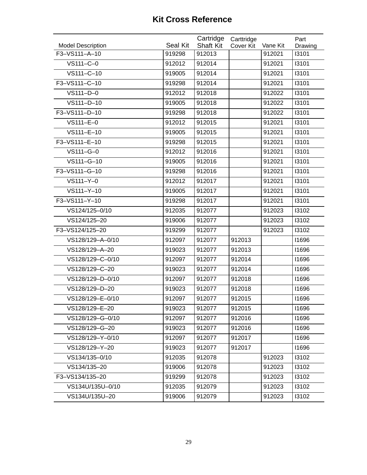| <b>Model Description</b> | Seal Kit | Cartridge<br><b>Shaft Kit</b> | Carttridge<br>Cover Kit | Vane Kit | Part<br>Drawing |
|--------------------------|----------|-------------------------------|-------------------------|----------|-----------------|
| F3-VS111-A-10            | 919298   | 912013                        |                         | 912021   | 13101           |
| VS111-C-0                | 912012   | 912014                        |                         | 912021   | 13101           |
| VS111-C-10               | 919005   | 912014                        |                         | 912021   | 13101           |
| F3-VS111-C-10            | 919298   | 912014                        |                         | 912021   | 13101           |
| VS111-D-0                | 912012   | 912018                        |                         | 912022   | 13101           |
| VS111-D-10               | 919005   | 912018                        |                         | 912022   | 13101           |
| F3-VS111-D-10            | 919298   | 912018                        |                         | 912022   | 13101           |
| VS111-E-0                | 912012   | 912015                        |                         | 912021   | 13101           |
| VS111-E-10               | 919005   | 912015                        |                         | 912021   | 13101           |
| F3-VS111-E-10            | 919298   | 912015                        |                         | 912021   | 13101           |
| VS111-G-0                | 912012   | 912016                        |                         | 912021   | 13101           |
| VS111-G-10               | 919005   | 912016                        |                         | 912021   | 13101           |
| F3-VS111-G-10            | 919298   | 912016                        |                         | 912021   | 13101           |
| VS111-Y-0                | 912012   | 912017                        |                         | 912021   | 13101           |
| VS111-Y-10               | 919005   | 912017                        |                         | 912021   | 13101           |
| F3-VS111-Y-10            | 919298   | 912017                        |                         | 912021   | 13101           |
| VS124/125-0/10           | 912035   | 912077                        |                         | 912023   | 13102           |
| VS124/125-20             | 919006   | 912077                        |                         | 912023   | 13102           |
| F3-VS124/125-20          | 919299   | 912077                        |                         | 912023   | 13102           |
| VS128/129-A-0/10         | 912097   | 912077                        | 912013                  |          | 11696           |
| VS128/129-A-20           | 919023   | 912077                        | 912013                  |          | 11696           |
| VS128/129-C-0/10         | 912097   | 912077                        | 912014                  |          | 11696           |
| VS128/129-C-20           | 919023   | 912077                        | 912014                  |          | 11696           |
| VS128/129-D-0/10         | 912097   | 912077                        | 912018                  |          | 11696           |
| VS128/129-D-20           | 919023   | 912077                        | 912018                  |          | 11696           |
| VS128/129-E-0/10         | 912097   | 912077                        | 912015                  |          | 11696           |
| VS128/129-E-20           | 919023   | 912077                        | 912015                  |          | 11696           |
| VS128/129-G-0/10         | 912097   | 912077                        | 912016                  |          | 11696           |
| VS128/129-G-20           | 919023   | 912077                        | 912016                  |          | 11696           |
| VS128/129-Y-0/10         | 912097   | 912077                        | 912017                  |          | 11696           |
| VS128/129-Y-20           | 919023   | 912077                        | 912017                  |          | 11696           |
| VS134/135-0/10           | 912035   | 912078                        |                         | 912023   | 13102           |
| VS134/135-20             | 919006   | 912078                        |                         | 912023   | 13102           |
| F3-VS134/135-20          | 919299   | 912078                        |                         | 912023   | 13102           |
| VS134U/135U-0/10         | 912035   | 912079                        |                         | 912023   | 13102           |
| VS134U/135U-20           | 919006   | 912079                        |                         | 912023   | 13102           |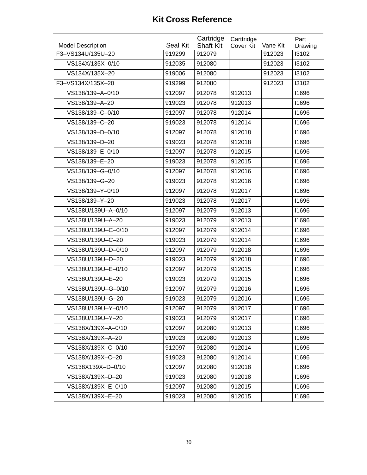| <b>Model Description</b> | Seal Kit | Cartridge<br><b>Shaft Kit</b> | Carttridge<br>Cover Kit | Vane Kit | Part<br>Drawing |
|--------------------------|----------|-------------------------------|-------------------------|----------|-----------------|
| F3-VS134U/135U-20        | 919299   | 912079                        |                         | 912023   | 13102           |
| VS134X/135X-0/10         | 912035   | 912080                        |                         | 912023   | 13102           |
| VS134X/135X-20           | 919006   | 912080                        |                         | 912023   | 13102           |
| F3-VS134X/135X-20        | 919299   | 912080                        |                         | 912023   | 13102           |
| VS138/139-A-0/10         | 912097   | 912078                        | 912013                  |          | 11696           |
| VS138/139-A-20           | 919023   | 912078                        | 912013                  |          | 11696           |
| VS138/139-C-0/10         | 912097   | 912078                        | 912014                  |          | 11696           |
| VS138/139-C-20           | 919023   | 912078                        | 912014                  |          | 11696           |
| VS138/139-D-0/10         | 912097   | 912078                        | 912018                  |          | 11696           |
| VS138/139-D-20           | 919023   | 912078                        | 912018                  |          | 11696           |
| VS138/139-E-0/10         | 912097   | 912078                        | 912015                  |          | 11696           |
| VS138/139-E-20           | 919023   | 912078                        | 912015                  |          | 11696           |
| VS138/139-G-0/10         | 912097   | 912078                        | 912016                  |          | 11696           |
| VS138/139-G-20           | 919023   | 912078                        | 912016                  |          | 11696           |
| VS138/139-Y-0/10         | 912097   | 912078                        | 912017                  |          | 11696           |
| VS138/139-Y-20           | 919023   | 912078                        | 912017                  |          | 11696           |
| VS138U/139U-A-0/10       | 912097   | 912079                        | 912013                  |          | 11696           |
| VS138U/139U-A-20         | 919023   | 912079                        | 912013                  |          | 11696           |
| VS138U/139U-C-0/10       | 912097   | 912079                        | 912014                  |          | 11696           |
| VS138U/139U-C-20         | 919023   | 912079                        | 912014                  |          | 11696           |
| VS138U/139U-D-0/10       | 912097   | 912079                        | 912018                  |          | 11696           |
| VS138U/139U-D-20         | 919023   | 912079                        | 912018                  |          | 11696           |
| VS138U/139U-E-0/10       | 912097   | 912079                        | 912015                  |          | 11696           |
| VS138U/139U-E-20         | 919023   | 912079                        | 912015                  |          | 11696           |
| VS138U/139U-G-0/10       | 912097   | 912079                        | 912016                  |          | 11696           |
| VS138U/139U-G-20         | 919023   | 912079                        | 912016                  |          | 11696           |
| VS138U/139U-Y-0/10       | 912097   | 912079                        | 912017                  |          | 11696           |
| VS138U/139U-Y-20         | 919023   | 912079                        | 912017                  |          | 11696           |
| VS138X/139X-A-0/10       | 912097   | 912080                        | 912013                  |          | 11696           |
| VS138X/139X-A-20         | 919023   | 912080                        | 912013                  |          | 11696           |
| VS138X/139X-C-0/10       | 912097   | 912080                        | 912014                  |          | 11696           |
| VS138X/139X-C-20         | 919023   | 912080                        | 912014                  |          | 11696           |
| VS138X139X-D-0/10        | 912097   | 912080                        | 912018                  |          | 11696           |
| VS138X/139X-D-20         | 919023   | 912080                        | 912018                  |          | 11696           |
| VS138X/139X-E-0/10       | 912097   | 912080                        | 912015                  |          | 11696           |
| VS138X/139X-E-20         | 919023   | 912080                        | 912015                  |          | 11696           |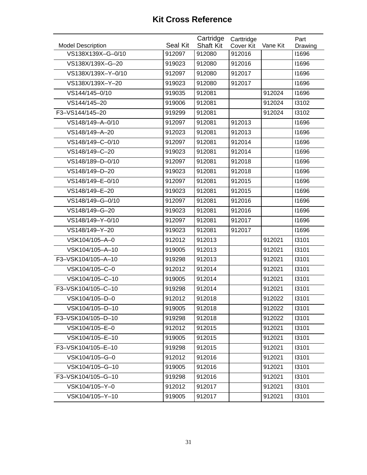| <b>Model Description</b> | Seal Kit | Cartridge<br><b>Shaft Kit</b> | Carttridge<br>Cover Kit | Vane Kit | Part<br>Drawing |
|--------------------------|----------|-------------------------------|-------------------------|----------|-----------------|
| VS138X139X-G-0/10        | 912097   | 912080                        | 912016                  |          | 11696           |
| VS138X/139X-G-20         | 919023   | 912080                        | 912016                  |          | 11696           |
| VS138X/139X-Y-0/10       | 912097   | 912080                        | 912017                  |          | 11696           |
| VS138X/139X-Y-20         | 919023   | 912080                        | 912017                  |          | 11696           |
| VS144/145-0/10           | 919035   | 912081                        |                         | 912024   | 11696           |
| VS144/145-20             | 919006   | 912081                        |                         | 912024   | 13102           |
| F3-VS144/145-20          | 919299   | 912081                        |                         | 912024   | 13102           |
| VS148/149-A-0/10         | 912097   | 912081                        | 912013                  |          | 11696           |
| VS148/149-A-20           | 912023   | 912081                        | 912013                  |          | 11696           |
| VS148/149-C-0/10         | 912097   | 912081                        | 912014                  |          | 11696           |
| VS148/149-C-20           | 919023   | 912081                        | 912014                  |          | 11696           |
| VS148/189-D-0/10         | 912097   | 912081                        | 912018                  |          | 11696           |
| VS148/149-D-20           | 919023   | 912081                        | 912018                  |          | 11696           |
| VS148/149-E-0/10         | 912097   | 912081                        | 912015                  |          | 11696           |
| VS148/149-E-20           | 919023   | 912081                        | 912015                  |          | 11696           |
| VS148/149-G-0/10         | 912097   | 912081                        | 912016                  |          | 11696           |
| VS148/149-G-20           | 919023   | 912081                        | 912016                  |          | 11696           |
| VS148/149-Y-0/10         | 912097   | 912081                        | 912017                  |          | 11696           |
| VS148/149-Y-20           | 919023   | 912081                        | 912017                  |          | 11696           |
| VSK104/105-A-0           | 912012   | 912013                        |                         | 912021   | 13101           |
| VSK104/105-A-10          | 919005   | 912013                        |                         | 912021   | 13101           |
| F3-VSK104/105-A-10       | 919298   | 912013                        |                         | 912021   | 13101           |
| VSK104/105-C-0           | 912012   | 912014                        |                         | 912021   | 13101           |
| VSK104/105-C-10          | 919005   | 912014                        |                         | 912021   | 13101           |
| F3-VSK104/105-C-10       | 919298   | 912014                        |                         | 912021   | 13101           |
| VSK104/105-D-0           | 912012   | 912018                        |                         | 912022   | 13101           |
| VSK104/105-D-10          | 919005   | 912018                        |                         | 912022   | 13101           |
| F3-VSK104/105-D-10       | 919298   | 912018                        |                         | 912022   | 13101           |
| VSK104/105-E-0           | 912012   | 912015                        |                         | 912021   | 13101           |
| VSK104/105-E-10          | 919005   | 912015                        |                         | 912021   | 13101           |
| F3-VSK104/105-E-10       | 919298   | 912015                        |                         | 912021   | 13101           |
| VSK104/105-G-0           | 912012   | 912016                        |                         | 912021   | 13101           |
| VSK104/105-G-10          | 919005   | 912016                        |                         | 912021   | 13101           |
| F3-VSK104/105-G-10       | 919298   | 912016                        |                         | 912021   | 13101           |
| VSK104/105-Y-0           | 912012   | 912017                        |                         | 912021   | 13101           |
| VSK104/105-Y-10          | 919005   | 912017                        |                         | 912021   | 13101           |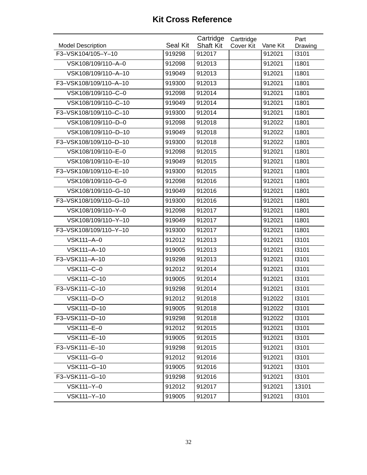| <b>Model Description</b> | Seal Kit | Cartridge<br><b>Shaft Kit</b> | Carttridge<br><b>Cover Kit</b> | Vane Kit | Part<br>Drawing |
|--------------------------|----------|-------------------------------|--------------------------------|----------|-----------------|
| F3-VSK104/105-Y-10       | 919298   | 912017                        |                                | 912021   | 13101           |
| VSK108/109/110-A-0       | 912098   | 912013                        |                                | 912021   | 11801           |
| VSK108/109/110-A-10      | 919049   | 912013                        |                                | 912021   | 11801           |
| F3-VSK108/109/110-A-10   | 919300   | 912013                        |                                | 912021   | 11801           |
| VSK108/109/110-C-0       | 912098   | 912014                        |                                | 912021   | 11801           |
| VSK108/109/110-C-10      | 919049   | 912014                        |                                | 912021   | 11801           |
| F3-VSK108/109/110-C-10   | 919300   | 912014                        |                                | 912021   | 11801           |
| VSK108/109/110-D-0       | 912098   | 912018                        |                                | 912022   | 11801           |
| VSK108/109/110-D-10      | 919049   | 912018                        |                                | 912022   | 11801           |
| F3-VSK108/109/110-D-10   | 919300   | 912018                        |                                | 912022   | 11801           |
| VSK108/109/110-E-0       | 912098   | 912015                        |                                | 912021   | 11801           |
| VSK108/109/110-E-10      | 919049   | 912015                        |                                | 912021   | 11801           |
| F3-VSK108/109/110-E-10   | 919300   | 912015                        |                                | 912021   | 11801           |
| VSK108/109/110-G-0       |          |                               |                                |          | 11801           |
|                          | 912098   | 912016                        |                                | 912021   |                 |
| VSK108/109/110-G-10      | 919049   | 912016                        |                                | 912021   | 11801           |
| F3-VSK108/109/110-G-10   | 919300   | 912016                        |                                | 912021   | 11801           |
| VSK108/109/110-Y-0       | 912098   | 912017                        |                                | 912021   | 11801           |
| VSK108/109/110-Y-10      | 919049   | 912017                        |                                | 912021   | 11801           |
| F3-VSK108/109/110-Y-10   | 919300   | 912017                        |                                | 912021   | 11801           |
| VSK111-A-0               | 912012   | 912013                        |                                | 912021   | 13101           |
| VSK111-A-10              | 919005   | 912013                        |                                | 912021   | 13101           |
| F3-VSK111-A-10           | 919298   | 912013                        |                                | 912021   | 13101           |
| VSK111-C-0               | 912012   | 912014                        |                                | 912021   | 13101           |
| VSK111-C-10              | 919005   | 912014                        |                                | 912021   | 13101           |
| F3-VSK111-C-10           | 919298   | 912014                        |                                | 912021   | 13101           |
| VSK111-D-O               | 912012   | 912018                        |                                | 912022   | 13101           |
| VSK111-D-10              | 919005   | 912018                        |                                | 912022   | 13101           |
| F3-VSK111-D-10           | 919298   | 912018                        |                                | 912022   | 13101           |
| VSK111-E-0               | 912012   | 912015                        |                                | 912021   | 13101           |
| VSK111-E-10              | 919005   | 912015                        |                                | 912021   | 13101           |
| F3-VSK111-E-10           | 919298   | 912015                        |                                | 912021   | 13101           |
| VSK111-G-0               | 912012   | 912016                        |                                | 912021   | 13101           |
| VSK111-G-10              | 919005   | 912016                        |                                | 912021   | 13101           |
| F3-VSK111-G-10           | 919298   | 912016                        |                                | 912021   | 13101           |
| VSK111-Y-0               | 912012   | 912017                        |                                | 912021   | 13101           |
| VSK111-Y-10              | 919005   | 912017                        |                                | 912021   | 13101           |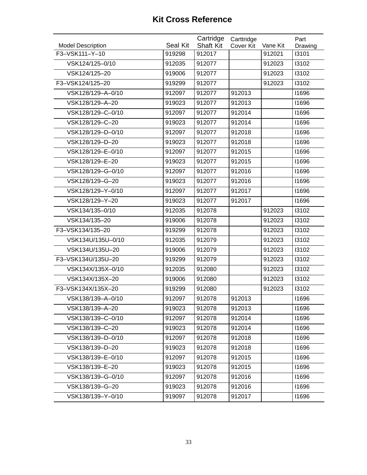| <b>Model Description</b> | Seal Kit | Cartridge<br><b>Shaft Kit</b> | Carttridge<br><b>Cover Kit</b> | Vane Kit | Part<br>Drawing |
|--------------------------|----------|-------------------------------|--------------------------------|----------|-----------------|
| F3-VSK111-Y-10           | 919298   | 912017                        |                                | 912021   | 13101           |
| VSK124/125-0/10          | 912035   | 912077                        |                                | 912023   | 13102           |
| VSK124/125-20            | 919006   | 912077                        |                                | 912023   | 13102           |
| F3-VSK124/125-20         | 919299   | 912077                        |                                | 912023   | 13102           |
| VSK128/129-A-0/10        | 912097   | 912077                        | 912013                         |          | 11696           |
| VSK128/129-A-20          | 919023   | 912077                        | 912013                         |          | 11696           |
| VSK128/129-C-0/10        | 912097   | 912077                        | 912014                         |          | 11696           |
| VSK128/129-C-20          | 919023   | 912077                        | 912014                         |          | 11696           |
| VSK128/129-D-0/10        | 912097   | 912077                        | 912018                         |          | 11696           |
| VSK128/129-D-20          | 919023   | 912077                        | 912018                         |          | 11696           |
| VSK128/129-E-0/10        | 912097   | 912077                        | 912015                         |          | 11696           |
| VSK128/129-E-20          | 919023   | 912077                        | 912015                         |          | 11696           |
| VSK128/129-G-0/10        | 912097   | 912077                        | 912016                         |          | 11696           |
| VSK128/129-G-20          | 919023   | 912077                        | 912016                         |          | 11696           |
| VSK128/129-Y-0/10        | 912097   | 912077                        | 912017                         |          | 11696           |
| VSK128/129-Y-20          | 919023   | 912077                        | 912017                         |          | 11696           |
| VSK134/135-0/10          | 912035   | 912078                        |                                | 912023   | 13102           |
| VSK134/135-20            | 919006   | 912078                        |                                | 912023   | 13102           |
| F3-VSK134/135-20         | 919299   | 912078                        |                                | 912023   | 13102           |
| VSK134U/135U-0/10        | 912035   | 912079                        |                                | 912023   | 13102           |
| VSK134U/135U-20          | 919006   | 912079                        |                                | 912023   | 13102           |
| F3-VSK134U/135U-20       | 919299   | 912079                        |                                | 912023   | 13102           |
| VSK134X/135X-0/10        | 912035   | 912080                        |                                | 912023   | 13102           |
| VSK134X/135X-20          | 919006   | 912080                        |                                | 912023   | 13102           |
| F3-VSK134X/135X-20       | 919299   | 912080                        |                                | 912023   | 13102           |
| VSK138/139-A-0/10        | 912097   | 912078                        | 912013                         |          | 11696           |
| VSK138/139-A-20          | 919023   | 912078                        | 912013                         |          | 11696           |
| VSK138/139-C-0/10        | 912097   | 912078                        | 912014                         |          | 11696           |
| VSK138/139-C-20          | 919023   | 912078                        | 912014                         |          | 11696           |
| VSK138/139-D-0/10        | 912097   | 912078                        | 912018                         |          | 11696           |
| VSK138/139-D-20          | 919023   | 912078                        | 912018                         |          | 11696           |
| VSK138/139-E-0/10        | 912097   | 912078                        | 912015                         |          | 11696           |
| VSK138/139-E-20          | 919023   | 912078                        | 912015                         |          | 11696           |
| VSK138/139-G-0/10        | 912097   | 912078                        | 912016                         |          | 11696           |
| VSK138/139-G-20          | 919023   | 912078                        | 912016                         |          | 11696           |
| VSK138/139-Y-0/10        | 919097   | 912078                        | 912017                         |          | 11696           |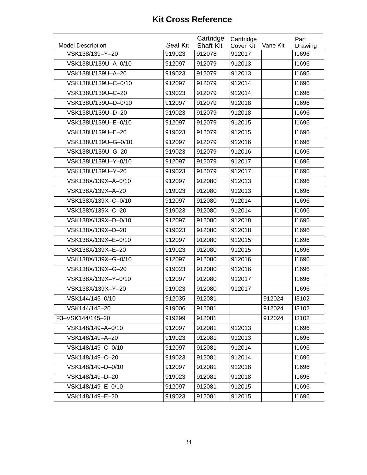| <b>Model Description</b> | Seal Kit | Cartridge<br><b>Shaft Kit</b> | Carttridge<br><b>Cover Kit</b> | Vane Kit | Part<br>Drawing |
|--------------------------|----------|-------------------------------|--------------------------------|----------|-----------------|
| VSK138/139-Y-20          | 919023   | 912078                        | 912017                         |          | 11696           |
| VSK138U/139U-A-0/10      | 912097   | 912079                        | 912013                         |          | 11696           |
| VSK138U/139U-A-20        | 919023   | 912079                        | 912013                         |          | 11696           |
| VSK138U/139U-C-0/10      | 912097   | 912079                        | 912014                         |          | 11696           |
| VSK138U/139U-C-20        | 919023   | 912079                        | 912014                         |          | 11696           |
| VSK138U/139U-D-0/10      | 912097   | 912079                        | 912018                         |          | 11696           |
| VSK138U/139U-D-20        | 919023   | 912079                        | 912018                         |          | 11696           |
| VSK138U/139U-E-0/10      | 912097   | 912079                        | 912015                         |          | 11696           |
| VSK138U/139U-E-20        | 919023   | 912079                        | 912015                         |          | 11696           |
| VSK138U/139U-G-0/10      | 912097   | 912079                        | 912016                         |          | 11696           |
| VSK138U/139U-G-20        | 919023   | 912079                        | 912016                         |          | 11696           |
| VSK138U/139U-Y-0/10      | 912097   | 912079                        | 912017                         |          | 11696           |
| VSK138U/139U-Y-20        | 919023   | 912079                        | 912017                         |          | 11696           |
| VSK138X/139X-A-0/10      | 912097   | 912080                        | 912013                         |          | 11696           |
| VSK138X/139X-A-20        | 919023   | 912080                        | 912013                         |          | 11696           |
| VSK138X/139X-C-0/10      | 912097   | 912080                        | 912014                         |          | 11696           |
| VSK138X/139X-C-20        | 919023   | 912080                        | 912014                         |          | 11696           |
| VSK138X/139X-D-0/10      | 912097   | 912080                        | 912018                         |          | 11696           |
| VSK138X/139X-D-20        | 919023   | 912080                        | 912018                         |          | 11696           |
| VSK138X/139X-E-0/10      | 912097   | 912080                        | 912015                         |          | 11696           |
| VSK138X/139X-E-20        | 919023   | 912080                        | 912015                         |          | 11696           |
| VSK138X/139X-G-0/10      | 912097   | 912080                        | 912016                         |          | 11696           |
| VSK138X/139X-G-20        | 919023   | 912080                        | 912016                         |          | 11696           |
| VSK138X/139X-Y-0/10      | 912097   | 912080                        | 912017                         |          | 11696           |
| VSK138X/139X-Y-20        | 919023   | 912080                        | 912017                         |          | 11696           |
| VSK144/145-0/10          | 912035   | 912081                        |                                | 912024   | 13102           |
| VSK144/145-20            | 919006   | 912081                        |                                | 912024   | 13102           |
| F3-VSK144/145-20         | 919299   | 912081                        |                                | 912024   | 13102           |
| VSK148/149-A-0/10        | 912097   | 912081                        | 912013                         |          | 11696           |
| VSK148/149-A-20          | 919023   | 912081                        | 912013                         |          | 11696           |
| VSK148/149-C-0/10        | 912097   | 912081                        | 912014                         |          | 11696           |
| VSK148/149-C-20          | 919023   | 912081                        | 912014                         |          | 11696           |
| VSK148/149-D-0/10        | 912097   | 912081                        | 912018                         |          | 11696           |
| VSK148/149-D-20          | 919023   | 912081                        | 912018                         |          | 11696           |
| VSK148/149-E-0/10        | 912097   | 912081                        | 912015                         |          | 11696           |
| VSK148/149-E-20          | 919023   | 912081                        | 912015                         |          | 11696           |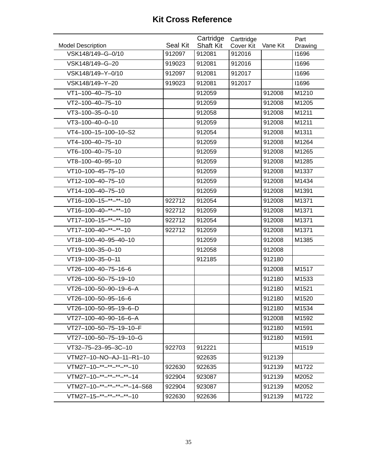| <b>Model Description</b>           | Seal Kit | Cartridge<br><b>Shaft Kit</b> | Carttridge<br><b>Cover Kit</b> | Vane Kit | Part<br>Drawing |
|------------------------------------|----------|-------------------------------|--------------------------------|----------|-----------------|
| VSK148/149-G-0/10                  | 912097   | 912081                        | 912016                         |          | 11696           |
| VSK148/149-G-20                    | 919023   | 912081                        | 912016                         |          | 11696           |
| VSK148/149-Y-0/10                  | 912097   | 912081                        | 912017                         |          | 11696           |
| VSK148/149-Y-20                    | 919023   | 912081                        | 912017                         |          | 11696           |
| VT1-100-40-75-10                   |          | 912059                        |                                | 912008   | M1210           |
| VT2-100-40-75-10                   |          | 912059                        |                                | 912008   | M1205           |
| VT3-100-35-0-10                    |          | 912058                        |                                | 912008   | M1211           |
| $VT3-100-40-0-10$                  |          | 912059                        |                                | 912008   | M1211           |
| VT4-100-15-100-10-S2               |          | 912054                        |                                | 912008   | M1311           |
| VT4-100-40-75-10                   |          | 912059                        |                                | 912008   | M1264           |
| VT6-100-40-75-10                   |          | 912059                        |                                | 912008   | M1265           |
| VT8-100-40-95-10                   |          | 912059                        |                                | 912008   | M1285           |
| VT10-100-45-75-10                  |          | 912059                        |                                | 912008   | M1337           |
| VT12-100-40-75-10                  |          | 912059                        |                                | 912008   | M1434           |
| VT14-100-40-75-10                  |          | 912059                        |                                | 912008   | M1391           |
| VT16-100-15-**-**-10               | 922712   | 912054                        |                                | 912008   | M1371           |
| $VT16-100-40-***-*+10$             | 922712   | 912059                        |                                | 912008   | M1371           |
| $\overline{VT17-100-15-}$ **-**-10 | 922712   | 912054                        |                                | 912008   | M1371           |
| $VT17-100-40-**-*10$               | 922712   | 912059                        |                                | 912008   | M1371           |
| VT18-100-40-95-40-10               |          | 912059                        |                                | 912008   | M1385           |
| VT19-100-35-0-10                   |          | 912058                        |                                | 912008   |                 |
| VT19-100-35-0-11                   |          | 912185                        |                                | 912180   |                 |
| VT26-100-40-75-16-6                |          |                               |                                | 912008   | M1517           |
| VT26-100-50-75-19-10               |          |                               |                                | 912180   | M1533           |
| VT26-100-50-90-19-6-A              |          |                               |                                | 912180   | M1521           |
| VT26-100-50-95-16-6                |          |                               |                                | 912180   | M1520           |
| VT26-100-50-95-19-6-D              |          |                               |                                | 912180   | M1534           |
| VT27-100-40-90-16-6-A              |          |                               |                                | 912008   | M1592           |
| VT27-100-50-75-19-10-F             |          |                               |                                | 912180   | M1591           |
| VT27-100-50-75-19-10-G             |          |                               |                                | 912180   | M1591           |
| VT32-75-23-95-3C-10                | 922703   | 912221                        |                                |          | M1519           |
| VTM27-10-NO-AJ-11-R1-10            |          | 922635                        |                                | 912139   |                 |
| VTM27-10-**-**-**-**-10            | 922630   | 922635                        |                                | 912139   | M1722           |
| VTM27-10-**-**-**-**-14            | 922904   | 923087                        |                                | 912139   | M2052           |
| VTM27-10-**-**-**-**-14-S68        | 922904   | 923087                        |                                | 912139   | M2052           |
| VTM27-15-**-**-**-**-10            | 922630   | 922636                        |                                | 912139   | M1722           |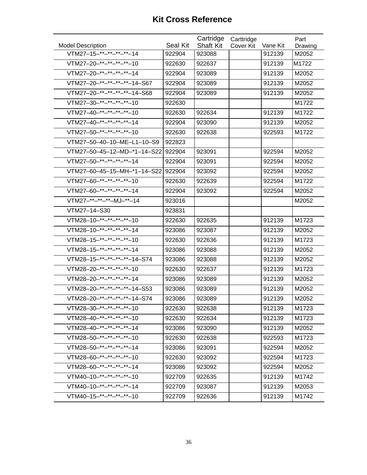|                                                     |          | Cartridge        | Carttridge       |          | Part    |
|-----------------------------------------------------|----------|------------------|------------------|----------|---------|
| <b>Model Description</b><br>VTM27-15-**-**-**-**-14 | Seal Kit | <b>Shaft Kit</b> | <b>Cover Kit</b> | Vane Kit | Drawing |
|                                                     | 922904   | 923088           |                  | 912139   | M2052   |
| VTM27-20-**-**-**-**-10                             | 922630   | 922637           |                  | 912139   | M1722   |
| VTM27-20-**-**-**-**-14                             | 922904   | 923089           |                  | 912139   | M2052   |
| VTM27-20-**-**-**-**-14-S67                         | 922904   | 923089           |                  | 912139   | M2052   |
| VTM27-20-**-**-**-**-14-S68                         | 922904   | 923089           |                  | 912139   | M2052   |
| $VTM27-30-***-***-**-10$                            | 922630   |                  |                  |          | M1722   |
| VTM27-40-**-**-**-**-10                             | 922630   | 922634           |                  | 912139   | M1722   |
| VTM27-40-**-**-**-**-14                             | 922904   | 923090           |                  | 912139   | M2052   |
| VTM27-50-**-**-**-**-10                             | 922630   | 922638           |                  | 922593   | M1722   |
| VTM27-50-40-10-ME-L1-10-S9                          | 922823   |                  |                  |          |         |
| VTM27-50-45-12-MD-*1-14-S22                         | 922904   | 923091           |                  | 922594   | M2052   |
| VTM27-50-**-**-**-**-14                             | 922904   | 923091           |                  | 922594   | M2052   |
| VTM27-60-45-15-MH-*1-14-S22                         | 922904   | 923092           |                  | 922594   | M2052   |
| VTM27-60-**-**-**-**-10                             | 922630   | 922639           |                  | 922594   | M1722   |
| VTM27-60-**-**-**-**-14                             | 922904   | 923092           |                  | 922594   | M2052   |
| VTM27-**-**-**-MJ-**-14                             | 923016   |                  |                  |          | M2052   |
| VTM27-14-S30                                        | 923831   |                  |                  |          |         |
| VTM28-10-**-**-**-**-10                             | 922630   | 922635           |                  | 912139   | M1723   |
| VTM28-10- $*$ - $*$ - $*$ - $*$ - $*$ - $*$ - $*$   | 923086   | 923087           |                  | 912139   | M2052   |
| VTM28-15-**-**-**-**-10                             | 922630   | 922636           |                  | 912139   | M1723   |
| VTM28-15-**-**-**-**-14                             | 923086   | 923088           |                  | 912139   | M2052   |
| VTM28-15-**-**-**-**-14-S74                         | 923086   | 923088           |                  | 912139   | M2052   |
| VTM28-20-**-**-**-**-10                             | 922630   | 922637           |                  | 912139   | M1723   |
| VTM28-20- $*$ - $*$ - $*$ - $*$ - $*$ - $*$ - $*$   | 923086   | 923089           |                  | 912139   | M2052   |
| VTM28-20-**-**-**-**-14-S53                         | 923086   | 923089           |                  | 912139   | M2052   |
| VTM28-20-**-**-**-**-14-S74                         | 923086   | 923089           |                  | 912139   | M2052   |
| VTM28-30-**-**-**-**-10                             | 922630   | 922638           |                  | 912139   | M1723   |
| VTM28-40-**-**-**-**-10                             | 922630   | 922634           |                  | 912139   | M1723   |
| VTM28-40-**-**-**-**-14                             | 923086   | 923090           |                  | 912139   | M2052   |
| VTM28-50-**-**-**-**-10                             | 922630   | 922638           |                  | 922593   | M1723   |
| VTM28-50-**-**-**-**-14                             | 923086   | 923091           |                  | 922594   | M2052   |
| VTM28-60-**-**-**-**-10                             | 922630   | 923092           |                  | 922594   | M1723   |
| VTM28-60-**-**-**-**-14                             | 923086   | 923092           |                  | 922594   | M2052   |
| VTM40-10-**-**-**-**-10                             | 922709   | 922635           |                  | 912139   | M1742   |
| VTM40-10-**-**-**-**-14                             | 922709   | 923087           |                  | 912139   | M2053   |
| VTM40-15-**-**-**-**-10                             | 922709   | 922636           |                  | 912139   | M1742   |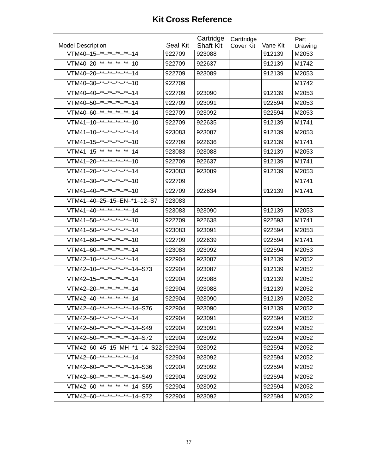|                                                                  |          | Cartridge        | Carttridge       |          | Part    |
|------------------------------------------------------------------|----------|------------------|------------------|----------|---------|
| <b>Model Description</b><br>VTM40-15-**-**-**- <sup>**</sup> -14 | Seal Kit | <b>Shaft Kit</b> | <b>Cover Kit</b> | Vane Kit | Drawing |
|                                                                  | 922709   | 923088           |                  | 912139   | M2053   |
| VTM40-20-**-**-**-**-10                                          | 922709   | 922637           |                  | 912139   | M1742   |
| VTM40-20-**-**-**-**-14                                          | 922709   | 923089           |                  | 912139   | M2053   |
| VTM40-30-**-**-**-**-10                                          | 922709   |                  |                  |          | M1742   |
| VTM40-40-**-**-**-**-14                                          | 922709   | 923090           |                  | 912139   | M2053   |
| VTM40-50-**-**-**-**-14                                          | 922709   | 923091           |                  | 922594   | M2053   |
| VTM40-60-**-**-**-**-14                                          | 922709   | 923092           |                  | 922594   | M2053   |
| VTM41-10-**-**-**-**-10                                          | 922709   | 922635           |                  | 912139   | M1741   |
| $VTM41-10-***-***-**-14$                                         | 923083   | 923087           |                  | 912139   | M2053   |
| VTM41-15-**-**-**-**-10                                          | 922709   | 922636           |                  | 912139   | M1741   |
| VTM41-15-**-**-**-**-14                                          | 923083   | 923088           |                  | 912139   | M2053   |
| VTM41-20-**-**-**-**-10                                          | 922709   | 922637           |                  | 912139   | M1741   |
| $VTM41-20-***-***-**-14$                                         | 923083   | 923089           |                  | 912139   | M2053   |
| VTM41-30-**-**-**-**-10                                          | 922709   |                  |                  |          | M1741   |
| VTM41-40-**-**-**-**-10                                          | 922709   | 922634           |                  | 912139   | M1741   |
| VTM41-40-25-15-EN-*1-12-S7                                       | 923083   |                  |                  |          |         |
| VTM41-40-**-**-**-**-14                                          | 923083   | 923090           |                  | 912139   | M2053   |
| VTM41-50-**-**-**-**-10                                          | 922709   | 922638           |                  | 922593   | M1741   |
| VTM41-50-**-**-**-**-14                                          | 923083   | 923091           |                  | 922594   | M2053   |
| VTM41-60-**-**-**-**-10                                          | 922709   | 922639           |                  | 922594   | M1741   |
| VTM41-60-**-**-**-**-14                                          | 923083   | 923092           |                  | 922594   | M2053   |
| $VTM42-10-***-***-**-14$                                         | 922904   | 923087           |                  | 912139   | M2052   |
| VTM42-10-**-**-**-**-14-S73                                      | 922904   | 923087           |                  | 912139   | M2052   |
| $VTM42-15-***-***-14$                                            | 922904   | 923088           |                  | 912139   | M2052   |
| $VTM42-20-***-***-**-14$                                         | 922904   | 923088           |                  | 912139   | M2052   |
| VTM42-40-**-**-**-**-14                                          | 922904   | 923090           |                  | 912139   | M2052   |
| VTM42-40-**-**-**-**-14-S76                                      | 922904   | 923090           |                  | 912139   | M2052   |
| VTM42-50-**-**-**-**-14                                          | 922904   | 923091           |                  | 922594   | M2052   |
| VTM42-50-**-**-**-**-14-S49                                      | 922904   | 923091           |                  | 922594   | M2052   |
| VTM42-50-**-**-**-**-14-S72                                      | 922904   | 923092           |                  | 922594   | M2052   |
| VTM42-60-45-15-MH-*1-14-S22                                      | 922904   | 923092           |                  | 922594   | M2052   |
| VTM42-60-**-**-**-**-14                                          | 922904   | 923092           |                  | 922594   | M2052   |
| VTM42-60-**-**-**-**-14-S36                                      | 922904   | 923092           |                  | 922594   | M2052   |
| VTM42-60-**-**-**-**-14-S49                                      | 922904   | 923092           |                  | 922594   | M2052   |
| VTM42-60-**-**-**-**-14-S55                                      | 922904   | 923092           |                  | 922594   | M2052   |
| VTM42-60-**-**-**-**-14-S72                                      | 922904   | 923092           |                  | 922594   | M2052   |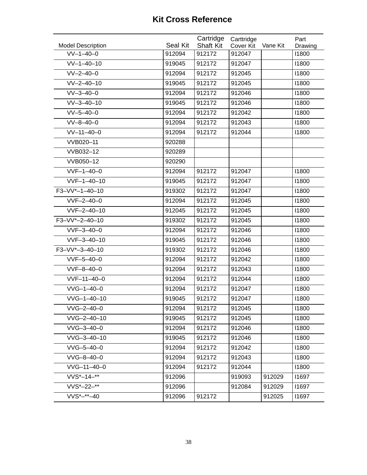|                                         |                    | Cartridge                  | Carttridge          |          | Part             |
|-----------------------------------------|--------------------|----------------------------|---------------------|----------|------------------|
| <b>Model Description</b><br>$VV-1-40-0$ | Seal Kit<br>912094 | <b>Shaft Kit</b><br>912172 | Cover Kit<br>912047 | Vane Kit | Drawing<br>11800 |
| $VV-1-40-10$                            |                    |                            |                     |          | 11800            |
|                                         | 919045             | 912172                     | 912047              |          |                  |
| $VV - 2 - 40 - 0$                       | 912094             | 912172                     | 912045              |          | 11800            |
| $VV - 2 - 40 - 10$                      | 919045             | 912172                     | 912045              |          | 11800            |
| $VV-3-40-0$                             | 912094             | 912172                     | 912046              |          | 11800            |
| $VV - 3 - 40 - 10$                      | 919045             | 912172                     | 912046              |          | 11800            |
| $VV-5-40-0$                             | 912094             | 912172                     | 912042              |          | 11800            |
| $VV - 8 - 40 - 0$                       | 912094             | 912172                     | 912043              |          | 11800            |
| $VV-11-40-0$                            | 912094             | 912172                     | 912044              |          | 11800            |
| VVB020-11                               | 920288             |                            |                     |          |                  |
| VVB032-12                               | 920289             |                            |                     |          |                  |
| VVB050-12                               | 920290             |                            |                     |          |                  |
| $VVF-1-40-0$                            | 912094             | 912172                     | 912047              |          | 11800            |
| $VVF-1-40-10$                           | 919045             | 912172                     | 912047              |          | 11800            |
| F3-VV*-1-40-10                          | 919302             | 912172                     | 912047              |          | 11800            |
| $VVF-2-40-0$                            | 912094             | 912172                     | 912045              |          | 11800            |
| VVF-2-40-10                             | 912045             | 912172                     | 912045              |          | 11800            |
| $F3-VV*-2-40-10$                        | 919302             | 912172                     | 912045              |          | 11800            |
| $VVF-3-40-0$                            | 912094             | 912172                     | 912046              |          | 11800            |
| VVF-3-40-10                             | 919045             | 912172                     | 912046              |          | 11800            |
| F3-VV*-3-40-10                          | 919302             | 912172                     | 912046              |          | 11800            |
| $VVF-5-40-0$                            | 912094             | 912172                     | 912042              |          | 11800            |
| $VVF-8-40-0$                            | 912094             | 912172                     | 912043              |          | 11800            |
| $VVF-11-40-0$                           | 912094             | 912172                     | 912044              |          | 11800            |
| $VVG-1-40-0$                            | 912094             | 912172                     | 912047              |          | 11800            |
| VVG-1-40-10                             | 919045             | 912172                     | 912047              |          | 11800            |
| $VVG - 2 - 40 - 0$                      | 912094             | 912172                     | 912045              |          | 11800            |
| VVG-2-40-10                             | 919045             | 912172                     | 912045              |          | 11800            |
| $VVG - 3 - 40 - 0$                      | 912094             | 912172                     | 912046              |          | 11800            |
| VVG-3-40-10                             | 919045             | 912172                     | 912046              |          | 11800            |
| $VVG - 5 - 40 - 0$                      | 912094             | 912172                     | 912042              |          | 11800            |
| $VVG - 8 - 40 - 0$                      | 912094             | 912172                     | 912043              |          | 11800            |
| VVG-11-40-0                             | 912094             | 912172                     | 912044              |          | 11800            |
| $VVS*-14-*$                             | 912096             |                            | 919093              | 912029   | 11697            |
| VVS*-22-**                              | 912096             |                            | 912084              | 912029   | 11697            |
| $VVS*-**-40$                            | 912096             | 912172                     |                     | 912025   | 11697            |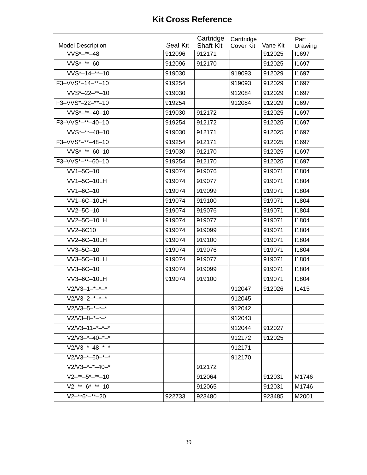| <b>Model Description</b>          | Seal Kit | Cartridge<br><b>Shaft Kit</b> | Carttridge<br>Cover Kit | Vane Kit | Part<br>Drawing |
|-----------------------------------|----------|-------------------------------|-------------------------|----------|-----------------|
| $VVS*-**-48$                      | 912096   | 912171                        |                         | 912025   | 11697           |
| $VVS*-**-60$                      | 912096   | 912170                        |                         | 912025   | 11697           |
| $VVS*-14-*-10$                    | 919030   |                               | 919093                  | 912029   | 11697           |
| F3-VVS*-14-**-10                  | 919254   |                               | 919093                  | 912029   | 11697           |
| $VVS*-22-*-10$                    | 919030   |                               | 912084                  | 912029   | 11697           |
| F3-VVS*-22-**-10                  | 919254   |                               | 912084                  | 912029   | 11697           |
| $VVS*-**-40-10$                   | 919030   | 912172                        |                         | 912025   | 11697           |
| F3-VVS*-**-40-10                  | 919254   | 912172                        |                         | 912025   | 11697           |
| $VVS*-**-48-10$                   | 919030   | 912171                        |                         | 912025   | 11697           |
| F3-VVS*-**-48-10                  | 919254   | 912171                        |                         | 912025   | 11697           |
| $VVS*-**-60-10$                   | 919030   | 912170                        |                         | 912025   | 11697           |
| F3-VVS*-**-60-10                  | 919254   | 912170                        |                         | 912025   | 11697           |
| $VV1-5C-10$                       | 919074   | 919076                        |                         | 919071   | 11804           |
| <b>VV1-5C-10LH</b>                | 919074   | 919077                        |                         | 919071   | 11804           |
| VV1-6C-10                         | 919074   | 919099                        |                         | 919071   | 11804           |
| VV1-6C-10LH                       | 919074   | 919100                        |                         | 919071   | 11804           |
| VV2-5C-10                         | 919074   | 919076                        |                         | 919071   | 11804           |
| VV2-5C-10LH                       | 919074   | 919077                        |                         | 919071   | 11804           |
| VV2-6C10                          | 919074   | 919099                        |                         | 919071   | 11804           |
| <b>VV2-6C-10LH</b>                | 919074   | 919100                        |                         | 919071   | 11804           |
| VV3-5C-10                         | 919074   | 919076                        |                         | 919071   | 11804           |
| VV3-5C-10LH                       | 919074   | 919077                        |                         | 919071   | 11804           |
| VV3-6C-10                         | 919074   | 919099                        |                         | 919071   | 11804           |
| VV3-6C-10LH                       | 919074   | 919100                        |                         | 919071   | 11804           |
| $V2/V3 - 1 - 1 - 1 - 1 - 1$       |          |                               | 912047                  | 912026   | 11415           |
| $V2/V3 - 2 - 2 - 2 - 2 - 2$       |          |                               | 912045                  |          |                 |
| $V2/V3 - 5 - - - - -$             |          |                               | 912042                  |          |                 |
| $V2/V3-8-+-*-$                    |          |                               | 912043                  |          |                 |
| $V2/V3 - 11 - (-2)$               |          |                               | 912044                  | 912027   |                 |
| $V2/V3-*-40-*-*$                  |          |                               | 912172                  | 912025   |                 |
| $V2/V3-*-48-*-*$                  |          |                               | 912171                  |          |                 |
| $V2/V3-*-60-*-*$                  |          |                               | 912170                  |          |                 |
| $V2/V3-+-*-40-*$                  |          | 912172                        |                         |          |                 |
| $V2 - 5 - 5 - 10$                 |          | 912064                        |                         | 912031   | M1746           |
| $V2 - ^{**} - 6^{*} - ^{**} - 10$ |          | 912065                        |                         | 912031   | M1746           |
| $V2 - * *6*-*20$                  | 922733   | 923480                        |                         | 923485   | M2001           |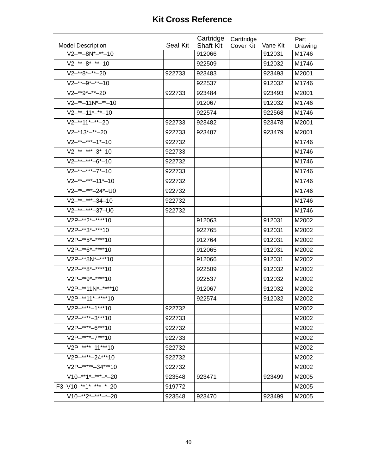| Seal Kit<br><b>Shaft Kit</b><br><b>Model Description</b><br>Vane Kit<br>Cover Kit<br>Drawing<br>$V2-***-8N*-**-10$<br>912066<br>912031<br>M1746<br>$V2-^{**}-8^{*-**}-10$<br>922509<br>912032<br>M1746<br>$V2-**8*-**-20$<br>922733<br>923483<br>923493<br>M2001<br>$V2-***-9*-**-10$<br>912032<br>922537<br>M1746<br>$V2-**9*-**-20$<br>M2001<br>922733<br>923484<br>923493 |  |  |  |
|------------------------------------------------------------------------------------------------------------------------------------------------------------------------------------------------------------------------------------------------------------------------------------------------------------------------------------------------------------------------------|--|--|--|
|                                                                                                                                                                                                                                                                                                                                                                              |  |  |  |
|                                                                                                                                                                                                                                                                                                                                                                              |  |  |  |
|                                                                                                                                                                                                                                                                                                                                                                              |  |  |  |
|                                                                                                                                                                                                                                                                                                                                                                              |  |  |  |
|                                                                                                                                                                                                                                                                                                                                                                              |  |  |  |
|                                                                                                                                                                                                                                                                                                                                                                              |  |  |  |
| $V2-***-11N*-**-10$<br>912067<br>912032<br>M1746                                                                                                                                                                                                                                                                                                                             |  |  |  |
| $V2-^{**}-11^{*-**}-10$<br>922568<br>922574<br>M1746                                                                                                                                                                                                                                                                                                                         |  |  |  |
| $V2-**11*-**-20$<br>M2001<br>922733<br>923482<br>923478                                                                                                                                                                                                                                                                                                                      |  |  |  |
| $V2 - 13 - 13 - 20$<br>923487<br>922733<br>923479<br>M2001                                                                                                                                                                                                                                                                                                                   |  |  |  |
| $V2-***-***-1*-10$<br>922732<br>M1746                                                                                                                                                                                                                                                                                                                                        |  |  |  |
| $V2-***-3*-10$<br>922733<br>M1746                                                                                                                                                                                                                                                                                                                                            |  |  |  |
| $V2-***-**-6*-10$<br>922732<br>M1746                                                                                                                                                                                                                                                                                                                                         |  |  |  |
| $V2-***-7*-10$<br>922733<br>M1746                                                                                                                                                                                                                                                                                                                                            |  |  |  |
| $V2-***-11*-10$<br>922732<br>M1746                                                                                                                                                                                                                                                                                                                                           |  |  |  |
| V2-**-***-24*-U0<br>922732<br>M1746                                                                                                                                                                                                                                                                                                                                          |  |  |  |
| $V2-***-34-10$<br>922732<br>M1746                                                                                                                                                                                                                                                                                                                                            |  |  |  |
| $\overline{V2}$ -**-***-37-U0<br>922732<br>M1746                                                                                                                                                                                                                                                                                                                             |  |  |  |
| V2P-**2*-****10<br>912063<br>912031<br>M2002                                                                                                                                                                                                                                                                                                                                 |  |  |  |
| V2P-**3*-***10<br>912031<br>M2002<br>922765                                                                                                                                                                                                                                                                                                                                  |  |  |  |
| V2P-**5*-****10<br>912764<br>912031<br>M2002                                                                                                                                                                                                                                                                                                                                 |  |  |  |
| V2P-**6*-****10<br>912031<br>M2002<br>912065                                                                                                                                                                                                                                                                                                                                 |  |  |  |
| V2P-**8N*-***10<br>M2002<br>912066<br>912031                                                                                                                                                                                                                                                                                                                                 |  |  |  |
| V2P-**8*-****10<br>922509<br>912032<br>M2002                                                                                                                                                                                                                                                                                                                                 |  |  |  |
| V2P-**9*-****10<br>M2002<br>922537<br>912032                                                                                                                                                                                                                                                                                                                                 |  |  |  |
| V2P-**11N*-****10<br>912067<br>912032<br>M2002                                                                                                                                                                                                                                                                                                                               |  |  |  |
| V2P-**11*-****10<br>922574<br>912032<br>M2002                                                                                                                                                                                                                                                                                                                                |  |  |  |
| V2P-****-1***10<br>M2002<br>922732                                                                                                                                                                                                                                                                                                                                           |  |  |  |
| V2P-****-3***10<br>M2002<br>922733                                                                                                                                                                                                                                                                                                                                           |  |  |  |
| V2P-****-6***10<br>922732<br>M2002                                                                                                                                                                                                                                                                                                                                           |  |  |  |
| $V2P-***-7***10$<br>922733<br>M2002                                                                                                                                                                                                                                                                                                                                          |  |  |  |
| V2P-****-11***10<br>922732<br>M2002                                                                                                                                                                                                                                                                                                                                          |  |  |  |
| V2P-****-24***10<br>922732<br>M2002                                                                                                                                                                                                                                                                                                                                          |  |  |  |
| V2P-*****-34***10<br>922732<br>M2002                                                                                                                                                                                                                                                                                                                                         |  |  |  |
| $V10-***1*-***-*-20$<br>923548<br>923471<br>M2005<br>923499                                                                                                                                                                                                                                                                                                                  |  |  |  |
| F3-V10-**1*-***-*-20<br>919772<br>M2005                                                                                                                                                                                                                                                                                                                                      |  |  |  |
| $V10-***2****-*20$<br>923548<br>923470<br>923499<br>M2005                                                                                                                                                                                                                                                                                                                    |  |  |  |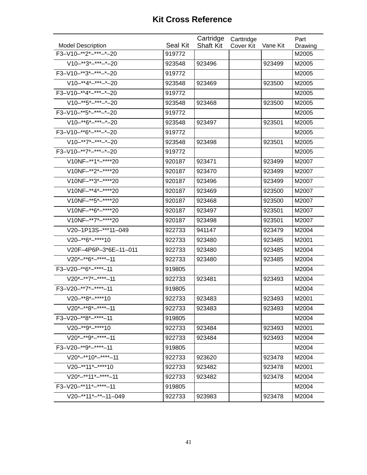| <b>Model Description</b> | <b>Seal Kit</b> | Cartridge<br><b>Shaft Kit</b> | Carttridge<br>Cover Kit | Vane Kit | Part<br>Drawing |
|--------------------------|-----------------|-------------------------------|-------------------------|----------|-----------------|
| F3-V10-**2*-***-*-20     | 919772          |                               |                         |          | M2005           |
| $V10-**3*-**-*-20$       | 923548          | 923496                        |                         | 923499   | M2005           |
| F3-V10-**3*-***-*-20     | 919772          |                               |                         |          | M2005           |
| $V10-**4*-**-*-20$       | 923548          | 923469                        |                         | 923500   | M2005           |
| F3-V10-**4*-***-*-20     | 919772          |                               |                         |          | M2005           |
| $V10-***5*-***-20$       | 923548          | 923468                        |                         | 923500   | M2005           |
| F3-V10-**5*-***-*-20     | 919772          |                               |                         |          | M2005           |
| $V10-***6*-***-*-20$     | 923548          | 923497                        |                         | 923501   | M2005           |
| F3-V10-**6*-***-*-20     | 919772          |                               |                         |          | M2005           |
| $V10-***7*-***-20$       | 923548          | 923498                        |                         | 923501   | M2005           |
| F3-V10-**7*-***-*-20     | 919772          |                               |                         |          | M2005           |
| V10NF-**1*-****20        | 920187          | 923471                        |                         | 923499   | M2007           |
| V10NF-**2*-****20        | 920187          | 923470                        |                         | 923499   | M2007           |
| V10NF-**3*-****20        | 920187          | 923496                        |                         | 923499   | M2007           |
| V10NF-**4*-****20        | 920187          | 923469                        |                         | 923500   | M2007           |
| V10NF-**5*-*****20       | 920187          | 923468                        |                         | 923500   | M2007           |
| V10NF-**6*-*****20       | 920187          | 923497                        |                         | 923501   | M2007           |
| V10NF-**7*-****20        | 920187          | 923498                        |                         | 923501   | M2007           |
| V20-1P13S-***11-049      | 922733          | 941147                        |                         | 923479   | M2004           |
| $V20-**6*-***10$         | 922733          | 923480                        |                         | 923485   | M2001           |
| V20F-4P6P-3*6E-11-011    | 922733          | 923480                        |                         | 923485   | M2004           |
| $V20*-**6*-***-11$       | 922733          | 923480                        |                         | 923485   | M2004           |
| F3-V20-**6*-****-11      | 919805          |                               |                         |          | M2004           |
| $V20*-*7*-***-11$        | 922733          | 923481                        |                         | 923493   | M2004           |
| F3-V20-**7*-****-11      | 919805          |                               |                         |          | M2004           |
| $V20-***8*-***10$        | 922733          | 923483                        |                         | 923493   | M2001           |
| $V20^*$ -**8* -**** -11  | 922733          | 923483                        |                         | 923493   | M2004           |
| F3-V20-**8*-****-11      | 919805          |                               |                         |          | M2004           |
| $V20-**9*-***10$         | 922733          | 923484                        |                         | 923493   | M2001           |
| $V20*-**9*-***-11$       | 922733          | 923484                        |                         | 923493   | M2004           |
| F3-V20-**9*-*****-11     | 919805          |                               |                         |          | M2004           |
| $V20*-**10*-***-11$      | 922733          | 923620                        |                         | 923478   | M2004           |
| V20-**11*-****10         | 922733          | 923482                        |                         | 923478   | M2001           |
| $V20*-**11*-***-11$      | 922733          | 923482                        |                         | 923478   | M2004           |
| F3-V20-**11*-****-11     | 919805          |                               |                         |          | M2004           |
| $V20-**11*-**-11-049$    | 922733          | 923983                        |                         | 923478   | M2004           |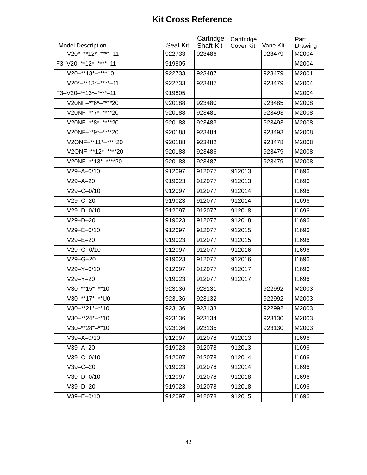|                                  |          | Cartridge        | Carttridge |          | Part    |
|----------------------------------|----------|------------------|------------|----------|---------|
| <b>Model Description</b>         | Seal Kit | <b>Shaft Kit</b> | Cover Kit  | Vane Kit | Drawing |
| $V20*-**12*-***-11$              | 922733   | 923486           |            | 923479   | M2004   |
| F3-V20-**12*-****-11             | 919805   |                  |            |          | M2004   |
| $V20-**13*-***10$                | 922733   | 923487           |            | 923479   | M2001   |
| $\overline{V20}$ *-**13*-****-11 | 922733   | 923487           |            | 923479   | M2004   |
| F3-V20-**13*-****-11             | 919805   |                  |            |          | M2004   |
| V20NF-**6*-****20                | 920188   | 923480           |            | 923485   | M2008   |
| V20NF-**7*-****20                | 920188   | 923481           |            | 923493   | M2008   |
| V20NF-**8*-****20                | 920188   | 923483           |            | 923493   | M2008   |
| V20NF-**9*-****20                | 920188   | 923484           |            | 923493   | M2008   |
| V2ONF-**11*-****20               | 920188   | 923482           |            | 923478   | M2008   |
| V2ONF-**12*-****20               | 920188   | 923486           |            | 923479   | M2008   |
| V20NF-**13*-*****20              | 920188   | 923487           |            | 923479   | M2008   |
| $V29 - A - 0/10$                 | 912097   | 912077           | 912013     |          | 11696   |
| $V29 - A - 20$                   | 919023   | 912077           | 912013     |          | 11696   |
| $V29 - C - 0/10$                 | 912097   | 912077           | 912014     |          | 11696   |
| $V29 - C - 20$                   | 919023   | 912077           | 912014     |          | 11696   |
| $V29-D-0/10$                     | 912097   | 912077           | 912018     |          | 11696   |
| $V29-D-20$                       | 919023   | 912077           | 912018     |          | 11696   |
| $V29 - E - 0/10$                 | 912097   | 912077           | 912015     |          | 11696   |
| $V29 - E - 20$                   | 919023   | 912077           | 912015     |          | 11696   |
| $V29 - G - 0/10$                 | 912097   | 912077           | 912016     |          | 11696   |
| $V29 - G - 20$                   | 919023   | 912077           | 912016     |          | 11696   |
| $V29 - Y - 0/10$                 | 912097   | 912077           | 912017     |          | 11696   |
| $V29 - Y - 20$                   | 919023   | 912077           | 912017     |          | 11696   |
| $V30-**15*-**10$                 | 923136   | 923131           |            | 922992   | M2003   |
| V30-**17*-**U0                   | 923136   | 923132           |            | 922992   | M2003   |
| $V30-**21*-**10$                 | 923136   | 923133           |            | 922992   | M2003   |
| $V30-**24*-**10$                 | 923136   | 923134           |            | 923130   | M2003   |
| $V30-***28*-**10$                | 923136   | 923135           |            | 923130   | M2003   |
| $V39 - A - 0/10$                 | 912097   | 912078           | 912013     |          | 11696   |
| $V39 - A - 20$                   | 919023   | 912078           | 912013     |          | 11696   |
| $V39 - C - 0/10$                 | 912097   | 912078           | 912014     |          | 11696   |
| $V39-C-20$                       | 919023   | 912078           | 912014     |          | 11696   |
| $V39-D-0/10$                     | 912097   | 912078           | 912018     |          | 11696   |
| $V39-D-20$                       | 919023   | 912078           | 912018     |          | 11696   |
| $V39 - E - 0/10$                 | 912097   | 912078           | 912015     |          | 11696   |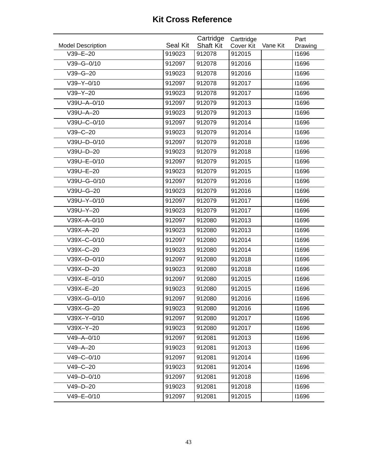| <b>Model Description</b> | Seal Kit | Cartridge<br><b>Shaft Kit</b> | Carttridge<br>Cover Kit | Vane Kit | Part<br>Drawing |
|--------------------------|----------|-------------------------------|-------------------------|----------|-----------------|
| $V39 - E - 20$           | 919023   | 912078                        | 912015                  |          | 11696           |
| $V39 - G - 0/10$         | 912097   | 912078                        | 912016                  |          | 11696           |
| $V39 - G - 20$           | 919023   | 912078                        | 912016                  |          | 11696           |
| $V39 - Y - 0/10$         | 912097   | 912078                        | 912017                  |          | 11696           |
| $V39 - Y - 20$           | 919023   | 912078                        | 912017                  |          | 11696           |
| V39U-A-0/10              | 912097   | 912079                        | 912013                  |          | 11696           |
| V39U-A-20                | 919023   | 912079                        | 912013                  |          | 11696           |
| V39U-C-0/10              | 912097   | 912079                        | 912014                  |          | 11696           |
| $V39 - C - 20$           | 919023   | 912079                        | 912014                  |          | 11696           |
| V39U-D-0/10              | 912097   | 912079                        | 912018                  |          | 11696           |
| V39U-D-20                | 919023   | 912079                        | 912018                  |          | 11696           |
| V39U-E-0/10              | 912097   | 912079                        | 912015                  |          | 11696           |
| V39U-E-20                | 919023   | 912079                        | 912015                  |          | 11696           |
| V39U-G-0/10              | 912097   | 912079                        | 912016                  |          | 11696           |
| V39U-G-20                | 919023   | 912079                        | 912016                  |          | 11696           |
| V39U-Y-0/10              | 912097   | 912079                        | 912017                  |          | 11696           |
| V39U-Y-20                | 919023   | 912079                        | 912017                  |          | 11696           |
| V39X-A-0/10              | 912097   | 912080                        | 912013                  |          | 11696           |
| $V39X-A-20$              | 919023   | 912080                        | 912013                  |          | 11696           |
| V39X-C-0/10              | 912097   | 912080                        | 912014                  |          | 11696           |
| V39X-C-20                | 919023   | 912080                        | 912014                  |          | 11696           |
| V39X-D-0/10              | 912097   | 912080                        | 912018                  |          | 11696           |
| V39X-D-20                | 919023   | 912080                        | 912018                  |          | 11696           |
| V39X-E-0/10              | 912097   | 912080                        | 912015                  |          | 11696           |
| V39X-E-20                | 919023   | 912080                        | 912015                  |          | 11696           |
| V39X-G-0/10              | 912097   | 912080                        | 912016                  |          | 11696           |
| $V39X-G-20$              | 919023   | 912080                        | 912016                  |          | 11696           |
| V39X-Y-0/10              | 912097   | 912080                        | 912017                  |          | 11696           |
| V39X-Y-20                | 919023   | 912080                        | 912017                  |          | 11696           |
| $V49 - A - 0/10$         | 912097   | 912081                        | 912013                  |          | 11696           |
| $V49 - A - 20$           | 919023   | 912081                        | 912013                  |          | 11696           |
| $V49-C-0/10$             | 912097   | 912081                        | 912014                  |          | 11696           |
| $V49 - C - 20$           | 919023   | 912081                        | 912014                  |          | 11696           |
| $V49 - D - 0/10$         | 912097   | 912081                        | 912018                  |          | 11696           |
| $V49-D-20$               | 919023   | 912081                        | 912018                  |          | 11696           |
| $V49 - E - 0/10$         | 912097   | 912081                        | 912015                  |          | 11696           |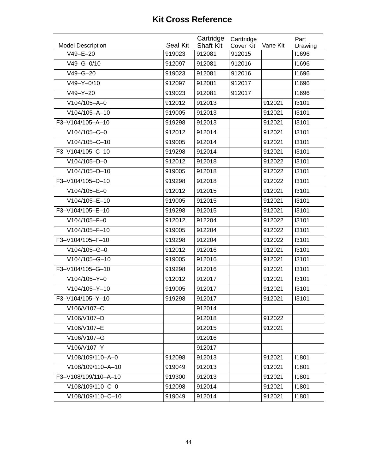|                                            |                    | Cartridge                  | Carttridge                 |          | Part             |
|--------------------------------------------|--------------------|----------------------------|----------------------------|----------|------------------|
| <b>Model Description</b><br>$V49 - E - 20$ | Seal Kit<br>919023 | <b>Shaft Kit</b><br>912081 | <b>Cover Kit</b><br>912015 | Vane Kit | Drawing<br>11696 |
| $V49 - G - 0/10$                           | 912097             | 912081                     | 912016                     |          | 11696            |
| $V49 - G - 20$                             | 919023             | 912081                     | 912016                     |          | 11696            |
|                                            |                    |                            |                            |          |                  |
| $V49 - Y - 0/10$                           | 912097             | 912081                     | 912017                     |          | 11696            |
| $V49-Y-20$                                 | 919023             | 912081                     | 912017                     |          | 11696            |
| $V104/105 - A - 0$                         | 912012             | 912013                     |                            | 912021   | 13101            |
| $V104/105 - A - 10$                        | 919005             | 912013                     |                            | 912021   | 13101            |
| F3-V104/105-A-10                           | 919298             | 912013                     |                            | 912021   | 13101            |
| V104/105-C-0                               | 912012             | 912014                     |                            | 912021   | 13101            |
| V104/105-C-10                              | 919005             | 912014                     |                            | 912021   | 13101            |
| F3-V104/105-C-10                           | 919298             | 912014                     |                            | 912021   | 13101            |
| $V104/105-D-0$                             | 912012             | 912018                     |                            | 912022   | 13101            |
| V104/105-D-10                              | 919005             | 912018                     |                            | 912022   | 13101            |
| F3-V104/105-D-10                           | 919298             | 912018                     |                            | 912022   | 13101            |
| $V104/105 - E - 0$                         | 912012             | 912015                     |                            | 912021   | 13101            |
| V104/105-E-10                              | 919005             | 912015                     |                            | 912021   | 13101            |
| F3-V104/105-E-10                           | 919298             | 912015                     |                            | 912021   | 13101            |
| V104/105-F-0                               | 912012             | 912204                     |                            | 912022   | 13101            |
| V104/105-F-10                              | 919005             | 912204                     |                            | 912022   | 13101            |
| F3-V104/105-F-10                           | 919298             | 912204                     |                            | 912022   | 13101            |
| V104/105-G-0                               | 912012             | 912016                     |                            | 912021   | 13101            |
| V104/105-G-10                              | 919005             | 912016                     |                            | 912021   | 13101            |
| F3-V104/105-G-10                           | 919298             | 912016                     |                            | 912021   | 13101            |
| V104/105-Y-0                               | 912012             | 912017                     |                            | 912021   | 13101            |
| V104/105-Y-10                              | 919005             | 912017                     |                            | 912021   | 13101            |
| F3-V104/105-Y-10                           | 919298             | 912017                     |                            | 912021   | 13101            |
| V106/V107-C                                |                    | 912014                     |                            |          |                  |
| V106/V107-D                                |                    | 912018                     |                            | 912022   |                  |
| V106/V107-E                                |                    | 912015                     |                            | 912021   |                  |
| V106/V107-G                                |                    | 912016                     |                            |          |                  |
| V106/V107-Y                                |                    | 912017                     |                            |          |                  |
| V108/109/110-A-0                           | 912098             | 912013                     |                            | 912021   | 11801            |
| V108/109/110-A-10                          | 919049             | 912013                     |                            | 912021   | 11801            |
| F3-V108/109/110-A-10                       | 919300             | 912013                     |                            | 912021   | 11801            |
| V108/109/110-C-0                           | 912098             | 912014                     |                            | 912021   | 11801            |
| V108/109/110-C-10                          | 919049             | 912014                     |                            | 912021   | 11801            |
|                                            |                    |                            |                            |          |                  |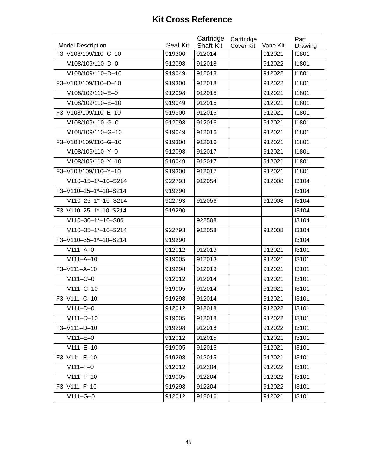|                                                  | Seal Kit | Cartridge                  | Carttridge       | Vane Kit | Part             |
|--------------------------------------------------|----------|----------------------------|------------------|----------|------------------|
| <b>Model Description</b><br>F3-V108/109/110-C-10 | 919300   | <b>Shaft Kit</b><br>912014 | <b>Cover Kit</b> | 912021   | Drawing<br>11801 |
| V108/109/110-D-0                                 | 912098   | 912018                     |                  | 912022   | 11801            |
|                                                  |          |                            |                  |          |                  |
| V108/109/110-D-10                                | 919049   | 912018                     |                  | 912022   | 11801            |
| F3-V108/109/110-D-10                             | 919300   | 912018                     |                  | 912022   | 11801            |
| V108/109/110-E-0                                 | 912098   | 912015                     |                  | 912021   | 11801            |
| V108/109/110-E-10                                | 919049   | 912015                     |                  | 912021   | 11801            |
| F3-V108/109/110-E-10                             | 919300   | 912015                     |                  | 912021   | 11801            |
| V108/109/110-G-0                                 | 912098   | 912016                     |                  | 912021   | 11801            |
| V108/109/110-G-10                                | 919049   | 912016                     |                  | 912021   | 11801            |
| F3-V108/109/110-G-10                             | 919300   | 912016                     |                  | 912021   | 11801            |
| V108/109/110-Y-0                                 | 912098   | 912017                     |                  | 912021   | 11801            |
| V108/109/110-Y-10                                | 919049   | 912017                     |                  | 912021   | 11801            |
| F3-V108/109/110-Y-10                             | 919300   | 912017                     |                  | 912021   | 11801            |
| V110-15-1*-10-S214                               | 922793   | 912054                     |                  | 912008   | 13104            |
| F3-V110-15-1*-10-S214                            | 919290   |                            |                  |          | 13104            |
| V110-25-1*-10-S214                               | 922793   | 912056                     |                  | 912008   | 13104            |
| F3-V110-25-1*-10-S214                            | 919290   |                            |                  |          | 13104            |
| V110-30-1*-10-S86                                |          | 922508                     |                  |          | 13104            |
| V110-35-1*-10-S214                               | 922793   | 912058                     |                  | 912008   | 13104            |
| F3-V110-35-1*-10-S214                            | 919290   |                            |                  |          | 13104            |
| $V111 - A - 0$                                   | 912012   | 912013                     |                  | 912021   | 13101            |
| $V111 - A - 10$                                  | 919005   | 912013                     |                  | 912021   | 13101            |
| F3-V111-A-10                                     | 919298   | 912013                     |                  | 912021   | 13101            |
| $V111-C-0$                                       | 912012   | 912014                     |                  | 912021   | 13101            |
| $V111-C-10$                                      | 919005   | 912014                     |                  | 912021   | 13101            |
| F3-V111-C-10                                     | 919298   | 912014                     |                  | 912021   | 13101            |
| $V111-D-0$                                       | 912012   | 912018                     |                  | 912022   | 13101            |
| $V111-D-10$                                      | 919005   | 912018                     |                  | 912022   | 13101            |
| F3-V111-D-10                                     | 919298   | 912018                     |                  | 912022   | 13101            |
| $V111-E-0$                                       | 912012   | 912015                     |                  | 912021   | 13101            |
| $V111 - E - 10$                                  | 919005   | 912015                     |                  | 912021   | 13101            |
| F3-V111-E-10                                     | 919298   | 912015                     |                  | 912021   | 13101            |
| $V111 - F - 0$                                   | 912012   | 912204                     |                  | 912022   | 13101            |
| $V111-F-10$                                      | 919005   | 912204                     |                  | 912022   | 13101            |
| F3-V111-F-10                                     | 919298   | 912204                     |                  | 912022   | 13101            |
| $V111-G-0$                                       | 912012   | 912016                     |                  | 912021   | 13101            |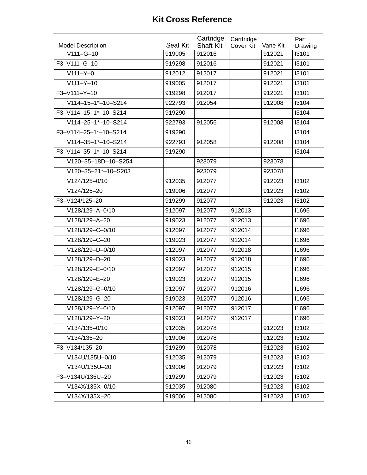| <b>Model Description</b> | Seal Kit | Cartridge<br><b>Shaft Kit</b> | Carttridge<br><b>Cover Kit</b> | Vane Kit | Part<br>Drawing |
|--------------------------|----------|-------------------------------|--------------------------------|----------|-----------------|
| $V111-G-10$              | 919005   | 912016                        |                                | 912021   | 13101           |
| F3-V111-G-10             | 919298   | 912016                        |                                | 912021   | 13101           |
| $V111 - Y - 0$           | 912012   | 912017                        |                                | 912021   | 13101           |
| $V111 - Y - 10$          | 919005   | 912017                        |                                | 912021   | 13101           |
| F3-V111-Y-10             | 919298   | 912017                        |                                | 912021   | 13101           |
| V114-15-1*-10-S214       | 922793   | 912054                        |                                | 912008   | 13104           |
| F3-V114-15-1*-10-S214    | 919290   |                               |                                |          | 13104           |
| V114-25-1*-10-S214       | 922793   | 912056                        |                                | 912008   | 13104           |
| F3-V114-25-1*-10-S214    | 919290   |                               |                                |          | 13104           |
| V114-35-1*-10-S214       | 922793   | 912058                        |                                | 912008   | 13104           |
| F3-V114-35-1*-10-S214    | 919290   |                               |                                |          | 13104           |
| V120-35-18D-10-S254      |          | 923079                        |                                | 923078   |                 |
| V120-35-21*-10-S203      |          | 923079                        |                                | 923078   |                 |
| V124/125-0/10            | 912035   | 912077                        |                                | 912023   | 13102           |
| V124/125-20              | 919006   | 912077                        |                                | 912023   | 13102           |
| F3-V124/125-20           | 919299   | 912077                        |                                | 912023   | 13102           |
| V128/129-A-0/10          | 912097   | 912077                        | 912013                         |          | 11696           |
| V128/129-A-20            | 919023   | 912077                        | 912013                         |          | 11696           |
| V128/129-C-0/10          | 912097   | 912077                        | 912014                         |          | 11696           |
| V128/129-C-20            | 919023   | 912077                        | 912014                         |          | 11696           |
| V128/129-D-0/10          | 912097   | 912077                        | 912018                         |          | 11696           |
| V128/129-D-20            | 919023   | 912077                        | 912018                         |          | 11696           |
| V128/129-E-0/10          | 912097   | 912077                        | 912015                         |          | 11696           |
| V128/129-E-20            | 919023   | 912077                        | 912015                         |          | 11696           |
| V128/129-G-0/10          | 912097   | 912077                        | 912016                         |          | 11696           |
| V128/129-G-20            | 919023   | 912077                        | 912016                         |          | 11696           |
| V128/129-Y-0/10          | 912097   | 912077                        | 912017                         |          | 11696           |
| V128/129-Y-20            | 919023   | 912077                        | 912017                         |          | 11696           |
| V134/135-0/10            | 912035   | 912078                        |                                | 912023   | 13102           |
| V134/135-20              | 919006   | 912078                        |                                | 912023   | 13102           |
| F3-V134/135-20           | 919299   | 912078                        |                                | 912023   | 13102           |
| V134U/135U-0/10          | 912035   | 912079                        |                                | 912023   | 13102           |
| V134U/135U-20            | 919006   | 912079                        |                                | 912023   | 13102           |
| F3-V134U/135U-20         | 919299   | 912079                        |                                | 912023   | 13102           |
| V134X/135X-0/10          | 912035   | 912080                        |                                | 912023   | 13102           |
| V134X/135X-20            | 919006   | 912080                        |                                | 912023   | 13102           |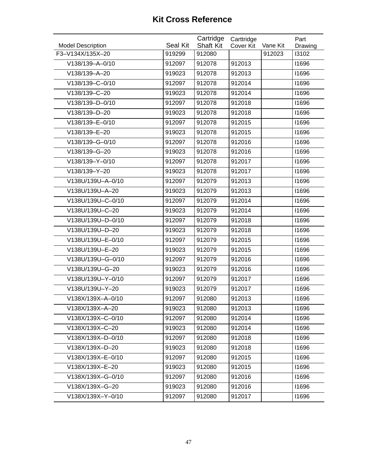| <b>Model Description</b> | Seal Kit | Cartridge<br><b>Shaft Kit</b> | Carttridge<br>Cover Kit | Vane Kit | Part<br>Drawing |
|--------------------------|----------|-------------------------------|-------------------------|----------|-----------------|
| F3-V134X/135X-20         | 919299   | 912080                        |                         | 912023   | 13102           |
| V138/139-A-0/10          | 912097   | 912078                        | 912013                  |          | 11696           |
| V138/139-A-20            | 919023   | 912078                        | 912013                  |          | 11696           |
| V138/139-C-0/10          | 912097   | 912078                        | 912014                  |          | 11696           |
| V138/139-C-20            | 919023   | 912078                        | 912014                  |          | 11696           |
| V138/139-D-0/10          | 912097   | 912078                        | 912018                  |          | 11696           |
| V138/139-D-20            | 919023   | 912078                        | 912018                  |          | 11696           |
| V138/139-E-0/10          | 912097   | 912078                        | 912015                  |          | 11696           |
| V138/139-E-20            | 919023   | 912078                        | 912015                  |          | 11696           |
| V138/139-G-0/10          | 912097   | 912078                        | 912016                  |          | 11696           |
| V138/139-G-20            | 919023   | 912078                        | 912016                  |          | 11696           |
| V138/139-Y-0/10          | 912097   | 912078                        | 912017                  |          | 11696           |
| V138/139-Y-20            | 919023   | 912078                        | 912017                  |          | 11696           |
| V138U/139U-A-0/10        | 912097   | 912079                        | 912013                  |          | 11696           |
| V138U/139U-A-20          | 919023   | 912079                        | 912013                  |          | 11696           |
| V138U/139U-C-0/10        | 912097   | 912079                        | 912014                  |          | 11696           |
| V138U/139U-C-20          | 919023   | 912079                        | 912014                  |          | 11696           |
| V138U/139U-D-0/10        | 912097   | 912079                        | 912018                  |          | 11696           |
| V138U/139U-D-20          | 919023   | 912079                        | 912018                  |          | 11696           |
| V138U/139U-E-0/10        | 912097   | 912079                        | 912015                  |          | 11696           |
| V138U/139U-E-20          | 919023   | 912079                        | 912015                  |          | 11696           |
| V138U/139U-G-0/10        | 912097   | 912079                        | 912016                  |          | 11696           |
| V138U/139U-G-20          | 919023   | 912079                        | 912016                  |          | 11696           |
| V138U/139U-Y-0/10        | 912097   | 912079                        | 912017                  |          | 11696           |
| V138U/139U-Y-20          | 919023   | 912079                        | 912017                  |          | 11696           |
| V138X/139X-A-0/10        | 912097   | 912080                        | 912013                  |          | 11696           |
| V138X/139X-A-20          | 919023   | 912080                        | 912013                  |          | 11696           |
| V138X/139X-C-0/10        | 912097   | 912080                        | 912014                  |          | 11696           |
| V138X/139X-C-20          | 919023   | 912080                        | 912014                  |          | 11696           |
| V138X/139X-D-0/10        | 912097   | 912080                        | 912018                  |          | 11696           |
| V138X/139X-D-20          | 919023   | 912080                        | 912018                  |          | 11696           |
| V138X/139X-E-0/10        | 912097   | 912080                        | 912015                  |          | 11696           |
| V138X/139X-E-20          | 919023   | 912080                        | 912015                  |          | 11696           |
| V138X/139X-G-0/10        | 912097   | 912080                        | 912016                  |          | 11696           |
| V138X/139X-G-20          | 919023   | 912080                        | 912016                  |          | 11696           |
| V138X/139X-Y-0/10        | 912097   | 912080                        | 912017                  |          | 11696           |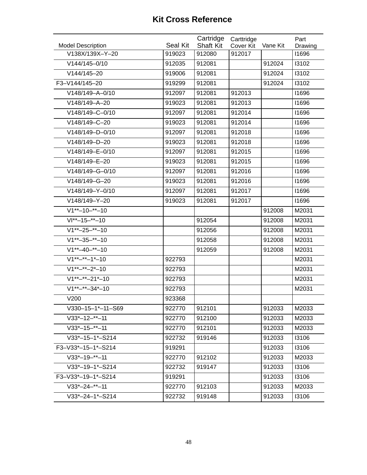| <b>Model Description</b>    | Seal Kit | Cartridge<br><b>Shaft Kit</b> | Carttridge<br>Cover Kit | Vane Kit | Part<br>Drawing |
|-----------------------------|----------|-------------------------------|-------------------------|----------|-----------------|
| V138X/139X-Y-20             | 919023   | 912080                        | 912017                  |          | 11696           |
| V144/145-0/10               | 912035   | 912081                        |                         | 912024   | 13102           |
| V144/145-20                 | 919006   | 912081                        |                         | 912024   | 13102           |
| F3-V144/145-20              | 919299   | 912081                        |                         | 912024   | 13102           |
| V148/149-A-0/10             | 912097   | 912081                        | 912013                  |          | 11696           |
| V148/149-A-20               | 919023   | 912081                        | 912013                  |          | 11696           |
| V148/149-C-0/10             | 912097   | 912081                        | 912014                  |          | 11696           |
| V148/149-C-20               | 919023   | 912081                        | 912014                  |          | 11696           |
| V148/149-D-0/10             | 912097   | 912081                        | 912018                  |          | 11696           |
| V148/149-D-20               | 919023   | 912081                        | 912018                  |          | 11696           |
| V148/149-E-0/10             | 912097   | 912081                        | 912015                  |          | 11696           |
| V148/149-E-20               | 919023   | 912081                        | 912015                  |          | 11696           |
| V148/149-G-0/10             | 912097   | 912081                        | 912016                  |          | 11696           |
| V148/149-G-20               | 919023   | 912081                        | 912016                  |          | 11696           |
| V148/149-Y-0/10             | 912097   | 912081                        | 912017                  |          | 11696           |
| V148/149-Y-20               | 919023   | 912081                        | 912017                  |          | 11696           |
| $V1^{**}-10-*-10$           |          |                               |                         | 912008   | M2031           |
| $VI^{**}-15-**-10$          |          | 912054                        |                         | 912008   | M2031           |
| $V1^{**}-25-*-10$           |          | 912056                        |                         | 912008   | M2031           |
| $V1^{**}-35-**-10$          |          | 912058                        |                         | 912008   | M2031           |
| $V1^{**}-40-*-10$           |          | 912059                        |                         | 912008   | M2031           |
| $V1^{**-**}-1*-10$          | 922793   |                               |                         |          | M2031           |
| $V1^{**}-**-2*-10$          | 922793   |                               |                         |          | M2031           |
| $V1^{**-**}-21^{*-10}$      | 922793   |                               |                         |          | M2031           |
| $V1^{**}$ -**-34*-10        | 922793   |                               |                         |          | M2031           |
| V200                        | 923368   |                               |                         |          |                 |
| $V330 - 15 - 1* - 11 - S69$ | 922770   | 912101                        |                         | 912033   | M2033           |
| $V33*-12-*-11$              | 922770   | 912100                        |                         | 912033   | M2033           |
| $V33*-15-**-11$             | 922770   | 912101                        |                         | 912033   | M2033           |
| $V33*-15-1*-S214$           | 922732   | 919146                        |                         | 912033   | 13106           |
| F3-V33*-15-1*-S214          | 919291   |                               |                         | 912033   | 13106           |
| $V33*-19-*-11$              | 922770   | 912102                        |                         | 912033   | M2033           |
| $V33*-19-1*-S214$           | 922732   | 919147                        |                         | 912033   | 13106           |
| F3-V33*-19-1*-S214          | 919291   |                               |                         | 912033   | 13106           |
| $V33*-24-*-11$              | 922770   | 912103                        |                         | 912033   | M2033           |
| $V33*-24-1*-S214$           | 922732   | 919148                        |                         | 912033   | 13106           |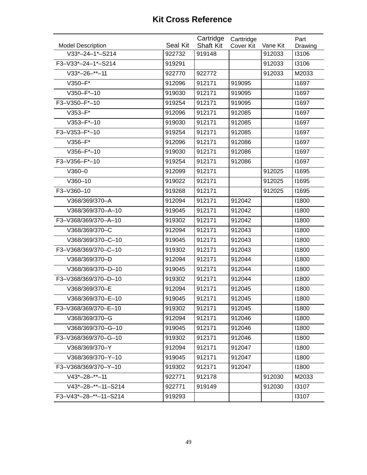| <b>Model Description</b> | Seal Kit | Cartridge<br><b>Shaft Kit</b> | Carttridge<br>Cover Kit | Vane Kit | Part             |
|--------------------------|----------|-------------------------------|-------------------------|----------|------------------|
| $V33*-24-1*-S214$        | 922732   | 919148                        |                         | 912033   | Drawing<br>13106 |
| F3-V33*-24-1*-S214       | 919291   |                               |                         | 912033   | 13106            |
| $V33*-26-^{**}-11$       | 922770   | 922772                        |                         | 912033   | M2033            |
| V350-F*                  | 912096   | 912171                        | 919095                  |          | 11697            |
| $V350 - F*-10$           | 919030   | 912171                        | 919095                  |          | 11697            |
| F3-V350-F*-10            | 919254   | 912171                        | 919095                  |          | 11697            |
| V353-F*                  | 912096   | 912171                        | 912085                  |          | 11697            |
| $V353 - F*-10$           | 919030   | 912171                        | 912085                  |          | 11697            |
| F3-V353-F*-10            | 919254   | 912171                        | 912085                  |          | 11697            |
| V356-F*                  | 912096   | 912171                        | 912086                  |          | 11697            |
| $V356 - F*-10$           | 919030   | 912171                        | 912086                  |          | 11697            |
| F3-V356-F*-10            |          | 912171                        |                         |          | 11697            |
|                          | 919254   |                               | 912086                  |          |                  |
| $V360 - 0$               | 912099   | 912171                        |                         | 912025   | 11695            |
| $V360 - 10$              | 919022   | 912171                        |                         | 912025   | 11695            |
| F3-V360-10               | 919268   | 912171                        |                         | 912025   | 11695            |
| V368/369/370-A           | 912094   | 912171                        | 912042                  |          | 11800            |
| V368/369/370-A-10        | 919045   | 912171                        | 912042                  |          | 11800            |
| F3-V368/369/370-A-10     | 919302   | 912171                        | 912042                  |          | 11800            |
| V368/369/370-C           | 912094   | 912171                        | 912043                  |          | 11800            |
| V368/369/370-C-10        | 919045   | 912171                        | 912043                  |          | 11800            |
| F3-V368/369/370-C-10     | 919302   | 912171                        | 912043                  |          | 11800            |
| V368/369/370-D           | 912094   | 912171                        | 912044                  |          | 11800            |
| V368/369/370-D-10        | 919045   | 912171                        | 912044                  |          | 11800            |
| F3-V368/369/370-D-10     | 919302   | 912171                        | 912044                  |          | 11800            |
| V368/369/370-E           | 912094   | 912171                        | 912045                  |          | 11800            |
| V368/369/370-E-10        | 919045   | 912171                        | 912045                  |          | 11800            |
| F3-V368/369/370-E-10     | 919302   | 912171                        | 912045                  |          | 11800            |
| V368/369/370-G           | 912094   | 912171                        | 912046                  |          | 11800            |
| V368/369/370-G-10        | 919045   | 912171                        | 912046                  |          | 11800            |
| F3-V368/369/370-G-10     | 919302   | 912171                        | 912046                  |          | 11800            |
| V368/369/370-Y           | 912094   | 912171                        | 912047                  |          | 11800            |
| V368/369/370-Y-10        | 919045   | 912171                        | 912047                  |          | 11800            |
| F3-V368/369/370-Y-10     | 919302   | 912171                        | 912047                  |          | 11800            |
| $V43*-28-*-11$           | 922771   | 912178                        |                         | 912030   | M2033            |
| $V43*-28-**-11-S214$     | 922771   | 919149                        |                         | 912030   | 13107            |
| F3-V43*-28-**-11-S214    | 919293   |                               |                         |          | 13107            |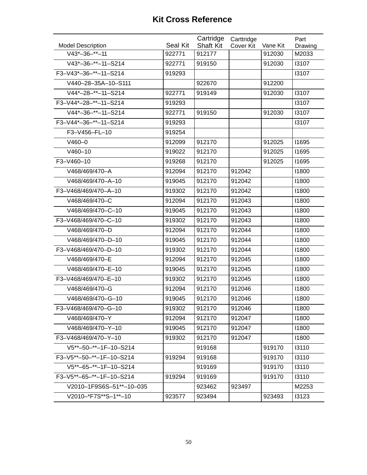| <b>Model Description</b> | Seal Kit | Cartridge<br><b>Shaft Kit</b> | Carttridge<br>Cover Kit | Vane Kit | Part<br>Drawing |
|--------------------------|----------|-------------------------------|-------------------------|----------|-----------------|
| $V43*-36-***-11$         | 922771   | 912177                        |                         | 912030   | M2033           |
| $V43*-36-**-11-S214$     | 922771   | 919150                        |                         | 912030   | 13107           |
| F3-V43*-36-**-11-S214    | 919293   |                               |                         |          | 13107           |
| V440-28-35A-10-S111      |          | 922670                        |                         | 912200   |                 |
| V44*-28-**-11-S214       | 922771   | 919149                        |                         | 912030   | 13107           |
| F3-V44*-28-**-11-S214    | 919293   |                               |                         |          | 13107           |
| $V44*-36-**-11-S214$     | 922771   | 919150                        |                         | 912030   | 13107           |
| F3-V44*-36-**-11-S214    | 919293   |                               |                         |          | 13107           |
| F3-V456-FL-10            | 919254   |                               |                         |          |                 |
| $V460 - 0$               | 912099   | 912170                        |                         | 912025   | 11695           |
| $V460 - 10$              | 919022   | 912170                        |                         | 912025   | <b>I1695</b>    |
| F3-V460-10               | 919268   | 912170                        |                         | 912025   | 11695           |
| V468/469/470-A           | 912094   | 912170                        | 912042                  |          | 11800           |
| V468/469/470-A-10        | 919045   | 912170                        | 912042                  |          | 11800           |
| F3-V468/469/470-A-10     | 919302   | 912170                        | 912042                  |          | 11800           |
| V468/469/470-C           | 912094   | 912170                        | 912043                  |          | 11800           |
| V468/469/470-C-10        | 919045   | 912170                        | 912043                  |          | 11800           |
| F3-V468/469/470-C-10     | 919302   | 912170                        | 912043                  |          | 11800           |
| V468/469/470-D           | 912094   | 912170                        | 912044                  |          | 11800           |
| V468/469/470-D-10        | 919045   | 912170                        | 912044                  |          | 11800           |
| F3-V468/469/470-D-10     | 919302   | 912170                        | 912044                  |          | 11800           |
| V468/469/470-E           | 912094   | 912170                        | 912045                  |          | 11800           |
| V468/469/470-E-10        | 919045   | 912170                        | 912045                  |          | 11800           |
| F3-V468/469/470-E-10     | 919302   | 912170                        | 912045                  |          | 11800           |
| V468/469/470-G           | 912094   | 912170                        | 912046                  |          | 11800           |
| V468/469/470-G-10        | 919045   | 912170                        | 912046                  |          | 11800           |
| F3-V468/469/470-G-10     | 919302   | 912170                        | 912046                  |          | 11800           |
| V468/469/470-Y           | 912094   | 912170                        | 912047                  |          | 11800           |
| V468/469/470-Y-10        | 919045   | 912170                        | 912047                  |          | 11800           |
| F3-V468/469/470-Y-10     | 919302   | 912170                        | 912047                  |          | 11800           |
| V5**-50-**-1F-10-S214    |          | 919168                        |                         | 919170   | 13110           |
| F3-V5**-50-**-1F-10-S214 | 919294   | 919168                        |                         | 919170   | 13110           |
| V5**-65-**-1F-10-S214    |          | 919169                        |                         | 919170   | 13110           |
| F3-V5**-65-**-1F-10-S214 | 919294   | 919169                        |                         | 919170   | 13110           |
| V2010-1F9S6S-51**-10-035 |          | 923462                        | 923497                  |          | M2253           |
| V2010-*F7S**S-1**-10     | 923577   | 923494                        |                         | 923493   | 13123           |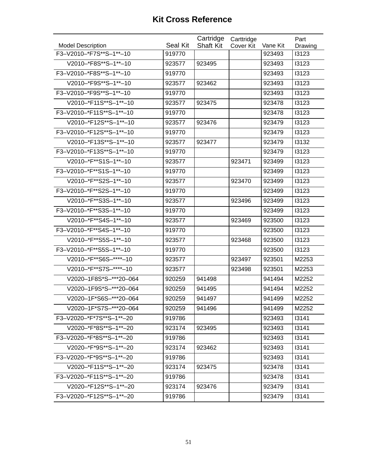|                          |                 | Cartridge        | Carttridge |          | Part    |
|--------------------------|-----------------|------------------|------------|----------|---------|
| <b>Model Description</b> | <b>Seal Kit</b> | <b>Shaft Kit</b> | Cover Kit  | Vane Kit | Drawing |
| F3-V2010-*F7S**S-1**-10  | 919770          |                  |            | 923493   | 13123   |
| V2010-*F8S**S-1**-10     | 923577          | 923495           |            | 923493   | 13123   |
| F3-V2010-*F8S**S-1**-10  | 919770          |                  |            | 923493   | 13123   |
| V2010-*F9S**S-1**-10     | 923577          | 923462           |            | 923493   | 13123   |
| F3-V2010-*F9S**S-1**-10  | 919770          |                  |            | 923493   | 13123   |
| V2010-*F11S**S-1**-10    | 923577          | 923475           |            | 923478   | 13123   |
| F3-V2010-*F11S**S-1**-10 | 919770          |                  |            | 923478   | 13123   |
| V2010-*F12S**S-1**-10    | 923577          | 923476           |            | 923479   | 13123   |
| F3-V2010-*F12S**S-1**-10 | 919770          |                  |            | 923479   | 13123   |
| V2010-*F13S**S-1**-10    | 923577          | 923477           |            | 923479   | 13132   |
| F3-V2010-*F13S**S-1**-10 | 919770          |                  |            | 923479   | 13123   |
| V2010-*F**S1S-1**-10     | 923577          |                  | 923471     | 923499   | 13123   |
| F3-V2010-*F**S1S-1**-10  | 919770          |                  |            | 923499   | 13123   |
| V2010-*F**S2S-1**-10     | 923577          |                  | 923470     | 923499   | 13123   |
| F3-V2010-*F**S2S-1**-10  | 919770          |                  |            | 923499   | 13123   |
| V2010-*F**S3S-1**-10     | 923577          |                  | 923496     | 923499   | 13123   |
| F3-V2010-*F**S3S-1**-10  | 919770          |                  |            | 923499   | 13123   |
| V2010-*F**S4S-1**-10     | 923577          |                  | 923469     | 923500   | 13123   |
| F3-V2010-*F**S4S-1**-10  | 919770          |                  |            | 923500   | 13123   |
| V2010-*F**S5S-1**-10     | 923577          |                  | 923468     | 923500   | 13123   |
| F3-V2010-*F**S5S-1**-10  | 919770          |                  |            | 923500   | 13123   |
| V2010-*F**S6S-****-10    | 923577          |                  | 923497     | 923501   | M2253   |
| V2010-*F**S7S-****-10    | 923577          |                  | 923498     | 923501   | M2253   |
| V2020-1F8S*S-***20-064   | 920259          | 941498           |            | 941494   | M2252   |
| V2020-1F9S*S-***20-064   | 920259          | 941495           |            | 941494   | M2252   |
| V2020-1F*S6S-***20-064   | 920259          | 941497           |            | 941499   | M2252   |
| V2020-1F*S7S-***20-064   | 920259          | 941496           |            | 941499   | M2252   |
| F3-V2020-*F*7S**S-1**-20 | 919786          |                  |            | 923493   | 13141   |
| V2020-*F*8S**S-1**-20    | 923174          | 923495           |            | 923493   | 13141   |
| F3-V2020-*F*8S**S-1**-20 | 919786          |                  |            | 923493   | 13141   |
| V2020-*F*9S**S-1**-20    | 923174          | 923462           |            | 923493   | 13141   |
| F3-V2020-*F*9S**S-1**-20 | 919786          |                  |            | 923493   | 13141   |
| V2020-*F11S**S-1**-20    | 923174          | 923475           |            | 923478   | 13141   |
| F3-V2020-*F11S**S-1**-20 | 919786          |                  |            | 923478   | 13141   |
| V2020-*F12S**S-1**-20    | 923174          | 923476           |            | 923479   | 13141   |
| F3-V2020-*F12S**S-1**-20 | 919786          |                  |            | 923479   | 13141   |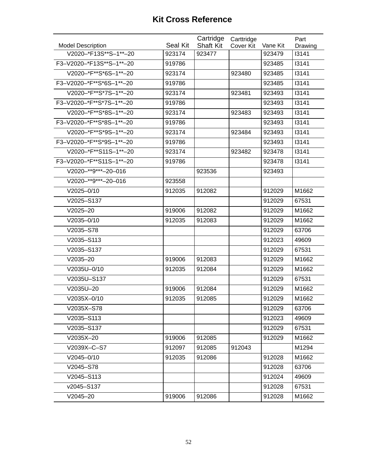|                          |                 | Cartridge        | Carttridge       |          | Part    |
|--------------------------|-----------------|------------------|------------------|----------|---------|
| <b>Model Description</b> | <b>Seal Kit</b> | <b>Shaft Kit</b> | <b>Cover Kit</b> | Vane Kit | Drawing |
| V2020-*F13S**S-1**-20    | 923174          | 923477           |                  | 923479   | 13141   |
| F3-V2020-*F13S**S-1**-20 | 919786          |                  |                  | 923485   | 13141   |
| V2020-*F**S*6S-1**-20    | 923174          |                  | 923480           | 923485   | 13141   |
| F3-V2020-*F**S*6S-1**-20 | 919786          |                  |                  | 923485   | 13141   |
| V2020-*F**S*7S-1**-20    | 923174          |                  | 923481           | 923493   | 13141   |
| F3-V2020-*F**S*7S-1**-20 | 919786          |                  |                  | 923493   | 13141   |
| V2020-*F**S*8S-1**-20    | 923174          |                  | 923483           | 923493   | 13141   |
| F3-V2020-*F**S*8S-1**-20 | 919786          |                  |                  | 923493   | 13141   |
| V2020-*F**S*9S-1**-20    | 923174          |                  | 923484           | 923493   | 13141   |
| F3-V2020-*F**S*9S-1**-20 | 919786          |                  |                  | 923493   | 13141   |
| V2020-*F**S11S-1**-20    | 923174          |                  | 923482           | 923478   | 13141   |
| F3-V2020-*F**S11S-1**-20 | 919786          |                  |                  | 923478   | 13141   |
| V2020-**9***-20-016      |                 | 923536           |                  | 923493   |         |
| V2020-**9***-20-016      | 923558          |                  |                  |          |         |
| $V2025 - 0/10$           | 912035          | 912082           |                  | 912029   | M1662   |
| V2025-S137               |                 |                  |                  | 912029   | 67531   |
| $V2025 - 20$             | 919006          | 912082           |                  | 912029   | M1662   |
| $V2035 - 0/10$           | 912035          | 912083           |                  | 912029   | M1662   |
| V2035-S78                |                 |                  |                  | 912029   | 63706   |
| V2035-S113               |                 |                  |                  | 912023   | 49609   |
| V2035-S137               |                 |                  |                  | 912029   | 67531   |
| $V2035 - 20$             | 919006          | 912083           |                  | 912029   | M1662   |
| V2035U-0/10              | 912035          | 912084           |                  | 912029   | M1662   |
| V2035U-S137              |                 |                  |                  | 912029   | 67531   |
| V2035U-20                | 919006          | 912084           |                  | 912029   | M1662   |
| V2035X-0/10              | 912035          | 912085           |                  | 912029   | M1662   |
| V2035X-S78               |                 |                  |                  | 912029   | 63706   |
| V2035-S113               |                 |                  |                  | 912023   | 49609   |
| V2035-S137               |                 |                  |                  | 912029   | 67531   |
| V2035X-20                | 919006          | 912085           |                  | 912029   | M1662   |
| V2039X-C-S7              | 912097          | 912085           | 912043           |          | M1294   |
| $V2045 - 0/10$           | 912035          | 912086           |                  | 912028   | M1662   |
| V2045-S78                |                 |                  |                  | 912028   | 63706   |
| V2045-S113               |                 |                  |                  | 912024   | 49609   |
| v2045-S137               |                 |                  |                  | 912028   | 67531   |
| $V2045 - 20$             | 919006          | 912086           |                  | 912028   | M1662   |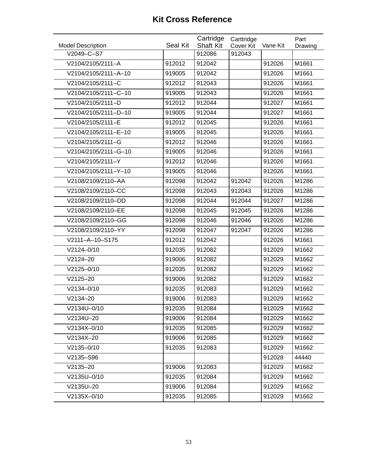| <b>Model Description</b> | Seal Kit | Cartridge<br><b>Shaft Kit</b> | Carttridge<br><b>Cover Kit</b> | Vane Kit | Part<br>Drawing |
|--------------------------|----------|-------------------------------|--------------------------------|----------|-----------------|
| V2049-C-S7               |          | 912086                        | 912043                         |          |                 |
| V2104/2105/2111-A        | 912012   | 912042                        |                                | 912026   | M1661           |
| V2104/2105/2111-A-10     | 919005   | 912042                        |                                | 912026   | M1661           |
| V2104/2105/2111-C        | 912012   | 912043                        |                                | 912026   | M1661           |
| V2104/2105/2111-C-10     | 919005   | 912043                        |                                | 912026   | M1661           |
| V2104/2105/2111-D        | 912012   | 912044                        |                                | 912027   | M1661           |
| V2104/2105/2111-D-10     | 919005   | 912044                        |                                | 912027   | M1661           |
| V2104/2105/2111-E        | 912012   | 912045                        |                                | 912026   | M1661           |
| V2104/2105/2111-E-10     | 919005   | 912045                        |                                | 912026   | M1661           |
| V2104/2105/2111-G        | 912012   | 912046                        |                                | 912026   | M1661           |
| V2104/2105/2111-G-10     | 919005   | 912046                        |                                | 912026   | M1661           |
| V2104/2105/2111-Y        | 912012   | 912046                        |                                | 912026   | M1661           |
| V2104/2105/2111-Y-10     | 919005   | 912046                        |                                | 912026   | M1661           |
| V2108/2109/2110-AA       | 912098   | 912042                        | 912042                         | 912026   | M1286           |
| V2108/2109/2110-CC       | 912098   | 912043                        | 912043                         | 912026   | M1286           |
| V2108/2109/2110-DD       | 912098   | 912044                        | 912044                         | 912027   | M1286           |
| V2108/2109/2110-EE       | 912098   | 912045                        | 912045                         | 912026   | M1286           |
| V2108/2109/2110-GG       | 912098   | 912046                        | 912046                         | 912026   | M1286           |
| V2108/2109/2110-YY       | 912098   | 912047                        | 912047                         | 912026   | M1286           |
| V2111-A-10-S175          | 912012   | 912042                        |                                | 912026   | M1661           |
| V2124-0/10               | 912035   | 912082                        |                                | 912029   | M1662           |
| $V2124 - 20$             | 919006   | 912082                        |                                | 912029   | M1662           |
| V2125-0/10               | 912035   | 912082                        |                                | 912029   | M1662           |
| $V2125 - 20$             | 919006   | 912082                        |                                | 912029   | M1662           |
| $V2134 - 0/10$           | 912035   | 912083                        |                                | 912029   | M1662           |
| $V2134 - 20$             | 919006   | 912083                        |                                | 912029   | M1662           |
| V2134U-0/10              | 912035   | 912084                        |                                | 912029   | M1662           |
| V2134U-20                | 919006   | 912084                        |                                | 912029   | M1662           |
| V2134X-0/10              | 912035   | 912085                        |                                | 912029   | M1662           |
| V2134X-20                | 919006   | 912085                        |                                | 912029   | M1662           |
| $V2135 - 0/10$           | 912035   | 912083                        |                                | 912029   | M1662           |
| V2135-S96                |          |                               |                                | 912028   | 44440           |
| $V2135 - 20$             | 919006   | 912083                        |                                | 912029   | M1662           |
| V2135U-0/10              | 912035   | 912084                        |                                | 912029   | M1662           |
| V2135U-20                | 919006   | 912084                        |                                | 912029   | M1662           |
| V2135X-0/10              | 912035   | 912085                        |                                | 912029   | M1662           |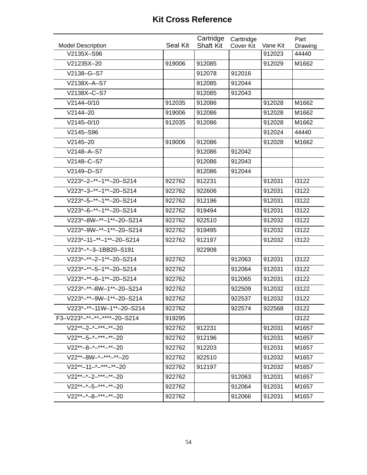| <b>Model Description</b>       | Seal Kit | Cartridge<br><b>Shaft Kit</b> | Carttridge<br>Cover Kit | Vane Kit | Part<br>Drawing |
|--------------------------------|----------|-------------------------------|-------------------------|----------|-----------------|
| V2135X-S96                     |          |                               |                         | 912023   | 44440           |
| V21235X-20                     | 919006   | 912085                        |                         | 912029   | M1662           |
| V2138-G-S7                     |          | 912078                        | 912016                  |          |                 |
| V2138X-A-S7                    |          | 912085                        | 912044                  |          |                 |
| V2138X-C-S7                    |          | 912085                        | 912043                  |          |                 |
| $V2144 - 0/10$                 | 912035   | 912086                        |                         | 912028   | M1662           |
| $V2144 - 20$                   | 919006   | 912086                        |                         | 912028   | M1662           |
| $V2145 - 0/10$                 | 912035   | 912086                        |                         | 912028   | M1662           |
| V2145-S96                      |          |                               |                         | 912024   | 44440           |
| $V2145 - 20$                   | 919006   | 912086                        |                         | 912028   | M1662           |
| V2148-A-S7                     |          | 912086                        | 912042                  |          |                 |
| V2148-C-S7                     |          | 912086                        | 912043                  |          |                 |
| V2149-D-S7                     |          | 912086                        | 912044                  |          |                 |
| V223*-2-**-1**-20-S214         | 922762   | 912231                        |                         | 912031   | 13122           |
| V223*-3-**-1**-20-S214         | 922762   | 922606                        |                         | 912031   | 13122           |
| V223*-5-**-1**-20-S214         | 922762   | 912196                        |                         | 912031   | 13122           |
| V223*-6-**-1**-20-S214         | 922762   | 919494                        |                         | 912031   | 13122           |
| V223*-8W-**-1**-20-S214        | 922762   | 922510                        |                         | 912032   | 13122           |
| V223*-9W-**-1**-20-S214        | 922762   | 919495                        |                         | 912032   | 13122           |
| V223*-11-**-1**-20-S214        | 922762   | 912197                        |                         | 912032   | 13122           |
| V223*-*-3-1BB20-S191           |          | 922908                        |                         |          |                 |
| $V223^*$ -**-2-1**-20-S214     | 922762   |                               | 912063                  | 912031   | 13122           |
| $V223^{*-**}-5-1^{**}-20-S214$ | 922762   |                               | 912064                  | 912031   | 13122           |
| $V223^{*-**}-6-1^{**}-20-S214$ | 922762   |                               | 912065                  | 912031   | 13122           |
| V223*-**-8W-1**-20-S214        | 922762   |                               | 922509                  | 912032   | 13122           |
| V223*-**-9W-1**-20-S214        | 922762   |                               | 922537                  | 912032   | 13122           |
| V223*-**-11W-1**-20-S214       | 922762   |                               | 922574                  | 922568   | 13122           |
| F3-V223*-**-**-****-20-S214    | 919295   |                               |                         |          | 13122           |
| $V22^{**}-2-****-**-20$        | 922762   | 912231                        |                         | 912031   | M1657           |
| $V22^{**}-5-*+**-**-20$        | 922762   | 912196                        |                         | 912031   | M1657           |
| $V22^{**}-8-***-***-20$        | 922762   | 912203                        |                         | 912031   | M1657           |
| V22**-8W-*-***-**-20           | 922762   | 922510                        |                         | 912032   | M1657           |
| $V22^{**}-11-*+**-*20$         | 922762   | 912197                        |                         | 912032   | M1657           |
| $V22***-*-2-***-**-20$         | 922762   |                               | 912063                  | 912031   | M1657           |
| $V22***-5-***-**-20$           | 922762   |                               | 912064                  | 912031   | M1657           |
| $V22^{**}-8-***-**-20$         | 922762   |                               | 912066                  | 912031   | M1657           |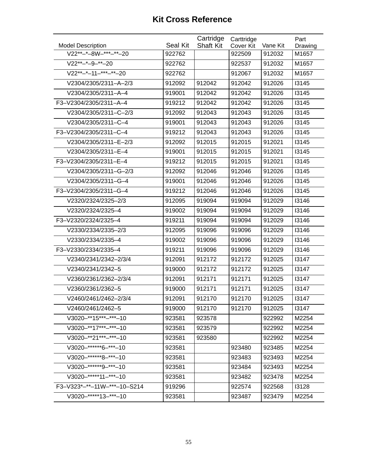|                                   |          | Cartridge        | Carttridge |          | Part    |
|-----------------------------------|----------|------------------|------------|----------|---------|
| <b>Model Description</b>          | Seal Kit | <b>Shaft Kit</b> | Cover Kit  | Vane Kit | Drawing |
| V22**-*-8W-***- <sup>**</sup> -20 | 922762   |                  | 922509     | 912032   | M1657   |
| $V22^{**}-9-**-20$                | 922762   |                  | 922537     | 912032   | M1657   |
| $V22^{**}$ -*-11-***-**-20        | 922762   |                  | 912067     | 912032   | M1657   |
| V2304/2305/2311-A-2/3             | 912092   | 912042           | 912042     | 912026   | 13145   |
| V2304/2305/2311-A-4               | 919001   | 912042           | 912042     | 912026   | 13145   |
| F3-V2304/2305/2311-A-4            | 919212   | 912042           | 912042     | 912026   | 13145   |
| V2304/2305/2311-C-2/3             | 912092   | 912043           | 912043     | 912026   | 13145   |
| V2304/2305/2311-C-4               | 919001   | 912043           | 912043     | 912026   | 13145   |
| F3-V2304/2305/2311-C-4            | 919212   | 912043           | 912043     | 912026   | 13145   |
| V2304/2305/2311-E-2/3             | 912092   | 912015           | 912015     | 912021   | 13145   |
| V2304/2305/2311-E-4               | 919001   | 912015           | 912015     | 912021   | 13145   |
| F3-V2304/2305/2311-E-4            | 919212   | 912015           | 912015     | 912021   | 13145   |
| V2304/2305/2311-G-2/3             | 912092   | 912046           | 912046     | 912026   | 13145   |
| V2304/2305/2311-G-4               | 919001   | 912046           | 912046     | 912026   | 13145   |
| F3-V2304/2305/2311-G-4            | 919212   | 912046           | 912046     | 912026   | 13145   |
| V2320/2324/2325-2/3               | 912095   | 919094           | 919094     | 912029   | 13146   |
| V2320/2324/2325-4                 | 919002   | 919094           | 919094     | 912029   | 13146   |
| F3-V2320/2324/2325-4              | 919211   | 919094           | 919094     | 912029   | 13146   |
| V2330/2334/2335-2/3               | 912095   | 919096           | 919096     | 912029   | 13146   |
| V2330/2334/2335-4                 | 919002   | 919096           | 919096     | 912029   | 13146   |
| F3-V2330/2334/2335-4              | 919211   | 919096           | 919096     | 912029   | 13146   |
| V2340/2341/2342-2/3/4             | 912091   | 912172           | 912172     | 912025   | 13147   |
| V2340/2341/2342-5                 | 919000   | 912172           | 912172     | 912025   | 13147   |
| V2360/2361/2362-2/3/4             | 912091   | 912171           | 912171     | 912025   | 13147   |
| V2360/2361/2362-5                 | 919000   | 912171           | 912171     | 912025   | 13147   |
| V2460/2461/2462-2/3/4             | 912091   | 912170           | 912170     | 912025   | 13147   |
| V2460/2461/2462-5                 | 919000   | 912170           | 912170     | 912025   | 13147   |
| V3020-**15***-***-10              | 923581   | 923578           |            | 922992   | M2254   |
| $V3020-**17***-**-10$             | 923581   | 923579           |            | 922992   | M2254   |
| V3020-**21***-***-10              | 923581   | 923580           |            | 922992   | M2254   |
| $V3020-*****6-***-10$             | 923581   |                  | 923480     | 923485   | M2254   |
| V3020-******8-***-10              | 923581   |                  | 923483     | 923493   | M2254   |
| V3020-******9-***-10              | 923581   |                  | 923484     | 923493   | M2254   |
| $V3020-****11-***-10$             | 923581   |                  | 923482     | 923478   | M2254   |
| F3-V323*-**-11W-***-10-S214       | 919296   |                  | 922574     | 922568   | 13128   |
| V3020-*****13-***-10              | 923581   |                  | 923487     | 923479   | M2254   |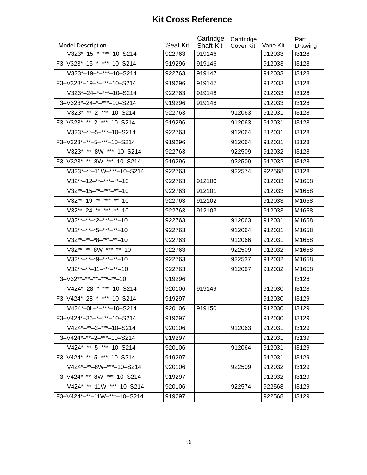|                                                           |          | Cartridge        | Carttridge |          | Part    |
|-----------------------------------------------------------|----------|------------------|------------|----------|---------|
| <b>Model Description</b>                                  | Seal Kit | <b>Shaft Kit</b> | Cover Kit  | Vane Kit | Drawing |
| V323*-15-*-***-10-S214                                    | 922763   | 919146           |            | 912033   | 13128   |
| F3-V323*-15-*-***-10-S214                                 | 919296   | 919146           |            | 912033   | 13128   |
| $\overline{V323^{*}} - 19 - {}^{*} - {}^{**} - 10 - S214$ | 922763   | 919147           |            | 912033   | 13128   |
| F3-V323*-19-*-***-10-S214                                 | 919296   | 919147           |            | 912033   | 13128   |
| V323*-24-*-***-10-S214                                    | 922763   | 919148           |            | 912033   | 13128   |
| F3-V323*-24-*-***-10-S214                                 | 919296   | 919148           |            | 912033   | 13128   |
| $V323^{*-**}-2-*^{**}-10-S214$                            | 922763   |                  | 912063     | 912031   | 13128   |
| F3-V323*-**-2-***-10-S214                                 | 919296   |                  | 912063     | 912031   | 13128   |
| $V323^{*-**}-5-***-10-S214$                               | 922763   |                  | 912064     | 812031   | 13128   |
| F3-V323*-**-5-***-10-S214                                 | 919296   |                  | 912064     | 912031   | 13128   |
| V323*-**-8W-***-10-S214                                   | 922763   |                  | 922509     | 912032   | 13128   |
| F3-V323*-**-8W-***-10-S214                                | 919296   |                  | 922509     | 912032   | 13128   |
| V323*-**-11W-***-10-S214                                  | 922763   |                  | 922574     | 922568   | 13128   |
| $V32^{**}-12-**-***-**}-10$                               | 922763   | 912100           |            | 912033   | M1658   |
| $V32^{**}-15-***-***-10$                                  | 922763   | 912101           |            | 912033   | M1658   |
| $V32^{**}-19-**-***-**-10$                                | 922763   | 912102           |            | 912033   | M1658   |
| $V32^{**}-24-***-***-10$                                  | 922763   | 912103           |            | 912033   | M1658   |
| $V32***-**-*2-***-**-10$                                  | 922763   |                  | 912063     | 912031   | M1658   |
| $V32***-**-*5-***-**-**-10$                               | 922763   |                  | 912064     | 912031   | M1658   |
| $V32***-**-8-**-**-*-10$                                  | 922763   |                  | 912066     | 912031   | M1658   |
| V32**-**-8W-***-**-10                                     | 922763   |                  | 922509     | 912032   | M1658   |
| $V32***-**-*9-***-**-10$                                  | 922763   |                  | 922537     | 912032   | M1658   |
| $V32^{**-**}-11-***-**-10$                                | 922763   |                  | 912067     | 912032   | M1658   |
| F3-V32**-**-**-***-**-10                                  | 919296   |                  |            |          | 13128   |
| V424*-28-*-***-10-S214                                    | 920106   | 919149           |            | 912030   | 13128   |
| $\overline{F3}$ -V424*-28-*-***-10-S214                   | 919297   |                  |            | 912030   | 13129   |
| V424*-0L-*-***-10-S214                                    | 920106   | 919150           |            | 912030   | 13129   |
| F3-V424*-36-*-***-10-S214                                 | 919297   |                  |            | 912030   | 13129   |
| $V424^{*-**}-2-***-10-S214$                               | 920106   |                  | 912063     | 912031   | 13129   |
| F3-V424*-**-2-***-10-S214                                 | 919297   |                  |            | 912031   | 13139   |
| $V424^{*-**}-5-***-10-S214$                               | 920106   |                  | 912064     | 912031   | 13129   |
| F3-V424*-**-5-***-10-S214                                 | 919297   |                  |            | 912031   | 13129   |
| V424*-**-8W-***-10-S214                                   | 920106   |                  | 922509     | 912032   | 13129   |
| F3-V424*-**-8W-***-10-S214                                | 919297   |                  |            | 912032   | 13129   |
| V424*-**-11W-***-10-S214                                  | 920106   |                  | 922574     | 922568   | 13129   |
| F3-V424*-**-11W-***-10-S214                               | 919297   |                  |            | 922568   | 13129   |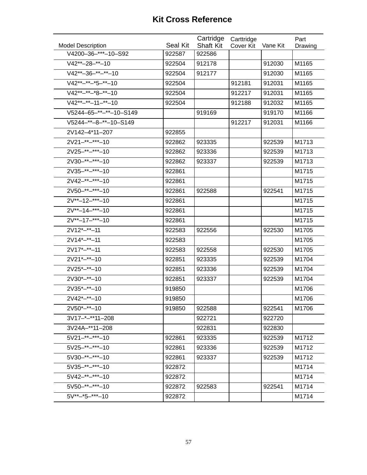| <b>Model Description</b> | Seal Kit | Cartridge<br><b>Shaft Kit</b> | Carttridge<br>Cover Kit | Vane Kit | Part<br>Drawing |
|--------------------------|----------|-------------------------------|-------------------------|----------|-----------------|
| V4200-36-***-10-S92      | 922587   | 922586                        |                         |          |                 |
| $V42^{**}-28-*-10$       | 922504   | 912178                        |                         | 912030   | M1165           |
| $V42^{**}-36-**-*+10$    | 922504   | 912177                        |                         | 912030   | M1165           |
| $V42***-**-*5-*-10$      | 922504   |                               | 912181                  | 912031   | M1165           |
| $V42***-**3-**10$        | 922504   |                               | 912217                  | 912031   | M1165           |
| $V42***-**-11-**-10$     | 922504   |                               | 912188                  | 912032   | M1165           |
| V5244-65-**-**-10-S149   |          | 919169                        |                         | 919170   | M1166           |
| V5244-**-8-**-10-S149    |          |                               | 912217                  | 912031   | M1166           |
| 2V142-4*11-207           | 922855   |                               |                         |          |                 |
| $2V21 -$ **-***-10       | 922862   | 923335                        |                         | 922539   | M1713           |
| $2V25-***-**-10$         | 922862   | 923336                        |                         | 922539   | M1713           |
| 2V30-**-***-10           | 922862   | 923337                        |                         | 922539   | M1713           |
| 2V35-**-***-10           | 922861   |                               |                         |          | M1715           |
| $2V42-***-10$            | 922861   |                               |                         |          | M1715           |
| 2V50-**-****-10          | 922861   | 922588                        |                         | 922541   | M1715           |
| $2V^{**}-12-*^{**}-10$   | 922861   |                               |                         |          | M1715           |
| $2V^{**}-14-***-10$      | 922861   |                               |                         |          | M1715           |
| $2V^{**}-17-***-10$      | 922861   |                               |                         |          | M1715           |
| $2V12*-**-11$            | 922583   | 922556                        |                         | 922530   | M1705           |
| $2V14*-**-11$            | 922583   |                               |                         |          | M1705           |
| $2V17*-**-11$            | 922583   | 922558                        |                         | 922530   | M1705           |
| $2V21^*$ -**-10          | 922851   | 923335                        |                         | 922539   | M1704           |
| $2V25*-**-10$            | 922851   | 923336                        |                         | 922539   | M1704           |
| $2V30*-**-10$            | 922851   | 923337                        |                         | 922539   | M1704           |
| $2V35*-+10$              | 919850   |                               |                         |          | M1706           |
| $2V42^{*-**}-10$         | 919850   |                               |                         |          | M1706           |
| $2V50*-**-10$            | 919850   | 922588                        |                         | 922541   | M1706           |
| $3V17-+-**11-208$        |          | 922721                        |                         | 922720   |                 |
| 3V24A-**11-208           |          | 922831                        |                         | 922830   |                 |
| $5V21 -$ **-***-10       | 922861   | 923335                        |                         | 922539   | M1712           |
| $5V25-***-**-10$         | 922861   | 923336                        |                         | 922539   | M1712           |
| $5V30-***-**-10$         | 922861   | 923337                        |                         | 922539   | M1712           |
| $5V35 -$ **-***-10       | 922872   |                               |                         |          | M1714           |
| $5V42-***-10$            | 922872   |                               |                         |          | M1714           |
| $5V50-***-**-10$         | 922872   | 922583                        |                         | 922541   | M1714           |
| $5V^{**}-5-***-10$       | 922872   |                               |                         |          | M1714           |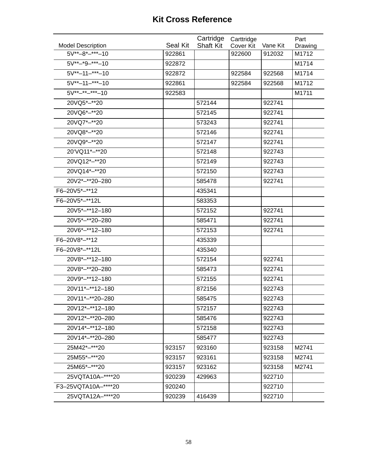|                          |          | Cartridge        | Carttridge |          | Part    |
|--------------------------|----------|------------------|------------|----------|---------|
| <b>Model Description</b> | Seal Kit | <b>Shaft Kit</b> | Cover Kit  | Vane Kit | Drawing |
| $5V^{**}-8^{*-***}-10$   | 922861   |                  | 922600     | 912032   | M1712   |
| $5V^{**}-9-***-10$       | 922872   |                  |            |          | M1714   |
| $5V^{**}-11-***-10$      | 922872   |                  | 922584     | 922568   | M1714   |
| $5V^{**}-11-***-10$      | 922861   |                  | 922584     | 922568   | M1712   |
| $5V^{**}-$ **-****-10    | 922583   |                  |            |          | M1711   |
| 20VQ5*-**20              |          | 572144           |            | 922741   |         |
| 20VQ6*-**20              |          | 572145           |            | 922741   |         |
| 20VQ7*-**20              |          | 573243           |            | 922741   |         |
| 20VQ8*-**20              |          | 572146           |            | 922741   |         |
| 20VQ9*-**20              |          | 572147           |            | 922741   |         |
| 20'VQ11*-**20            |          | 572148           |            | 922743   |         |
| 20VQ12*-**20             |          | 572149           |            | 922743   |         |
| 20VQ14*-**20             |          | 572150           |            | 922743   |         |
| 20V2*-**20-280           |          | 585478           |            | 922741   |         |
| F6-20V5*-**12            |          | 435341           |            |          |         |
| F6-20V5*-**12L           |          | 583353           |            |          |         |
| 20V5*-**12-180           |          | 572152           |            | 922741   |         |
| 20V5*-**20-280           |          | 585471           |            | 922741   |         |
| 20V6*-**12-180           |          | 572153           |            | 922741   |         |
| F6-20V8*-**12            |          | 435339           |            |          |         |
| F6-20V8*-**12L           |          | 435340           |            |          |         |
| 20V8*-**12-180           |          | 572154           |            | 922741   |         |
| 20V8*-**20-280           |          | 585473           |            | 922741   |         |
| 20V9*-**12-180           |          | 572155           |            | 922741   |         |
| 20V11*-**12-180          |          | 872156           |            | 922743   |         |
| 20V11*-**20-280          |          | 585475           |            | 922743   |         |
| 20V12*-**12-180          |          | 572157           |            | 922743   |         |
| 20V12*-**20-280          |          | 585476           |            | 922743   |         |
| 20V14*-**12-180          |          | 572158           |            | 922743   |         |
| 20V14*-**20-280          |          | 585477           |            | 922743   |         |
| 25M42*-***20             | 923157   | 923160           |            | 923158   | M2741   |
| 25M55*-***20             | 923157   | 923161           |            | 923158   | M2741   |
| 25M65*-***20             | 923157   | 923162           |            | 923158   | M2741   |
| 25VQTA10A-****20         | 920239   | 429963           |            | 922710   |         |
| F3-25VQTA10A-****20      | 920240   |                  |            | 922710   |         |
| 25VQTA12A-****20         | 920239   | 416439           |            | 922710   |         |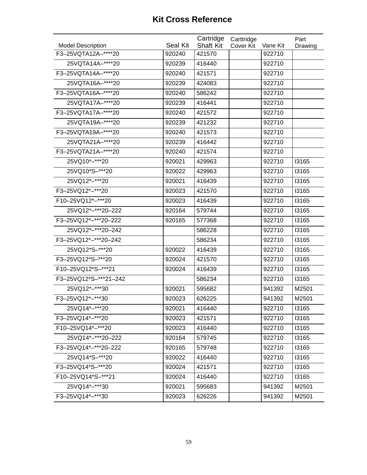|                          |                 | Cartridge        | Carttridge |          | Part         |
|--------------------------|-----------------|------------------|------------|----------|--------------|
| <b>Model Description</b> | <b>Seal Kit</b> | <b>Shaft Kit</b> | Cover Kit  | Vane Kit | Drawing      |
| F3-25VQTA12A-****20      | 920240          | 421570           |            | 922710   |              |
| 25VQTA14A-****20         | 920239          | 416440           |            | 922710   |              |
| F3-25VQTA14A-****20      | 920240          | 421571           |            | 922710   |              |
| 25VQTA16A-****20         | 920239          | 424083           |            | 922710   |              |
| F3-25VQTA16A-****20      | 920240          | 586242           |            | 922710   |              |
| 25VQTA17A-****20         | 920239          | 416441           |            | 922710   |              |
| F3-25VQTA17A-****20      | 920240          | 421572           |            | 922710   |              |
| 25VQTA19A-****20         | 920239          | 421232           |            | 922710   |              |
| F3-25VQTA19A-****20      | 920240          | 421573           |            | 922710   |              |
| 25VQTA21A-****20         | 920239          | 416442           |            | 922710   |              |
| F3-25VQTA21A-****20      | 920240          | 421574           |            | 922710   |              |
| 25VQ10*-***20            | 920021          | 429963           |            | 922710   | 13165        |
| 25VQ10*S-***20           | 920022          | 429963           |            | 922710   | <b>I3165</b> |
| 25VQ12*-***20            | 920021          | 416439           |            | 922710   | 13165        |
| F3-25VQ12*-***20         | 920023          | 421570           |            | 922710   | 13165        |
| F10-25VQ12*-***20        | 920023          | 416439           |            | 922710   | 13165        |
| 25VQ12*-***20-222        | 920164          | 579744           |            | 922710   | 13165        |
| F3-25VQ12*-***20-222     | 920165          | 577368           |            | 922710   | 13165        |
| 25VQ12*-***20-242        |                 | 586228           |            | 922710   | 13165        |
| F3-25VQ12*-***20-242     |                 | 586234           |            | 922710   | 13165        |
| 25VQ12*S-***20           | 920022          | 416439           |            | 922710   | <b>I3165</b> |
| F3-25VQ12*S-***20        | 920024          | 421570           |            | 922710   | <b>I3165</b> |
| F10-25VQ12*S-***21       | 920024          | 416439           |            | 922710   | 13165        |
| F3-25VQ12*S-***21-242    |                 | 586234           |            | 922710   | <b>I3165</b> |
| 25VQ12*-***30            | 920021          | 595682           |            | 941392   | M2501        |
| F3-25VQ12*-***30         | 920023          | 626225           |            | 941392   | M2501        |
| 25VQ14*-***20            | 920021          | 416440           |            | 922710   | 13165        |
| F3-25VQ14*-***20         | 920023          | 421571           |            | 922710   | <b>I3165</b> |
| F10-25VQ14*-***20        | 920023          | 416440           |            | 922710   | 13165        |
| 25VQ14*-***20-222        | 920164          | 579745           |            | 922710   | 13165        |
| F3-25VQ14*-***20-222     | 920165          | 579748           |            | 922710   | 13165        |
| 25VQ14*S-***20           | 920022          | 416440           |            | 922710   | 13165        |
| F3-25VQ14*S-***20        | 920024          | 421571           |            | 922710   | 13165        |
| F10-25VQ14*S-***21       | 920024          | 416440           |            | 922710   | <b>I3165</b> |
| 25VQ14*-***30            | 920021          | 595683           |            | 941392   | M2501        |
| F3-25VQ14*-***30         | 920023          | 626226           |            | 941392   | M2501        |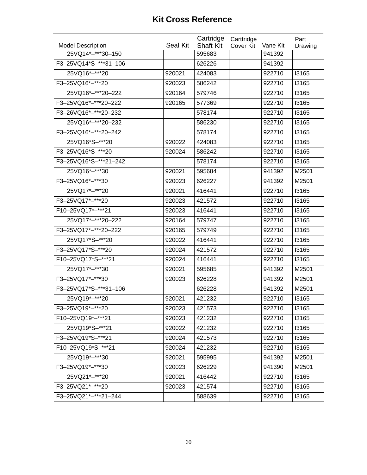|                                               | Seal Kit | Cartridge<br><b>Shaft Kit</b> | Carttridge |                    | Part         |
|-----------------------------------------------|----------|-------------------------------|------------|--------------------|--------------|
| <b>Model Description</b><br>25VQ14*-***30-150 |          | 595683                        | Cover Kit  | Vane Kit<br>941392 | Drawing      |
| F3-25VQ14*S-***31-106                         |          | 626226                        |            | 941392             |              |
|                                               |          |                               |            |                    |              |
| 25VQ16*-***20                                 | 920021   | 424083                        |            | 922710             | <b>I3165</b> |
| F3-25VQ16*-***20                              | 920023   | 586242                        |            | 922710             | <b>I3165</b> |
| 25VQ16*-***20-222                             | 920164   | 579746                        |            | 922710             | 13165        |
| F3-25VQ16*-***20-222                          | 920165   | 577369                        |            | 922710             | 13165        |
| F3-26VQ16*-***20-232                          |          | 578174                        |            | 922710             | 13165        |
| 25VQ16*-***20-232                             |          | 586230                        |            | 922710             | 13165        |
| F3-25VQ16*-***20-242                          |          | 578174                        |            | 922710             | <b>I3165</b> |
| 25VQ16*S-***20                                | 920022   | 424083                        |            | 922710             | <b>I3165</b> |
| F3-25VQ16*S-***20                             | 920024   | 586242                        |            | 922710             | <b>I3165</b> |
| F3-25VQ16*S-***21-242                         |          | 578174                        |            | 922710             | <b>I3165</b> |
| 25VQ16*-***30                                 | 920021   | 595684                        |            | 941392             | M2501        |
| F3-25VQ16*-***30                              | 920023   | 626227                        |            | 941392             | M2501        |
| 25VQ17*-***20                                 | 920021   | 416441                        |            | 922710             | <b>I3165</b> |
| F3-25VQ17*-***20                              | 920023   | 421572                        |            | 922710             | 13165        |
| F10-25VQ17*-***21                             | 920023   | 416441                        |            | 922710             | <b>I3165</b> |
| 25VQ17*-***20-222                             | 920164   | 579747                        |            | 922710             | <b>I3165</b> |
| F3-25VQ17*-***20-222                          | 920165   | 579749                        |            | 922710             | 13165        |
| 25VQ17*S-***20                                | 920022   | 416441                        |            | 922710             | <b>I3165</b> |
| F3-25VQ17*S-***20                             | 920024   | 421572                        |            | 922710             | <b>I3165</b> |
| F10-25VQ17*S-***21                            | 920024   | 416441                        |            | 922710             | 13165        |
| 25VQ17*-***30                                 | 920021   | 595685                        |            | 941392             | M2501        |
| F3-25VQ17*-***30                              | 920023   | 626228                        |            | 941392             | M2501        |
| F3-25VQ17*S-***31-106                         |          | 626228                        |            | 941392             | M2501        |
| 25VQ19 *-*** 20                               | 920021   | 421232                        |            | 922710             | <b>I3165</b> |
| F3-25VQ19*-***20                              | 920023   | 421573                        |            | 922710             | 13165        |
| F10-25VQ19*-***21                             | 920023   | 421232                        |            | 922710             | <b>I3165</b> |
| 25VQ19*S-***21                                | 920022   | 421232                        |            | 922710             | <b>I3165</b> |
| F3-25VQ19*S-***21                             | 920024   | 421573                        |            | 922710             | 13165        |
| F10-25VQ19*S-***21                            | 920024   | 421232                        |            | 922710             | <b>I3165</b> |
| 25VQ19 *-*** 30                               | 920021   | 595995                        |            | 941392             | M2501        |
| F3-25VQ19*-***30                              | 920023   | 626229                        |            | 941390             | M2501        |
| 25VQ21*-***20                                 | 920021   | 416442                        |            | 922710             | <b>I3165</b> |
| F3-25VQ21*-***20                              | 920023   | 421574                        |            | 922710             | <b>I3165</b> |
| F3-25VQ21*-***21-244                          |          | 588639                        |            | 922710             | <b>I3165</b> |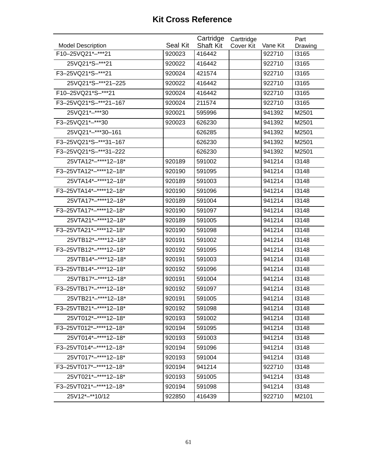|                          |                 | Cartridge        | Carttridge |          | Part    |
|--------------------------|-----------------|------------------|------------|----------|---------|
| <b>Model Description</b> | <b>Seal Kit</b> | <b>Shaft Kit</b> | Cover Kit  | Vane Kit | Drawing |
| F10-25VQ21*-***21        | 920023          | 416442           |            | 922710   | 13165   |
| 25VQ21*S-***21           | 920022          | 416442           |            | 922710   | 13165   |
| F3-25VQ21*S-***21        | 920024          | 421574           |            | 922710   | 13165   |
| 25VQ21*S-***21-225       | 920022          | 416442           |            | 922710   | 13165   |
| F10-25VQ21*S-***21       | 920024          | 416442           |            | 922710   | 13165   |
| F3-25VQ21*S-***21-167    | 920024          | 211574           |            | 922710   | 13165   |
| 25VQ21*-***30            | 920021          | 595996           |            | 941392   | M2501   |
| F3-25VQ21*-***30         | 920023          | 626230           |            | 941392   | M2501   |
| 25VQ21*-***30-161        |                 | 626285           |            | 941392   | M2501   |
| F3-25VQ21*S-***31-167    |                 | 626230           |            | 941392   | M2501   |
| F3-25VQ21*S-***31-222    |                 | 626230           |            | 941392   | M2501   |
| 25VTA12*-****12-18*      | 920189          | 591002           |            | 941214   | 13148   |
| F3-25VTA12*-****12-18*   | 920190          | 591095           |            | 941214   | 13148   |
| 25VTA14*-****12-18*      | 920189          | 591003           |            | 941214   | 13148   |
| F3-25VTA14*-****12-18*   | 920190          | 591096           |            | 941214   | 13148   |
| 25VTA17*-****12-18*      | 920189          | 591004           |            | 941214   | 13148   |
| F3-25VTA17*-****12-18*   | 920190          | 591097           |            | 941214   | 13148   |
| 25VTA21*-****12-18*      | 920189          | 591005           |            | 941214   | 13148   |
| F3-25VTA21*-****12-18*   | 920190          | 591098           |            | 941214   | 13148   |
| 25VTB12*-****12-18*      | 920191          | 591002           |            | 941214   | 13148   |
| F3-25VTB12*-****12-18*   | 920192          | 591095           |            | 941214   | 13148   |
| 25VTB14*-****12-18*      | 920191          | 591003           |            | 941214   | 13148   |
| F3-25VTB14*-****12-18*   | 920192          | 591096           |            | 941214   | 13148   |
| 25VTB17*-****12-18*      | 920191          | 591004           |            | 941214   | 13148   |
| F3-25VTB17*-****12-18*   | 920192          | 591097           |            | 941214   | 13148   |
| 25VTB21*-****12-18*      | 920191          | 591005           |            | 941214   | 13148   |
| F3-25VTB21*-****12-18*   | 920192          | 591098           |            | 941214   | 13148   |
| 25VT012*-****12-18*      | 920193          | 591002           |            | 941214   | 13148   |
| F3-25VT012*-****12-18*   | 920194          | 591095           |            | 941214   | 13148   |
| 25VT014*-****12-18*      | 920193          | 591003           |            | 941214   | 13148   |
| F3-25VT014*-****12-18*   | 920194          | 591096           |            | 941214   | 13148   |
| 25VT017*-****12-18*      | 920193          | 591004           |            | 941214   | 13148   |
| F3-25VT017*-****12-18*   | 920194          | 941214           |            | 922710   | 13148   |
| 25VT021*-****12-18*      | 920193          | 591005           |            | 941214   | 13148   |
| F3-25VT021*-****12-18*   | 920194          | 591098           |            | 941214   | 13148   |
| 25V12*-**10/12           | 922850          | 416439           |            | 922710   | M2101   |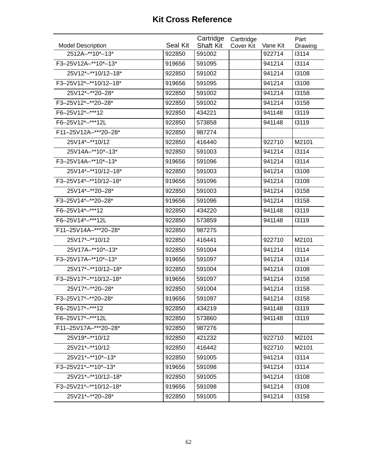| <b>Model Description</b> | <b>Seal Kit</b> | Cartridge<br><b>Shaft Kit</b> | Carttridge<br>Cover Kit | Vane Kit | Part<br>Drawing |
|--------------------------|-----------------|-------------------------------|-------------------------|----------|-----------------|
| 2512A-**10*-13*          | 922850          | 591002                        |                         | 922714   | 13114           |
| F3-25V12A-**10*-13*      | 919656          | 591095                        |                         | 941214   | 13114           |
| 25V12*-**10/12-18*       | 922850          | 591002                        |                         | 941214   | 13108           |
| F3-25V12*-**10/12-18*    | 919656          | 591095                        |                         | 941214   | 13108           |
| 25V12*-**20-28*          | 922850          | 591002                        |                         | 941214   | 13158           |
| F3-25V12*-**20-28*       | 922850          | 591002                        |                         | 941214   | 13158           |
| F6-25V12*-***12          | 922850          | 434221                        |                         | 941148   | 13119           |
| F6-25V12*-***12L         | 922850          | 573858                        |                         | 941148   | 13119           |
| F11-25V12A-***20-28*     | 922850          | 987274                        |                         |          |                 |
| 25V14 *- ** 10/12        | 922850          | 416440                        |                         | 922710   | M2101           |
| 25V14A-**10*-13*         | 922850          | 591003                        |                         | 941214   | 13114           |
| F3-25V14A-**10*-13*      | 919656          | 591096                        |                         | 941214   | 13114           |
| 25V14*-**10/12-18*       | 922850          | 591003                        |                         | 941214   | 13108           |
| F3-25V14*-**10/12-18*    | 919656          | 591096                        |                         | 941214   | 13108           |
| 25V14 *-** 20 - 28*      | 922850          | 591003                        |                         | 941214   | 13158           |
| F3-25V14*-**20-28*       | 919656          | 591096                        |                         | 941214   | 13158           |
| F6-25V14*-***12          | 922850          | 434220                        |                         | 941148   | 13119           |
| F6-25V14*-***12L         | 922850          | 573859                        |                         | 941148   | 13119           |
| F11-25V14A-***20-28*     | 922850          | 987275                        |                         |          |                 |
| 25V17*-**10/12           | 922850          | 416441                        |                         | 922710   | M2101           |
| 25V17A-**10*-13*         | 922850          | 591004                        |                         | 941214   | 13114           |
| F3-25V17A-**10*-13*      | 919656          | 591097                        |                         | 941214   | 13114           |
| 25V17*-**10/12-18*       | 922850          | 591004                        |                         | 941214   | 13108           |
| F3-25V17*-**10/12-18*    | 919656          | 591097                        |                         | 941214   | 13158           |
| 25V17*-**20-28*          | 922850          | 591004                        |                         | 941214   | 13158           |
| F3-25V17*-**20-28*       | 919656          | 591097                        |                         | 941214   | 13158           |
| F6-25V17*-***12          | 922850          | 434219                        |                         | 941148   | 13119           |
| F6-25V17*-***12L         | 922850          | 573860                        |                         | 941148   | 13119           |
| F11-25V17A-***20-28*     | 922850          | 987276                        |                         |          |                 |
| 25V19 *- ** 10/12        | 922850          | 421232                        |                         | 922710   | M2101           |
| 25V21*-**10/12           | 922850          | 416442                        |                         | 922710   | M2101           |
| 25V21*-**10*-13*         | 922850          | 591005                        |                         | 941214   | 13114           |
| F3-25V21*-**10*-13*      | 919656          | 591098                        |                         | 941214   | 13114           |
| 25V21*-**10/12-18*       | 922850          | 591005                        |                         | 941214   | 13108           |
| F3-25V21*-**10/12-18*    | 919656          | 591098                        |                         | 941214   | 13108           |
| 25V21*-**20-28*          | 922850          | 591005                        |                         | 941214   | 13158           |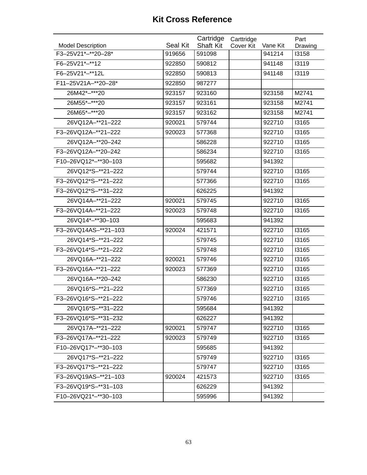|                          |          | Cartridge        | Carttridge |          | Part         |
|--------------------------|----------|------------------|------------|----------|--------------|
| <b>Model Description</b> | Seal Kit | <b>Shaft Kit</b> | Cover Kit  | Vane Kit | Drawing      |
| F3-25V21*-**20-28*       | 919656   | 591098           |            | 941214   | <b>I3158</b> |
| F6-25V21*-**12           | 922850   | 590812           |            | 941148   | 13119        |
| F6-25V21*-**12L          | 922850   | 590813           |            | 941148   | 13119        |
| F11-25V21A-**20-28*      | 922850   | 987277           |            |          |              |
| 26M42*-***20             | 923157   | 923160           |            | 923158   | M2741        |
| 26M55*-***20             | 923157   | 923161           |            | 923158   | M2741        |
| 26M65*-***20             | 923157   | 923162           |            | 923158   | M2741        |
| 26VQ12A-**21-222         | 920021   | 579744           |            | 922710   | 13165        |
| F3-26VQ12A-**21-222      | 920023   | 577368           |            | 922710   | <b>I3165</b> |
| 26VQ12A-**20-242         |          | 586228           |            | 922710   | <b>I3165</b> |
| F3-26VQ12A-**20-242      |          | 586234           |            | 922710   | <b>I3165</b> |
| F10-26VQ12*-**30-103     |          | 595682           |            | 941392   |              |
| 26VQ12*S-**21-222        |          | 579744           |            | 922710   | <b>I3165</b> |
| F3-26VQ12*S-**21-222     |          | 577366           |            | 922710   | 13165        |
| F3-26VQ12*S-**31-222     |          | 626225           |            | 941392   |              |
| 26VQ14A-**21-222         | 920021   | 579745           |            | 922710   | <b>I3165</b> |
| F3-26VQ14A-**21-222      | 920023   | 579748           |            | 922710   | <b>I3165</b> |
| 26VQ14*-**30-103         |          | 595683           |            | 941392   |              |
| F3-26VQ14AS-**21-103     | 920024   | 421571           |            | 922710   | 13165        |
| 26VQ14*S-**21-222        |          | 579745           |            | 922710   | 13165        |
| F3-26VQ14*S-**21-222     |          | 579748           |            | 922710   | <b>I3165</b> |
| 26VQ16A-**21-222         | 920021   | 579746           |            | 922710   | 13165        |
| F3-26VQ16A-**21-222      | 920023   | 577369           |            | 922710   | <b>I3165</b> |
| 26VQ16A-**20-242         |          | 586230           |            | 922710   | <b>I3165</b> |
| 26VQ16*S-**21-222        |          | 577369           |            | 922710   | <b>I3165</b> |
| F3-26VQ16*S-**21-222     |          | 579746           |            | 922710   | <b>I3165</b> |
| 26VQ16*S-**31-222        |          | 595684           |            | 941392   |              |
| F3-26VQ16*S-**31-232     |          | 626227           |            | 941392   |              |
| 26VQ17A-**21-222         | 920021   | 579747           |            | 922710   | <b>I3165</b> |
| F3-26VQ17A-**21-222      | 920023   | 579749           |            | 922710   | 13165        |
| F10-26VQ17*-**30-103     |          | 595685           |            | 941392   |              |
| 26VQ17*S-**21-222        |          | 579749           |            | 922710   | <b>I3165</b> |
| F3-26VQ17*S-**21-222     |          | 579747           |            | 922710   | 13165        |
| F3-26VQ19AS-**21-103     | 920024   | 421573           |            | 922710   | <b>I3165</b> |
| F3-26VQ19*S-**31-103     |          | 626229           |            | 941392   |              |
| F10-26VQ21*-**30-103     |          | 595996           |            | 941392   |              |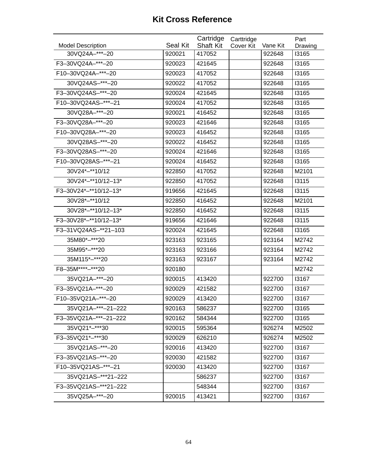| <b>Model Description</b> | <b>Seal Kit</b> | Cartridge<br><b>Shaft Kit</b> | Carttridge<br><b>Cover Kit</b> | Vane Kit | Part<br>Drawing |
|--------------------------|-----------------|-------------------------------|--------------------------------|----------|-----------------|
| 30VQ24A-***-20           | 920021          | 417052                        |                                | 922648   | <b>I3165</b>    |
| F3-30VQ24A-***-20        | 920023          | 421645                        |                                | 922648   | 13165           |
| F10-30VQ24A-***-20       | 920023          | 417052                        |                                | 922648   | 13165           |
| 30VQ24AS-***-20          | 920022          | 417052                        |                                | 922648   | 13165           |
| F3-30VQ24AS-***-20       | 920024          | 421645                        |                                | 922648   | 13165           |
| F10-30VQ24AS-***-21      | 920024          | 417052                        |                                | 922648   | 13165           |
| 30VQ28A-***-20           | 920021          | 416452                        |                                | 922648   | 13165           |
| F3-30VQ28A-***-20        | 920023          | 421646                        |                                | 922648   | 13165           |
| F10-30VQ28A-***-20       | 920023          | 416452                        |                                | 922648   | 13165           |
| 30VQ28AS-***-20          | 920022          | 416452                        |                                | 922648   | <b>I3165</b>    |
| F3-30VQ28AS-***-20       | 920024          | 421646                        |                                | 922648   | 13165           |
| F10-30VQ28AS-***-21      | 920024          | 416452                        |                                | 922648   | 13165           |
| 30V24*-**10/12           | 922850          | 417052                        |                                | 922648   | M2101           |
| 30V24*-**10/12-13*       | 922850          | 417052                        |                                | 922648   | 13115           |
| F3-30V24*-**10/12-13*    | 919656          | 421645                        |                                | 922648   | 13115           |
| 30V28*-**10/12           | 922850          | 416452                        |                                | 922648   | M2101           |
| 30V28*-**10/12-13*       | 922850          | 416452                        |                                | 922648   | 13115           |
| F3-30V28*-**10/12-13*    | 919656          | 421646                        |                                | 922648   | 13115           |
| F3-31VQ24AS-**21-103     | 920024          | 421645                        |                                | 922648   | 13165           |
| 35M80*-***20             | 923163          | 923165                        |                                | 923164   | M2742           |
| 35M95*-***20             | 923163          | 923166                        |                                | 923164   | M2742           |
| 35M115*-***20            | 923163          | 923167                        |                                | 923164   | M2742           |
| F8-35M****-***20         | 920180          |                               |                                |          | M2742           |
| 35VQ21A-***-20           | 920015          | 413420                        |                                | 922700   | 13167           |
| F3-35VQ21A-***-20        | 920029          | 421582                        |                                | 922700   | 13167           |
| F10-35VQ21A-***-20       | 920029          | 413420                        |                                | 922700   | 13167           |
| 35VQ21A-***-21-222       | 920163          | 586237                        |                                | 922700   | 13165           |
| F3-35VQ21A-***-21-222    | 920162          | 584344                        |                                | 922700   | 13165           |
| 35VQ21*-***30            | 920015          | 595364                        |                                | 926274   | M2502           |
| F3-35VQ21*-***30         | 920029          | 626210                        |                                | 926274   | M2502           |
| 35VQ21AS-***-20          | 920016          | 413420                        |                                | 922700   | 13167           |
| F3-35VQ21AS-***-20       | 920030          | 421582                        |                                | 922700   | 13167           |
| F10-35VQ21AS-***-21      | 920030          | 413420                        |                                | 922700   | 13167           |
| 35VQ21AS-***21-222       |                 | 586237                        |                                | 922700   | 13167           |
| F3-35VQ21AS-***21-222    |                 | 548344                        |                                | 922700   | 13167           |
| 35VQ25A-***-20           | 920015          | 413421                        |                                | 922700   | 13167           |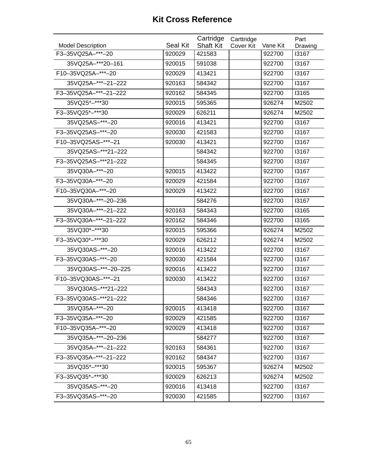| <b>Model Description</b> | Seal Kit | Cartridge<br><b>Shaft Kit</b> | Carttridge<br>Cover Kit | Vane Kit | Part<br>Drawing |
|--------------------------|----------|-------------------------------|-------------------------|----------|-----------------|
| F3-35VQ25A-***-20        | 920029   | 421583                        |                         | 922700   | 13167           |
| 35VQ25A-***20-161        | 920015   | 591038                        |                         | 922700   | 13167           |
| F10-35VQ25A-***-20       | 920029   | 413421                        |                         | 922700   | 13167           |
| 35VQ25A-***-21-222       | 920163   | 584342                        |                         | 922700   | 13167           |
| F3-35VQ25A-***-21-222    | 920162   | 584345                        |                         | 922700   | 13165           |
| 35VQ25*-***30            | 920015   | 595365                        |                         | 926274   | M2502           |
| F3-35VQ25*-***30         | 920029   | 626211                        |                         | 926274   | M2502           |
| 35VQ25AS-***-20          | 920016   | 413421                        |                         | 922700   | 13167           |
| F3-35VQ25AS-***-20       | 920030   | 421583                        |                         | 922700   | 13167           |
| F10-35VQ25AS-***-21      | 920030   | 413421                        |                         | 922700   | 13167           |
| 35VQ25AS-***21-222       |          | 584342                        |                         | 922700   | 13167           |
| F3-35VQ25AS-***21-222    |          | 584345                        |                         | 922700   | 13167           |
| 35VQ30A-***-20           | 920015   | 413422                        |                         | 922700   | 13167           |
| F3-35VQ30A-***-20        | 920029   | 421584                        |                         | 922700   | 13167           |
| F10-35VQ30A-***-20       | 920029   | 413422                        |                         | 922700   | 13167           |
| 35VQ30A-***-20-236       |          | 584276                        |                         | 922700   | 13167           |
| 35VQ30A-***-21-222       | 920163   | 584343                        |                         | 922700   | 13165           |
| F3-35VQ30A-***-21-222    | 920162   | 584346                        |                         | 922700   | 13165           |
| 35VQ30*-***30            | 920015   | 595366                        |                         | 926274   | M2502           |
| F3-35VQ30*-***30         | 920029   | 626212                        |                         | 926274   | M2502           |
| 35VQ30AS-***-20          | 920016   | 413422                        |                         | 922700   | 13167           |
| F3-35VQ30AS-***-20       | 920030   | 421584                        |                         | 922700   | 13167           |
| 35VQ30AS-***-20-225      | 920016   | 413422                        |                         | 922700   | 13167           |
| F10-35VQ30AS-***-21      | 920030   | 413422                        |                         | 922700   | 13167           |
| 35VQ30AS-***21-222       |          | 584343                        |                         | 922700   | 13167           |
| F3-35VQ30AS-***21-222    |          | 584346                        |                         | 922700   | 13167           |
| 35VQ35A-***-20           | 920015   | 413418                        |                         | 922700   | 13167           |
| F3-35VQ35A-***-20        | 920029   | 421585                        |                         | 922700   | 13167           |
| F10-35VQ35A-***-20       | 920029   | 413418                        |                         | 922700   | 13167           |
| 35VQ35A-***-20-236       |          | 584277                        |                         | 922700   | 13167           |
| 35VQ35A-***-21-222       | 920163   | 584361                        |                         | 922700   | 13167           |
| F3-35VQ35A-***-21-222    | 920162   | 584347                        |                         | 922700   | 13167           |
| 35VQ35*-***30            | 920015   | 595367                        |                         | 926274   | M2502           |
| F3-35VQ35*-***30         | 920029   | 626213                        |                         | 926274   | M2502           |
| 35VQ35AS-***-20          | 920016   | 413418                        |                         | 922700   | 13167           |
| F3-35VQ35AS-***-20       | 920030   | 421585                        |                         | 922700   | 13167           |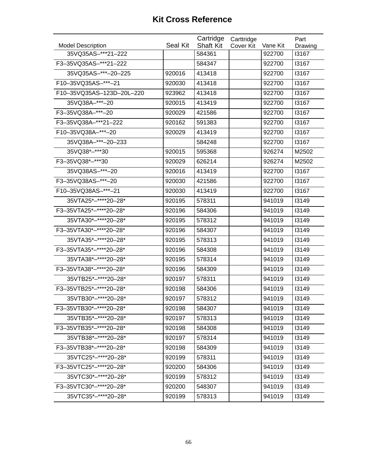| <b>Model Description</b>  | Seal Kit | Cartridge<br><b>Shaft Kit</b> | Carttridge<br>Cover Kit | Vane Kit | Part<br>Drawing |
|---------------------------|----------|-------------------------------|-------------------------|----------|-----------------|
| 35VQ35AS-***21-222        |          | 584361                        |                         | 922700   | 13167           |
| F3-35VQ35AS-***21-222     |          | 584347                        |                         | 922700   | 13167           |
| 35VQ35AS-***-20-225       | 920016   | 413418                        |                         | 922700   | 13167           |
| F10-35VQ35AS-***-21       | 920030   | 413418                        |                         | 922700   | 13167           |
| F10-35VQ35AS-123D-20L-220 | 923962   | 413418                        |                         | 922700   | 13167           |
| 35VQ38A-***-20            | 920015   | 413419                        |                         | 922700   | 13167           |
| F3-35VQ38A-***-20         | 920029   | 421586                        |                         | 922700   | 13167           |
| F3-35VQ38A-***21-222      | 920162   | 591383                        |                         | 922700   | 13167           |
| F10-35VQ38A-***-20        | 920029   | 413419                        |                         | 922700   | 13167           |
| 35VQ38A-***-20-233        |          | 584248                        |                         | 922700   | 13167           |
| 35VQ38*-***30             | 920015   | 595368                        |                         | 926274   | M2502           |
| F3-35VQ38*-***30          | 920029   | 626214                        |                         | 926274   | M2502           |
| 35VQ38AS-***-20           | 920016   | 413419                        |                         | 922700   | 13167           |
| F3-35VQ38AS-***-20        | 920030   | 421586                        |                         | 922700   | 13167           |
| F10-35VQ38AS-***-21       | 920030   | 413419                        |                         | 922700   | 13167           |
| 35VTA25*-****20-28*       | 920195   | 578311                        |                         | 941019   | 13149           |
| F3-35VTA25*-****20-28*    | 920196   | 584306                        |                         | 941019   | 13149           |
| 35VTA30*-****20-28*       | 920195   | 578312                        |                         | 941019   | 13149           |
| F3-35VTA30*-****20-28*    | 920196   | 584307                        |                         | 941019   | 13149           |
| 35VTA35*-****20-28*       | 920195   | 578313                        |                         | 941019   | 13149           |
| F3-35VTA35*-****20-28*    | 920196   | 584308                        |                         | 941019   | 13149           |
| 35VTA38*-****20-28*       | 920195   | 578314                        |                         | 941019   | 13149           |
| F3-35VTA38*-****20-28*    | 920196   | 584309                        |                         | 941019   | 13149           |
| 35VTB25*-****20-28*       | 920197   | 578311                        |                         | 941019   | 13149           |
| F3-35VTB25*-****20-28*    | 920198   | 584306                        |                         | 941019   | 13149           |
| 35VTB30*-****20-28*       | 920197   | 578312                        |                         | 941019   | 13149           |
| F3-35VTB30*-****20-28*    | 920198   | 584307                        |                         | 941019   | 13149           |
| 35VTB35*-****20-28*       | 920197   | 578313                        |                         | 941019   | 13149           |
| F3-35VTB35*-****20-28*    | 920198   | 584308                        |                         | 941019   | 13149           |
| 35VTB38*-****20-28*       | 920197   | 578314                        |                         | 941019   | 13149           |
| F3-35VTB38*-****20-28*    | 920198   | 584309                        |                         | 941019   | 13149           |
| 35VTC25*-****20-28*       | 920199   | 578311                        |                         | 941019   | 13149           |
| F3-35VTC25*-****20-28*    | 920200   | 584306                        |                         | 941019   | 13149           |
| 35VTC30*-****20-28*       | 920199   | 578312                        |                         | 941019   | 13149           |
| F3-35VTC30*-****20-28*    | 920200   | 548307                        |                         | 941019   | 13149           |
| 35VTC35*-****20-28*       | 920199   | 578313                        |                         | 941019   | 13149           |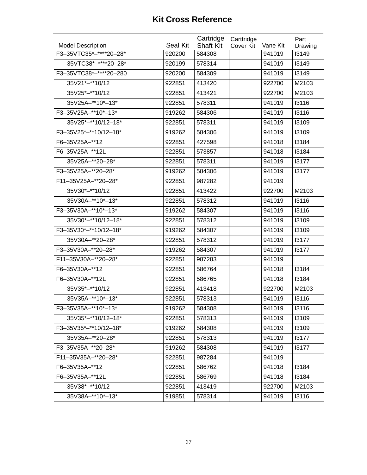| <b>Model Description</b> | Seal Kit | Cartridge<br><b>Shaft Kit</b> | Carttridge<br>Cover Kit | Vane Kit | Part<br>Drawing |
|--------------------------|----------|-------------------------------|-------------------------|----------|-----------------|
| F3-35VTC35*-****20-28*   | 920200   | 584308                        |                         | 941019   | 13149           |
| 35VTC38*-****20-28*      | 920199   | 578314                        |                         | 941019   | 13149           |
| F3-35VTC38*-****20-280   | 920200   | 584309                        |                         | 941019   | 13149           |
| 35V21*-**10/12           | 922851   | 413420                        |                         | 922700   | M2103           |
| 35V25*-**10/12           | 922851   | 413421                        |                         | 922700   | M2103           |
| 35V25A-**10*-13*         | 922851   | 578311                        |                         | 941019   | 13116           |
| F3-35V25A-**10*-13*      | 919262   | 584306                        |                         | 941019   | 13116           |
| 35V25*-**10/12-18*       | 922851   | 578311                        |                         | 941019   | 13109           |
| F3-35V25*-**10/12-18*    | 919262   | 584306                        |                         | 941019   | 13109           |
| F6-35V25A-**12           | 922851   | 427598                        |                         | 941018   | 13184           |
| F6-35V25A-**12L          | 922851   | 573857                        |                         | 941018   | 13184           |
| 35V25A-**20-28*          | 922851   | 578311                        |                         | 941019   | 13177           |
| F3-35V25A-**20-28*       | 919262   | 584306                        |                         | 941019   | 13177           |
| F11-35V25A-**20-28*      | 922851   | 987282                        |                         | 941019   |                 |
| 35V30*-**10/12           | 922851   | 413422                        |                         | 922700   | M2103           |
| 35V30A-**10*-13*         | 922851   | 578312                        |                         | 941019   | 13116           |
| F3-35V30A-**10*-13*      | 919262   | 584307                        |                         | 941019   | 13116           |
| 35V30*-**10/12-18*       | 922851   | 578312                        |                         | 941019   | 13109           |
| F3-35V30*-**10/12-18*    | 919262   | 584307                        |                         | 941019   | 13109           |
| 35V30A-**20-28*          | 922851   | 578312                        |                         | 941019   | 13177           |
| F3-35V30A-**20-28*       | 919262   | 584307                        |                         | 941019   | 13177           |
| F11-35V30A-**20-28*      | 922851   | 987283                        |                         | 941019   |                 |
| F6-35V30A-**12           | 922851   | 586764                        |                         | 941018   | 13184           |
| F6-35V30A-**12L          | 922851   | 586765                        |                         | 941018   | 13184           |
| 35V35*-**10/12           | 922851   | 413418                        |                         | 922700   | M2103           |
| 35V35A-**10*-13*         | 922851   | 578313                        |                         | 941019   | 13116           |
| F3-35V35A-**10*-13*      | 919262   | 584308                        |                         | 941019   | 13116           |
| 35V35*-**10/12-18*       | 922851   | 578313                        |                         | 941019   | 13109           |
| F3-35V35*-**10/12-18*    | 919262   | 584308                        |                         | 941019   | 13109           |
| 35V35A-**20-28*          | 922851   | 578313                        |                         | 941019   | 13177           |
| F3-35V35A-**20-28*       | 919262   | 584308                        |                         | 941019   | 13177           |
| F11-35V35A-**20-28*      | 922851   | 987284                        |                         | 941019   |                 |
| F6-35V35A-**12           | 922851   | 586762                        |                         | 941018   | 13184           |
| F6-35V35A-**12L          | 922851   | 586769                        |                         | 941018   | 13184           |
| 35V38*-**10/12           | 922851   | 413419                        |                         | 922700   | M2103           |
| 35V38A-**10*-13*         | 919851   | 578314                        |                         | 941019   | 13116           |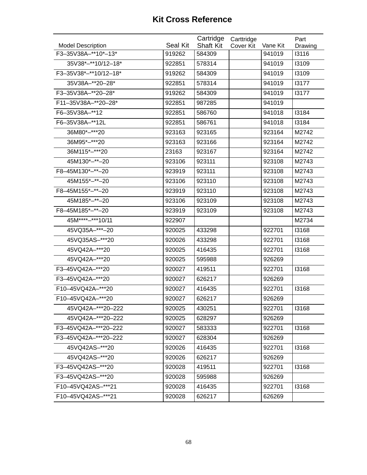| <b>Model Description</b> | Seal Kit | Cartridge<br><b>Shaft Kit</b> | Carttridge<br>Cover Kit | Vane Kit | Part<br>Drawing |
|--------------------------|----------|-------------------------------|-------------------------|----------|-----------------|
| F3-35V38A-**10*-13*      | 919262   | 584309                        |                         | 941019   | 13116           |
| 35V38*-**10/12-18*       | 922851   | 578314                        |                         | 941019   | 13109           |
| F3-35V38*-**10/12-18*    | 919262   | 584309                        |                         | 941019   | 13109           |
| 35V38A-**20-28*          | 922851   | 578314                        |                         | 941019   | 13177           |
| F3-35V38A-**20-28*       | 919262   | 584309                        |                         | 941019   | 13177           |
| F11-35V38A-**20-28*      | 922851   | 987285                        |                         | 941019   |                 |
| F6-35V38A-**12           | 922851   | 586760                        |                         | 941018   | 13184           |
| F6-35V38A-**12L          | 922851   | 586761                        |                         | 941018   | 13184           |
| 36M80*-***20             | 923163   | 923165                        |                         | 923164   | M2742           |
| 36M95*-***20             | 923163   | 923166                        |                         | 923164   | M2742           |
| 36M115*-***20            | 23163    | 923167                        |                         | 923164   | M2742           |
| 45M130*-**-20            | 923106   | 923111                        |                         | 923108   | M2743           |
| F8-45M130*-**-20         | 923919   | 923111                        |                         | 923108   | M2743           |
| 45M155*-**-20            | 923106   | 923110                        |                         | 923108   | M2743           |
| F8-45M155*-**-20         | 923919   | 923110                        |                         | 923108   | M2743           |
| 45M185*-**-20            | 923106   | 923109                        |                         | 923108   | M2743           |
| F8-45M185*-**-20         | 923919   | 923109                        |                         | 923108   | M2743           |
| 45M****-***10/11         | 922907   |                               |                         |          | M2734           |
| 45VQ35A-***-20           | 920025   | 433298                        |                         | 922701   | 13168           |
| 45VQ35AS-***20           | 920026   | 433298                        |                         | 922701   | 13168           |
| 45VQ42A-***20            | 920025   | 416435                        |                         | 922701   | 13168           |
| 45VQ42A-***20            | 920025   | 595988                        |                         | 926269   |                 |
| F3-45VQ42A-***20         | 920027   | 419511                        |                         | 922701   | 13168           |
| F3-45VQ42A-***20         | 920027   | 626217                        |                         | 926269   |                 |
| F10-45VQ42A-***20        | 920027   | 416435                        |                         | 922701   | 13168           |
| F10-45VQ42A-***20        | 920027   | 626217                        |                         | 926269   |                 |
| 45VQ42A-***20-222        | 920025   | 430251                        |                         | 922701   | 13168           |
| 45VQ42A-***20-222        | 920025   | 628297                        |                         | 926269   |                 |
| F3-45VQ42A-***20-222     | 920027   | 583333                        |                         | 922701   | 13168           |
| F3-45VQ42A-***20-222     | 920027   | 628304                        |                         | 926269   |                 |
| 45VQ42AS-***20           | 920026   | 416435                        |                         | 922701   | 13168           |
| 45VQ42AS-***20           | 920026   | 626217                        |                         | 926269   |                 |
| F3-45VQ42AS-***20        | 920028   | 419511                        |                         | 922701   | 13168           |
| F3-45VQ42AS-***20        | 920028   | 595988                        |                         | 926269   |                 |
| F10-45VQ42AS-***21       | 920028   | 416435                        |                         | 922701   | 13168           |
| F10-45VQ42AS-***21       | 920028   | 626217                        |                         | 626269   |                 |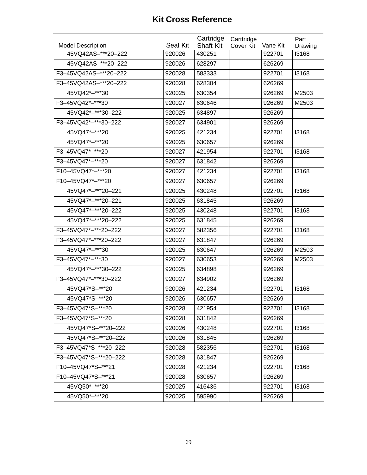| <b>Model Description</b> | Seal Kit | Cartridge<br><b>Shaft Kit</b> | Carttridge<br>Cover Kit | Vane Kit | Part<br>Drawing |
|--------------------------|----------|-------------------------------|-------------------------|----------|-----------------|
| 45VQ42AS-***20-222       | 920026   | 430251                        |                         | 922701   | 13168           |
| 45VQ42AS-***20-222       | 920026   | 628297                        |                         | 626269   |                 |
| F3-45VQ42AS-***20-222    | 920028   | 583333                        |                         | 922701   | 13168           |
| F3-45VQ42AS-***20-222    | 920028   | 628304                        |                         | 626269   |                 |
| 45VQ42*-***30            | 920025   | 630354                        |                         | 926269   | M2503           |
| F3-45VQ42*-***30         | 920027   | 630646                        |                         | 926269   | M2503           |
| 45VQ42*-***30-222        | 920025   | 634897                        |                         | 926269   |                 |
| F3-45VQ42*-***30-222     | 920027   | 634901                        |                         | 926269   |                 |
| 45VQ47*-***20            | 920025   | 421234                        |                         | 922701   | 13168           |
| 45VQ47*-***20            | 920025   | 630657                        |                         | 926269   |                 |
| F3-45VQ47*-***20         | 920027   | 421954                        |                         | 922701   | 13168           |
| F3-45VQ47*-***20         | 920027   | 631842                        |                         | 926269   |                 |
| F10-45VQ47*-***20        | 920027   | 421234                        |                         | 922701   | 13168           |
| F10-45VQ47*-***20        | 920027   | 630657                        |                         | 926269   |                 |
| 45VQ47*-***20-221        | 920025   | 430248                        |                         | 922701   | 13168           |
| 45VQ47*-***20-221        | 920025   | 631845                        |                         | 926269   |                 |
| 45VQ47*-***20-222        | 920025   | 430248                        |                         | 922701   | 13168           |
| 45VQ47*-***20-222        | 920025   | 631845                        |                         | 926269   |                 |
| F3-45VQ47*-***20-222     | 920027   | 582356                        |                         | 922701   | 13168           |
| F3-45VQ47*-***20-222     | 920027   | 631847                        |                         | 926269   |                 |
| 45VQ47*-***30            | 920025   | 630647                        |                         | 926269   | M2503           |
| F3-45VQ47*-***30         | 920027   | 630653                        |                         | 926269   | M2503           |
| 45VQ47*-***30-222        | 920025   | 634898                        |                         | 926269   |                 |
| F3-45VQ47*-***30-222     | 920027   | 634902                        |                         | 926269   |                 |
| 45VQ47*S-***20           | 920026   | 421234                        |                         | 922701   | 13168           |
| 45VQ47*S-***20           | 920026   | 630657                        |                         | 926269   |                 |
| F3-45VQ47*S-***20        | 920028   | 421954                        |                         | 922701   | 13168           |
| F3-45VQ47*S-***20        | 920028   | 631842                        |                         | 926269   |                 |
| 45VQ47*S-***20-222       | 920026   | 430248                        |                         | 922701   | 13168           |
| 45VQ47*S-***20-222       | 920026   | 631845                        |                         | 926269   |                 |
| F3-45VQ47*S-***20-222    | 920028   | 582356                        |                         | 922701   | 13168           |
| F3-45VQ47*S-***20-222    | 920028   | 631847                        |                         | 926269   |                 |
| F10-45VQ47*S-***21       | 920028   | 421234                        |                         | 922701   | 13168           |
| F10-45VQ47*S-***21       | 920028   | 630657                        |                         | 926269   |                 |
| 45VQ50*-***20            | 920025   | 416436                        |                         | 922701   | 13168           |
| 45VQ50*-***20            | 920025   | 595990                        |                         | 926269   |                 |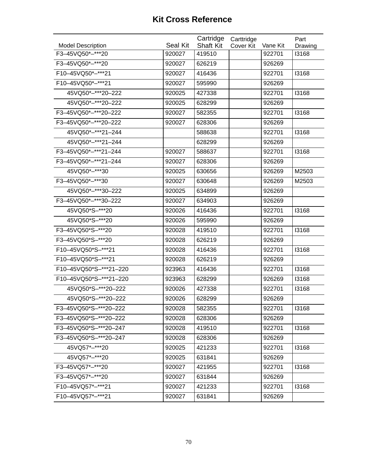| <b>Model Description</b> | Seal Kit | Cartridge<br><b>Shaft Kit</b> | Carttridge<br>Cover Kit | Vane Kit | Part<br>Drawing |
|--------------------------|----------|-------------------------------|-------------------------|----------|-----------------|
| F3-45VQ50*-***20         | 920027   | 419510                        |                         | 922701   | 13168           |
| F3-45VQ50*-***20         | 920027   | 626219                        |                         | 926269   |                 |
| F10-45VQ50*-***21        | 920027   | 416436                        |                         | 922701   | 13168           |
| F10-45VQ50*-***21        | 920027   | 595990                        |                         | 926269   |                 |
| 45VQ50*-***20-222        | 920025   | 427338                        |                         | 922701   | 13168           |
| 45VQ50*-***20-222        | 920025   | 628299                        |                         | 926269   |                 |
| F3-45VQ50*-***20-222     | 920027   | 582355                        |                         | 922701   | 13168           |
| F3-45VQ50*-***20-222     | 920027   | 628306                        |                         | 926269   |                 |
| 45VQ50*-***21-244        |          | 588638                        |                         | 922701   | 13168           |
| 45VQ50*-***21-244        |          | 628299                        |                         | 926269   |                 |
| F3-45VQ50*-***21-244     | 920027   | 588637                        |                         | 922701   | 13168           |
| F3-45VQ50*-***21-244     | 920027   | 628306                        |                         | 926269   |                 |
| 45VQ50*-***30            | 920025   | 630656                        |                         | 926269   | M2503           |
| F3-45VQ50*-***30         | 920027   | 630648                        |                         | 926269   | M2503           |
| 45VQ50*-***30-222        | 920025   | 634899                        |                         | 926269   |                 |
| F3-45VQ50*-***30-222     | 920027   | 634903                        |                         | 926269   |                 |
| 45VQ50*S-***20           | 920026   | 416436                        |                         | 922701   | 13168           |
| 45VQ50*S-***20           | 920026   | 595990                        |                         | 926269   |                 |
| F3-45VQ50*S-***20        | 920028   | 419510                        |                         | 922701   | 13168           |
| F3-45VQ50*S-***20        | 920028   | 626219                        |                         | 926269   |                 |
| F10-45VQ50*S-***21       | 920028   | 416436                        |                         | 922701   | 13168           |
| F10-45VQ50*S-***21       | 920028   | 626219                        |                         | 926269   |                 |
| F10-45VQ50*S-***21-220   | 923963   | 416436                        |                         | 922701   | 13168           |
| F10-45VQ50*S-***21-220   | 923963   | 628299                        |                         | 926269   | 13168           |
| 45VQ50*S-***20-222       | 920026   | 427338                        |                         | 922701   | 13168           |
| 45VQ50*S-***20-222       | 920026   | 628299                        |                         | 926269   |                 |
| F3-45VQ50*S-***20-222    | 920028   | 582355                        |                         | 922701   | 13168           |
| F3-45VQ50*S-***20-222    | 920028   | 628306                        |                         | 926269   |                 |
| F3-45VQ50*S-***20-247    | 920028   | 419510                        |                         | 922701   | 13168           |
| F3-45VQ50*S-***20-247    | 920028   | 628306                        |                         | 926269   |                 |
| 45VQ57*-***20            | 920025   | 421233                        |                         | 922701   | 13168           |
| 45VQ57*-***20            | 920025   | 631841                        |                         | 926269   |                 |
| F3-45VQ57*-***20         | 920027   | 421955                        |                         | 922701   | 13168           |
| F3-45VQ57*-***20         | 920027   | 631844                        |                         | 926269   |                 |
| F10-45VQ57*-***21        | 920027   | 421233                        |                         | 922701   | 13168           |
| F10-45VQ57*-***21        | 920027   | 631841                        |                         | 926269   |                 |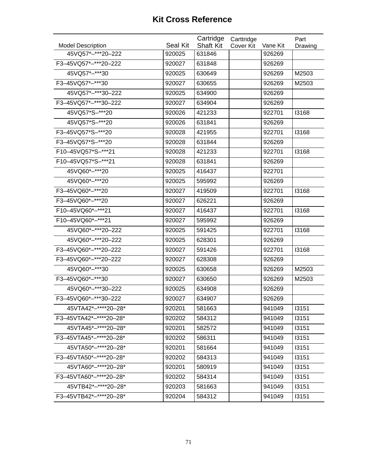| <b>Model Description</b> | Seal Kit | Cartridge<br><b>Shaft Kit</b> | Carttridge<br>Cover Kit | Vane Kit | Part<br>Drawing |
|--------------------------|----------|-------------------------------|-------------------------|----------|-----------------|
| 45VQ57*-***20-222        | 920025   | 631846                        |                         | 926269   |                 |
| F3-45VQ57*-***20-222     | 920027   | 631848                        |                         | 926269   |                 |
| 45VQ57*-***30            | 920025   | 630649                        |                         | 926269   | M2503           |
| F3-45VQ57*-***30         | 920027   | 630655                        |                         | 926269   | M2503           |
| 45VQ57*-***30-222        | 920025   | 634900                        |                         | 926269   |                 |
| F3-45VQ57*-***30-222     | 920027   | 634904                        |                         | 926269   |                 |
| 45VQ57*S-***20           | 920026   | 421233                        |                         | 922701   | 13168           |
| 45VQ57*S-***20           | 920026   | 631841                        |                         | 926269   |                 |
| F3-45VQ57*S-***20        | 920028   | 421955                        |                         | 922701   | 13168           |
| F3-45VQ57*S-***20        | 920028   | 631844                        |                         | 926269   |                 |
| F10-45VQ57*S-***21       | 920028   | 421233                        |                         | 922701   | 13168           |
| F10-45VQ57*S-***21       | 920028   | 631841                        |                         | 926269   |                 |
| 45VQ60*-***20            | 920025   | 416437                        |                         | 922701   |                 |
| 45VQ60*-***20            | 920025   | 595992                        |                         | 926269   |                 |
| F3-45VQ60*-***20         | 920027   | 419509                        |                         | 922701   | 13168           |
| F3-45VQ60*-***20         | 920027   | 626221                        |                         | 926269   |                 |
| F10-45VQ60*-***21        | 920027   | 416437                        |                         | 922701   | 13168           |
| F10-45VQ60*-***21        | 920027   | 595992                        |                         | 926269   |                 |
| 45VQ60*-***20-222        | 920025   | 591425                        |                         | 922701   | 13168           |
| 45VQ60*-***20-222        | 920025   | 628301                        |                         | 926269   |                 |
| F3-45VQ60*-***20-222     | 920027   | 591426                        |                         | 922701   | 13168           |
| F3-45VQ60*-***20-222     | 920027   | 628308                        |                         | 926269   |                 |
| 45VQ60*-***30            | 920025   | 630658                        |                         | 926269   | M2503           |
| F3-45VQ60*-***30         | 920027   | 630650                        |                         | 926269   | M2503           |
| 45VQ60*-***30-222        | 920025   | 634908                        |                         | 926269   |                 |
| F3-45VQ60*-***30-222     | 920027   | 634907                        |                         | 926269   |                 |
| 45VTA42*-****20-28*      | 920201   | 581663                        |                         | 941049   | 13151           |
| F3-45VTA42*-****20-28*   | 920202   | 584312                        |                         | 941049   | 13151           |
| 45VTA45*-****20-28*      | 920201   | 582572                        |                         | 941049   | 13151           |
| F3-45VTA45*-****20-28*   | 920202   | 586311                        |                         | 941049   | 13151           |
| 45VTA50*-****20-28*      | 920201   | 581664                        |                         | 941049   | 13151           |
| F3-45VTA50*-****20-28*   | 920202   | 584313                        |                         | 941049   | 13151           |
| 45VTA60*-****20-28*      | 920201   | 580919                        |                         | 941049   | 13151           |
| F3-45VTA60*-****20-28*   | 920202   | 584314                        |                         | 941049   | 13151           |
| 45VTB42*-****20-28*      | 920203   | 581663                        |                         | 941049   | 13151           |
| F3-45VTB42*-****20-28*   | 920204   | 584312                        |                         | 941049   | 13151           |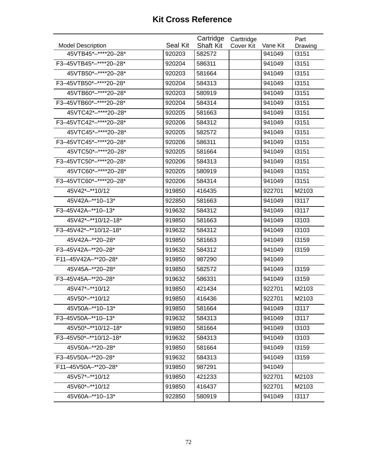| <b>Model Description</b> | <b>Seal Kit</b> | Cartridge<br><b>Shaft Kit</b> | Carttridge | Vane Kit | Part             |
|--------------------------|-----------------|-------------------------------|------------|----------|------------------|
| 45VTB45*-****20-28*      | 920203          | 582572                        | Cover Kit  | 941049   | Drawing<br>13151 |
| F3-45VTB45*-****20-28*   |                 | 586311                        |            | 941049   | 13151            |
|                          | 920204          |                               |            |          |                  |
| 45VTB50*-****20-28*      | 920203          | 581664                        |            | 941049   | 13151            |
| F3-45VTB50*-****20-28*   | 920204          | 584313                        |            | 941049   | 13151            |
| 45VTB60*-****20-28*      | 920203          | 580919                        |            | 941049   | 13151            |
| F3-45VTB60*-****20-28*   | 920204          | 584314                        |            | 941049   | 13151            |
| 45VTC42*-****20-28*      | 920205          | 581663                        |            | 941049   | 13151            |
| F3-45VTC42*-****20-28*   | 920206          | 584312                        |            | 941049   | 13151            |
| 45VTC45*-****20-28*      | 920205          | 582572                        |            | 941049   | 13151            |
| F3-45VTC45*-****20-28*   | 920206          | 586311                        |            | 941049   | 13151            |
| 45VTC50*-****20-28*      | 920205          | 581664                        |            | 941049   | 13151            |
| F3-45VTC50*-****20-28*   | 920206          | 584313                        |            | 941049   | 13151            |
| 45VTC60*-****20-28*      | 920205          | 580919                        |            | 941049   | 13151            |
| F3-45VTC60*-****20-28*   | 920206          | 584314                        |            | 941049   | 13151            |
| 45V42*-**10/12           | 919850          | 416435                        |            | 922701   | M2103            |
| 45V42A-**10-13*          | 922850          | 581663                        |            | 941049   | 13117            |
| F3-45V42A-**10-13*       | 919632          | 584312                        |            | 941049   | 13117            |
| 45V42*-**10/12-18*       | 919850          | 581663                        |            | 941049   | 13103            |
| F3-45V42*-**10/12-18*    | 919632          | 584312                        |            | 941049   | 13103            |
| 45V42A-**20-28*          | 919850          | 581663                        |            | 941049   | 13159            |
| F3-45V42A-**20-28*       | 919632          | 584312                        |            | 941049   | <b>I3159</b>     |
| F11-45V42A-**20-28*      | 919850          | 987290                        |            | 941049   |                  |
| 45V45A-**20-28*          | 919850          | 582572                        |            | 941049   | 13159            |
| F3-45V45A-**20-28*       | 919632          | 586331                        |            | 941049   | 13159            |
| 45V47*-**10/12           | 919850          | 421434                        |            | 922701   | M2103            |
| 45V50*-**10/12           | 919850          | 416436                        |            | 922701   | M2103            |
| 45V50A-**10-13*          | 919850          | 581664                        |            | 941049   | 13117            |
| F3-45V50A-**10-13*       | 919632          | 584313                        |            | 941049   | 13117            |
| 45V50*-**10/12-18*       | 919850          | 581664                        |            | 941049   | 13103            |
| F3-45V50*-**10/12-18*    | 919632          | 584313                        |            | 941049   | 13103            |
| 45V50A-**20-28*          | 919850          | 581664                        |            | 941049   | <b>I3159</b>     |
| F3-45V50A-**20-28*       | 919632          | 584313                        |            | 941049   | 13159            |
| F11-45V50A-**20-28*      | 919850          | 987291                        |            | 941049   |                  |
| 45V57*-**10/12           | 919850          | 421233                        |            | 922701   | M2103            |
| 45V60*-**10/12           | 919850          | 416437                        |            | 922701   | M2103            |
| 45V60A-**10-13*          | 922850          | 580919                        |            | 941049   | 13117            |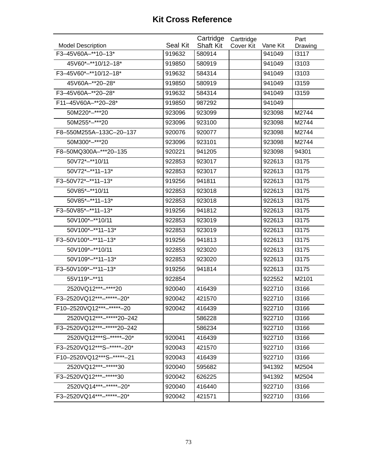| <b>Model Description</b>   | <b>Seal Kit</b> | Cartridge<br><b>Shaft Kit</b> | Carttridge       |                    | Part             |
|----------------------------|-----------------|-------------------------------|------------------|--------------------|------------------|
| F3-45V60A-**10-13*         | 919632          | 580914                        | <b>Cover Kit</b> | Vane Kit<br>941049 | Drawing<br>13117 |
|                            |                 |                               |                  |                    |                  |
| 45V60*-**10/12-18*         | 919850          | 580919                        |                  | 941049             | 13103            |
| F3-45V60*-**10/12-18*      | 919632          | 584314                        |                  | 941049             | 13103            |
| 45V60A-**20-28*            | 919850          | 580919                        |                  | 941049             | 13159            |
| F3-45V60A-**20-28*         | 919632          | 584314                        |                  | 941049             | 13159            |
| F11-45V60A-**20-28*        | 919850          | 987292                        |                  | 941049             |                  |
| 50M220*-***20              | 923096          | 923099                        |                  | 923098             | M2744            |
| 50M255*-***20              | 923096          | 923100                        |                  | 923098             | M2744            |
| F8-550M255A-133C-20-137    | 920076          | 920077                        |                  | 923098             | M2744            |
| 50M300*-***20              | 923096          | 923101                        |                  | 923098             | M2744            |
| F8-50MQ300A-***20-135      | 920221          | 941205                        |                  | 923098             | 94301            |
| 50V72*-**10/11             | 922853          | 923017                        |                  | 922613             | 13175            |
| $50V72^{*}$ -**11-13*      | 922853          | 923017                        |                  | 922613             | 13175            |
| F3-50V72*-**11-13*         | 919256          | 941811                        |                  | 922613             | 13175            |
| 50V85*-**10/11             | 922853          | 923018                        |                  | 922613             | 13175            |
| $50V85*-*11-13*$           | 922853          | 923018                        |                  | 922613             | 13175            |
| F3-50V85*-**11-13*         | 919256          | 941812                        |                  | 922613             | 13175            |
| 50V100*-**10/11            | 922853          | 923019                        |                  | 922613             | 13175            |
| 50V100*-**11-13*           | 922853          | 923019                        |                  | 922613             | 13175            |
| F3-50V100*-**11-13*        | 919256          | 941813                        |                  | 922613             | 13175            |
| 50V109 *-** 10/11          | 922853          | 923020                        |                  | 922613             | 13175            |
| 50V109 *-**11-13*          | 922853          | 923020                        |                  | 922613             | 13175            |
| F3-50V109*-**11-13*        | 919256          | 941814                        |                  | 922613             | 13175            |
| 55V119 *- ** 11            | 922854          |                               |                  | 922552             | M2101            |
| 2520VQ12***-****20         | 920040          | 416439                        |                  | 922710             | 13166            |
| F3-2520VQ12***-*****-20*   | 920042          | 421570                        |                  | 922710             | 13166            |
| F10-2520VQ12 ***-*****-20  | 920042          | 416439                        |                  | 922710             | 13166            |
| 2520VQ12***-*****20-242    |                 | 586228                        |                  | 922710             | 13166            |
| F3-2520VQ12***-*****20-242 |                 | 586234                        |                  | 922710             | 13166            |
| 2520VQ12***S-******-20*    | 920041          | 416439                        |                  | 922710             | 13166            |
| F3-2520VQ12***S-******-20* | 920043          | 421570                        |                  | 922710             | 13166            |
| F10-2520VQ12***S-******-21 | 920043          | 416439                        |                  | 922710             | 13166            |
| 2520VQ12 ***- ***** 30     | 920040          | 595682                        |                  | 941392             | M2504            |
| F3-2520VQ12 ***-***** 30   | 920042          | 626225                        |                  | 941392             | M2504            |
| 2520VQ14 *** - ***** - 20* | 920040          | 416440                        |                  | 922710             | 13166            |
| F3-2520VQ14***-*****-20*   | 920042          | 421571                        |                  | 922710             | 13166            |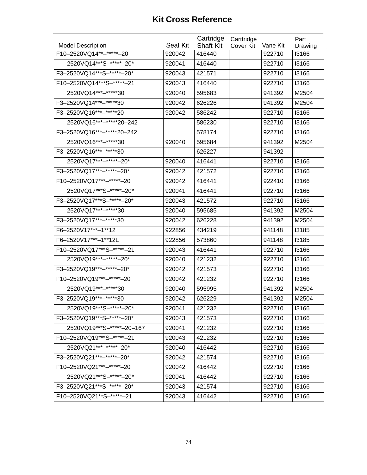| F10-2520VQ14 ** -***** - 20<br>416440<br>920042<br>922710<br>13166<br>2520VQ14***S-*****+-20*<br>922710<br>13166<br>920041<br>416440<br>F3-2520VQ14***S-*****-20*<br>421571<br>922710<br>13166<br>920043<br>F10-2520VQ14***S-*****-21<br>13166<br>920043<br>416440<br>922710<br>2520VQ14 *** -***** * 30<br>920040<br>595683<br>941392<br>M2504<br>F3-2520VQ14 ***- ***** 30<br>920042<br>626226<br>941392<br>M2504<br>F3-2520VQ16 *** -***** 20<br>920042<br>586242<br>922710<br>13166<br>2520VQ16***-*****20-242<br>586230<br>922710<br>13166<br>F3-2520VQ16***-*****20-242<br>922710<br>13166<br>578174<br>2520VQ16***-*****30<br>941392<br>920040<br>595684<br>M2504<br>F3-2520VQ16***-*****30<br>941392<br>626227<br>2520VQ17***-*****-20*<br>920040<br>416441<br>922710<br>13166<br>F3-2520VQ17 ***-*****-20*<br>421572<br>13166<br>920042<br>922710<br>F10-2520VQ17***-*****-20<br>920042<br>416441<br>922410<br>13166<br>2520VQ17***S-******-20*<br>920041<br>416441<br>922710<br>13166<br>F3-2520VQ17***S-*****-20*<br>922710<br>13166<br>920043<br>421572<br>2520VQ17***-*****30<br>941392<br>M2504<br>920040<br>595685<br>F3-2520VQ17 ***-***** 30<br>941392<br>M2504<br>920042<br>626228<br>F6-2520V17***-1**12<br>13185<br>922856<br>434219<br>941148<br>F6-2520V17 *** - 1 ** 12L<br>573860<br>13185<br>922856<br>941148<br>F10-2520VQ17***S-*****-21<br>13166<br>920043<br>416441<br>922710<br>2520VQ19 *** -***** - 20*<br>920040<br>421232<br>922710<br>13166<br>F3-2520VQ19 ***-*****-20*<br>920042<br>421573<br>922710<br>13166<br>F10-2520VQ19 ***-*****-20<br>920042<br>421232<br>13166<br>922710<br>2520VQ19 *** -***** 30<br>941392<br>920040<br>595995<br>M2504<br>F3-2520VQ19 *** -***** 30<br>920042<br>626229<br>941392<br>M2504<br>2520VQ19***S-*****-20*<br>920041<br>421232<br>922710<br>13166<br>F3-2520VQ19***S-*****-20*<br>13166<br>920043<br>421573<br>922710<br>2520VQ19***S-*****-20-167<br>920041<br>421232<br>922710<br>13166<br>F10-2520VQ19 *** S-***** - 21<br>421232<br>13166<br>920043<br>922710<br>2520VQ21 ***-*****-20*<br>920040<br>416442<br>922710<br>13166<br>F3-2520VQ21***-*****-20*<br>920042<br>421574<br>922710<br>13166<br>F10-2520VQ21 ***-*****-20<br>13166<br>920042<br>416442<br>922710<br>2520VQ21***S-*****-20*<br>416442<br>922710<br>13166<br>920041<br>F3-2520VQ21***S-*****-20*<br>920043<br>421574<br>922710<br>13166 |                          | Seal Kit | Cartridge<br><b>Shaft Kit</b> | Carttridge | Vane Kit | Part    |
|-------------------------------------------------------------------------------------------------------------------------------------------------------------------------------------------------------------------------------------------------------------------------------------------------------------------------------------------------------------------------------------------------------------------------------------------------------------------------------------------------------------------------------------------------------------------------------------------------------------------------------------------------------------------------------------------------------------------------------------------------------------------------------------------------------------------------------------------------------------------------------------------------------------------------------------------------------------------------------------------------------------------------------------------------------------------------------------------------------------------------------------------------------------------------------------------------------------------------------------------------------------------------------------------------------------------------------------------------------------------------------------------------------------------------------------------------------------------------------------------------------------------------------------------------------------------------------------------------------------------------------------------------------------------------------------------------------------------------------------------------------------------------------------------------------------------------------------------------------------------------------------------------------------------------------------------------------------------------------------------------------------------------------------------------------------------------------------------------------------------------------------------------------------------------------------------------------------------------------------------------------------------------------------------------------------------------------------------------------------------------------------------|--------------------------|----------|-------------------------------|------------|----------|---------|
|                                                                                                                                                                                                                                                                                                                                                                                                                                                                                                                                                                                                                                                                                                                                                                                                                                                                                                                                                                                                                                                                                                                                                                                                                                                                                                                                                                                                                                                                                                                                                                                                                                                                                                                                                                                                                                                                                                                                                                                                                                                                                                                                                                                                                                                                                                                                                                                           | <b>Model Description</b> |          |                               | Cover Kit  |          | Drawing |
|                                                                                                                                                                                                                                                                                                                                                                                                                                                                                                                                                                                                                                                                                                                                                                                                                                                                                                                                                                                                                                                                                                                                                                                                                                                                                                                                                                                                                                                                                                                                                                                                                                                                                                                                                                                                                                                                                                                                                                                                                                                                                                                                                                                                                                                                                                                                                                                           |                          |          |                               |            |          |         |
|                                                                                                                                                                                                                                                                                                                                                                                                                                                                                                                                                                                                                                                                                                                                                                                                                                                                                                                                                                                                                                                                                                                                                                                                                                                                                                                                                                                                                                                                                                                                                                                                                                                                                                                                                                                                                                                                                                                                                                                                                                                                                                                                                                                                                                                                                                                                                                                           |                          |          |                               |            |          |         |
|                                                                                                                                                                                                                                                                                                                                                                                                                                                                                                                                                                                                                                                                                                                                                                                                                                                                                                                                                                                                                                                                                                                                                                                                                                                                                                                                                                                                                                                                                                                                                                                                                                                                                                                                                                                                                                                                                                                                                                                                                                                                                                                                                                                                                                                                                                                                                                                           |                          |          |                               |            |          |         |
|                                                                                                                                                                                                                                                                                                                                                                                                                                                                                                                                                                                                                                                                                                                                                                                                                                                                                                                                                                                                                                                                                                                                                                                                                                                                                                                                                                                                                                                                                                                                                                                                                                                                                                                                                                                                                                                                                                                                                                                                                                                                                                                                                                                                                                                                                                                                                                                           |                          |          |                               |            |          |         |
|                                                                                                                                                                                                                                                                                                                                                                                                                                                                                                                                                                                                                                                                                                                                                                                                                                                                                                                                                                                                                                                                                                                                                                                                                                                                                                                                                                                                                                                                                                                                                                                                                                                                                                                                                                                                                                                                                                                                                                                                                                                                                                                                                                                                                                                                                                                                                                                           |                          |          |                               |            |          |         |
|                                                                                                                                                                                                                                                                                                                                                                                                                                                                                                                                                                                                                                                                                                                                                                                                                                                                                                                                                                                                                                                                                                                                                                                                                                                                                                                                                                                                                                                                                                                                                                                                                                                                                                                                                                                                                                                                                                                                                                                                                                                                                                                                                                                                                                                                                                                                                                                           |                          |          |                               |            |          |         |
|                                                                                                                                                                                                                                                                                                                                                                                                                                                                                                                                                                                                                                                                                                                                                                                                                                                                                                                                                                                                                                                                                                                                                                                                                                                                                                                                                                                                                                                                                                                                                                                                                                                                                                                                                                                                                                                                                                                                                                                                                                                                                                                                                                                                                                                                                                                                                                                           |                          |          |                               |            |          |         |
|                                                                                                                                                                                                                                                                                                                                                                                                                                                                                                                                                                                                                                                                                                                                                                                                                                                                                                                                                                                                                                                                                                                                                                                                                                                                                                                                                                                                                                                                                                                                                                                                                                                                                                                                                                                                                                                                                                                                                                                                                                                                                                                                                                                                                                                                                                                                                                                           |                          |          |                               |            |          |         |
|                                                                                                                                                                                                                                                                                                                                                                                                                                                                                                                                                                                                                                                                                                                                                                                                                                                                                                                                                                                                                                                                                                                                                                                                                                                                                                                                                                                                                                                                                                                                                                                                                                                                                                                                                                                                                                                                                                                                                                                                                                                                                                                                                                                                                                                                                                                                                                                           |                          |          |                               |            |          |         |
|                                                                                                                                                                                                                                                                                                                                                                                                                                                                                                                                                                                                                                                                                                                                                                                                                                                                                                                                                                                                                                                                                                                                                                                                                                                                                                                                                                                                                                                                                                                                                                                                                                                                                                                                                                                                                                                                                                                                                                                                                                                                                                                                                                                                                                                                                                                                                                                           |                          |          |                               |            |          |         |
|                                                                                                                                                                                                                                                                                                                                                                                                                                                                                                                                                                                                                                                                                                                                                                                                                                                                                                                                                                                                                                                                                                                                                                                                                                                                                                                                                                                                                                                                                                                                                                                                                                                                                                                                                                                                                                                                                                                                                                                                                                                                                                                                                                                                                                                                                                                                                                                           |                          |          |                               |            |          |         |
|                                                                                                                                                                                                                                                                                                                                                                                                                                                                                                                                                                                                                                                                                                                                                                                                                                                                                                                                                                                                                                                                                                                                                                                                                                                                                                                                                                                                                                                                                                                                                                                                                                                                                                                                                                                                                                                                                                                                                                                                                                                                                                                                                                                                                                                                                                                                                                                           |                          |          |                               |            |          |         |
|                                                                                                                                                                                                                                                                                                                                                                                                                                                                                                                                                                                                                                                                                                                                                                                                                                                                                                                                                                                                                                                                                                                                                                                                                                                                                                                                                                                                                                                                                                                                                                                                                                                                                                                                                                                                                                                                                                                                                                                                                                                                                                                                                                                                                                                                                                                                                                                           |                          |          |                               |            |          |         |
|                                                                                                                                                                                                                                                                                                                                                                                                                                                                                                                                                                                                                                                                                                                                                                                                                                                                                                                                                                                                                                                                                                                                                                                                                                                                                                                                                                                                                                                                                                                                                                                                                                                                                                                                                                                                                                                                                                                                                                                                                                                                                                                                                                                                                                                                                                                                                                                           |                          |          |                               |            |          |         |
|                                                                                                                                                                                                                                                                                                                                                                                                                                                                                                                                                                                                                                                                                                                                                                                                                                                                                                                                                                                                                                                                                                                                                                                                                                                                                                                                                                                                                                                                                                                                                                                                                                                                                                                                                                                                                                                                                                                                                                                                                                                                                                                                                                                                                                                                                                                                                                                           |                          |          |                               |            |          |         |
|                                                                                                                                                                                                                                                                                                                                                                                                                                                                                                                                                                                                                                                                                                                                                                                                                                                                                                                                                                                                                                                                                                                                                                                                                                                                                                                                                                                                                                                                                                                                                                                                                                                                                                                                                                                                                                                                                                                                                                                                                                                                                                                                                                                                                                                                                                                                                                                           |                          |          |                               |            |          |         |
|                                                                                                                                                                                                                                                                                                                                                                                                                                                                                                                                                                                                                                                                                                                                                                                                                                                                                                                                                                                                                                                                                                                                                                                                                                                                                                                                                                                                                                                                                                                                                                                                                                                                                                                                                                                                                                                                                                                                                                                                                                                                                                                                                                                                                                                                                                                                                                                           |                          |          |                               |            |          |         |
|                                                                                                                                                                                                                                                                                                                                                                                                                                                                                                                                                                                                                                                                                                                                                                                                                                                                                                                                                                                                                                                                                                                                                                                                                                                                                                                                                                                                                                                                                                                                                                                                                                                                                                                                                                                                                                                                                                                                                                                                                                                                                                                                                                                                                                                                                                                                                                                           |                          |          |                               |            |          |         |
|                                                                                                                                                                                                                                                                                                                                                                                                                                                                                                                                                                                                                                                                                                                                                                                                                                                                                                                                                                                                                                                                                                                                                                                                                                                                                                                                                                                                                                                                                                                                                                                                                                                                                                                                                                                                                                                                                                                                                                                                                                                                                                                                                                                                                                                                                                                                                                                           |                          |          |                               |            |          |         |
|                                                                                                                                                                                                                                                                                                                                                                                                                                                                                                                                                                                                                                                                                                                                                                                                                                                                                                                                                                                                                                                                                                                                                                                                                                                                                                                                                                                                                                                                                                                                                                                                                                                                                                                                                                                                                                                                                                                                                                                                                                                                                                                                                                                                                                                                                                                                                                                           |                          |          |                               |            |          |         |
|                                                                                                                                                                                                                                                                                                                                                                                                                                                                                                                                                                                                                                                                                                                                                                                                                                                                                                                                                                                                                                                                                                                                                                                                                                                                                                                                                                                                                                                                                                                                                                                                                                                                                                                                                                                                                                                                                                                                                                                                                                                                                                                                                                                                                                                                                                                                                                                           |                          |          |                               |            |          |         |
|                                                                                                                                                                                                                                                                                                                                                                                                                                                                                                                                                                                                                                                                                                                                                                                                                                                                                                                                                                                                                                                                                                                                                                                                                                                                                                                                                                                                                                                                                                                                                                                                                                                                                                                                                                                                                                                                                                                                                                                                                                                                                                                                                                                                                                                                                                                                                                                           |                          |          |                               |            |          |         |
|                                                                                                                                                                                                                                                                                                                                                                                                                                                                                                                                                                                                                                                                                                                                                                                                                                                                                                                                                                                                                                                                                                                                                                                                                                                                                                                                                                                                                                                                                                                                                                                                                                                                                                                                                                                                                                                                                                                                                                                                                                                                                                                                                                                                                                                                                                                                                                                           |                          |          |                               |            |          |         |
|                                                                                                                                                                                                                                                                                                                                                                                                                                                                                                                                                                                                                                                                                                                                                                                                                                                                                                                                                                                                                                                                                                                                                                                                                                                                                                                                                                                                                                                                                                                                                                                                                                                                                                                                                                                                                                                                                                                                                                                                                                                                                                                                                                                                                                                                                                                                                                                           |                          |          |                               |            |          |         |
|                                                                                                                                                                                                                                                                                                                                                                                                                                                                                                                                                                                                                                                                                                                                                                                                                                                                                                                                                                                                                                                                                                                                                                                                                                                                                                                                                                                                                                                                                                                                                                                                                                                                                                                                                                                                                                                                                                                                                                                                                                                                                                                                                                                                                                                                                                                                                                                           |                          |          |                               |            |          |         |
|                                                                                                                                                                                                                                                                                                                                                                                                                                                                                                                                                                                                                                                                                                                                                                                                                                                                                                                                                                                                                                                                                                                                                                                                                                                                                                                                                                                                                                                                                                                                                                                                                                                                                                                                                                                                                                                                                                                                                                                                                                                                                                                                                                                                                                                                                                                                                                                           |                          |          |                               |            |          |         |
|                                                                                                                                                                                                                                                                                                                                                                                                                                                                                                                                                                                                                                                                                                                                                                                                                                                                                                                                                                                                                                                                                                                                                                                                                                                                                                                                                                                                                                                                                                                                                                                                                                                                                                                                                                                                                                                                                                                                                                                                                                                                                                                                                                                                                                                                                                                                                                                           |                          |          |                               |            |          |         |
|                                                                                                                                                                                                                                                                                                                                                                                                                                                                                                                                                                                                                                                                                                                                                                                                                                                                                                                                                                                                                                                                                                                                                                                                                                                                                                                                                                                                                                                                                                                                                                                                                                                                                                                                                                                                                                                                                                                                                                                                                                                                                                                                                                                                                                                                                                                                                                                           |                          |          |                               |            |          |         |
|                                                                                                                                                                                                                                                                                                                                                                                                                                                                                                                                                                                                                                                                                                                                                                                                                                                                                                                                                                                                                                                                                                                                                                                                                                                                                                                                                                                                                                                                                                                                                                                                                                                                                                                                                                                                                                                                                                                                                                                                                                                                                                                                                                                                                                                                                                                                                                                           |                          |          |                               |            |          |         |
|                                                                                                                                                                                                                                                                                                                                                                                                                                                                                                                                                                                                                                                                                                                                                                                                                                                                                                                                                                                                                                                                                                                                                                                                                                                                                                                                                                                                                                                                                                                                                                                                                                                                                                                                                                                                                                                                                                                                                                                                                                                                                                                                                                                                                                                                                                                                                                                           |                          |          |                               |            |          |         |
|                                                                                                                                                                                                                                                                                                                                                                                                                                                                                                                                                                                                                                                                                                                                                                                                                                                                                                                                                                                                                                                                                                                                                                                                                                                                                                                                                                                                                                                                                                                                                                                                                                                                                                                                                                                                                                                                                                                                                                                                                                                                                                                                                                                                                                                                                                                                                                                           |                          |          |                               |            |          |         |
|                                                                                                                                                                                                                                                                                                                                                                                                                                                                                                                                                                                                                                                                                                                                                                                                                                                                                                                                                                                                                                                                                                                                                                                                                                                                                                                                                                                                                                                                                                                                                                                                                                                                                                                                                                                                                                                                                                                                                                                                                                                                                                                                                                                                                                                                                                                                                                                           |                          |          |                               |            |          |         |
|                                                                                                                                                                                                                                                                                                                                                                                                                                                                                                                                                                                                                                                                                                                                                                                                                                                                                                                                                                                                                                                                                                                                                                                                                                                                                                                                                                                                                                                                                                                                                                                                                                                                                                                                                                                                                                                                                                                                                                                                                                                                                                                                                                                                                                                                                                                                                                                           |                          |          |                               |            |          |         |
|                                                                                                                                                                                                                                                                                                                                                                                                                                                                                                                                                                                                                                                                                                                                                                                                                                                                                                                                                                                                                                                                                                                                                                                                                                                                                                                                                                                                                                                                                                                                                                                                                                                                                                                                                                                                                                                                                                                                                                                                                                                                                                                                                                                                                                                                                                                                                                                           |                          |          |                               |            |          |         |
|                                                                                                                                                                                                                                                                                                                                                                                                                                                                                                                                                                                                                                                                                                                                                                                                                                                                                                                                                                                                                                                                                                                                                                                                                                                                                                                                                                                                                                                                                                                                                                                                                                                                                                                                                                                                                                                                                                                                                                                                                                                                                                                                                                                                                                                                                                                                                                                           |                          |          |                               |            |          |         |
| F10-2520VQ21**S-******-21<br>920043<br>416442<br>922710<br>13166                                                                                                                                                                                                                                                                                                                                                                                                                                                                                                                                                                                                                                                                                                                                                                                                                                                                                                                                                                                                                                                                                                                                                                                                                                                                                                                                                                                                                                                                                                                                                                                                                                                                                                                                                                                                                                                                                                                                                                                                                                                                                                                                                                                                                                                                                                                          |                          |          |                               |            |          |         |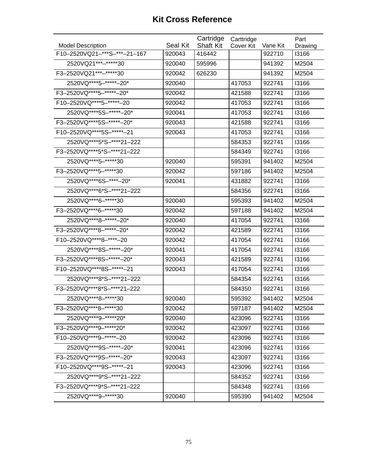| <b>Model Description</b>      | Seal Kit | Cartridge<br><b>Shaft Kit</b> | Carttridge<br>Cover Kit | Vane Kit | Part<br>Drawing |
|-------------------------------|----------|-------------------------------|-------------------------|----------|-----------------|
| F10-2520VQ21-***S-***-21-167  | 920043   | 416442                        |                         | 922710   | 13166           |
| 2520VQ21 *** -***** * 30      | 920040   | 595996                        |                         | 941392   | M2504           |
| F3-2520VQ21 ***-***** 30      | 920042   | 626230                        |                         | 941392   | M2504           |
| 2520VQ **** 5-***** - 20*     | 920040   |                               | 417053                  | 922741   | 13166           |
| F3-2520VQ****5-*****-20*      | 920042   |                               | 421588                  | 922741   | 13166           |
| F10-2520VQ **** 5-***** - 20  | 920042   |                               | 417053                  | 922741   | 13166           |
| 2520VQ****5S-******-20*       | 920041   |                               | 417053                  | 922741   | 13166           |
| F3-2520VQ****5S-******-20*    | 920043   |                               | 421588                  | 922741   | 13166           |
| F10-2520VQ****5S-*****-21     | 920043   |                               | 417053                  | 922741   | 13166           |
| 2520VQ****5*S-****21-222      |          |                               | 584353                  | 922741   | 13166           |
| F3-2520VQ****5*S-****21-222   |          |                               | 584349                  | 922741   | 13166           |
| 2520VQ **** 5-***** 30        | 920040   |                               | 595391                  | 941402   | M2504           |
| F3-2520VQ **** 5-***** * 30   | 920042   |                               | 597186                  | 941402   | M2504           |
| 2520VQ****6S-****-20*         | 920041   |                               | 431882                  | 922741   | 13166           |
| 2520VQ****6*S-****21-222      |          |                               | 584356                  | 922741   | 13166           |
| 2520VQ **** 6-***** * 30      | 920040   |                               | 595393                  | 941402   | M2504           |
| F3-2520VQ **** 6-***** 30     | 920042   |                               | 597188                  | 941402   | M2504           |
| 2520VQ****8-*****-20*         | 920040   |                               | 417054                  | 922741   | 13166           |
| F3-2520VQ ****8-*****-20*     | 920042   |                               | 421589                  | 922741   | 13166           |
| F10-2520VQ **** 8-**** - 20   | 920042   |                               | 417054                  | 922741   | 13166           |
| 2520VQ****8S-******-20*       | 920041   |                               | 417054                  | 922741   | 13166           |
| F3-2520VQ****8S-******-20*    | 920043   |                               | 421589                  | 922741   | 13166           |
| F10-2520VQ **** 8S-***** - 21 | 920043   |                               | 417054                  | 922741   | 13166           |
| 2520VQ****8*S-****21-222      |          |                               | 584354                  | 922741   | 13166           |
| F3-2520VQ****8*S-****21-222   |          |                               | 584350                  | 922741   | 13166           |
| 2520VQ **** 8-***** 30        | 920040   |                               | 595392                  | 941402   | M2504           |
| F3-2520VQ ****8-*****30       | 920042   |                               | 597187                  | 941402   | M2504           |
| 2520VQ****9-*****20*          | 920040   |                               | 423096                  | 922741   | 13166           |
| F3-2520VQ****9-*****20*       | 920042   |                               | 423097                  | 922741   | 13166           |
| F10-250VQ****9-*****-20       | 920042   |                               | 423096                  | 922741   | 13166           |
| 2520VQ****9S-******-20*       | 920041   |                               | 423096                  | 922741   | 13166           |
| F3-2520VQ****9S-*****-20*     | 920043   |                               | 423097                  | 922741   | 13166           |
| F10-2520VQ **** 9S-***** - 21 | 920043   |                               | 423096                  | 922741   | 13166           |
| 2520VQ****9*S-****21-222      |          |                               | 584352                  | 922741   | 13166           |
| F3-2520VQ****9*S-****21-222   |          |                               | 584348                  | 922741   | 13166           |
| 2520VQ****9-*****30           | 920040   |                               | 595390                  | 941402   | M2504           |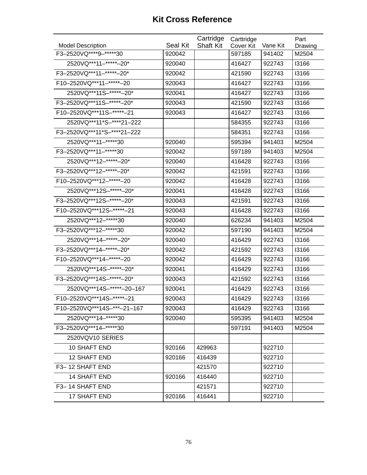|                               |          | Cartridge        | Carttridge |          | Part    |
|-------------------------------|----------|------------------|------------|----------|---------|
| <b>Model Description</b>      | Seal Kit | <b>Shaft Kit</b> | Cover Kit  | Vane Kit | Drawing |
| F3-2520VQ **** 9-***** 30     | 920042   |                  | 597185     | 941402   | M2504   |
| 2520VQ***11-*****-20*         | 920040   |                  | 416427     | 922743   | 13166   |
| F3-2520VQ***11-*****-20*      | 920042   |                  | 421590     | 922743   | 13166   |
| F10-2520VQ *** 11- ***** - 20 | 920043   |                  | 416427     | 922743   | 13166   |
| 2520VQ***11S-*****-20*        | 920041   |                  | 416427     | 922743   | 13166   |
| F3-2520VQ***11S-*****-20*     | 920043   |                  | 421590     | 922743   | 13166   |
| F10-2520VQ *** 11S-***** - 21 | 920043   |                  | 416427     | 922743   | 13166   |
| 2520VQ***11*S-****21-222      |          |                  | 584355     | 922743   | 13166   |
| F3-2520VQ***11*S-****21-222   |          |                  | 584351     | 922743   | 13166   |
| 2520VQ***11-*****30           | 920040   |                  | 595394     | 941403   | M2504   |
| F3-2520VQ *** 11-***** 30     | 920042   |                  | 597189     | 941403   | M2504   |
| 2520VQ***12-*****-20*         | 920040   |                  | 416428     | 922743   | 13166   |
| F3-2520VQ***12-*****-20*      | 920042   |                  | 421591     | 922743   | 13166   |
| F10-2520VQ***12-*****-20      | 920042   |                  | 416428     | 922743   | 13166   |
| 2520VQ***12S-******-20*       | 920041   |                  | 416428     | 922743   | 13166   |
| F3-2520VQ***12S-*****-20*     | 920043   |                  | 421591     | 922743   | 13166   |
| F10-2520VQ***12S-*****-21     | 920043   |                  | 416428     | 922743   | 13166   |
| 2520VQ***12-*****30           | 920040   |                  | 626234     | 941403   | M2504   |
| F3-2520VQ *** 12-***** 30     | 920042   |                  | 597190     | 941403   | M2504   |
| 2520VQ***14-*****-20*         | 920040   |                  | 416429     | 922743   | 13166   |
| F3-2520VQ***14-*****-20*      | 920042   |                  | 421592     | 922743   | 13166   |
| F10-2520VQ *** 14-***** - 20  | 920042   |                  | 416429     | 922743   | 13166   |
| 2520VQ***14S-******-20*       | 920041   |                  | 416429     | 922743   | 13166   |
| F3-2520VQ***14S-*****-20*     | 920043   |                  | 421592     | 922743   | 13166   |
| 2520VQ***14S-*****-20-167     | 920041   |                  | 416429     | 922743   | 13166   |
| F10-2520VQ***14S-*****-21     | 920043   |                  | 416429     | 922743   | 13166   |
| F10-2520VQ***14S-***-21-167   | 920043   |                  | 416429     | 922743   | 13166   |
| 2520VQ***14-*****30           | 920040   |                  | 595395     | 941403   | M2504   |
| F3-2520VQ***14-*****30        |          |                  | 597191     | 941403   | M2504   |
| 2520VQV10 SERIES              |          |                  |            |          |         |
| 10 SHAFT END                  | 920166   | 429963           |            | 922710   |         |
| 12 SHAFT END                  | 920166   | 416439           |            | 922710   |         |
| F3-12 SHAFT END               |          | 421570           |            | 922710   |         |
| <b>14 SHAFT END</b>           | 920166   | 416440           |            | 922710   |         |
| F3-14 SHAFT END               |          | 421571           |            | 922710   |         |
| 17 SHAFT END                  | 920166   | 416441           |            | 922710   |         |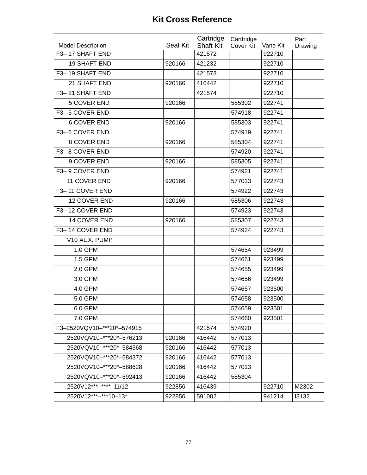|                                             | Seal Kit | Cartridge                  | Carttridge |                    | Part    |
|---------------------------------------------|----------|----------------------------|------------|--------------------|---------|
| <b>Model Description</b><br>F3-17 SHAFT END |          | <b>Shaft Kit</b><br>421572 | Cover Kit  | Vane Kit<br>922710 | Drawing |
| <b>19 SHAFT END</b>                         | 920166   | 421232                     |            | 922710             |         |
| F3-19 SHAFT END                             |          |                            |            |                    |         |
|                                             |          | 421573                     |            | 922710             |         |
| 21 SHAFT END                                | 920166   | 416442                     |            | 922710             |         |
| F3-21 SHAFT END                             |          | 421574                     |            | 922710             |         |
| <b>5 COVER END</b>                          | 920166   |                            | 585302     | 922741             |         |
| F3-5 COVER END                              |          |                            | 574918     | 922741             |         |
| <b>6 COVER END</b>                          | 920166   |                            | 585303     | 922741             |         |
| F3-6 COVER END                              |          |                            | 574919     | 922741             |         |
| 8 COVER END                                 | 920166   |                            | 585304     | 922741             |         |
| F3-8 COVER END                              |          |                            | 574920     | 922741             |         |
| 9 COVER END                                 | 920166   |                            | 585305     | 922741             |         |
| F3-9 COVER END                              |          |                            | 574921     | 922741             |         |
| 11 COVER END                                | 920166   |                            | 577013     | 922743             |         |
| F3-11 COVER END                             |          |                            | 574922     | 922743             |         |
| 12 COVER END                                | 920166   |                            | 585306     | 922743             |         |
| F3-12 COVER END                             |          |                            | 574923     | 922743             |         |
| 14 COVER END                                | 920166   |                            | 585307     | 922743             |         |
| F3-14 COVER END                             |          |                            | 574924     | 922743             |         |
| V10 AUX. PUMP                               |          |                            |            |                    |         |
| 1.0 GPM                                     |          |                            | 574654     | 923499             |         |
| 1.5 GPM                                     |          |                            | 574661     | 923499             |         |
| 2.0 GPM                                     |          |                            | 574655     | 923499             |         |
| 3.0 GPM                                     |          |                            | 574656     | 923499             |         |
| 4.0 GPM                                     |          |                            | 574657     | 923500             |         |
| 5.0 GPM                                     |          |                            | 574658     | 923500             |         |
| 6.0 GPM                                     |          |                            | 574659     | 923501             |         |
| 7.0 GPM                                     |          |                            | 574660     | 923501             |         |
| F3-2520VQV10-***20*-574915                  |          | 421574                     | 574920     |                    |         |
| 2520VQV10-***20*-576213                     | 920166   | 416442                     | 577013     |                    |         |
| 2520VQV10-***20*-584368                     | 920166   | 416442                     | 577013     |                    |         |
| 2520VQV10-***20*-584372                     | 920166   | 416442                     | 577013     |                    |         |
| 2520VQV10-***20*-588628                     | 920166   | 416442                     | 577013     |                    |         |
| 2520VQV10-***20*-592413                     | 920166   | 416442                     | 585304     |                    |         |
| 2520V12***-****-11/12                       | 922856   | 416439                     |            | 922710             | M2302   |
| 2520V12***-***10-13*                        | 922856   | 591002                     |            | 941214             | 13132   |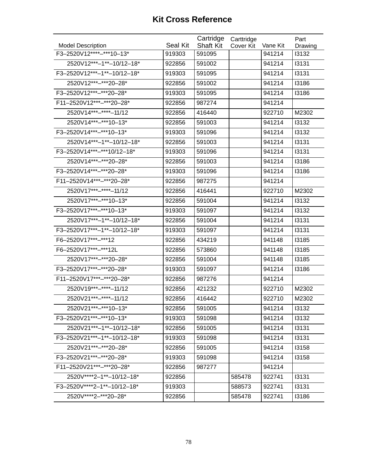| <b>Model Description</b>    | Seal Kit | Cartridge<br><b>Shaft Kit</b> | Carttridge | Vane Kit | Part             |
|-----------------------------|----------|-------------------------------|------------|----------|------------------|
| F3-2520V12****-***10-13*    | 919303   | 591095                        | Cover Kit  | 941214   | Drawing<br>13132 |
| 2520V12***-1**-10/12-18*    | 922856   | 591002                        |            | 941214   | 13131            |
| F3-2520V12***-1**-10/12-18* | 919303   | 591095                        |            | 941214   | 13131            |
| 2520V12***-***20-28*        | 922856   | 591002                        |            | 941214   | 13186            |
| F3-2520V12***-***20-28*     | 919303   | 591095                        |            | 941214   | 13186            |
| F11-2520V12***-***20-28*    | 922856   | 987274                        |            | 941214   |                  |
| 2520V14***-****-11/12       | 922856   | 416440                        |            | 922710   | M2302            |
| 2520V14***-***10-13*        |          |                               |            |          | 13132            |
|                             | 922856   | 591003                        |            | 941214   |                  |
| F3-2520V14***-***10-13*     | 919303   | 591096                        |            | 941214   | 13132            |
| 2520V14***-1**-10/12-18*    | 922856   | 591003                        |            | 941214   | 13131            |
| F3-2520V14***-***10/12-18*  | 919303   | 591096                        |            | 941214   | 13131            |
| 2520V14 *** -*** 20 - 28*   | 922856   | 591003                        |            | 941214   | 13186            |
| F3-2520V14 *** -*** 20-28*  | 919303   | 591096                        |            | 941214   | 13186            |
| F11-2520V14***-***20-28*    | 922856   | 987275                        |            | 941214   |                  |
| 2520V17***-****-11/12       | 922856   | 416441                        |            | 922710   | M2302            |
| 2520V17***-***10-13*        | 922856   | 591004                        |            | 941214   | 13132            |
| F3-2520V17***-***10-13*     | 919303   | 591097                        |            | 941214   | 13132            |
| 2520V17***-1**-10/12-18*    | 922856   | 591004                        |            | 941214   | 13131            |
| F3-2520V17***-1**-10/12-18* | 919303   | 591097                        |            | 941214   | 13131            |
| F6-2520V17***-***12         | 922856   | 434219                        |            | 941148   | 13185            |
| F6-2520V17 *** -*** 12L     | 922856   | 573860                        |            | 941148   | <b>I3185</b>     |
| 2520V17 *** -*** 20 - 28*   | 922856   | 591004                        |            | 941148   | <b>I3185</b>     |
| F3-2520V17***-***20-28*     | 919303   | 591097                        |            | 941214   | 13186            |
| F11-2520V17***-***20-28*    | 922856   | 987276                        |            | 941214   |                  |
| 2520V19 ***- **** - 11/12   | 922856   | 421232                        |            | 922710   | M2302            |
| 2520V21***-****-11/12       | 922856   | 416442                        |            | 922710   | M2302            |
| 2520V21***-***10-13*        | 922856   | 591005                        |            | 941214   | 13132            |
| F3-2520V21***-***10-13*     | 919303   | 591098                        |            | 941214   | 13132            |
| 2520V21***-1**-10/12-18*    | 922856   | 591005                        |            | 941214   | 13131            |
| F3-2520V21***-1**-10/12-18* | 919303   | 591098                        |            | 941214   | 13131            |
| 2520V21 *** -*** 20 - 28*   | 922856   | 591005                        |            | 941214   | 13158            |
| F3-2520V21***-***20-28*     | 919303   | 591098                        |            | 941214   | 13158            |
| F11-2520V21***-***20-28*    | 922856   | 987277                        |            | 941214   |                  |
| 2520V****2-1**-10/12-18*    | 922856   |                               | 585478     | 922741   | 13131            |
| F3-2520V****2-1**-10/12-18* | 919303   |                               | 588573     | 922741   | 13131            |
| 2520V****2-***20-28*        | 922856   |                               | 585478     | 922741   | 13186            |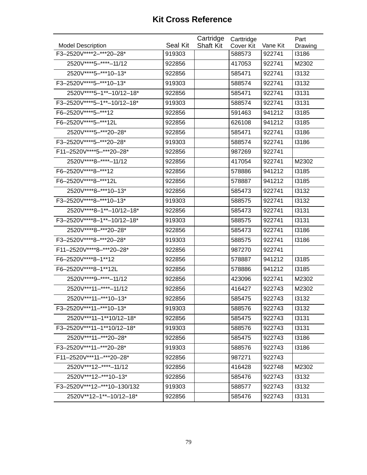|                             |          | Cartridge        | Carttridge |          | Part         |
|-----------------------------|----------|------------------|------------|----------|--------------|
| <b>Model Description</b>    | Seal Kit | <b>Shaft Kit</b> | Cover Kit  | Vane Kit | Drawing      |
| F3-2520V****2-***20-28*     | 919303   |                  | 588573     | 922741   | 13186        |
| 2520V****5-****-11/12       | 922856   |                  | 417053     | 922741   | M2302        |
| 2520V****5-***10-13*        | 922856   |                  | 585471     | 922741   | 13132        |
| F3-2520V****5-***10-13*     | 919303   |                  | 588574     | 922741   | 13132        |
| 2520V****5-1**-10/12-18*    | 922856   |                  | 585471     | 922741   | 13131        |
| F3-2520V****5-1**-10/12-18* | 919303   |                  | 588574     | 922741   | 13131        |
| F6-2520V****5-***12         | 922856   |                  | 591463     | 941212   | <b>I3185</b> |
| F6-2520V****5-***12L        | 922856   |                  | 626108     | 941212   | 13185        |
| 2520V****5-***20-28*        | 922856   |                  | 585471     | 922741   | 13186        |
| F3-2520V****5-***20-28*     | 919303   |                  | 588574     | 922741   | 13186        |
| F11-2520V****5-***20-28*    | 922856   |                  | 987269     | 922741   |              |
| 2520V****8-****-11/12       | 922856   |                  | 417054     | 922741   | M2302        |
| F6-2520V **** 8-*** 12      | 922856   |                  | 578886     | 941212   | 13185        |
| F6-2520V****8-***12L        | 922856   |                  | 578887     | 941212   | 13185        |
| 2520V****8-***10-13*        | 922856   |                  | 585473     | 922741   | 13132        |
| F3-2520V****8-***10-13*     | 919303   |                  | 588575     | 922741   | 13132        |
| 2520V****8-1**-10/12-18*    | 922856   |                  | 585473     | 922741   | 13131        |
| F3-2520V****8-1**-10/12-18* | 919303   |                  | 588575     | 922741   | 13131        |
| 2520V****8-***20-28*        | 922856   |                  | 585473     | 922741   | 13186        |
| F3-2520V****8-***20-28*     | 919303   |                  | 588575     | 922741   | 13186        |
| F11-2520V****8-***20-28*    | 922856   |                  | 987270     | 922741   |              |
| F6-2520V****8-1**12         | 922856   |                  | 578887     | 941212   | 13185        |
| F6-2520V****8-1**12L        | 922856   |                  | 578886     | 941212   | <b>I3185</b> |
| 2520V****9-****-11/12       | 922856   |                  | 423096     | 922741   | M2302        |
| 2520V***11-****-11/12       | 922856   |                  | 416427     | 922743   | M2302        |
| 2520V***11-***10-13*        | 922856   |                  | 585475     | 922743   | 13132        |
| F3-2520V***11-***10-13*     | 919303   |                  | 588576     | 922743   | 13132        |
| 2520V***11-1**10/12-18*     | 922856   |                  | 585475     | 922743   | 13131        |
| F3-2520V***11-1**10/12-18*  | 919303   |                  | 588576     | 922743   | 13131        |
| 2520V***11-***20-28*        | 922856   |                  | 585475     | 922743   | 13186        |
| F3-2520V***11-***20-28*     | 919303   |                  | 588576     | 922743   | 13186        |
| F11-2520V***11-***20-28*    | 922856   |                  | 987271     | 922743   |              |
| 2520V***12-****-11/12       | 922856   |                  | 416428     | 922748   | M2302        |
| 2520V***12-***10-13*        | 922856   |                  | 585476     | 922743   | 13132        |
| F3-2520V***12-***10-130/132 | 919303   |                  | 588577     | 922743   | 13132        |
| 2520V**12-1**-10/12-18*     | 922856   |                  | 585476     | 922743   | 13131        |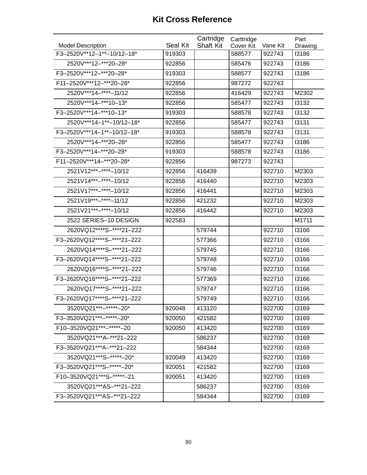|                              |                 | Cartridge        | Carttridge |          | Part    |
|------------------------------|-----------------|------------------|------------|----------|---------|
| <b>Model Description</b>     | <b>Seal Kit</b> | <b>Shaft Kit</b> | Cover Kit  | Vane Kit | Drawing |
| F3-2520V**12-1**-10/12-18*   | 919303          |                  | 588577     | 922743   | 13186   |
| 2520V***12-***20-28*         | 922856          |                  | 585476     | 922743   | 13186   |
| F3-2520V***12-***20-28*      | 919303          |                  | 588577     | 922743   | 13186   |
| F11-2520V***12-***20-28*     | 922856          |                  | 987272     | 922743   |         |
| 2520V***14-****-11/12        | 922856          |                  | 416429     | 922743   | M2302   |
| 2520V***14-***10-13*         | 922856          |                  | 585477     | 922743   | 13132   |
| F3-2520V***14-***10-13*      | 919303          |                  | 588578     | 922743   | 13132   |
| 2520V***14-1**-10/12-18*     | 922856          |                  | 585477     | 922743   | 13131   |
| F3-2520V***14-1**-10/12-18*  | 919303          |                  | 588578     | 922743   | 13131   |
| 2520V***14-***20-28*         | 922856          |                  | 585477     | 922743   | 13186   |
| F3-2520V***14-***20-28*      | 919303          |                  | 588578     | 922743   | 13186   |
| F11-2520V***14-***20-28*     | 922856          |                  | 987273     | 922743   |         |
| 2521V12***-****-10/12        | 922856          | 416439           |            | 922710   | M2303   |
| 2521V14***-****-10/12        | 922856          | 416440           |            | 922710   | M2303   |
| 2521V17***-****-10/12        | 922856          | 416441           |            | 922710   | M2303   |
| 2521V19 ***- **** - 11/12    | 922856          | 421232           |            | 922710   | M2303   |
| 2521V21 *** -**** - 10/12    | 922856          | 416442           |            | 922710   | M2303   |
| 2522 SERIES-10 DESIGN        | 922583          |                  |            |          | M1711   |
| 2620VQ12****S-****21-222     |                 | 579744           |            | 922710   | 13166   |
| F3-2620VQ12****S-****21-222  |                 | 577366           |            | 922710   | 13166   |
| 2620VQ14****S-****21-222     |                 | 579745           |            | 922710   | 13166   |
| F3-2620VQ14****S-****21-222  |                 | 579748           |            | 922710   | 13166   |
| 2620VQ16****S-****21-222     |                 | 579746           |            | 922710   | 13166   |
| F3-2620VQ16****S-****21-222  |                 | 577369           |            | 922710   | 13166   |
| 2620VQ17****S-****21-222     |                 | 579747           |            | 922710   | 13166   |
| F3-2620VQ17****S-****21-222  |                 | 579749           |            | 922710   | 13166   |
| 3520VQ21 ***-*****-20*       | 920048          | 413120           |            | 922700   | 13169   |
| F3-3520VQ21 ***-*****-20*    | 920050          | 421582           |            | 922700   | 13169   |
| F10-3520VQ21 ***-*****-20    | 920050          | 413420           |            | 922700   | 13169   |
| 3520VQ21***A-***21-222       |                 | 586237           |            | 922700   | 13169   |
| F3-3520VQ21 *** A-*** 21-222 |                 | 584344           |            | 922700   | 13169   |
| 3520VQ21***S-*****-20*       | 920049          | 413420           |            | 922700   | 13169   |
| F3-3520VQ21***S-*****-20*    | 920051          | 421582           |            | 922700   | 13169   |
| F10-3520VQ21***S-*****-21    | 920051          | 413420           |            | 922700   | 13169   |
| 3520VQ21***AS-***21-222      |                 | 586237           |            | 922700   | 13169   |
| F3-3520VQ21***AS-***21-222   |                 | 584344           |            | 922700   | 13169   |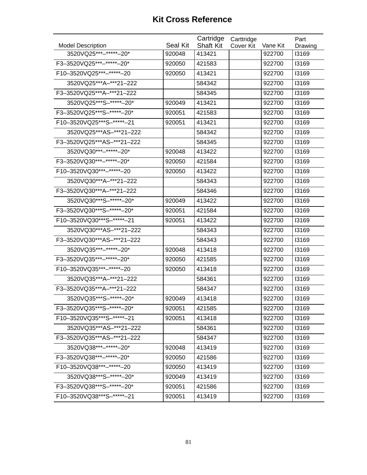| <b>Model Description</b>      | Seal Kit | Cartridge<br><b>Shaft Kit</b> | Carttridge<br>Cover Kit | Vane Kit | Part<br>Drawing |
|-------------------------------|----------|-------------------------------|-------------------------|----------|-----------------|
| 3520VQ25 *** - ***** - 20*    | 920048   | 413421                        |                         | 922700   | 13169           |
| F3-3520VQ25 ***- ***** - 20*  | 920050   | 421583                        |                         | 922700   | 13169           |
| F10-3520VQ25 ***-*****-20     | 920050   | 413421                        |                         | 922700   | 13169           |
| 3520VQ25***A-***21-222        |          | 584342                        |                         | 922700   | 13169           |
| F3-3520VQ25***A-***21-222     |          | 584345                        |                         | 922700   | 13169           |
| 3520VQ25***S-*****+20*        | 920049   | 413421                        |                         | 922700   | 13169           |
| F3-3520VQ25***S-*****-20*     | 920051   | 421583                        |                         | 922700   | 13169           |
| F10-3520VQ25***S-******-21    | 920051   | 413421                        |                         | 922700   | 13169           |
| 3520VQ25***AS-***21-222       |          | 584342                        |                         | 922700   | 13169           |
| F3-3520VQ25***AS-***21-222    |          | 584345                        |                         | 922700   | 13169           |
| 3520VQ30***-*****-20*         | 920048   | 413422                        |                         | 922700   | 13169           |
| F3-3520VQ30***-*****-20*      | 920050   | 421584                        |                         | 922700   | 13169           |
| F10-3520VQ30 ***-*****-20     | 920050   | 413422                        |                         | 922700   | 13169           |
| 3520VQ30***A-***21-222        |          | 584343                        |                         | 922700   | 13169           |
| F3-3520VQ30***A-***21-222     |          | 584346                        |                         | 922700   | 13169           |
| 3520VQ30***S-******-20*       | 920049   | 413422                        |                         | 922700   | 13169           |
| F3-3520VQ30***S-*****-20*     | 920051   | 421584                        |                         | 922700   | 13169           |
| F10-3520VQ30***S-*****-21     | 920051   | 413422                        |                         | 922700   | 13169           |
| 3520VQ30***AS-***21-222       |          | 584343                        |                         | 922700   | 13169           |
| F3-3520VQ30***AS-***21-222    |          | 584343                        |                         | 922700   | 13169           |
| 3520VQ35***-*****-20*         | 920048   | 413418                        |                         | 922700   | 13169           |
| F3-3520VQ35***-*****-20*      | 920050   | 421585                        |                         | 922700   | 13169           |
| F10-3520VQ35 ***-*****-20     | 920050   | 413418                        |                         | 922700   | 13169           |
| 3520VQ35***A-***21-222        |          | 584361                        |                         | 922700   | 13169           |
| F3-3520VQ35***A-***21-222     |          | 584347                        |                         | 922700   | 13169           |
| 3520VQ35***S-******-20*       | 920049   | 413418                        |                         | 922700   | 13169           |
| F3-3520VQ35***S-*****-20*     | 920051   | 421585                        |                         | 922700   | 13169           |
| F10-3520VQ35***S-*****-21     | 920051   | 413418                        |                         | 922700   | 13169           |
| 3520VQ35***AS-***21-222       |          | 584361                        |                         | 922700   | 13169           |
| F3-3520VQ35***AS-***21-222    |          | 584347                        |                         | 922700   | 13169           |
| 3520VQ38 *** - ***** - 20*    | 920048   | 413419                        |                         | 922700   | 13169           |
| F3-3520VQ38 *** - ***** - 20* | 920050   | 421586                        |                         | 922700   | 13169           |
| F10-3520VQ38 *** - ***** - 20 | 920050   | 413419                        |                         | 922700   | 13169           |
| 3520VQ38***S-*****-20*        | 920049   | 413419                        |                         | 922700   | 13169           |
| F3-3520VQ38***S-*****-20*     | 920051   | 421586                        |                         | 922700   | 13169           |
| F10-3520VQ38***S-*****-21     | 920051   | 413419                        |                         | 922700   | 13169           |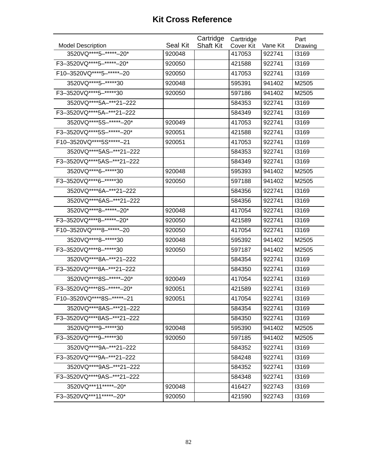|                               |          | Cartridge        | Carttridge |          | Part    |
|-------------------------------|----------|------------------|------------|----------|---------|
| <b>Model Description</b>      | Seal Kit | <b>Shaft Kit</b> | Cover Kit  | Vane Kit | Drawing |
| 3520VQ **** 5-***** - 20*     | 920048   |                  | 417053     | 922741   | 13169   |
| F3-3520VQ****5-*****-20*      | 920050   |                  | 421588     | 922741   | 13169   |
| F10-3520VQ****5-*****-20      | 920050   |                  | 417053     | 922741   | 13169   |
| 3520VQ **** 5-***** 30        | 920048   |                  | 595391     | 941402   | M2505   |
| F3-3520VQ **** 5-***** 30     | 920050   |                  | 597186     | 941402   | M2505   |
| 3520VQ****5A-***21-222        |          |                  | 584353     | 922741   | 13169   |
| F3-3520VQ****5A-***21-222     |          |                  | 584349     | 922741   | 13169   |
| 3520VQ****5S-******-20*       | 920049   |                  | 417053     | 922741   | 13169   |
| F3-3520VQ****5S-*****-20*     | 920051   |                  | 421588     | 922741   | 13169   |
| F10-3520VQ **** 5S ***** - 21 | 920051   |                  | 417053     | 922741   | 13169   |
| 3520VQ****5AS-***21-222       |          |                  | 584353     | 922741   | 13169   |
| F3-3520VQ****5AS-***21-222    |          |                  | 584349     | 922741   | 13169   |
| 3520VQ****6-*****30           | 920048   |                  | 595393     | 941402   | M2505   |
| F3-3520VQ****6-*****30        | 920050   |                  | 597188     | 941402   | M2505   |
| 3520VQ****6A-***21-222        |          |                  | 584356     | 922741   | 13169   |
| 3520VQ****6AS-***21-222       |          |                  | 584356     | 922741   | 13169   |
| 3520VQ ****8-*****+-20*       | 920048   |                  | 417054     | 922741   | 13169   |
| F3-3520VQ****8-*****-20*      | 920050   |                  | 421589     | 922741   | 13169   |
| F10-3520VQ ****8-*****-20     | 920050   |                  | 417054     | 922741   | 13169   |
| 3520VQ **** 8-***** * 30      | 920048   |                  | 595392     | 941402   | M2505   |
| F3-3520VQ **** 8-***** 30     | 920050   |                  | 597187     | 941402   | M2505   |
| 3520VQ****8A-***21-222        |          |                  | 584354     | 922741   | 13169   |
| F3-3520VQ****8A-***21-222     |          |                  | 584350     | 922741   | 13169   |
| 3520VQ****8S-******-20*       | 920049   |                  | 417054     | 922741   | 13169   |
| F3-3520VQ****8S-*****-20*     | 920051   |                  | 421589     | 922741   | 13169   |
| F10-3520VQ****8S-*****-21     | 920051   |                  | 417054     | 922741   | 13169   |
| 3520VQ****8AS-***21-222       |          |                  | 584354     | 922741   | 13169   |
| F3-3520VQ****8AS-***21-222    |          |                  | 584350     | 922741   | 13169   |
| 3520VQ****9-*****30           | 920048   |                  | 595390     | 941402   | M2505   |
| F3-3520VQ **** 9-***** 30     | 920050   |                  | 597185     | 941402   | M2505   |
| 3520VQ****9A-***21-222        |          |                  | 584352     | 922741   | 13169   |
| F3-3520VQ****9A-***21-222     |          |                  | 584248     | 922741   | 13169   |
| 3520VQ****9AS-***21-222       |          |                  | 584352     | 922741   | 13169   |
| F3-3520VQ****9AS-***21-222    |          |                  | 584348     | 922741   | 13169   |
| 3520VQ***11*****-20*          | 920048   |                  | 416427     | 922743   | 13169   |
| F3-3520VQ***11*****-20*       | 920050   |                  | 421590     | 922743   | 13169   |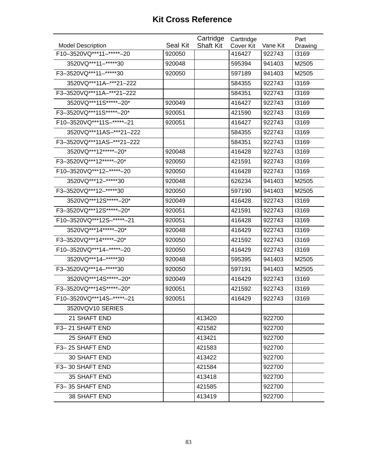|                               |                 | Cartridge        | Carttridge |          | Part    |
|-------------------------------|-----------------|------------------|------------|----------|---------|
| <b>Model Description</b>      | <b>Seal Kit</b> | <b>Shaft Kit</b> | Cover Kit  | Vane Kit | Drawing |
| F10-3520VQ *** 11- ***** - 20 | 920050          |                  | 416427     | 922743   | 13169   |
| 3520VQ***11-*****30           | 920048          |                  | 595394     | 941403   | M2505   |
| F3-3520VQ***11-*****30        | 920050          |                  | 597189     | 941403   | M2505   |
| 3520VQ***11A-***21-222        |                 |                  | 584355     | 922743   | 13169   |
| F3-3520VQ***11A-***21-222     |                 |                  | 584351     | 922743   | 13169   |
| 3520VQ***11S*****-20*         | 920049          |                  | 416427     | 922743   | 13169   |
| F3-3520VQ***11S******-20*     | 920051          |                  | 421590     | 922743   | 13169   |
| F10-3520VQ***11S-******-21    | 920051          |                  | 416427     | 922743   | 13169   |
| 3520VQ***11AS-***21-222       |                 |                  | 584355     | 922743   | 13169   |
| F3-3520VQ***11AS-***21-222    |                 |                  | 584351     | 922743   | 13169   |
| 3520VQ***12*****-20*          | 920048          |                  | 416428     | 922743   | 13169   |
| F3-3520VQ***12*****-20*       | 920050          |                  | 421591     | 922743   | 13169   |
| F10-3520VQ *** 12- ***** - 20 | 920050          |                  | 416428     | 922743   | 13169   |
| 3520VQ***12-*****30           | 920048          |                  | 626234     | 941403   | M2505   |
| F3-3520VQ *** 12-***** 30     | 920050          |                  | 597190     | 941403   | M2505   |
| 3520VQ***12S*****-20*         | 920049          |                  | 416428     | 922743   | 13169   |
| F3-3520VQ***12S*****-20*      | 920051          |                  | 421591     | 922743   | 13169   |
| F10-3520VQ *** 12S-***** - 21 | 920051          |                  | 416428     | 922743   | 13169   |
| 3520VQ***14*****-20*          | 920048          |                  | 416429     | 922743   | 13169   |
| F3-3520VQ *** 14 ***** - 20*  | 920050          |                  | 421592     | 922743   | 13169   |
| F10-3520VQ *** 14-***** - 20  | 920050          |                  | 416429     | 922743   | 13169   |
| 3520VQ***14-******30          | 920048          |                  | 595395     | 941403   | M2505   |
| F3-3520VQ *** 14-***** 30     | 920050          |                  | 597191     | 941403   | M2505   |
| 3520VQ***14S*****-20*         | 920049          |                  | 416429     | 922743   | 13169   |
| F3-3520VQ***14S******-20*     | 920051          |                  | 421592     | 922743   | 13169   |
| F10-3520VQ***14S-*****-21     | 920051          |                  | 416429     | 922743   | 13169   |
| 3520VQV10 SERIES              |                 |                  |            |          |         |
| 21 SHAFT END                  |                 | 413420           |            | 922700   |         |
| F3-21 SHAFT END               |                 | 421582           |            | 922700   |         |
| 25 SHAFT END                  |                 | 413421           |            | 922700   |         |
| F3-25 SHAFT END               |                 | 421583           |            | 922700   |         |
| 30 SHAFT END                  |                 | 413422           |            | 922700   |         |
| F3-30 SHAFT END               |                 | 421584           |            | 922700   |         |
| 35 SHAFT END                  |                 | 413418           |            | 922700   |         |
| F3-35 SHAFT END               |                 | 421585           |            | 922700   |         |
| 38 SHAFT END                  |                 | 413419           |            | 922700   |         |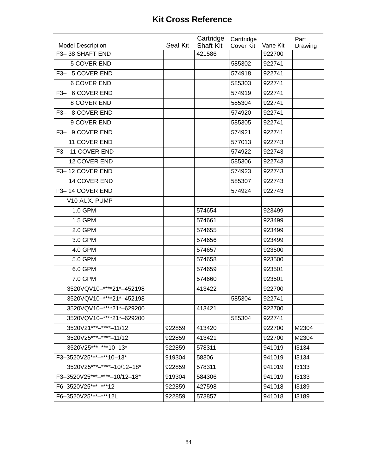|                              |          | Cartridge        | Carttridge |          | Part    |
|------------------------------|----------|------------------|------------|----------|---------|
| <b>Model Description</b>     | Seal Kit | <b>Shaft Kit</b> | Cover Kit  | Vane Kit | Drawing |
| F3-38 SHAFT END              |          | 421586           |            | 922700   |         |
| 5 COVER END                  |          |                  | 585302     | 922741   |         |
| F3- 5 COVER END              |          |                  | 574918     | 922741   |         |
| <b>6 COVER END</b>           |          |                  | 585303     | 922741   |         |
| F3- 6 COVER END              |          |                  | 574919     | 922741   |         |
| 8 COVER END                  |          |                  | 585304     | 922741   |         |
| F3- 8 COVER END              |          |                  | 574920     | 922741   |         |
| 9 COVER END                  |          |                  | 585305     | 922741   |         |
| F3- 9 COVER END              |          |                  | 574921     | 922741   |         |
| 11 COVER END                 |          |                  | 577013     | 922743   |         |
| F3-11 COVER END              |          |                  | 574922     | 922743   |         |
| 12 COVER END                 |          |                  | 585306     | 922743   |         |
| F3-12 COVER END              |          |                  | 574923     | 922743   |         |
| 14 COVER END                 |          |                  | 585307     | 922743   |         |
| F3-14 COVER END              |          |                  | 574924     | 922743   |         |
| V10 AUX. PUMP                |          |                  |            |          |         |
| 1.0 GPM                      |          | 574654           |            | 923499   |         |
| 1.5 GPM                      |          | 574661           |            | 923499   |         |
| 2.0 GPM                      |          | 574655           |            | 923499   |         |
| 3.0 GPM                      |          | 574656           |            | 923499   |         |
| 4.0 GPM                      |          | 574657           |            | 923500   |         |
| 5.0 GPM                      |          | 574658           |            | 923500   |         |
| 6.0 GPM                      |          | 574659           |            | 923501   |         |
| 7.0 GPM                      |          | 574660           |            | 923501   |         |
| 3520VQV10-****21*-452198     |          | 413422           |            | 922700   |         |
| 3520VQV10-****21*-452198     |          |                  | 585304     | 922741   |         |
| 3520VQV10-****21*-629200     |          | 413421           |            | 922700   |         |
| 3520VQV10-****21*-629200     |          |                  | 585304     | 922741   |         |
| 3520V21***-****-11/12        | 922859   | 413420           |            | 922700   | M2304   |
| 3520V25***-****-11/12        | 922859   | 413421           |            | 922700   | M2304   |
| 3520V25***-***10-13*         | 922859   | 578311           |            | 941019   | 13134   |
| F3-3520V25***-***10-13*      | 919304   | 58306            |            | 941019   | 13134   |
| 3520V25***-****-10/12-18*    | 922859   | 578311           |            | 941019   | 13133   |
| F3-3520V25***-****-10/12-18* | 919304   | 584306           |            | 941019   | 13133   |
| F6-3520V25***-***12          | 922859   | 427598           |            | 941018   | 13189   |
| F6-3520V25***-***12L         | 922859   | 573857           |            | 941018   | 13189   |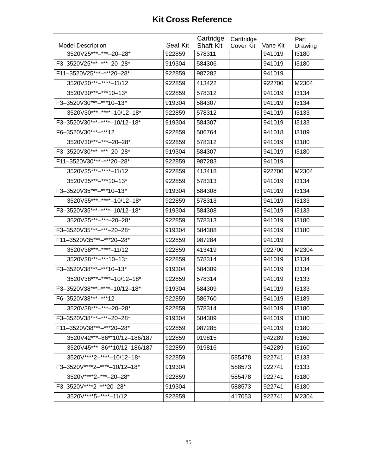| <b>Model Description</b>         | Seal Kit | Cartridge<br><b>Shaft Kit</b> | Carttridge<br>Cover Kit | Vane Kit | Part<br>Drawing |
|----------------------------------|----------|-------------------------------|-------------------------|----------|-----------------|
| 3520V25***-***-20-28*            | 922859   | 578311                        |                         | 941019   | 13180           |
| F3-3520V25***-***-20-28*         | 919304   | 584306                        |                         | 941019   | 13180           |
| F11-3520V25***-***20-28*         | 922859   | 987282                        |                         | 941019   |                 |
| 3520V30***-****-11/12            | 922859   | 413422                        |                         | 922700   | M2304           |
| 3520V30***-***10-13*             | 922859   | 578312                        |                         | 941019   | 13134           |
| F3-3520V30***-***10-13*          | 919304   | 584307                        |                         | 941019   | 13134           |
| 3520V30***-****-10/12-18*        | 922859   | 578312                        |                         | 941019   | 13133           |
| F3-3520V30***-****-10/12-18*     | 919304   | 584307                        |                         | 941019   | 13133           |
| F6-3520V30***-***12              | 922859   | 586764                        |                         | 941018   | 13189           |
| 3520V30 *** -*** - 20 - 28*      | 922859   | 578312                        |                         | 941019   | 13180           |
| F3-3520V30***-***-20-28*         | 919304   | 584307                        |                         | 941019   | 13180           |
| F11-3520V30 ***-*** 20-28*       | 922859   | 987283                        |                         | 941019   |                 |
| 3520V35 *** - *** * - 11/12      | 922859   | 413418                        |                         | 922700   | M2304           |
| 3520V35***-***10-13*             | 922859   | 578313                        |                         | 941019   | 13134           |
| F3-3520V35***-***10-13*          | 919304   | 584308                        |                         | 941019   | 13134           |
| 3520V35***-****-10/12-18*        | 922859   | 578313                        |                         | 941019   | 13133           |
| F3-3520V35***-****-10/12-18*     | 919304   | 584308                        |                         | 941019   | 13133           |
| 3520V35 *** - *** - 20 - 28*     | 922859   | 578313                        |                         | 941019   | 13180           |
| F3-3520V35***-***-20-28*         | 919304   | 584308                        |                         | 941019   | 13180           |
| F11-3520V35***-***20-28*         | 922859   | 987284                        |                         | 941019   |                 |
| 3520V38 *** - **** - 11/12       | 922859   | 413419                        |                         | 922700   | M2304           |
| 3520V38***-***10-13*             | 922859   | 578314                        |                         | 941019   | 13134           |
| F3-3520V38***-***10-13*          | 919304   | 584309                        |                         | 941019   | 13134           |
| 3520V38 *** - **** - 10/12 - 18* | 922859   | 578314                        |                         | 941019   | 13133           |
| F3-3520V38***-****-10/12-18*     | 919304   | 584309                        |                         | 941019   | 13133           |
| F6-3520V38***-***12              | 922859   | 586760                        |                         | 941019   | 13189           |
| 3520V38***-***-20-28*            | 922859   | 578314                        |                         | 941019   | 13180           |
| F3-3520V38***-***-20-28*         | 919304   | 584309                        |                         | 941019   | 13180           |
| F11-3520V38***-***20-28*         | 922859   | 987285                        |                         | 941019   | 13180           |
| 3520V42***-86**10/12-186/187     | 922859   | 919815                        |                         | 942289   | 13160           |
| 3520V45***-86**10/12-186/187     | 922859   | 919816                        |                         | 942289   | 13160           |
| 3520V****2-****-10/12-18*        | 922859   |                               | 585478                  | 922741   | 13133           |
| F3-3520V****2-****-10/12-18*     | 919304   |                               | 588573                  | 922741   | 13133           |
| 3520V****2-***-20-28*            | 922859   |                               | 585478                  | 922741   | 13180           |
| F3-3520V****2-***20-28*          | 919304   |                               | 588573                  | 922741   | 13180           |
| 3520V****5-****-11/12            | 922859   |                               | 417053                  | 922741   | M2304           |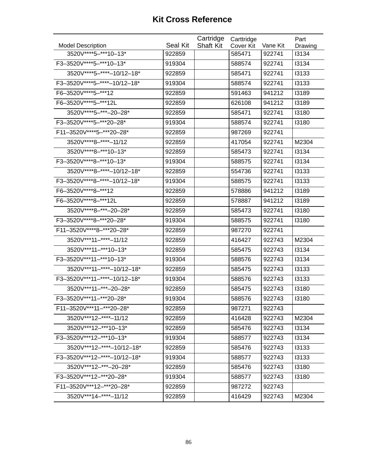|                              |          | Cartridge        | Carttridge |          | Part    |
|------------------------------|----------|------------------|------------|----------|---------|
| <b>Model Description</b>     | Seal Kit | <b>Shaft Kit</b> | Cover Kit  | Vane Kit | Drawing |
| 3520V****5-***10-13*         | 922859   |                  | 585471     | 922741   | 13134   |
| F3-3520V****5-***10-13*      | 919304   |                  | 588574     | 922741   | 13134   |
| 3520V****5-****-10/12-18*    | 922859   |                  | 585471     | 922741   | 13133   |
| F3-3520V****5-****-10/12-18* | 919304   |                  | 588574     | 922741   | 13133   |
| F6-3520V **** 5-*** 12       | 922859   |                  | 591463     | 941212   | 13189   |
| F6-3520V **** 5-*** 12L      | 922859   |                  | 626108     | 941212   | 13189   |
| 3520V **** 5-*** - 20-28*    | 922859   |                  | 585471     | 922741   | 13180   |
| F3-3520V****5-***20-28*      | 919304   |                  | 588574     | 922741   | 13180   |
| F11-3520V****5-***20-28*     | 922859   |                  | 987269     | 922741   |         |
| 3520V****8-****-11/12        | 922859   |                  | 417054     | 922741   | M2304   |
| 3520V****8-***10-13*         | 922859   |                  | 585473     | 922741   | 13134   |
| F3-3520V****8-***10-13*      | 919304   |                  | 588575     | 922741   | 13134   |
| 3520V****8-****-10/12-18*    | 922859   |                  | 554736     | 922741   | 13133   |
| F3-3520V****8-****-10/12-18* | 919304   |                  | 588575     | 922741   | 13133   |
| F6-3520V****8-***12          | 922859   |                  | 578886     | 941212   | 13189   |
| F6-3520V****8-***12L         | 922859   |                  | 578887     | 941212   | 13189   |
| 3520V****8-***-20-28*        | 922859   |                  | 585473     | 922741   | 13180   |
| F3-3520V****8-***20-28*      | 919304   |                  | 588575     | 922741   | 13180   |
| F11-3520V****8-***20-28*     | 922859   |                  | 987270     | 922741   |         |
| 3520V***11-****-11/12        | 922859   |                  | 416427     | 922743   | M2304   |
| 3520V***11-***10-13*         | 922859   |                  | 585475     | 922743   | 13134   |
| F3-3520V***11-***10-13*      | 919304   |                  | 588576     | 922743   | 13134   |
| 3520V***11-****-10/12-18*    | 922859   |                  | 585475     | 922743   | 13133   |
| F3-3520V***11-****-10/12-18* | 919304   |                  | 588576     | 922743   | 13133   |
| 3520V***11-***-20-28*        | 922859   |                  | 585475     | 922743   | 13180   |
| F3-3520V***11-***20-28*      | 919304   |                  | 588576     | 922743   | 13180   |
| F11-3520V***11-***20-28*     | 922859   |                  | 987271     | 922743   |         |
| 3520V***12-****-11/12        | 922859   |                  | 416428     | 922743   | M2304   |
| 3520V***12-***10-13*         | 922859   |                  | 585476     | 922743   | 13134   |
| F3-3520V***12-***10-13*      | 919304   |                  | 588577     | 922743   | 13134   |
| 3520V***12-****-10/12-18*    | 922859   |                  | 585476     | 922743   | 13133   |
| F3-3520V***12-****-10/12-18* | 919304   |                  | 588577     | 922743   | 13133   |
| 3520V***12-***-20-28*        | 922859   |                  | 585476     | 922743   | 13180   |
| F3-3520V***12-***20-28*      | 919304   |                  | 588577     | 922743   | 13180   |
| F11-3520V***12-***20-28*     | 922859   |                  | 987272     | 922743   |         |
| 3520V***14-****-11/12        | 922859   |                  | 416429     | 922743   | M2304   |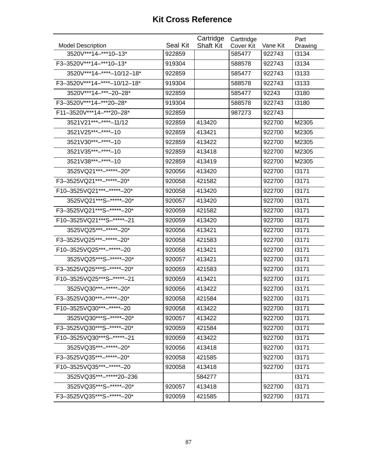|                               |          | Cartridge        | Carttridge |          | Part    |
|-------------------------------|----------|------------------|------------|----------|---------|
| <b>Model Description</b>      | Seal Kit | <b>Shaft Kit</b> | Cover Kit  | Vane Kit | Drawing |
| 3520V***14-***10-13*          | 922859   |                  | 585477     | 922743   | 13134   |
| F3-3520V***14-***10-13*       | 919304   |                  | 588578     | 922743   | 13134   |
| 3520V***14-****-10/12-18*     | 922859   |                  | 585477     | 922743   | 13133   |
| F3-3520V***14-****-10/12-18*  | 919304   |                  | 588578     | 922743   | 13133   |
| 3520V***14-***-20-28*         | 922859   |                  | 585477     | 92243    | 13180   |
| F3-3520V***14-***20-28*       | 919304   |                  | 588578     | 922743   | 13180   |
| F11-3520V***14-***20-28*      | 922859   |                  | 987273     | 922743   |         |
| 3521V21 *** -**** - 11/12     | 922859   | 413420           |            | 922700   | M2305   |
| 3521V25 *** -**** - 10        | 922859   | 413421           |            | 922700   | M2305   |
| 3521V30***-****-10            | 922859   | 413422           |            | 922700   | M2305   |
| 3521V35***-****-10            | 922859   | 413418           |            | 922700   | M2305   |
| 3521V38 *** - **** - 10       | 922859   | 413419           |            | 922700   | M2305   |
| 3525VQ21 ***-*****-20*        | 920056   | 413420           |            | 922700   | 13171   |
| F3-3525VQ21 ***-*****-20*     | 920058   | 421582           |            | 922700   | 13171   |
| F10-3525VQ21 ***-*****-20*    | 920058   | 413420           |            | 922700   | 13171   |
| 3525VQ21 *** S-***** + - 20*  | 920057   | 413420           |            | 922700   | 13171   |
| F3-3525VQ21***S-*****-20*     | 920059   | 421582           |            | 922700   | 13171   |
| F10-3525VQ21 *** S-***** - 21 | 920059   | 413420           |            | 922700   | 13171   |
| 3525VQ25***-*****+20*         | 920056   | 413421           |            | 922700   | 13171   |
| F3-3525VQ25***-*****-20*      | 920058   | 421583           |            | 922700   | 13171   |
| F10-3525VQ25 *** - ***** - 20 | 920058   | 413421           |            | 922700   | 13171   |
| 3525VQ25***S-******-20*       | 920057   | 413421           |            | 922700   | 13171   |
| F3-3525VQ25***S-*****-20*     | 920059   | 421583           |            | 922700   | 13171   |
| F10-3525VQ25***S-*****-21     | 920059   | 413421           |            | 922700   | 13171   |
| 3525VQ30***-*****-20*         | 920056   | 413422           |            | 922700   | 13171   |
| F3-3525VQ30***-*****-20*      | 920058   | 421584           |            | 922700   | 13171   |
| F10-3525VQ30***-*****-20      | 920058   | 413422           |            | 922700   | 13171   |
| 3525VQ30***S-*****-20*        | 920057   | 413422           |            | 922700   | 13171   |
| F3-3525VQ30***S-*****-20*     | 920059   | 421584           |            | 922700   | 13171   |
| F10-3525VQ30***S-*****-21     | 920059   | 413422           |            | 922700   | 13171   |
| 3525VQ35***-*****-20*         | 920056   | 413418           |            | 922700   | 13171   |
| F3-3525VQ35***-*****-20*      | 920058   | 421585           |            | 922700   | 13171   |
| F10-3525VQ35 ***-*****-20     | 920058   | 413418           |            | 922700   | 13171   |
| 3525VQ35***-*****20-236       |          | 584277           |            |          | 13171   |
| 3525VQ35***S-*****+-20*       | 920057   | 413418           |            | 922700   | 13171   |
| F3-3525VQ35***S-*****-20*     | 920059   | 421585           |            | 922700   | 13171   |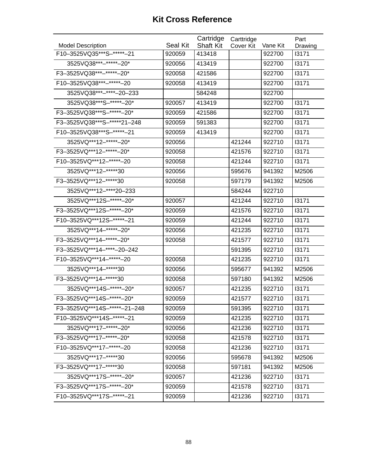| <b>Model Description</b>      | Seal Kit | Cartridge<br><b>Shaft Kit</b> | Carttridge<br>Cover Kit | Vane Kit | Part<br>Drawing |
|-------------------------------|----------|-------------------------------|-------------------------|----------|-----------------|
| F10-3525VQ35***S-*****-21     | 920059   | 413418                        |                         | 922700   | 13171           |
| 3525VQ38 *** -***** - 20*     | 920056   | 413419                        |                         | 922700   | 13171           |
| F3-3525VQ38 ***-*****-20*     | 920058   | 421586                        |                         | 922700   | 13171           |
| F10-3525VQ38 ***-*****-20     | 920058   | 413419                        |                         | 922700   | 13171           |
| 3525VQ38***-****-20-233       |          | 584248                        |                         | 922700   |                 |
| 3525VQ38***S-******-20*       | 920057   | 413419                        |                         | 922700   | 13171           |
| F3-3525VQ38***S-*****-20*     | 920059   | 421586                        |                         | 922700   | 13171           |
| F3-3525VQ38***S-*****21-248   | 920059   | 591383                        |                         | 922700   | 13171           |
| F10-3525VQ38 *** S-***** - 21 | 920059   | 413419                        |                         | 922700   | 13171           |
| 3525VQ***12-*****-20*         | 920056   |                               | 421244                  | 922710   | 13171           |
| F3-3525VQ***12-*****-20*      | 920058   |                               | 421576                  | 922710   | 13171           |
| F10-3525VQ *** 12-***** - 20  | 920058   |                               | 421244                  | 922710   | 13171           |
| 3525VQ***12-*****30           | 920056   |                               | 595676                  | 941392   | M2506           |
| F3-3525VQ *** 12-***** 30     | 920058   |                               | 597179                  | 941392   | M2506           |
| 3525VQ***12-****20-233        |          |                               | 584244                  | 922710   |                 |
| 3525VQ***12S-******-20*       | 920057   |                               | 421244                  | 922710   | 13171           |
| F3-3525VQ***12S-*****-20*     | 920059   |                               | 421576                  | 922710   | 13171           |
| F10-3525VQ *** 12S-***** - 21 | 920059   |                               | 421244                  | 922710   | 13171           |
| 3525VQ***14-*****-20*         | 920056   |                               | 421235                  | 922710   | 13171           |
| F3-3525VQ***14-*****-20*      | 920058   |                               | 421577                  | 922710   | 13171           |
| F3-3525VQ***14-****-20-242    |          |                               | 591395                  | 922710   | 13171           |
| F10-3525VQ *** 14-***** - 20  | 920058   |                               | 421235                  | 922710   | 13171           |
| 3525VQ***14-*****30           | 920056   |                               | 595677                  | 941392   | M2506           |
| F3-3525VQ *** 14-***** 30     | 920058   |                               | 597180                  | 941392   | M2506           |
| 3525VQ***14S-*****-20*        | 920057   |                               | 421235                  | 922710   | 13171           |
| F3-3525VQ***14S-*****-20*     | 920059   |                               | 421577                  | 922710   | 13171           |
| F3-3525VQ***14S-*****-21-248  | 920059   |                               | 591395                  | 922710   | 13171           |
| F10-3525VQ***14S-*****-21     | 920059   |                               | 421235                  | 922710   | 13171           |
| 3525VQ***17-*****-20*         | 920056   |                               | 421236                  | 922710   | 13171           |
| F3-3525VQ***17-*****-20*      | 920058   |                               | 421578                  | 922710   | 13171           |
| F10-3525VQ *** 17-***** - 20  | 920058   |                               | 421236                  | 922710   | 13171           |
| 3525VQ***17-*****30           | 920056   |                               | 595678                  | 941392   | M2506           |
| F3-3525VQ***17-*****30        | 920058   |                               | 597181                  | 941392   | M2506           |
| 3525VQ***17S-*****-20*        | 920057   |                               | 421236                  | 922710   | 13171           |
| F3-3525VQ***17S-*****-20*     | 920059   |                               | 421578                  | 922710   | 13171           |
| F10-3525VQ***17S-*****-21     | 920059   |                               | 421236                  | 922710   | 13171           |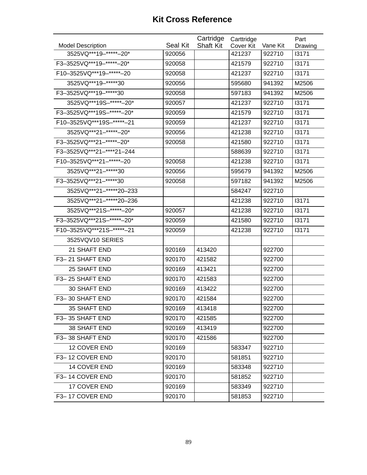| <b>Model Description</b>      | Seal Kit | Cartridge<br><b>Shaft Kit</b> | Carttridge<br>Cover Kit | Vane Kit | Part<br>Drawing |
|-------------------------------|----------|-------------------------------|-------------------------|----------|-----------------|
| 3525VQ***19-*****-20*         | 920056   |                               | 421237                  | 922710   | 13171           |
| F3-3525VQ***19-*****-20*      | 920058   |                               | 421579                  | 922710   | 13171           |
| F10-3525VQ *** 19- ***** - 20 | 920058   |                               | 421237                  | 922710   | 13171           |
| 3525VQ***19-*****30           | 920056   |                               | 595680                  | 941392   | M2506           |
| F3-3525VQ *** 19-***** 30     | 920058   |                               | 597183                  | 941392   | M2506           |
| 3525VQ***19S-******-20*       | 920057   |                               | 421237                  | 922710   | 13171           |
| F3-3525VQ***19S-*****-20*     | 920059   |                               | 421579                  | 922710   | 13171           |
| F10-3525VQ***19S-*****-21     | 920059   |                               | 421237                  | 922710   | 13171           |
| 3525VQ***21-*****-20*         | 920056   |                               | 421238                  | 922710   | 13171           |
| F3-3525VQ***21-*****-20*      | 920058   |                               | 421580                  | 922710   | 13171           |
| F3-3525VQ***21-****21-244     |          |                               | 588639                  | 922710   | 13171           |
| F10-3525VQ *** 21- ***** - 20 | 920058   |                               | 421238                  | 922710   | 13171           |
| 3525VQ***21-*****30           | 920056   |                               | 595679                  | 941392   | M2506           |
| F3-3525VQ***21-*****30        | 920058   |                               | 597182                  | 941392   | M2506           |
| 3525VQ***21-*****20-233       |          |                               | 584247                  | 922710   |                 |
| 3525VQ***21-*****20-236       |          |                               | 421238                  | 922710   | 13171           |
| 3525VQ***21S-******-20*       | 920057   |                               | 421238                  | 922710   | 13171           |
| F3-3525VQ***21S-*****-20*     | 920059   |                               | 421580                  | 922710   | 13171           |
| F10-3525VQ***21S-******-21    | 920059   |                               | 421238                  | 922710   | 13171           |
| 3525VQV10 SERIES              |          |                               |                         |          |                 |
| 21 SHAFT END                  | 920169   | 413420                        |                         | 922700   |                 |
| F3-21 SHAFT END               | 920170   | 421582                        |                         | 922700   |                 |
| 25 SHAFT END                  | 920169   | 413421                        |                         | 922700   |                 |
| F3-25 SHAFT END               | 920170   | 421583                        |                         | 922700   |                 |
| <b>30 SHAFT END</b>           | 920169   | 413422                        |                         | 922700   |                 |
| F3-30 SHAFT END               | 920170   | 421584                        |                         | 922700   |                 |
| 35 SHAFT END                  | 920169   | 413418                        |                         | 922700   |                 |
| F3-35 SHAFT END               | 920170   | 421585                        |                         | 922700   |                 |
| 38 SHAFT END                  | 920169   | 413419                        |                         | 922700   |                 |
| F3-38 SHAFT END               | 920170   | 421586                        |                         | 922700   |                 |
| 12 COVER END                  | 920169   |                               | 583347                  | 922710   |                 |
| F3-12 COVER END               | 920170   |                               | 581851                  | 922710   |                 |
| 14 COVER END                  | 920169   |                               | 583348                  | 922710   |                 |
| F3-14 COVER END               | 920170   |                               | 581852                  | 922710   |                 |
| 17 COVER END                  | 920169   |                               | 583349                  | 922710   |                 |
| F3-17 COVER END               | 920170   |                               | 581853                  | 922710   |                 |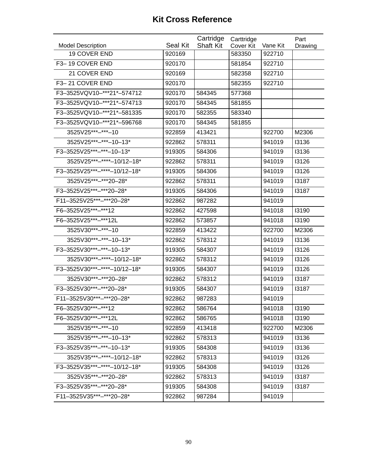| 19 COVER END<br>920169<br>583350<br>922710<br>F3-19 COVER END<br>920170<br>581854<br>922710<br>21 COVER END<br>920169<br>582358<br>922710<br>F3-21 COVER END<br>920170<br>582355<br>922710<br>F3-3525VQV10-***21*-574712<br>577368<br>920170<br>584345<br>F3-3525VQV10-***21*-574713<br>920170<br>584345<br>581855<br>F3-3525VQV10-***21*-581335<br>920170<br>582355<br>583340<br>F3-3525VQV10-***21*-596768<br>920170<br>584345<br>581855<br>3525V25***-***-10<br>413421<br>M2306<br>922859<br>922700<br>3525V25***-***-10-13*<br>922862<br>578311<br>13136<br>941019<br>F3-3525V25***-***-10-13*<br>13136<br>919305<br>584306<br>941019<br>3525V25***-****-10/12-18*<br>922862<br>578311<br>941019<br>13126<br>F3-3525V25***-****-10/12-18*<br>941019<br>13126<br>919305<br>584306<br>3525V25 *** -*** 20 - 28*<br>941019<br>13187<br>922862<br>578311<br>F3-3525V25***-***20-28*<br>919305<br>584306<br>941019<br>13187<br>F11-3525V25***-***20-28*<br>922862<br>987282<br>941019<br>F6-3525V25***-***12<br>941018<br>13190<br>922862<br>427598<br>F6-3525V25 *** -*** 12L<br>922862<br>573857<br>941018<br>13190<br>3525V30***-***-10<br>922859<br>413422<br>922700<br>M2306<br>3525V30***-***-10-13*<br>578312<br>13136<br>922862<br>941019<br>F3-3525V30***-***-10-13*<br>919305<br>584307<br>941019<br>13126<br>3525V30***-****-10/12-18*<br>13126<br>922862<br>578312<br>941019<br>F3-3525V30***-****-10/12-18*<br>13126<br>584307<br>941019<br>919305<br>3525V30***-***20-28*<br>13187<br>922862<br>578312<br>941019<br>F3-3525V30***-***20-28*<br>919305<br>584307<br>941019<br>13187<br>F11-3525V30***-***20-28*<br>922862<br>987283<br>941019<br>F6-3525V30***-***12<br>922862<br>941018<br>13190<br>586764<br>F6-3525V30***-***12L<br>941018<br>13190<br>922862<br>586765<br>3525V35***-***-10<br>413418<br>922700<br>922859<br>M2306<br>3525V35***-***-10-13*<br>922862<br>578313<br>941019<br>13136<br>F3-3525V35***-***-10-13*<br>13136<br>919305<br>584308<br>941019<br>3525V35***-****-10/12-18*<br>922862<br>578313<br>941019<br>13126<br>F3-3525V35***-****-10/12-18*<br>584308<br>941019<br>13126<br>919305<br>3525V35 *** -*** 20 - 28*<br>922862<br>578313<br>941019<br>13187<br>F3-3525V35***-***20-28*<br>13187<br>919305<br>584308<br>941019<br>F11-3525V35***-***20-28*<br>941019<br>922862<br>987284 |                          |          | Cartridge        | Carttridge |          | Part    |
|----------------------------------------------------------------------------------------------------------------------------------------------------------------------------------------------------------------------------------------------------------------------------------------------------------------------------------------------------------------------------------------------------------------------------------------------------------------------------------------------------------------------------------------------------------------------------------------------------------------------------------------------------------------------------------------------------------------------------------------------------------------------------------------------------------------------------------------------------------------------------------------------------------------------------------------------------------------------------------------------------------------------------------------------------------------------------------------------------------------------------------------------------------------------------------------------------------------------------------------------------------------------------------------------------------------------------------------------------------------------------------------------------------------------------------------------------------------------------------------------------------------------------------------------------------------------------------------------------------------------------------------------------------------------------------------------------------------------------------------------------------------------------------------------------------------------------------------------------------------------------------------------------------------------------------------------------------------------------------------------------------------------------------------------------------------------------------------------------------------------------------------------------------------------------------------------------------------------------------------------------------------------------------------------------------------------------------|--------------------------|----------|------------------|------------|----------|---------|
|                                                                                                                                                                                                                                                                                                                                                                                                                                                                                                                                                                                                                                                                                                                                                                                                                                                                                                                                                                                                                                                                                                                                                                                                                                                                                                                                                                                                                                                                                                                                                                                                                                                                                                                                                                                                                                                                                                                                                                                                                                                                                                                                                                                                                                                                                                                                  | <b>Model Description</b> | Seal Kit | <b>Shaft Kit</b> | Cover Kit  | Vane Kit | Drawing |
|                                                                                                                                                                                                                                                                                                                                                                                                                                                                                                                                                                                                                                                                                                                                                                                                                                                                                                                                                                                                                                                                                                                                                                                                                                                                                                                                                                                                                                                                                                                                                                                                                                                                                                                                                                                                                                                                                                                                                                                                                                                                                                                                                                                                                                                                                                                                  |                          |          |                  |            |          |         |
|                                                                                                                                                                                                                                                                                                                                                                                                                                                                                                                                                                                                                                                                                                                                                                                                                                                                                                                                                                                                                                                                                                                                                                                                                                                                                                                                                                                                                                                                                                                                                                                                                                                                                                                                                                                                                                                                                                                                                                                                                                                                                                                                                                                                                                                                                                                                  |                          |          |                  |            |          |         |
|                                                                                                                                                                                                                                                                                                                                                                                                                                                                                                                                                                                                                                                                                                                                                                                                                                                                                                                                                                                                                                                                                                                                                                                                                                                                                                                                                                                                                                                                                                                                                                                                                                                                                                                                                                                                                                                                                                                                                                                                                                                                                                                                                                                                                                                                                                                                  |                          |          |                  |            |          |         |
|                                                                                                                                                                                                                                                                                                                                                                                                                                                                                                                                                                                                                                                                                                                                                                                                                                                                                                                                                                                                                                                                                                                                                                                                                                                                                                                                                                                                                                                                                                                                                                                                                                                                                                                                                                                                                                                                                                                                                                                                                                                                                                                                                                                                                                                                                                                                  |                          |          |                  |            |          |         |
|                                                                                                                                                                                                                                                                                                                                                                                                                                                                                                                                                                                                                                                                                                                                                                                                                                                                                                                                                                                                                                                                                                                                                                                                                                                                                                                                                                                                                                                                                                                                                                                                                                                                                                                                                                                                                                                                                                                                                                                                                                                                                                                                                                                                                                                                                                                                  |                          |          |                  |            |          |         |
|                                                                                                                                                                                                                                                                                                                                                                                                                                                                                                                                                                                                                                                                                                                                                                                                                                                                                                                                                                                                                                                                                                                                                                                                                                                                                                                                                                                                                                                                                                                                                                                                                                                                                                                                                                                                                                                                                                                                                                                                                                                                                                                                                                                                                                                                                                                                  |                          |          |                  |            |          |         |
|                                                                                                                                                                                                                                                                                                                                                                                                                                                                                                                                                                                                                                                                                                                                                                                                                                                                                                                                                                                                                                                                                                                                                                                                                                                                                                                                                                                                                                                                                                                                                                                                                                                                                                                                                                                                                                                                                                                                                                                                                                                                                                                                                                                                                                                                                                                                  |                          |          |                  |            |          |         |
|                                                                                                                                                                                                                                                                                                                                                                                                                                                                                                                                                                                                                                                                                                                                                                                                                                                                                                                                                                                                                                                                                                                                                                                                                                                                                                                                                                                                                                                                                                                                                                                                                                                                                                                                                                                                                                                                                                                                                                                                                                                                                                                                                                                                                                                                                                                                  |                          |          |                  |            |          |         |
|                                                                                                                                                                                                                                                                                                                                                                                                                                                                                                                                                                                                                                                                                                                                                                                                                                                                                                                                                                                                                                                                                                                                                                                                                                                                                                                                                                                                                                                                                                                                                                                                                                                                                                                                                                                                                                                                                                                                                                                                                                                                                                                                                                                                                                                                                                                                  |                          |          |                  |            |          |         |
|                                                                                                                                                                                                                                                                                                                                                                                                                                                                                                                                                                                                                                                                                                                                                                                                                                                                                                                                                                                                                                                                                                                                                                                                                                                                                                                                                                                                                                                                                                                                                                                                                                                                                                                                                                                                                                                                                                                                                                                                                                                                                                                                                                                                                                                                                                                                  |                          |          |                  |            |          |         |
|                                                                                                                                                                                                                                                                                                                                                                                                                                                                                                                                                                                                                                                                                                                                                                                                                                                                                                                                                                                                                                                                                                                                                                                                                                                                                                                                                                                                                                                                                                                                                                                                                                                                                                                                                                                                                                                                                                                                                                                                                                                                                                                                                                                                                                                                                                                                  |                          |          |                  |            |          |         |
|                                                                                                                                                                                                                                                                                                                                                                                                                                                                                                                                                                                                                                                                                                                                                                                                                                                                                                                                                                                                                                                                                                                                                                                                                                                                                                                                                                                                                                                                                                                                                                                                                                                                                                                                                                                                                                                                                                                                                                                                                                                                                                                                                                                                                                                                                                                                  |                          |          |                  |            |          |         |
|                                                                                                                                                                                                                                                                                                                                                                                                                                                                                                                                                                                                                                                                                                                                                                                                                                                                                                                                                                                                                                                                                                                                                                                                                                                                                                                                                                                                                                                                                                                                                                                                                                                                                                                                                                                                                                                                                                                                                                                                                                                                                                                                                                                                                                                                                                                                  |                          |          |                  |            |          |         |
|                                                                                                                                                                                                                                                                                                                                                                                                                                                                                                                                                                                                                                                                                                                                                                                                                                                                                                                                                                                                                                                                                                                                                                                                                                                                                                                                                                                                                                                                                                                                                                                                                                                                                                                                                                                                                                                                                                                                                                                                                                                                                                                                                                                                                                                                                                                                  |                          |          |                  |            |          |         |
|                                                                                                                                                                                                                                                                                                                                                                                                                                                                                                                                                                                                                                                                                                                                                                                                                                                                                                                                                                                                                                                                                                                                                                                                                                                                                                                                                                                                                                                                                                                                                                                                                                                                                                                                                                                                                                                                                                                                                                                                                                                                                                                                                                                                                                                                                                                                  |                          |          |                  |            |          |         |
|                                                                                                                                                                                                                                                                                                                                                                                                                                                                                                                                                                                                                                                                                                                                                                                                                                                                                                                                                                                                                                                                                                                                                                                                                                                                                                                                                                                                                                                                                                                                                                                                                                                                                                                                                                                                                                                                                                                                                                                                                                                                                                                                                                                                                                                                                                                                  |                          |          |                  |            |          |         |
|                                                                                                                                                                                                                                                                                                                                                                                                                                                                                                                                                                                                                                                                                                                                                                                                                                                                                                                                                                                                                                                                                                                                                                                                                                                                                                                                                                                                                                                                                                                                                                                                                                                                                                                                                                                                                                                                                                                                                                                                                                                                                                                                                                                                                                                                                                                                  |                          |          |                  |            |          |         |
|                                                                                                                                                                                                                                                                                                                                                                                                                                                                                                                                                                                                                                                                                                                                                                                                                                                                                                                                                                                                                                                                                                                                                                                                                                                                                                                                                                                                                                                                                                                                                                                                                                                                                                                                                                                                                                                                                                                                                                                                                                                                                                                                                                                                                                                                                                                                  |                          |          |                  |            |          |         |
|                                                                                                                                                                                                                                                                                                                                                                                                                                                                                                                                                                                                                                                                                                                                                                                                                                                                                                                                                                                                                                                                                                                                                                                                                                                                                                                                                                                                                                                                                                                                                                                                                                                                                                                                                                                                                                                                                                                                                                                                                                                                                                                                                                                                                                                                                                                                  |                          |          |                  |            |          |         |
|                                                                                                                                                                                                                                                                                                                                                                                                                                                                                                                                                                                                                                                                                                                                                                                                                                                                                                                                                                                                                                                                                                                                                                                                                                                                                                                                                                                                                                                                                                                                                                                                                                                                                                                                                                                                                                                                                                                                                                                                                                                                                                                                                                                                                                                                                                                                  |                          |          |                  |            |          |         |
|                                                                                                                                                                                                                                                                                                                                                                                                                                                                                                                                                                                                                                                                                                                                                                                                                                                                                                                                                                                                                                                                                                                                                                                                                                                                                                                                                                                                                                                                                                                                                                                                                                                                                                                                                                                                                                                                                                                                                                                                                                                                                                                                                                                                                                                                                                                                  |                          |          |                  |            |          |         |
|                                                                                                                                                                                                                                                                                                                                                                                                                                                                                                                                                                                                                                                                                                                                                                                                                                                                                                                                                                                                                                                                                                                                                                                                                                                                                                                                                                                                                                                                                                                                                                                                                                                                                                                                                                                                                                                                                                                                                                                                                                                                                                                                                                                                                                                                                                                                  |                          |          |                  |            |          |         |
|                                                                                                                                                                                                                                                                                                                                                                                                                                                                                                                                                                                                                                                                                                                                                                                                                                                                                                                                                                                                                                                                                                                                                                                                                                                                                                                                                                                                                                                                                                                                                                                                                                                                                                                                                                                                                                                                                                                                                                                                                                                                                                                                                                                                                                                                                                                                  |                          |          |                  |            |          |         |
|                                                                                                                                                                                                                                                                                                                                                                                                                                                                                                                                                                                                                                                                                                                                                                                                                                                                                                                                                                                                                                                                                                                                                                                                                                                                                                                                                                                                                                                                                                                                                                                                                                                                                                                                                                                                                                                                                                                                                                                                                                                                                                                                                                                                                                                                                                                                  |                          |          |                  |            |          |         |
|                                                                                                                                                                                                                                                                                                                                                                                                                                                                                                                                                                                                                                                                                                                                                                                                                                                                                                                                                                                                                                                                                                                                                                                                                                                                                                                                                                                                                                                                                                                                                                                                                                                                                                                                                                                                                                                                                                                                                                                                                                                                                                                                                                                                                                                                                                                                  |                          |          |                  |            |          |         |
|                                                                                                                                                                                                                                                                                                                                                                                                                                                                                                                                                                                                                                                                                                                                                                                                                                                                                                                                                                                                                                                                                                                                                                                                                                                                                                                                                                                                                                                                                                                                                                                                                                                                                                                                                                                                                                                                                                                                                                                                                                                                                                                                                                                                                                                                                                                                  |                          |          |                  |            |          |         |
|                                                                                                                                                                                                                                                                                                                                                                                                                                                                                                                                                                                                                                                                                                                                                                                                                                                                                                                                                                                                                                                                                                                                                                                                                                                                                                                                                                                                                                                                                                                                                                                                                                                                                                                                                                                                                                                                                                                                                                                                                                                                                                                                                                                                                                                                                                                                  |                          |          |                  |            |          |         |
|                                                                                                                                                                                                                                                                                                                                                                                                                                                                                                                                                                                                                                                                                                                                                                                                                                                                                                                                                                                                                                                                                                                                                                                                                                                                                                                                                                                                                                                                                                                                                                                                                                                                                                                                                                                                                                                                                                                                                                                                                                                                                                                                                                                                                                                                                                                                  |                          |          |                  |            |          |         |
|                                                                                                                                                                                                                                                                                                                                                                                                                                                                                                                                                                                                                                                                                                                                                                                                                                                                                                                                                                                                                                                                                                                                                                                                                                                                                                                                                                                                                                                                                                                                                                                                                                                                                                                                                                                                                                                                                                                                                                                                                                                                                                                                                                                                                                                                                                                                  |                          |          |                  |            |          |         |
|                                                                                                                                                                                                                                                                                                                                                                                                                                                                                                                                                                                                                                                                                                                                                                                                                                                                                                                                                                                                                                                                                                                                                                                                                                                                                                                                                                                                                                                                                                                                                                                                                                                                                                                                                                                                                                                                                                                                                                                                                                                                                                                                                                                                                                                                                                                                  |                          |          |                  |            |          |         |
|                                                                                                                                                                                                                                                                                                                                                                                                                                                                                                                                                                                                                                                                                                                                                                                                                                                                                                                                                                                                                                                                                                                                                                                                                                                                                                                                                                                                                                                                                                                                                                                                                                                                                                                                                                                                                                                                                                                                                                                                                                                                                                                                                                                                                                                                                                                                  |                          |          |                  |            |          |         |
|                                                                                                                                                                                                                                                                                                                                                                                                                                                                                                                                                                                                                                                                                                                                                                                                                                                                                                                                                                                                                                                                                                                                                                                                                                                                                                                                                                                                                                                                                                                                                                                                                                                                                                                                                                                                                                                                                                                                                                                                                                                                                                                                                                                                                                                                                                                                  |                          |          |                  |            |          |         |
|                                                                                                                                                                                                                                                                                                                                                                                                                                                                                                                                                                                                                                                                                                                                                                                                                                                                                                                                                                                                                                                                                                                                                                                                                                                                                                                                                                                                                                                                                                                                                                                                                                                                                                                                                                                                                                                                                                                                                                                                                                                                                                                                                                                                                                                                                                                                  |                          |          |                  |            |          |         |
|                                                                                                                                                                                                                                                                                                                                                                                                                                                                                                                                                                                                                                                                                                                                                                                                                                                                                                                                                                                                                                                                                                                                                                                                                                                                                                                                                                                                                                                                                                                                                                                                                                                                                                                                                                                                                                                                                                                                                                                                                                                                                                                                                                                                                                                                                                                                  |                          |          |                  |            |          |         |
|                                                                                                                                                                                                                                                                                                                                                                                                                                                                                                                                                                                                                                                                                                                                                                                                                                                                                                                                                                                                                                                                                                                                                                                                                                                                                                                                                                                                                                                                                                                                                                                                                                                                                                                                                                                                                                                                                                                                                                                                                                                                                                                                                                                                                                                                                                                                  |                          |          |                  |            |          |         |
|                                                                                                                                                                                                                                                                                                                                                                                                                                                                                                                                                                                                                                                                                                                                                                                                                                                                                                                                                                                                                                                                                                                                                                                                                                                                                                                                                                                                                                                                                                                                                                                                                                                                                                                                                                                                                                                                                                                                                                                                                                                                                                                                                                                                                                                                                                                                  |                          |          |                  |            |          |         |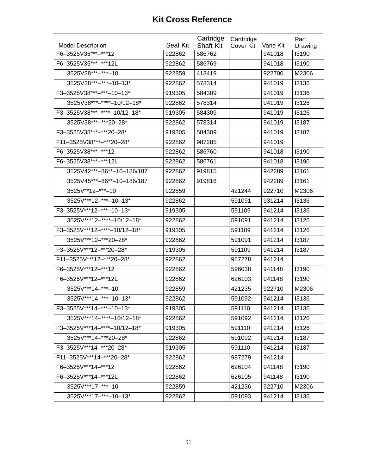| <b>Model Description</b>     | Seal Kit | Cartridge<br><b>Shaft Kit</b> | Carttridge<br>Cover Kit | Vane Kit | Part<br>Drawing |
|------------------------------|----------|-------------------------------|-------------------------|----------|-----------------|
| F6-3525V35***-***12          | 922862   | 586762                        |                         | 941018   | 13190           |
| F6-3525V35***-***12L         | 922862   | 586769                        |                         | 941018   | 13190           |
| 3525V38 *** - *** - 10       | 922859   | 413419                        |                         | 922700   | M2306           |
| 3525V38 *** -*** - 10 - 13*  | 922862   | 578314                        |                         | 941019   | 13136           |
| F3-3525V38***-***-10-13*     | 919305   | 584309                        |                         | 941019   | 13136           |
| 3525V38***-****-10/12-18*    | 922862   | 578314                        |                         | 941019   | 13126           |
| F3-3525V38***-****-10/12-18* | 919305   | 584309                        |                         | 941019   | 13126           |
| 3525V38 *** - *** 20 - 28 *  | 922862   | 578314                        |                         | 941019   | 13187           |
| F3-3525V38 ***-*** 20-28*    | 919305   | 584309                        |                         | 941019   | 13187           |
| F11-3525V38 ***-*** 20-28*   | 922862   | 987285                        |                         | 941019   |                 |
| F6-3525V38***-***12          | 922862   | 586760                        |                         | 941018   | 13190           |
| F6-3525V38 *** -*** 12L      | 922862   | 586761                        |                         | 941018   | 13190           |
| 3525V42***-86**-10-186/187   | 922862   | 919815                        |                         | 942289   | 13161           |
| 3525V45***-86**-10-186/187   | 922862   | 919816                        |                         | 942289   | 13161           |
| 3525V**12-***-10             | 922859   |                               | 421244                  | 922710   | M2306           |
| 3525V***12-***-10-13*        | 922862   |                               | 591091                  | 931214   | 13136           |
| F3-3525V***12-***-10-13*     | 919305   |                               | 591109                  | 941214   | 13136           |
| 3525V***12-****-10/12-18*    | 922862   |                               | 591091                  | 941214   | 13126           |
| F3-3525V***12-****-10/12-18* | 919305   |                               | 591109                  | 941214   | 13126           |
| 3525V***12-***20-28*         | 922862   |                               | 591091                  | 941214   | 13187           |
| F3-3525V***12-***20-28*      | 919305   |                               | 591109                  | 941214   | 13187           |
| F11-3525V***12-***20-28*     | 922862   |                               | 987278                  | 941214   |                 |
| F6-3525V***12-***12          | 922862   |                               | 596038                  | 941148   | 13190           |
| F6-3525V***12-***12L         | 922862   |                               | 626103                  | 941148   | 13190           |
| 3525V***14-***-10            | 922859   |                               | 421235                  | 922710   | M2306           |
| 3525V***14-***-10-13*        | 922862   |                               | 591092                  | 941214   | 13136           |
| F3-3525V***14-***-10-13*     | 919305   |                               | 591110                  | 941214   | 13136           |
| 3525V***14-****-10/12-18*    | 922862   |                               | 591092                  | 941214   | 13126           |
| F3-3525V***14-****-10/12-18* | 919305   |                               | 591110                  | 941214   | 13126           |
| 3525V***14-***20-28*         | 922862   |                               | 591092                  | 941214   | 13187           |
| F3-3525V***14-***20-28*      | 919305   |                               | 591110                  | 941214   | 13187           |
| F11-3525V***14-***20-28*     | 922862   |                               | 987279                  | 941214   |                 |
| F6-3525V***14-***12          | 922862   |                               | 626104                  | 941148   | 13190           |
| F6-3525V***14-***12L         | 922862   |                               | 626105                  | 941148   | 13190           |
| 3525V***17-***-10            | 922859   |                               | 421236                  | 922710   | M2306           |
| 3525V***17-***-10-13*        | 922862   |                               | 591093                  | 941214   | 13136           |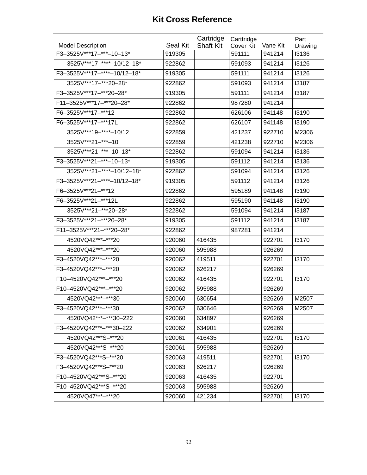|                              |          | Cartridge        | Carttridge |          | Part    |
|------------------------------|----------|------------------|------------|----------|---------|
| <b>Model Description</b>     | Seal Kit | <b>Shaft Kit</b> | Cover Kit  | Vane Kit | Drawing |
| F3-3525V***17-***-10-13*     | 919305   |                  | 591111     | 941214   | 13136   |
| 3525V***17-****-10/12-18*    | 922862   |                  | 591093     | 941214   | 13126   |
| F3-3525V***17-****-10/12-18* | 919305   |                  | 591111     | 941214   | 13126   |
| 3525V***17-***20-28*         | 922862   |                  | 591093     | 941214   | 13187   |
| F3-3525V***17-***20-28*      | 919305   |                  | 591111     | 941214   | 13187   |
| F11-3525V***17-***20-28*     | 922862   |                  | 987280     | 941214   |         |
| F6-3525V***17-***12          | 922862   |                  | 626106     | 941148   | 13190   |
| F6-3525V***17-***17L         | 922862   |                  | 626107     | 941148   | 13190   |
| 3525V***19-****-10/12        | 922859   |                  | 421237     | 922710   | M2306   |
| 3525V***21-***-10            | 922859   |                  | 421238     | 922710   | M2306   |
| 3525V***21-***-10-13*        | 922862   |                  | 591094     | 941214   | 13136   |
| F3-3525V***21-***-10-13*     | 919305   |                  | 591112     | 941214   | 13136   |
| 3525V***21-****-10/12-18*    | 922862   |                  | 591094     | 941214   | 13126   |
| F3-3525V***21-****-10/12-18* | 919305   |                  | 591112     | 941214   | 13126   |
| F6-3525V***21-***12          | 922862   |                  | 595189     | 941148   | 13190   |
| F6-3525V***21-***12L         | 922862   |                  | 595190     | 941148   | 13190   |
| 3525V***21-***20-28*         | 922862   |                  | 591094     | 941214   | 13187   |
| F3-3525V***21-***20-28*      | 919305   |                  | 591112     | 941214   | 13187   |
| F11-3525V***21-***20-28*     | 922862   |                  | 987281     | 941214   |         |
| 4520VQ42***-***20            | 920060   | 416435           |            | 922701   | 13170   |
| 4520VQ42***-***20            | 920060   | 595988           |            | 926269   |         |
| F3-4520VQ42***-***20         | 920062   | 419511           |            | 922701   | 13170   |
| F3-4520VQ42***-***20         | 920062   | 626217           |            | 926269   |         |
| F10-4520VQ42***-***20        | 920062   | 416435           |            | 922701   | 13170   |
| F10-4520VQ42***-***20        | 920062   | 595988           |            | 926269   |         |
| 4520VQ42***-***30            | 920060   | 630654           |            | 926269   | M2507   |
| F3-4520VQ42***-***30         | 920062   | 630646           |            | 926269   | M2507   |
| 4520VQ42***-***30-222        | 920060   | 634897           |            | 926269   |         |
| F3-4520VQ42***-***30-222     | 920062   | 634901           |            | 926269   |         |
| 4520VQ42***S-***20           | 920061   | 416435           |            | 922701   | 13170   |
| 4520VQ42***S-***20           | 920061   | 595988           |            | 926269   |         |
| F3-4520VQ42***S-***20        | 920063   | 419511           |            | 922701   | 13170   |
| F3-4520VQ42***S-***20        | 920063   | 626217           |            | 926269   |         |
| F10-4520VQ42***S-***20       | 920063   | 416435           |            | 922701   |         |
| F10-4520VQ42***S-***20       | 920063   | 595988           |            | 926269   |         |
| 4520VQ47***-***20            | 920060   | 421234           |            | 922701   | 13170   |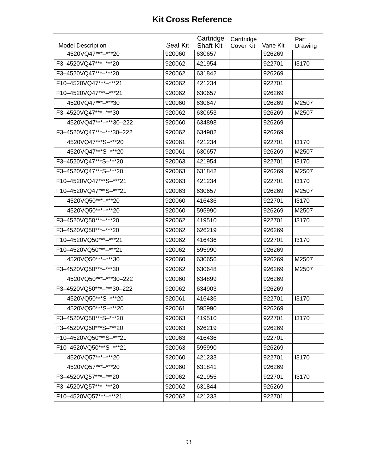|                                                  | <b>Seal Kit</b> | Cartridge                  | Carttridge |                    | Part    |
|--------------------------------------------------|-----------------|----------------------------|------------|--------------------|---------|
| <b>Model Description</b><br>4520VQ47 *** -*** 20 | 920060          | <b>Shaft Kit</b><br>630657 | Cover Kit  | Vane Kit<br>926269 | Drawing |
|                                                  |                 |                            |            |                    |         |
| F3-4520VQ47***-***20                             | 920062          | 421954                     |            | 922701             | 13170   |
| F3-4520VQ47***-***20                             | 920062          | 631842                     |            | 926269             |         |
| F10-4520VQ47***-***21                            | 920062          | 421234                     |            | 922701             |         |
| F10-4520VQ47***-***21                            | 920062          | 630657                     |            | 926269             |         |
| 4520VQ47***-***30                                | 920060          | 630647                     |            | 926269             | M2507   |
| F3-4520VQ47***-***30                             | 920062          | 630653                     |            | 926269             | M2507   |
| 4520VQ47***-***30-222                            | 920060          | 634898                     |            | 926269             |         |
| F3-4520VQ47***-***30-222                         | 920062          | 634902                     |            | 926269             |         |
| 4520VQ47***S-***20                               | 920061          | 421234                     |            | 922701             | 13170   |
| 4520VQ47***S-***20                               | 920061          | 630657                     |            | 926269             | M2507   |
| F3-4520VQ47***S-***20                            | 920063          | 421954                     |            | 922701             | 13170   |
| F3-4520VQ47***S-***20                            | 920063          | 631842                     |            | 926269             | M2507   |
| F10-4520VQ47***S-***21                           | 920063          | 421234                     |            | 922701             | 13170   |
| F10-4520VQ47***S-***21                           | 920063          | 630657                     |            | 926269             | M2507   |
| 4520VQ50***-***20                                | 920060          | 416436                     |            | 922701             | 13170   |
| 4520VQ50***-***20                                | 920060          | 595990                     |            | 926269             | M2507   |
| F3-4520VQ50***-***20                             | 920062          | 419510                     |            | 922701             | 13170   |
| F3-4520VQ50***-***20                             | 920062          | 626219                     |            | 926269             |         |
| F10-4520VQ50***-***21                            | 920062          | 416436                     |            | 922701             | 13170   |
| F10-4520VQ50***-***21                            | 920062          | 595990                     |            | 926269             |         |
| 4520VQ50***-***30                                | 920060          | 630656                     |            | 926269             | M2507   |
| F3-4520VQ50***-***30                             | 920062          | 630648                     |            | 926269             | M2507   |
| 4520VQ50***-***30-222                            | 920060          | 634899                     |            | 926269             |         |
| F3-4520VQ50***-***30-222                         | 920062          | 634903                     |            | 926269             |         |
| 4520VQ50***S-***20                               | 920061          | 416436                     |            | 922701             | 13170   |
| 4520VQ50***S-***20                               | 920061          | 595990                     |            | 926269             |         |
| F3-4520VQ50***S-***20                            | 920063          | 419510                     |            | 922701             | 13170   |
| F3-4520VQ50***S-***20                            | 920063          | 626219                     |            | 926269             |         |
| F10-4520VQ50***S-***21                           | 920063          | 416436                     |            | 922701             |         |
| F10-4520VQ50***S-***21                           | 920063          | 595990                     |            | 926269             |         |
| 4520VQ57***-***20                                | 920060          | 421233                     |            | 922701             | 13170   |
| 4520VQ57***-***20                                | 920060          | 631841                     |            | 926269             |         |
| F3-4520VQ57***-***20                             | 920062          | 421955                     |            | 922701             | 13170   |
| F3-4520VQ57***-***20                             | 920062          | 631844                     |            | 926269             |         |
| F10-4520VQ57***-***21                            | 920062          | 421233                     |            | 922701             |         |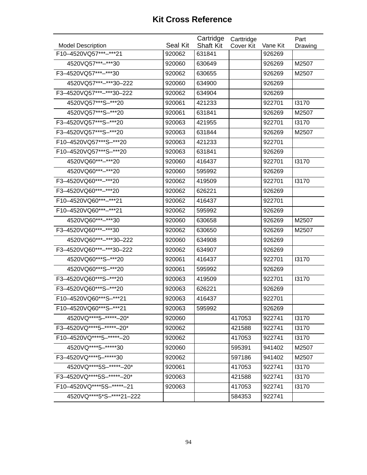| <b>Model Description</b>     | <b>Seal Kit</b> | Cartridge<br><b>Shaft Kit</b> | Carttridge<br>Cover Kit | Vane Kit | Part<br>Drawing |
|------------------------------|-----------------|-------------------------------|-------------------------|----------|-----------------|
| F10-4520VQ57***-***21        | 920062          | 631841                        |                         | 926269   |                 |
| 4520VQ57***-***30            | 920060          | 630649                        |                         | 926269   | M2507           |
| F3-4520VQ57***-***30         | 920062          | 630655                        |                         | 926269   | M2507           |
| 4520VQ57***-***30-222        | 920060          | 634900                        |                         | 926269   |                 |
| F3-4520VQ57***-***30-222     | 920062          | 634904                        |                         | 926269   |                 |
| 4520VQ57***S-***20           | 920061          | 421233                        |                         | 922701   | 13170           |
| 4520VQ57***S-***20           | 920061          | 631841                        |                         | 926269   | M2507           |
| F3-4520VQ57***S-***20        | 920063          | 421955                        |                         | 922701   | 13170           |
| F3-4520VQ57***S-***20        | 920063          | 631844                        |                         | 926269   | M2507           |
| F10-4520VQ57***S-***20       | 920063          | 421233                        |                         | 922701   |                 |
| F10-4520VQ57***S-***20       | 920063          | 631841                        |                         | 926269   |                 |
| 4520VQ60***-***20            | 920060          | 416437                        |                         | 922701   | 13170           |
| 4520VQ60***-***20            | 920060          | 595992                        |                         | 926269   |                 |
| F3-4520VQ60***-***20         | 920062          | 419509                        |                         | 922701   | 13170           |
| F3-4520VQ60***-***20         | 920062          | 626221                        |                         | 926269   |                 |
| F10-4520VQ60***-***21        | 920062          | 416437                        |                         | 922701   |                 |
| F10-4520VQ60***-***21        | 920062          | 595992                        |                         | 926269   |                 |
| 4520VQ60***-***30            | 920060          | 630658                        |                         | 926269   | M2507           |
| F3-4520VQ60***-***30         | 920062          | 630650                        |                         | 926269   | M2507           |
| 4520VQ60***-***30-222        | 920060          | 634908                        |                         | 926269   |                 |
| F3-4520VQ60***-***30-222     | 920062          | 634907                        |                         | 926269   |                 |
| 4520VQ60***S-***20           | 920061          | 416437                        |                         | 922701   | 13170           |
| 4520VQ60***S-***20           | 920061          | 595992                        |                         | 926269   |                 |
| F3-4520VQ60***S-***20        | 920063          | 419509                        |                         | 922701   | 13170           |
| F3-4520VQ60***S-***20        | 920063          | 626221                        |                         | 926269   |                 |
| F10-4520VQ60***S-***21       | 920063          | 416437                        |                         | 922701   |                 |
| F10-4520VQ60***S-***21       | 920063          | 595992                        |                         | 926269   |                 |
| 4520VQ **** 5-***** + - 20*  | 920060          |                               | 417053                  | 922741   | 13170           |
| F3-4520VQ****5-*****-20*     | 920062          |                               | 421588                  | 922741   | 13170           |
| F10-4520VQ **** 5-***** - 20 | 920062          |                               | 417053                  | 922741   | 13170           |
| 4520VQ****5-*****30          | 920060          |                               | 595391                  | 941402   | M2507           |
| F3-4520VQ****5-*****30       | 920062          |                               | 597186                  | 941402   | M2507           |
| 4520VQ **** 5S-***** - 20*   | 920061          |                               | 417053                  | 922741   | 13170           |
| F3-4520VQ****5S-*****-20*    | 920063          |                               | 421588                  | 922741   | 13170           |
| F10-4520VQ****5S-*****-21    | 920063          |                               | 417053                  | 922741   | 13170           |
| 4520VQ****5*S-****21-222     |                 |                               | 584353                  | 922741   |                 |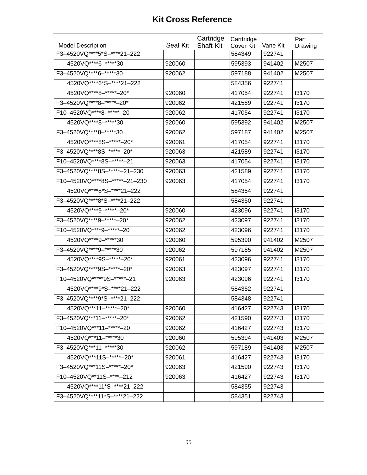|                                |          | Cartridge        | Carttridge |          | Part    |
|--------------------------------|----------|------------------|------------|----------|---------|
| <b>Model Description</b>       | Seal Kit | <b>Shaft Kit</b> | Cover Kit  | Vane Kit | Drawing |
| F3-4520VQ****5*S-****21-222    |          |                  | 584349     | 922741   |         |
| 4520VQ **** 6-***** * 30       | 920060   |                  | 595393     | 941402   | M2507   |
| F3-4520VQ****6-*****30         | 920062   |                  | 597188     | 941402   | M2507   |
| 4520VQ****6*S-****21-222       |          |                  | 584356     | 922741   |         |
| 4520VQ **** 8-***** +20*       | 920060   |                  | 417054     | 922741   | 13170   |
| F3-4520VQ ****8-*****-20*      | 920062   |                  | 421589     | 922741   | 13170   |
| F10-4520VQ****8-*****-20       | 920062   |                  | 417054     | 922741   | 13170   |
| 4520VQ****8-*****30            | 920060   |                  | 595392     | 941402   | M2507   |
| F3-4520VQ **** 8-***** 30      | 920062   |                  | 597187     | 941402   | M2507   |
| 4520VQ **** 8S-***** - 20*     | 920061   |                  | 417054     | 922741   | 13170   |
| F3-4520VQ****8S-*****-20*      | 920063   |                  | 421589     | 922741   | 13170   |
| F10-4520VQ **** 8S-***** - 21  | 920063   |                  | 417054     | 922741   | 13170   |
| F3-4520VQ****8S-*****-21-230   | 920063   |                  | 421589     | 922741   | 13170   |
| F10-4520VQ****8S-*****-21-230  | 920063   |                  | 417054     | 922741   | 13170   |
| 4520VQ **** 8*S-**** 21-222    |          |                  | 584354     | 922741   |         |
| F3-4520VQ****8*S-****21-222    |          |                  | 584350     | 922741   |         |
| 4520VQ **** 9-***** - 20*      | 920060   |                  | 423096     | 922741   | 13170   |
| F3-4520VQ ****9-*****-20*      | 920062   |                  | 423097     | 922741   | 13170   |
| F10-4520VQ **** 9-***** - 20   | 920062   |                  | 423096     | 922741   | 13170   |
| 4520VQ **** 9- ***** 30        | 920060   |                  | 595390     | 941402   | M2507   |
| F3-4520VQ **** 9-***** 30      | 920062   |                  | 597185     | 941402   | M2507   |
| 4520VQ **** 9S-***** - 20*     | 920061   |                  | 423096     | 922741   | 13170   |
| F3-4520VQ **** 9S-***** - 20*  | 920063   |                  | 423097     | 922741   | 13170   |
| F10-4520VQ ***** 9S-***** - 21 | 920063   |                  | 423096     | 922741   | 13170   |
| 4520VQ****9*S-****21-222       |          |                  | 584352     | 922741   |         |
| F3-4520VQ****9*S-****21-222    |          |                  | 584348     | 922741   |         |
| 4520VQ***11-*****-20*          | 920060   |                  | 416427     | 922743   | 13170   |
| F3-4520VQ***11-*****-20*       | 920062   |                  | 421590     | 922743   | 13170   |
| F10-4520VQ***11-*****-20       | 920062   |                  | 416427     | 922743   | 13170   |
| 4520VQ***11-*****30            | 920060   |                  | 595394     | 941403   | M2507   |
| F3-4520VQ***11-*****30         | 920062   |                  | 597189     | 941403   | M2507   |
| 4520VQ***11S-*****-20*         | 920061   |                  | 416427     | 922743   | 13170   |
| F3-4520VQ***11S-******-20*     | 920063   |                  | 421590     | 922743   | 13170   |
| F10-4520VQ**11S-****-212       | 920063   |                  | 416427     | 922743   | 13170   |
| 4520VQ****11*S-****21-222      |          |                  | 584355     | 922743   |         |
| F3-4520VQ****11*S-****21-222   |          |                  | 584351     | 922743   |         |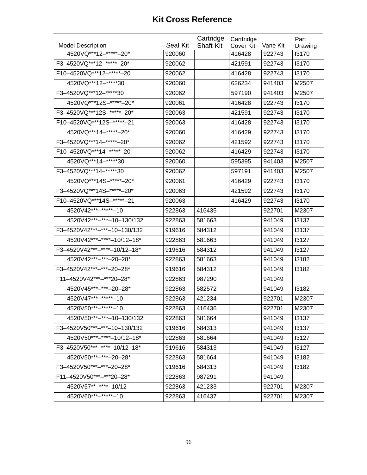|                               |                 | Cartridge        | Carttridge |          | Part    |
|-------------------------------|-----------------|------------------|------------|----------|---------|
| <b>Model Description</b>      | <b>Seal Kit</b> | <b>Shaft Kit</b> | Cover Kit  | Vane Kit | Drawing |
| 4520VQ***12-*****-20*         | 920060          |                  | 416428     | 922743   | 13170   |
| F3-4520VQ***12-*****-20*      | 920062          |                  | 421591     | 922743   | 13170   |
| F10-4520VQ***12-*****-20      | 920062          |                  | 416428     | 922743   | 13170   |
| 4520VQ***12-******30          | 920060          |                  | 626234     | 941403   | M2507   |
| F3-4520VQ *** 12-***** 30     | 920062          |                  | 597190     | 941403   | M2507   |
| 4520VQ***12S-******-20*       | 920061          |                  | 416428     | 922743   | 13170   |
| F3-4520VQ***12S-*****-20*     | 920063          |                  | 421591     | 922743   | 13170   |
| F10-4520VQ***12S-******-21    | 920063          |                  | 416428     | 922743   | 13170   |
| 4520VQ***14-*****-20*         | 920060          |                  | 416429     | 922743   | 13170   |
| F3-4520VQ***14-*****-20*      | 920062          |                  | 421592     | 922743   | 13170   |
| F10-4520VQ *** 14-***** - 20  | 920062          |                  | 416429     | 922743   | 13170   |
| 4520VQ***14-*****30           | 920060          |                  | 595395     | 941403   | M2507   |
| F3-4520VQ *** 14-***** 30     | 920062          |                  | 597191     | 941403   | M2507   |
| 4520VQ***14S-******-20*       | 920061          |                  | 416429     | 922743   | 13170   |
| F3-4520VQ***14S-*****-20*     | 920063          |                  | 421592     | 922743   | 13170   |
| F10-4520VQ *** 14S-***** - 21 | 920063          |                  | 416429     | 922743   | 13170   |
| 4520V42***-*****-10           | 922863          | 416435           |            | 922701   | M2307   |
| 4520V42***-***-10-130/132     | 922863          | 581663           |            | 941049   | 13137   |
| F3-4520V42***-***-10-130/132  | 919616          | 584312           |            | 941049   | 13137   |
| 4520V42***-****-10/12-18*     | 922863          | 581663           |            | 941049   | 13127   |
| F3-4520V42***-****-10/12-18*  | 919616          | 584312           |            | 941049   | 13127   |
| 4520V42***-***-20-28*         | 922863          | 581663           |            | 941049   | 13182   |
| F3-4520V42***-***-20-28*      | 919616          | 584312           |            | 941049   | 13182   |
| F11-4520V42***-***20-28*      | 922863          | 987290           |            | 941049   |         |
| 4520V45***-***-20-28*         | 922863          | 582572           |            | 941049   | 13182   |
| 4520V47***-*****-10           | 922863          | 421234           |            | 922701   | M2307   |
| 4520V50***-******-10          | 922863          | 416436           |            | 922701   | M2307   |
| 4520V50***-***-10-130/132     | 922863          | 581664           |            | 941049   | 13137   |
| F3-4520V50***-***-10-130/132  | 919616          | 584313           |            | 941049   | 13137   |
| 4520V50***-****-10/12-18*     | 922863          | 581664           |            | 941049   | 13127   |
| F3-4520V50***-****-10/12-18*  | 919616          | 584313           |            | 941049   | 13127   |
| 4520V50***-***-20-28*         | 922863          | 581664           |            | 941049   | 13182   |
| F3-4520V50***-***-20-28*      | 919616          | 584313           |            | 941049   | 13182   |
| F11-4520V50***-***20-28*      | 922863          | 987291           |            | 941049   |         |
| 4520V57**-****-10/12          | 922863          | 421233           |            | 922701   | M2307   |
| 4520V60***-******-10          | 922863          | 416437           |            | 922701   | M2307   |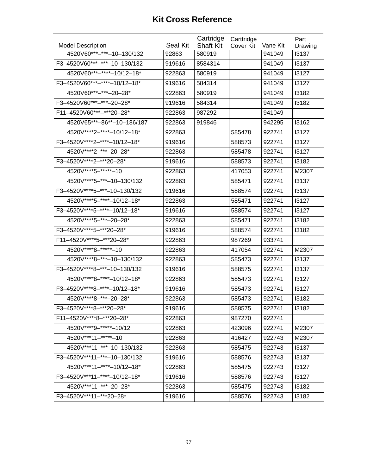| <b>Model Description</b>      | Seal Kit | Cartridge<br><b>Shaft Kit</b> | Carttridge<br>Cover Kit | Vane Kit | Part<br>Drawing |
|-------------------------------|----------|-------------------------------|-------------------------|----------|-----------------|
| 4520V60***-***-10-130/132     | 92863    | 580919                        |                         | 941049   | 13137           |
| F3-4520V60***-***-10-130/132  | 919616   | 8584314                       |                         | 941049   | 13137           |
| 4520V60***-****-10/12-18*     | 922863   | 580919                        |                         | 941049   | 13127           |
| F3-4520V60***-****-10/12-18*  | 919616   | 584314                        |                         | 941049   | 13127           |
| 4520V60***-***-20-28*         | 922863   | 580919                        |                         | 941049   | 13182           |
| F3-4520V60***-***-20-28*      | 919616   | 584314                        |                         | 941049   | 13182           |
| F11-4520V60***-***20-28*      | 922863   | 987292                        |                         | 941049   |                 |
| 4520V65***-86**-10-186/187    | 922863   | 919846                        |                         | 942295   | 13162           |
| 4520V****2-****-10/12-18*     | 922863   |                               | 585478                  | 922741   | 13127           |
| F3-4520V****2-****-10/12-18*  | 919616   |                               | 588573                  | 922741   | 13127           |
| 4520V****2-***-20-28*         | 922863   |                               | 585478                  | 922741   | 13127           |
| F3-4520V****2-***20-28*       | 919616   |                               | 588573                  | 922741   | 13182           |
| 4520V **** 5-***** - 10       | 922863   |                               | 417053                  | 922741   | M2307           |
| 4520V****5-***-10-130/132     | 922863   |                               | 585471                  | 922741   | 13137           |
| F3-4520V****5-***-10-130/132  | 919616   |                               | 588574                  | 922741   | 13137           |
| 4520V **** 5-**** - 10/12-18* | 922863   |                               | 585471                  | 922741   | 13127           |
| F3-4520V****5-****-10/12-18*  | 919616   |                               | 588574                  | 922741   | 13127           |
| 4520V **** 5-*** - 20-28*     | 922863   |                               | 585471                  | 922741   | 13182           |
| F3-4520V****5-***20-28*       | 919616   |                               | 588574                  | 922741   | 13182           |
| F11-4520V****5-***20-28*      | 922863   |                               | 987269                  | 933741   |                 |
| 4520V****8-*****-10           | 922863   |                               | 417054                  | 922741   | M2307           |
| 4520V****8-***-10-130/132     | 922863   |                               | 585473                  | 922741   | 13137           |
| F3-4520V****8-***-10-130/132  | 919616   |                               | 588575                  | 922741   | 13137           |
| 4520V****8-****-10/12-18*     | 922863   |                               | 585473                  | 922741   | 13127           |
| F3-4520V****8-****-10/12-18*  | 919616   |                               | 585473                  | 922741   | 13127           |
| 4520V **** 8-*** - 20 - 28*   | 922863   |                               | 585473                  | 922741   | 13182           |
| F3-4520V****8-***20-28*       | 919616   |                               | 588575                  | 922741   | 13182           |
| F11-4520V****8-***20-28*      | 922863   |                               | 987270                  | 922741   |                 |
| 4520V****9-*****-10/12        | 922863   |                               | 423096                  | 922741   | M2307           |
| 4520V***11-******-10          | 922863   |                               | 416427                  | 922743   | M2307           |
| 4520V***11-***-10-130/132     | 922863   |                               | 585475                  | 922743   | 13137           |
| F3-4520V***11-***-10-130/132  | 919616   |                               | 588576                  | 922743   | 13137           |
| 4520V***11-****-10/12-18*     | 922863   |                               | 585475                  | 922743   | 13127           |
| F3-4520V***11-****-10/12-18*  | 919616   |                               | 588576                  | 922743   | 13127           |
| 4520V***11-***-20-28*         | 922863   |                               | 585475                  | 922743   | 13182           |
| F3-4520V***11-***20-28*       | 919616   |                               | 588576                  | 922743   | 13182           |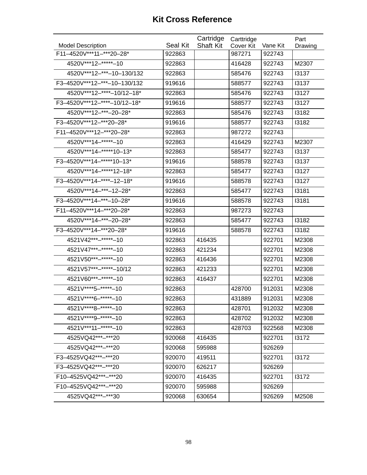|                              |          | Cartridge        | Carttridge |          | Part    |
|------------------------------|----------|------------------|------------|----------|---------|
| <b>Model Description</b>     | Seal Kit | <b>Shaft Kit</b> | Cover Kit  | Vane Kit | Drawing |
| F11-4520V***11-***20-28*     | 922863   |                  | 987271     | 922743   |         |
| 4520V***12-******-10         | 922863   |                  | 416428     | 922743   | M2307   |
| 4520V***12-***-10-130/132    | 922863   |                  | 585476     | 922743   | 13137   |
| F3-4520V***12-***-10-130/132 | 919616   |                  | 588577     | 922743   | 13137   |
| 4520V***12-****-10/12-18*    | 922863   |                  | 585476     | 922743   | 13127   |
| F3-4520V***12-****-10/12-18* | 919616   |                  | 588577     | 922743   | 13127   |
| 4520V***12-***-20-28*        | 922863   |                  | 585476     | 922743   | 13182   |
| F3-4520V***12-***20-28*      | 919616   |                  | 588577     | 922743   | 13182   |
| F11-4520V***12-***20-28*     | 922863   |                  | 987272     | 922743   |         |
| 4520V***14-******-10         | 922863   |                  | 416429     | 922743   | M2307   |
| 4520V***14-*****10-13*       | 922863   |                  | 585477     | 922743   | 13137   |
| F3-4520V***14-*****10-13*    | 919616   |                  | 588578     | 922743   | 13137   |
| 4520V***14-*****12-18*       | 922863   |                  | 585477     | 922743   | 13127   |
| F3-4520V***14-****-12-18*    | 919616   |                  | 588578     | 922743   | 13127   |
| 4520V***14-***-12-28*        | 922863   |                  | 585477     | 922743   | 13181   |
| F3-4520V***14-***-10-28*     | 919616   |                  | 588578     | 922743   | 13181   |
| F11-4520V***14-***20-28*     | 922863   |                  | 987273     | 922743   |         |
| 4520V***14-***-20-28*        | 922863   |                  | 585477     | 922743   | 13182   |
| F3-4520V***14-***20-28*      | 919616   |                  | 588578     | 922743   | 13182   |
| 4521V42***-*****-10          | 922863   | 416435           |            | 922701   | M2308   |
| 4521V47***-*****-10          | 922863   | 421234           |            | 922701   | M2308   |
| 4521V50***-******-10         | 922863   | 416436           |            | 922701   | M2308   |
| 4521V57***-*****-10/12       | 922863   | 421233           |            | 922701   | M2308   |
| 4521V60***-******-10         | 922863   | 416437           |            | 922701   | M2308   |
| 4521V****5-******-10         | 922863   |                  | 428700     | 912031   | M2308   |
| 4521V****6-******-10         | 922863   |                  | 431889     | 912031   | M2308   |
| 4521V****8-******-10         | 922863   |                  | 428701     | 912032   | M2308   |
| 4521V****9-*****-10          | 922863   |                  | 428702     | 912032   | M2308   |
| 4521V***11-******-10         | 922863   |                  | 428703     | 922568   | M2308   |
| 4525VQ42***-***20            | 920068   | 416435           |            | 922701   | 13172   |
| 4525VQ42***-***20            | 920068   | 595988           |            | 926269   |         |
| F3-4525VQ42***-***20         | 920070   | 419511           |            | 922701   | 13172   |
| F3-4525VQ42***-***20         | 920070   | 626217           |            | 926269   |         |
| F10-4525VQ42***-***20        | 920070   | 416435           |            | 922701   | 13172   |
| F10-4525VQ42***-***20        | 920070   | 595988           |            | 926269   |         |
| 4525VQ42***-***30            | 920068   | 630654           |            | 926269   | M2508   |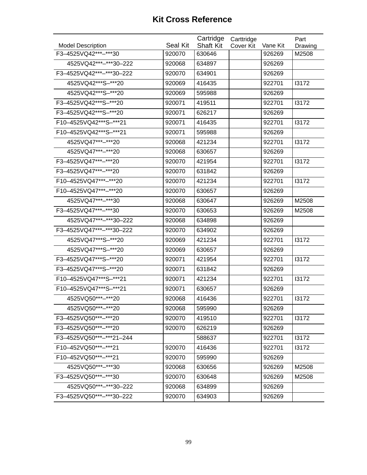| <b>Model Description</b> | Seal Kit | Cartridge<br><b>Shaft Kit</b> | Carttridge<br>Cover Kit | Vane Kit | Part<br>Drawing |
|--------------------------|----------|-------------------------------|-------------------------|----------|-----------------|
| F3-4525VQ42***-***30     | 920070   | 630646                        |                         | 926269   | M2508           |
| 4525VQ42***-***30-222    | 920068   | 634897                        |                         | 926269   |                 |
| F3-4525VQ42***-***30-222 | 920070   | 634901                        |                         | 926269   |                 |
| 4525VQ42***S-***20       | 920069   | 416435                        |                         | 922701   | 13172           |
| 4525VQ42***S-***20       | 920069   | 595988                        |                         | 926269   |                 |
| F3-4525VQ42***S-***20    | 920071   | 419511                        |                         | 922701   | 13172           |
| F3-4525VQ42***S-***20    | 920071   | 626217                        |                         | 926269   |                 |
| F10-4525VQ42***S-***21   | 920071   | 416435                        |                         | 922701   | 13172           |
| F10-4525VQ42***S-***21   | 920071   | 595988                        |                         | 926269   |                 |
| 4525VQ47***-***20        | 920068   | 421234                        |                         | 922701   | 13172           |
| 4525VQ47***-***20        | 920068   | 630657                        |                         | 926269   |                 |
| F3-4525VQ47***-***20     | 920070   | 421954                        |                         | 922701   | 13172           |
| F3-4525VQ47***-***20     | 920070   | 631842                        |                         | 926269   |                 |
| F10-4525VQ47***-***20    | 920070   | 421234                        |                         | 922701   | 13172           |
| F10-4525VQ47***-***20    | 920070   | 630657                        |                         | 926269   |                 |
| 4525VQ47***-***30        | 920068   | 630647                        |                         | 926269   | M2508           |
| F3-4525VQ47***-***30     | 920070   | 630653                        |                         | 926269   | M2508           |
| 4525VQ47***-***30-222    | 920068   | 634898                        |                         | 926269   |                 |
| F3-4525VQ47***-***30-222 | 920070   | 634902                        |                         | 926269   |                 |
| 4525VQ47***S-***20       | 920069   | 421234                        |                         | 922701   | 13172           |
| 4525VQ47***S-***20       | 920069   | 630657                        |                         | 926269   |                 |
| F3-4525VQ47***S-***20    | 920071   | 421954                        |                         | 922701   | 13172           |
| F3-4525VQ47***S-***20    | 920071   | 631842                        |                         | 926269   |                 |
| F10-4525VQ47***S-***21   | 920071   | 421234                        |                         | 922701   | 13172           |
| F10-4525VQ47***S-***21   | 920071   | 630657                        |                         | 926269   |                 |
| 4525VQ50***-***20        | 920068   | 416436                        |                         | 922701   | 13172           |
| 4525VQ50***-***20        | 920068   | 595990                        |                         | 926269   |                 |
| F3-4525VQ50***-***20     | 920070   | 419510                        |                         | 922701   | 13172           |
| F3-4525VQ50***-***20     | 920070   | 626219                        |                         | 926269   |                 |
| F3-4525VQ50***-***21-244 |          | 588637                        |                         | 922701   | 13172           |
| F10-452VQ50***-***21     | 920070   | 416436                        |                         | 922701   | 13172           |
| F10-452VQ50***-***21     | 920070   | 595990                        |                         | 926269   |                 |
| 4525VQ50***-***30        | 920068   | 630656                        |                         | 926269   | M2508           |
| F3-4525VQ50***-***30     | 920070   | 630648                        |                         | 926269   | M2508           |
| 4525VQ50***-***30-222    | 920068   | 634899                        |                         | 926269   |                 |
| F3-4525VQ50***-***30-222 | 920070   | 634903                        |                         | 926269   |                 |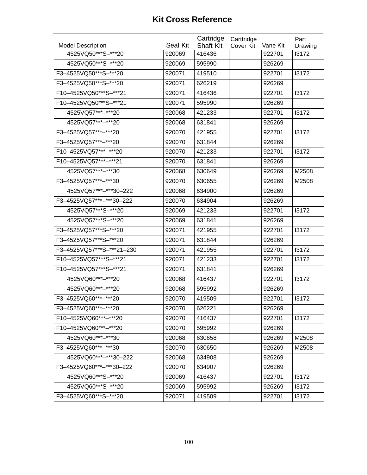| <b>Model Description</b>  | Seal Kit | Cartridge<br><b>Shaft Kit</b> | Carttridge<br>Cover Kit | Vane Kit | Part<br>Drawing |
|---------------------------|----------|-------------------------------|-------------------------|----------|-----------------|
| 4525VQ50***S-***20        | 920069   | 416436                        |                         | 922701   | 13172           |
| 4525VQ50***S-***20        | 920069   | 595990                        |                         | 926269   |                 |
| F3-4525VQ50***S-***20     | 920071   | 419510                        |                         | 922701   | 13172           |
| F3-4525VQ50***S-***20     | 920071   | 626219                        |                         | 926269   |                 |
| F10-4525VQ50***S-***21    | 920071   | 416436                        |                         | 922701   | 13172           |
| F10-4525VQ50***S-***21    | 920071   | 595990                        |                         | 926269   |                 |
| 4525VQ57***-***20         | 920068   | 421233                        |                         | 922701   | 13172           |
| 4525VQ57***-***20         | 920068   | 631841                        |                         | 926269   |                 |
| F3-4525VQ57***-***20      | 920070   | 421955                        |                         | 922701   | 13172           |
| F3-4525VQ57***-***20      | 920070   | 631844                        |                         | 926269   |                 |
| F10-4525VQ57***-***20     | 920070   | 421233                        |                         | 922701   | 13172           |
| F10-4525VQ57***-***21     | 920070   | 631841                        |                         | 926269   |                 |
| 4525VQ57***-***30         | 920068   | 630649                        |                         | 926269   | M2508           |
| F3-4525VQ57***-***30      | 920070   | 630655                        |                         | 926269   | M2508           |
| 4525VQ57***-***30-222     | 920068   | 634900                        |                         | 926269   |                 |
| F3-4525VQ57***-***30-222  | 920070   | 634904                        |                         | 926269   |                 |
| 4525VQ57***S-***20        | 920069   | 421233                        |                         | 922701   | 13172           |
| 4525VQ57***S-***20        | 920069   | 631841                        |                         | 926269   |                 |
| F3-4525VQ57***S-***20     | 920071   | 421955                        |                         | 922701   | 13172           |
| F3-4525VQ57***S-***20     | 920071   | 631844                        |                         | 926269   |                 |
| F3-4525VQ57***S-***21-230 | 920071   | 421955                        |                         | 922701   | 13172           |
| F10-4525VQ57***S-***21    | 920071   | 421233                        |                         | 922701   | 13172           |
| F10-4525VQ57***S-***21    | 920071   | 631841                        |                         | 926269   |                 |
| 4525VQ60***-***20         | 920068   | 416437                        |                         | 922701   | 13172           |
| 4525VQ60***-***20         | 920068   | 595992                        |                         | 926269   |                 |
| F3-4525VQ60***-***20      | 920070   | 419509                        |                         | 922701   | 13172           |
| F3-4525VQ60***-***20      | 920070   | 626221                        |                         | 926269   |                 |
| F10-4525VQ60***-***20     | 920070   | 416437                        |                         | 922701   | 13172           |
| F10-4525VQ60***-***20     | 920070   | 595992                        |                         | 926269   |                 |
| 4525VQ60***-***30         | 920068   | 630658                        |                         | 926269   | M2508           |
| F3-4525VQ60***-***30      | 920070   | 630650                        |                         | 926269   | M2508           |
| 4525VQ60***-***30-222     | 920068   | 634908                        |                         | 926269   |                 |
| F3-4525VQ60***-***30-222  | 920070   | 634907                        |                         | 926269   |                 |
| 4525VQ60***S-***20        | 920069   | 416437                        |                         | 922701   | 13172           |
| 4525VQ60***S-***20        | 920069   | 595992                        |                         | 926269   | 13172           |
| F3-4525VQ60***S-***20     | 920071   | 419509                        |                         | 922701   | 13172           |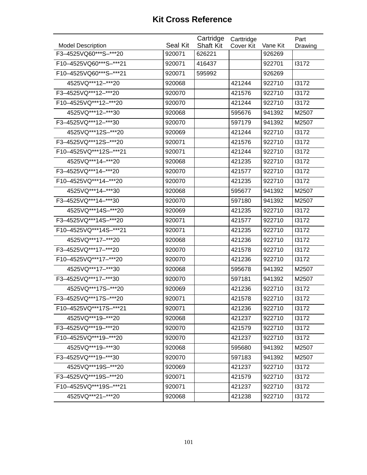|                          |                 | Cartridge        | Carttridge |          | Part    |
|--------------------------|-----------------|------------------|------------|----------|---------|
| <b>Model Description</b> | <b>Seal Kit</b> | <b>Shaft Kit</b> | Cover Kit  | Vane Kit | Drawing |
| F3-4525VQ60***S-***20    | 920071          | 626221           |            | 926269   |         |
| F10-4525VQ60***S-***21   | 920071          | 416437           |            | 922701   | 13172   |
| F10-4525VQ60***S-***21   | 920071          | 595992           |            | 926269   |         |
| 4525VQ***12-***20        | 920068          |                  | 421244     | 922710   | 13172   |
| F3-4525VQ***12-***20     | 920070          |                  | 421576     | 922710   | 13172   |
| F10-4525VQ***12-***20    | 920070          |                  | 421244     | 922710   | 13172   |
| 4525VQ***12-***30        | 920068          |                  | 595676     | 941392   | M2507   |
| F3-4525VQ***12-***30     | 920070          |                  | 597179     | 941392   | M2507   |
| 4525VQ***12S-***20       | 920069          |                  | 421244     | 922710   | 13172   |
| F3-4525VQ *** 12S-*** 20 | 920071          |                  | 421576     | 922710   | 13172   |
| F10-4525VQ***12S-***21   | 920071          |                  | 421244     | 922710   | 13172   |
| 4525VQ *** 14 -*** 20    | 920068          |                  | 421235     | 922710   | 13172   |
| F3-4525VQ *** 14-*** 20  | 920070          |                  | 421577     | 922710   | 13172   |
| F10-4525VQ***14-***20    | 920070          |                  | 421235     | 922710   | 13172   |
| 4525VQ***14-***30        | 920068          |                  | 595677     | 941392   | M2507   |
| F3-4525VQ***14-***30     | 920070          |                  | 597180     | 941392   | M2507   |
| 4525VQ***14S-***20       | 920069          |                  | 421235     | 922710   | 13172   |
| F3-4525VQ *** 14S-*** 20 | 920071          |                  | 421577     | 922710   | 13172   |
| F10-4525VQ***14S-***21   | 920071          |                  | 421235     | 922710   | 13172   |
| 4525VQ *** 17 -*** 20    | 920068          |                  | 421236     | 922710   | 13172   |
| F3-4525VQ *** 17-*** 20  | 920070          |                  | 421578     | 922710   | 13172   |
| F10-4525VQ *** 17-*** 20 | 920070          |                  | 421236     | 922710   | 13172   |
| 4525VQ***17-***30        | 920068          |                  | 595678     | 941392   | M2507   |
| F3-4525VQ***17-***30     | 920070          |                  | 597181     | 941392   | M2507   |
| 4525VQ***17S-***20       | 920069          |                  | 421236     | 922710   | 13172   |
| F3-4525VQ***17S-***20    | 920071          |                  | 421578     | 922710   | 13172   |
| F10-4525VQ***17S-***21   | 920071          |                  | 421236     | 922710   | 13172   |
| 4525VQ***19-***20        | 920068          |                  | 421237     | 922710   | 13172   |
| F3-4525VQ***19-***20     | 920070          |                  | 421579     | 922710   | 13172   |
| F10-4525VQ***19-***20    | 920070          |                  | 421237     | 922710   | 13172   |
| 4525VQ***19-***30        | 920068          |                  | 595680     | 941392   | M2507   |
| F3-4525VQ***19-***30     | 920070          |                  | 597183     | 941392   | M2507   |
| 4525VQ***19S-***20       | 920069          |                  | 421237     | 922710   | 13172   |
| F3-4525VQ***19S-***20    | 920071          |                  | 421579     | 922710   | 13172   |
| F10-4525VQ***19S-***21   | 920071          |                  | 421237     | 922710   | 13172   |
| 4525VQ***21-***20        | 920068          |                  | 421238     | 922710   | 13172   |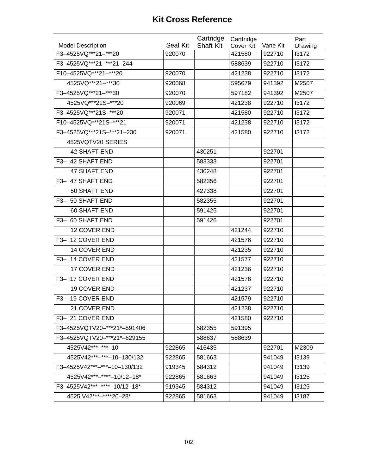|                              |          | Cartridge        | Carttridge |          | Part    |
|------------------------------|----------|------------------|------------|----------|---------|
| <b>Model Description</b>     | Seal Kit | <b>Shaft Kit</b> | Cover Kit  | Vane Kit | Drawing |
| F3-4525VQ***21-***20         | 920070   |                  | 421580     | 922710   | 13172   |
| F3-4525VQ***21-***21-244     |          |                  | 588639     | 922710   | 13172   |
| F10-4525VQ***21-***20        | 920070   |                  | 421238     | 922710   | 13172   |
| 4525VQ***21-***30            | 920068   |                  | 595679     | 941392   | M2507   |
| F3-4525VQ***21-***30         | 920070   |                  | 597182     | 941392   | M2507   |
| 4525VQ***21S-***20           | 920069   |                  | 421238     | 922710   | 13172   |
| F3-4525VQ***21S-***20        | 920071   |                  | 421580     | 922710   | 13172   |
| F10-4525VQ***21S-***21       | 920071   |                  | 421238     | 922710   | 13172   |
| F3-4525VQ***21S-***21-230    | 920071   |                  | 421580     | 922710   | 13172   |
| 4525VQTV20 SERIES            |          |                  |            |          |         |
| <b>42 SHAFT END</b>          |          | 430251           |            | 922701   |         |
| F3- 42 SHAFT END             |          | 583333           |            | 922701   |         |
| <b>47 SHAFT END</b>          |          | 430248           |            | 922701   |         |
| F3- 47 SHAFT END             |          | 582356           |            | 922701   |         |
| 50 SHAFT END                 |          | 427338           |            | 922701   |         |
| F3- 50 SHAFT END             |          | 582355           |            | 922701   |         |
| 60 SHAFT END                 |          | 591425           |            | 922701   |         |
| F3- 60 SHAFT END             |          | 591426           |            | 922701   |         |
| 12 COVER END                 |          |                  | 421244     | 922710   |         |
| F3- 12 COVER END             |          |                  | 421576     | 922710   |         |
| 14 COVER END                 |          |                  | 421235     | 922710   |         |
| F3- 14 COVER END             |          |                  | 421577     | 922710   |         |
| 17 COVER END                 |          |                  | 421236     | 922710   |         |
| F3- 17 COVER END             |          |                  | 421578     | 922710   |         |
| 19 COVER END                 |          |                  | 421237     | 922710   |         |
| F3-19 COVER END              |          |                  | 421579     | 922710   |         |
| 21 COVER END                 |          |                  | 421238     | 922710   |         |
| F3-21 COVER END              |          |                  | 421580     | 922710   |         |
| F3-4525VQTV20-***21*-591406  |          | 582355           | 591395     |          |         |
| F3-4525VQTV20-***21*-629155  |          | 588637           | 588639     |          |         |
| 4525V42***-***-10            | 922865   | 416435           |            | 922701   | M2309   |
| 4525V42***-***-10-130/132    | 922865   | 581663           |            | 941049   | 13139   |
| F3-4525V42***-***-10-130/132 | 919345   | 584312           |            | 941049   | 13139   |
| 4525V42***-****-10/12-18*    | 922865   | 581663           |            | 941049   | 13125   |
| F3-4525V42***-****-10/12-18* | 919345   | 584312           |            | 941049   | 13125   |
| 4525 V42***-****20-28*       | 922865   | 581663           |            | 941049   | 13187   |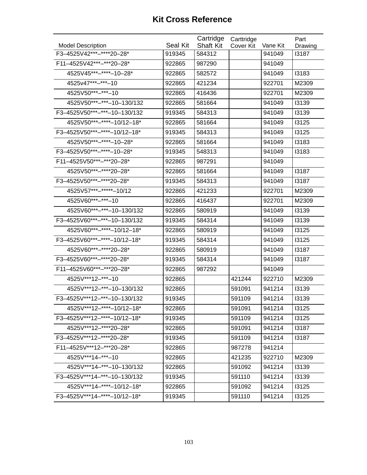| <b>Model Description</b>     | Seal Kit | Cartridge<br><b>Shaft Kit</b> | Carttridge | Vane Kit | Part             |
|------------------------------|----------|-------------------------------|------------|----------|------------------|
| F3-4525V42***-****20-28*     | 919345   | 584312                        | Cover Kit  | 941049   | Drawing<br>13187 |
| F11-4525V42***-***20-28*     | 922865   | 987290                        |            | 941049   |                  |
| 4525V45***-****-10-28*       | 922865   | 582572                        |            | 941049   | 13183            |
| 4525v47***-***-10            |          | 421234                        |            |          |                  |
|                              | 922865   |                               |            | 922701   | M2309            |
| 4525V50***-****-10           | 922865   | 416436                        |            | 922701   | M2309            |
| 4525V50***-***-10-130/132    | 922865   | 581664                        |            | 941049   | 13139            |
| F3-4525V50***-***-10-130/132 | 919345   | 584313                        |            | 941049   | 13139            |
| 4525V50***-****-10/12-18*    | 922865   | 581664                        |            | 941049   | 13125            |
| F3-4525V50***-****-10/12-18* | 919345   | 584313                        |            | 941049   | 13125            |
| 4525V50***-****-10-28*       | 922865   | 581664                        |            | 941049   | 13183            |
| F3-4525V50***-****-10-28*    | 919345   | 548313                        |            | 941049   | 13183            |
| F11-4525V50***-***20-28*     | 922865   | 987291                        |            | 941049   |                  |
| 4525V50***-****20-28*        | 922865   | 581664                        |            | 941049   | 13187            |
| F3-4525V50***-****20-28*     | 919345   | 584313                        |            | 941049   | 13187            |
| 4525V57***-*****-10/12       | 922865   | 421233                        |            | 922701   | M2309            |
| 4525V60***-***-10            | 922865   | 416437                        |            | 922701   | M2309            |
| 4525V60***-***-10-130/132    | 922865   | 580919                        |            | 941049   | 13139            |
| F3-4525V60***-***-10-130/132 | 919345   | 584314                        |            | 941049   | 13139            |
| 4525V60***-****-10/12-18*    | 922865   | 580919                        |            | 941049   | 13125            |
| F3-4525V60***-****-10/12-18* | 919345   | 584314                        |            | 941049   | 13125            |
| 4525V60***-****20-28*        | 922865   | 580919                        |            | 941049   | 13187            |
| F3-4525V60***-****20-28*     | 919345   | 584314                        |            | 941049   | 13187            |
| F11-4525V60***-***20-28*     | 922865   | 987292                        |            | 941049   |                  |
| 4525V***12-***-10            | 922865   |                               | 421244     | 922710   | M2309            |
| 4525V***12-***-10-130/132    | 922865   |                               | 591091     | 941214   | 13139            |
| F3-4525V***12-***-10-130/132 | 919345   |                               | 591109     | 941214   | 13139            |
| 4525V***12-****-10/12-18*    | 922865   |                               | 591091     | 941214   | 13125            |
| F3-4525V***12-****-10/12-18* | 919345   |                               | 591109     | 941214   | 13125            |
| 4525V***12-****20-28*        | 922865   |                               | 591091     | 941214   | 13187            |
| F3-4525V***12-****20-28*     | 919345   |                               | 591109     | 941214   | 13187            |
| F11-4525V***12-***20-28*     | 922865   |                               | 987278     | 941214   |                  |
| 4525V***14-***-10            | 922865   |                               | 421235     | 922710   | M2309            |
| 4525V***14-***-10-130/132    | 922865   |                               | 591092     | 941214   | 13139            |
| F3-4525V***14-***-10-130/132 | 919345   |                               | 591110     | 941214   | 13139            |
| 4525V***14-****-10/12-18*    | 922865   |                               | 591092     | 941214   | 13125            |
| F3-4525V***14-****-10/12-18* | 919345   |                               | 591110     | 941214   | 13125            |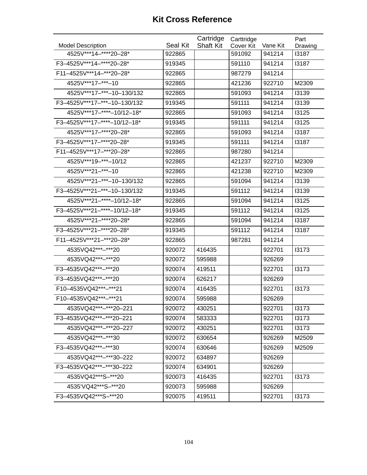|                              |          | Cartridge        | Carttridge |          | Part         |
|------------------------------|----------|------------------|------------|----------|--------------|
| <b>Model Description</b>     | Seal Kit | <b>Shaft Kit</b> | Cover Kit  | Vane Kit | Drawing      |
| 4525V***14-****20-28*        | 922865   |                  | 591092     | 941214   | <b>I3187</b> |
| F3-4525V***14-****20-28*     | 919345   |                  | 591110     | 941214   | 13187        |
| F11-4525V***14-***20-28*     | 922865   |                  | 987279     | 941214   |              |
| 4525V***17-***-10            | 922865   |                  | 421236     | 922710   | M2309        |
| 4525V***17-***-10-130/132    | 922865   |                  | 591093     | 941214   | 13139        |
| F3-4525V***17-***-10-130/132 | 919345   |                  | 591111     | 941214   | 13139        |
| 4525V***17-****-10/12-18*    | 922865   |                  | 591093     | 941214   | 13125        |
| F3-4525V***17-****-10/12-18* | 919345   |                  | 591111     | 941214   | 13125        |
| 4525V***17-****20-28*        | 922865   |                  | 591093     | 941214   | 13187        |
| F3-4525V***17-****20-28*     | 919345   |                  | 591111     | 941214   | 13187        |
| F11-4525V***17-***20-28*     | 922865   |                  | 987280     | 941214   |              |
| 4525V***19-***-10/12         | 922865   |                  | 421237     | 922710   | M2309        |
| 4525V***21-***-10            | 922865   |                  | 421238     | 922710   | M2309        |
| 4525V***21-***-10-130/132    | 922865   |                  | 591094     | 941214   | 13139        |
| F3-4525V***21-***-10-130/132 | 919345   |                  | 591112     | 941214   | 13139        |
| 4525V***21-****-10/12-18*    | 922865   |                  | 591094     | 941214   | 13125        |
| F3-4525V***21-****-10/12-18* | 919345   |                  | 591112     | 941214   | 13125        |
| 4525V***21-****20-28*        | 922865   |                  | 591094     | 941214   | 13187        |
| F3-4525V***21-****20-28*     | 919345   |                  | 591112     | 941214   | 13187        |
| F11-4525V***21-***20-28*     | 922865   |                  | 987281     | 941214   |              |
| 4535VQ42***-***20            | 920072   | 416435           |            | 922701   | 13173        |
| 4535VQ42***-***20            | 920072   | 595988           |            | 926269   |              |
| F3-4535VQ42***-***20         | 920074   | 419511           |            | 922701   | 13173        |
| F3-4535VQ42***-***20         | 920074   | 626217           |            | 926269   |              |
| F10-4535VQ42***-***21        | 920074   | 416435           |            | 922701   | 13173        |
| F10-4535VQ42***-***21        | 920074   | 595988           |            | 926269   |              |
| 4535VQ42***-***20-221        | 920072   | 430251           |            | 922701   | 13173        |
| F3-4535VQ42***-***20-221     | 920074   | 583333           |            | 922701   | 13173        |
| 4535VQ42***-***20-227        | 920072   | 430251           |            | 922701   | 13173        |
| 4535VQ42***-***30            | 920072   | 630654           |            | 926269   | M2509        |
| F3-4535VQ42***-***30         | 920074   | 630646           |            | 926269   | M2509        |
| 4535VQ42***-***30-222        | 920072   | 634897           |            | 926269   |              |
| F3-4535VQ42***-***30-222     | 920074   | 634901           |            | 926269   |              |
| 4535VQ42***S-***20           | 920073   | 416435           |            | 922701   | 13173        |
| 4535'VQ42***S-***20          | 920073   | 595988           |            | 926269   |              |
| F3-4535VQ42***S-***20        | 920075   | 419511           |            | 922701   | 13173        |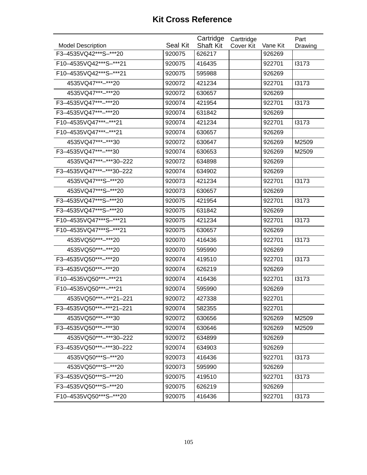| <b>Model Description</b> | Seal Kit | Cartridge<br><b>Shaft Kit</b> | Carttridge<br>Cover Kit | Vane Kit | Part<br>Drawing |
|--------------------------|----------|-------------------------------|-------------------------|----------|-----------------|
| F3-4535VQ42***S-***20    | 920075   | 626217                        |                         | 926269   |                 |
| F10-4535VQ42***S-***21   | 920075   | 416435                        |                         | 922701   | 13173           |
| F10-4535VQ42***S-***21   | 920075   | 595988                        |                         | 926269   |                 |
| 4535VQ47***-***20        | 920072   | 421234                        |                         | 922701   | 13173           |
| 4535VQ47***-***20        | 920072   | 630657                        |                         | 926269   |                 |
| F3-4535VQ47***-***20     | 920074   | 421954                        |                         | 922701   | 13173           |
| F3-4535VQ47***-***20     | 920074   | 631842                        |                         | 926269   |                 |
| F10-4535VQ47***-***21    | 920074   | 421234                        |                         | 922701   | 13173           |
| F10-4535VQ47***-***21    | 920074   | 630657                        |                         | 926269   |                 |
| 4535VQ47***-***30        | 920072   | 630647                        |                         | 926269   | M2509           |
| F3-4535VQ47***-***30     | 920074   | 630653                        |                         | 926269   | M2509           |
| 4535VQ47***-***30-222    | 920072   | 634898                        |                         | 926269   |                 |
| F3-4535VQ47***-***30-222 | 920074   | 634902                        |                         | 926269   |                 |
| 4535VQ47***S-***20       | 920073   | 421234                        |                         | 922701   | 13173           |
| 4535VQ47***S-***20       | 920073   | 630657                        |                         | 926269   |                 |
| F3-4535VQ47***S-***20    | 920075   | 421954                        |                         | 922701   | 13173           |
| F3-4535VQ47***S-***20    | 920075   | 631842                        |                         | 926269   |                 |
| F10-4535VQ47***S-***21   | 920075   | 421234                        |                         | 922701   | 13173           |
| F10-4535VQ47***S-***21   | 920075   | 630657                        |                         | 926269   |                 |
| 4535VQ50***-***20        | 920070   | 416436                        |                         | 922701   | 13173           |
| 4535VQ50***-***20        | 920070   | 595990                        |                         | 926269   |                 |
| F3-4535VQ50***-***20     | 920074   | 419510                        |                         | 922701   | 13173           |
| F3-4535VQ50***-***20     | 920074   | 626219                        |                         | 926269   |                 |
| F10-4535VQ50***-***21    | 920074   | 416436                        |                         | 922701   | 13173           |
| F10-4535VQ50***-***21    | 920074   | 595990                        |                         | 926269   |                 |
| 4535VQ50***-***21-221    | 920072   | 427338                        |                         | 922701   |                 |
| F3-4535VQ50***-***21-221 | 920074   | 582355                        |                         | 922701   |                 |
| 4535VQ50***-***30        | 920072   | 630656                        |                         | 926269   | M2509           |
| F3-4535VQ50***-***30     | 920074   | 630646                        |                         | 926269   | M2509           |
| 4535VQ50***-***30-222    | 920072   | 634899                        |                         | 926269   |                 |
| F3-4535VQ50***-***30-222 | 920074   | 634903                        |                         | 926269   |                 |
| 4535VQ50***S-***20       | 920073   | 416436                        |                         | 922701   | 13173           |
| 4535VQ50***S-***20       | 920073   | 595990                        |                         | 926269   |                 |
| F3-4535VQ50***S-***20    | 920075   | 419510                        |                         | 922701   | 13173           |
| F3-4535VQ50***S-***20    | 920075   | 626219                        |                         | 926269   |                 |
| F10-4535VQ50***S-***20   | 920075   | 416436                        |                         | 922701   | 13173           |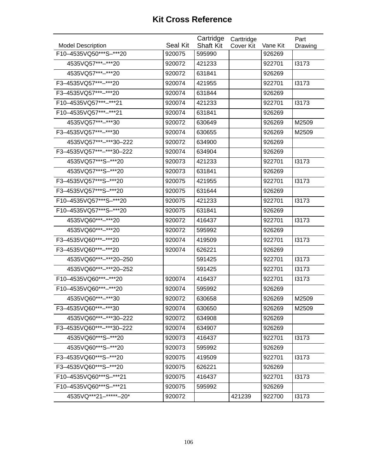| <b>Model Description</b> | <b>Seal Kit</b> | Cartridge<br><b>Shaft Kit</b> | Carttridge<br>Cover Kit | Vane Kit | Part<br>Drawing |
|--------------------------|-----------------|-------------------------------|-------------------------|----------|-----------------|
| F10-4535VQ50***S-***20   | 920075          | 595990                        |                         | 926269   |                 |
| 4535VQ57***-***20        | 920072          | 421233                        |                         | 922701   | 13173           |
| 4535VQ57***-***20        | 920072          | 631841                        |                         | 926269   |                 |
| F3-4535VQ57***-***20     | 920074          | 421955                        |                         | 922701   | 13173           |
| F3-4535VQ57***-***20     | 920074          | 631844                        |                         | 926269   |                 |
| F10-4535VQ57***-***21    | 920074          | 421233                        |                         | 922701   | 13173           |
| F10-4535VQ57***-***21    | 920074          | 631841                        |                         | 926269   |                 |
| 4535VQ57***-***30        | 920072          | 630649                        |                         | 926269   | M2509           |
| F3-4535VQ57***-***30     | 920074          | 630655                        |                         | 926269   | M2509           |
| 4535VQ57***-***30-222    | 920072          | 634900                        |                         | 926269   |                 |
| F3-4535VQ57***-***30-222 | 920074          | 634904                        |                         | 926269   |                 |
| 4535VQ57***S-***20       | 920073          | 421233                        |                         | 922701   | 13173           |
| 4535VQ57***S-***20       | 920073          | 631841                        |                         | 926269   |                 |
| F3-4535VQ57***S-***20    | 920075          | 421955                        |                         | 922701   | 13173           |
| F3-4535VQ57***S-***20    | 920075          | 631644                        |                         | 926269   |                 |
| F10-4535VQ57***S-***20   | 920075          | 421233                        |                         | 922701   | 13173           |
| F10-4535VQ57***S-***20   | 920075          | 631841                        |                         | 926269   |                 |
| 4535VQ60***-***20        | 920072          | 416437                        |                         | 922701   | 13173           |
| 4535VQ60***-***20        | 920072          | 595992                        |                         | 926269   |                 |
| F3-4535VQ60***-***20     | 920074          | 419509                        |                         | 922701   | 13173           |
| F3-4535VQ60***-***20     | 920074          | 626221                        |                         | 926269   |                 |
| 4535VQ60***-***20-250    |                 | 591425                        |                         | 922701   | 13173           |
| 4535VQ60***-***20-252    |                 | 591425                        |                         | 922701   | 13173           |
| F10-4535VQ60***-***20    | 920074          | 416437                        |                         | 922701   | 13173           |
| F10-4535VQ60***-***20    | 920074          | 595992                        |                         | 926269   |                 |
| 4535VQ60***-***30        | 920072          | 630658                        |                         | 926269   | M2509           |
| F3-4535VQ60***-***30     | 920074          | 630650                        |                         | 926269   | M2509           |
| 4535VQ60***-***30-222    | 920072          | 634908                        |                         | 926269   |                 |
| F3-4535VQ60***-***30-222 | 920074          | 634907                        |                         | 926269   |                 |
| 4535VQ60***S-***20       | 920073          | 416437                        |                         | 922701   | 13173           |
| 4535VQ60***S-***20       | 920073          | 595992                        |                         | 926269   |                 |
| F3-4535VQ60***S-***20    | 920075          | 419509                        |                         | 922701   | 13173           |
| F3-4535VQ60***S-***20    | 920075          | 626221                        |                         | 926269   |                 |
| F10-4535VQ60***S-***21   | 920075          | 416437                        |                         | 922701   | 13173           |
| F10-4535VQ60***S-***21   | 920075          | 595992                        |                         | 926269   |                 |
| 4535VQ***21-*****-20*    | 920072          |                               | 421239                  | 922700   | 13173           |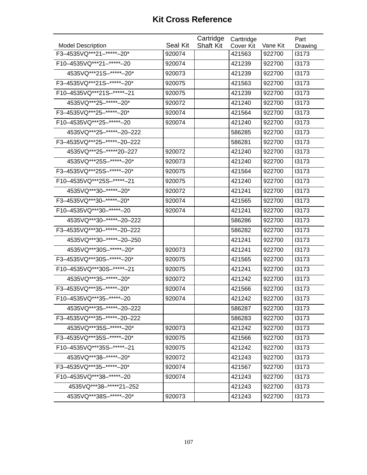|                               |          | Cartridge        | Carttridge |          | Part    |
|-------------------------------|----------|------------------|------------|----------|---------|
| <b>Model Description</b>      | Seal Kit | <b>Shaft Kit</b> | Cover Kit  | Vane Kit | Drawing |
| F3-4535VQ***21-*****-20*      | 920074   |                  | 421563     | 922700   | 13173   |
| F10-4535VQ *** 21-***** - 20  | 920074   |                  | 421239     | 922700   | 13173   |
| 4535VQ***21S-******-20*       | 920073   |                  | 421239     | 922700   | 13173   |
| F3-4535VQ***21S-*****-20*     | 920075   |                  | 421563     | 922700   | 13173   |
| F10-4535VQ***21S-*****-21     | 920075   |                  | 421239     | 922700   | 13173   |
| 4535VQ***25-******-20*        | 920072   |                  | 421240     | 922700   | 13173   |
| F3-4535VQ***25-******-20*     | 920074   |                  | 421564     | 922700   | 13173   |
| F10-4535VQ***25-*****-20      | 920074   |                  | 421240     | 922700   | 13173   |
| 4535VQ***25-*****-20-222      |          |                  | 586285     | 922700   | 13173   |
| F3-4535VQ***25-*****-20-222   |          |                  | 586281     | 922700   | 13173   |
| 4535VQ***25-*****20-227       | 920072   |                  | 421240     | 922700   | 13173   |
| 4535VQ***25S-******-20*       | 920073   |                  | 421240     | 922700   | 13173   |
| F3-4535VQ***25S-*****-20*     | 920075   |                  | 421564     | 922700   | 13173   |
| F10-4535VQ***25S-******-21    | 920075   |                  | 421240     | 922700   | 13173   |
| 4535VQ***30-******-20*        | 920072   |                  | 421241     | 922700   | 13173   |
| F3-4535VQ***30-*****-20*      | 920074   |                  | 421565     | 922700   | 13173   |
| F10-4535VQ***30-*****-20      | 920074   |                  | 421241     | 922700   | 13173   |
| 4535VQ***30-*****-20-222      |          |                  | 586286     | 922700   | 13173   |
| F3-4535VQ***30-*****-20-222   |          |                  | 586282     | 922700   | 13173   |
| 4535VQ***30-*****-20-250      |          |                  | 421241     | 922700   | 13173   |
| 4535VQ***30S-******-20*       | 920073   |                  | 421241     | 922700   | 13173   |
| F3-4535VQ***30S-*****-20*     | 920075   |                  | 421565     | 922700   | 13173   |
| F10-4535VQ *** 30S-***** - 21 | 920075   |                  | 421241     | 922700   | 13173   |
| 4535VQ***35-******-20*        | 920072   |                  | 421242     | 922700   | 13173   |
| F3-4535VQ***35-******-20*     | 920074   |                  | 421566     | 922700   | 13173   |
| F10-4535VQ *** 35- ***** - 20 | 920074   |                  | 421242     | 922700   | 13173   |
| 4535VQ***35-*****-20-222      |          |                  | 586287     | 922700   | 13173   |
| F3-4535VQ***35-*****-20-222   |          |                  | 586283     | 922700   | 13173   |
| 4535VQ***35S-*****-20*        | 920073   |                  | 421242     | 922700   | 13173   |
| F3-4535VQ***35S-******-20*    | 920075   |                  | 421566     | 922700   | 13173   |
| F10-4535VQ***35S-*****-21     | 920075   |                  | 421242     | 922700   | 13173   |
| 4535VQ***38-*****-20*         | 920072   |                  | 421243     | 922700   | 13173   |
| F3-4535VQ***35-******-20*     | 920074   |                  | 421567     | 922700   | 13173   |
| F10-4535VQ***38-******-20     | 920074   |                  | 421243     | 922700   | 13173   |
| 4535VQ***38-*****21-252       |          |                  | 421243     | 922700   | 13173   |
| 4535VQ***38S-******-20*       | 920073   |                  | 421243     | 922700   | 13173   |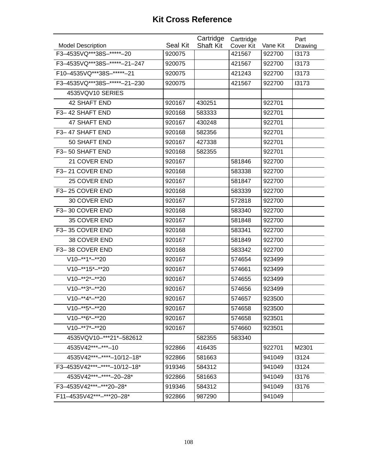|                                          |          | Cartridge        | Carttridge |          | Part    |
|------------------------------------------|----------|------------------|------------|----------|---------|
| <b>Model Description</b>                 | Seal Kit | <b>Shaft Kit</b> | Cover Kit  | Vane Kit | Drawing |
| F3-4535VQ***38S-******-20                | 920075   |                  | 421567     | 922700   | 13173   |
| F3-4535VQ***38S-*****-21-247             | 920075   |                  | 421567     | 922700   | 13173   |
| F10-4535VQ***38S-******-21               | 920075   |                  | 421243     | 922700   | 13173   |
| F3-4535VQ***38S-*****-21-230             | 920075   |                  | 421567     | 922700   | 13173   |
| 4535VQV10 SERIES                         |          |                  |            |          |         |
| 42 SHAFT END                             | 920167   | 430251           |            | 922701   |         |
| F3-42 SHAFT END                          | 920168   | 583333           |            | 922701   |         |
| <b>47 SHAFT END</b>                      | 920167   | 430248           |            | 922701   |         |
| F3-47 SHAFT END                          | 920168   | 582356           |            | 922701   |         |
| 50 SHAFT END                             | 920167   | 427338           |            | 922701   |         |
| F3-50 SHAFT END                          | 920168   | 582355           |            | 922701   |         |
| 21 COVER END                             | 920167   |                  | 581846     | 922700   |         |
| F3-21 COVER END                          | 920168   |                  | 583338     | 922700   |         |
| 25 COVER END                             | 920167   |                  | 581847     | 922700   |         |
| F3-25 COVER END                          | 920168   |                  | 583339     | 922700   |         |
| 30 COVER END                             | 920167   |                  | 572818     | 922700   |         |
| F3-30 COVER END                          | 920168   |                  | 583340     | 922700   |         |
| 35 COVER END                             | 920167   |                  | 581848     | 922700   |         |
| F3-35 COVER END                          | 920168   |                  | 583341     | 922700   |         |
| 38 COVER END                             | 920167   |                  | 581849     | 922700   |         |
| F3-38 COVER END                          | 920168   |                  | 583342     | 922700   |         |
| $V10-**1*-*20$                           | 920167   |                  | 574654     | 923499   |         |
| $V10-**15*-**20$                         | 920167   |                  | 574661     | 923499   |         |
| $V10-**2*-**20$                          | 920167   |                  | 574655     | 923499   |         |
| $V10-**3*-**20$                          | 920167   |                  | 574656     | 923499   |         |
| $V10-**4*-*20$                           | 920167   |                  | 574657     | 923500   |         |
| $V10$ <sup>**</sup> 5 <sup>*</sup> -**20 | 920167   |                  | 574658     | 923500   |         |
| $V10-**6*-**20$                          | 920167   |                  | 574658     | 923501   |         |
| $V10-**7*-**20$                          | 920167   |                  | 574660     | 923501   |         |
| 4535VQV10-***21*-582612                  |          | 582355           | 583340     |          |         |
| 4535V42***-***-10                        | 922866   | 416435           |            | 922701   | M2301   |
| 4535V42***-****-10/12-18*                | 922866   | 581663           |            | 941049   | 13124   |
| F3-4535V42***-****-10/12-18*             | 919346   | 584312           |            | 941049   | 13124   |
| 4535V42***-****-20-28*                   | 922866   | 581663           |            | 941049   | 13176   |
| F3-4535V42***-***20-28*                  | 919346   | 584312           |            | 941049   | 13176   |
| F11-4535V42***-***20-28*                 | 922866   | 987290           |            | 941049   |         |
|                                          |          |                  |            |          |         |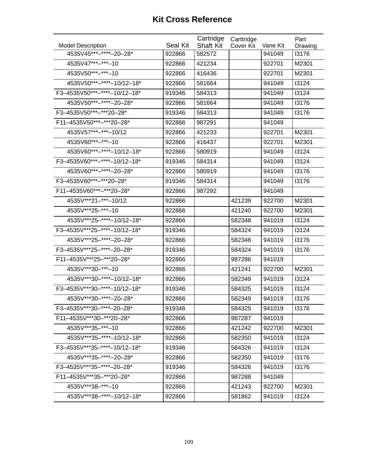| <b>Model Description</b>     | Seal Kit | Cartridge<br><b>Shaft Kit</b> | Carttridge<br>Cover Kit | Vane Kit | Part<br>Drawing |
|------------------------------|----------|-------------------------------|-------------------------|----------|-----------------|
| 4535V45***-****-20-28*       | 922866   | 582572                        |                         | 941049   | 13176           |
| 4535V47***-***-10            | 922866   | 421234                        |                         | 922701   | M2301           |
| 4535V50***-****-10           | 922866   | 416436                        |                         | 922701   | M2301           |
| 4535V50***-****-10/12-18*    | 922866   | 581664                        |                         | 941049   | 13124           |
| F3-4535V50***-****-10/12-18* | 919346   | 584313                        |                         | 941049   | 13124           |
| 4535V50***-****-20-28*       | 922866   | 581664                        |                         | 941049   | 13176           |
| F3-4535V50***-***20-28*      | 919346   | 584313                        |                         | 941049   | 13176           |
| F11-4535V50***-***20-28*     | 922866   | 987291                        |                         | 941049   |                 |
| 4535V57***-***-10/12         | 922866   | 421233                        |                         | 922701   | M2301           |
| 4535V60***-***-10            | 922866   | 416437                        |                         | 922701   | M2301           |
| 4535V60***-****-10/12-18*    | 922866   | 580919                        |                         | 941049   | 13124           |
| F3-4535V60***-****-10/12-18* | 919346   | 584314                        |                         | 941049   | 13124           |
| 4535V60***-****-20-28*       | 922866   | 580919                        |                         | 941049   | 13176           |
| F3-4535V60***-***20-28*      | 919346   | 584314                        |                         | 941049   | 13176           |
| F11-4535V60***-***20-28*     | 922866   | 987292                        |                         | 941049   |                 |
| 4535V***21-***-10/12         | 922866   |                               | 421239                  | 922700   | M2301           |
| 4535V***25-***-10            | 922866   |                               | 421240                  | 922700   | M2301           |
| 4535V***25-****-10/12-18*    | 922866   |                               | 582348                  | 941019   | 13124           |
| F3-4535V***25-****-10/12-18* | 919346   |                               | 584324                  | 941019   | 13124           |
| 4535V***25-****-20-28*       | 922866   |                               | 582348                  | 941019   | 13176           |
| F3-4535V***25-****-20-28*    | 919346   |                               | 584324                  | 941019   | 13176           |
| F11-4535V***25-***20-28*     | 922866   |                               | 987286                  | 941019   |                 |
| 4535V***30-***-10            | 922866   |                               | 421241                  | 922700   | M2301           |
| 4535V***30-****-10/12-18*    | 922866   |                               | 582349                  | 941019   | 13124           |
| F3-4535V***30-****-10/12-18* | 919346   |                               | 584325                  | 941019   | 13124           |
| 4535V***30-****-20-28*       | 922866   |                               | 582349                  | 941019   | 13176           |
| F3-4535V***30-****-20-28*    | 919346   |                               | 584325                  | 941019   | 13176           |
| F11-4535V***30-***20-28*     | 922866   |                               | 987287                  | 941019   |                 |
| 4535V***35-****-10           | 922866   |                               | 421242                  | 922700   | M2301           |
| 4535V***35-****-10/12-18*    | 922866   |                               | 582350                  | 941019   | 13124           |
| F3-4535V***35-****-10/12-18* | 919346   |                               | 584326                  | 941019   | 13124           |
| 4535V***35-****-20-28*       | 922866   |                               | 582350                  | 941019   | 13176           |
| F3-4535V***35-****-20-28*    | 919346   |                               | 584326                  | 941019   | 13176           |
| F11-4535V***35-***20-28*     | 922866   |                               | 987288                  | 941049   |                 |
| 4535V *** 38 -*** - 10       | 922866   |                               | 421243                  | 922700   | M2301           |
| 4535V***38-****-10/12-18*    | 922866   |                               | 581862                  | 941019   | 13124           |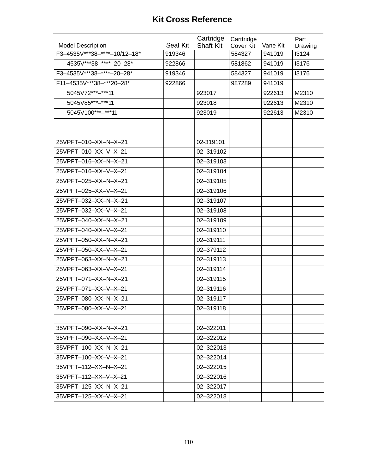|                              |                 | Cartridge        | Carttridge       |          | Part    |
|------------------------------|-----------------|------------------|------------------|----------|---------|
| <b>Model Description</b>     | <b>Seal Kit</b> | <b>Shaft Kit</b> | <b>Cover Kit</b> | Vane Kit | Drawing |
| F3-4535V***38-****-10/12-18* | 919346          |                  | 584327           | 941019   | 13124   |
| 4535V***38-****-20-28*       | 922866          |                  | 581862           | 941019   | 13176   |
| F3-4535V***38-*****-20-28*   | 919346          |                  | 584327           | 941019   | 13176   |
| F11-4535V***38-***20-28*     | 922866          |                  | 987289           | 941019   |         |
| 5045V72***-***11             |                 | 923017           |                  | 922613   | M2310   |
| 5045V85***-***11             |                 | 923018           |                  | 922613   | M2310   |
| 5045V100***-***11            |                 | 923019           |                  | 922613   | M2310   |
|                              |                 |                  |                  |          |         |
|                              |                 |                  |                  |          |         |
| 25VPFT-010-XX-N-X-21         |                 | 02-319101        |                  |          |         |
| 25VPFT-010-XX-V-X-21         |                 | 02-319102        |                  |          |         |
| 25VPFT-016-XX-N-X-21         |                 | 02-319103        |                  |          |         |
| 25VPFT-016-XX-V-X-21         |                 | 02-319104        |                  |          |         |
| 25VPFT-025-XX-N-X-21         |                 | 02-319105        |                  |          |         |
| 25VPFT-025-XX-V-X-21         |                 | 02-319106        |                  |          |         |
| 25VPFT-032-XX-N-X-21         |                 | 02-319107        |                  |          |         |
| 25VPFT-032-XX-V-X-21         |                 | 02-319108        |                  |          |         |
| 25VPFT-040-XX-N-X-21         |                 | 02-319109        |                  |          |         |
| 25VPFT-040-XX-V-X-21         |                 | 02-319110        |                  |          |         |
| 25VPFT-050-XX-N-X-21         |                 | 02-319111        |                  |          |         |
| 25VPFT-050-XX-V-X-21         |                 | 02-379112        |                  |          |         |
| 25VPFT-063-XX-N-X-21         |                 | 02-319113        |                  |          |         |
| 25VPFT-063-XX-V-X-21         |                 | 02-319114        |                  |          |         |
| 25VPFT-071-XX-N-X-21         |                 | 02-319115        |                  |          |         |
| 25VPFT-071-XX-V-X-21         |                 | 02-319116        |                  |          |         |
| 25VPFT-080-XX-N-X-21         |                 | 02-319117        |                  |          |         |
| 25VPFT-080-XX-V-X-21         |                 | 02-319118        |                  |          |         |
|                              |                 |                  |                  |          |         |
| 35VPFT-090-XX-N-X-21         |                 | 02-322011        |                  |          |         |
| 35VPFT-090-XX-V-X-21         |                 | 02-322012        |                  |          |         |
| 35VPFT-100-XX-N-X-21         |                 | 02-322013        |                  |          |         |
| 35VPFT-100-XX-V-X-21         |                 | 02-322014        |                  |          |         |
| 35VPFT-112-XX-N-X-21         |                 | 02-322015        |                  |          |         |
| 35VPFT-112-XX-V-X-21         |                 | 02-322016        |                  |          |         |
| 35VPFT-125-XX-N-X-21         |                 | 02-322017        |                  |          |         |
| 35VPFT-125-XX-V-X-21         |                 | 02-322018        |                  |          |         |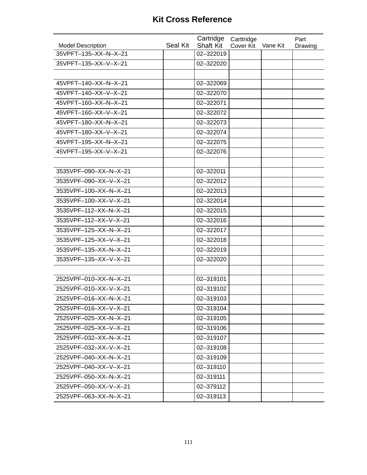| <b>Model Description</b> | Seal Kit | Cartridge<br><b>Shaft Kit</b> | Carttridge<br>Cover Kit | Vane Kit | Part<br>Drawing |
|--------------------------|----------|-------------------------------|-------------------------|----------|-----------------|
| 35VPFT-135-XX-N-X-21     |          | 02-322019                     |                         |          |                 |
| 35VPFT-135-XX-V-X-21     |          | 02-322020                     |                         |          |                 |
|                          |          |                               |                         |          |                 |
| 45VPFT-140-XX-N-X-21     |          | 02-322069                     |                         |          |                 |
| 45VPFT-140-XX-V-X-21     |          | 02-322070                     |                         |          |                 |
| 45VPFT-160-XX-N-X-21     |          | 02-322071                     |                         |          |                 |
| 45VPFT-160-XX-V-X-21     |          | 02-322072                     |                         |          |                 |
| 45VPFT-180-XX-N-X-21     |          | 02-322073                     |                         |          |                 |
| 45VPFT-180-XX-V-X-21     |          | 02-322074                     |                         |          |                 |
| 45VPFT-195-XX-N-X-21     |          | 02-322075                     |                         |          |                 |
| 45VPFT-195-XX-V-X-21     |          | 02-322076                     |                         |          |                 |
|                          |          |                               |                         |          |                 |
| 3535VPF-090-XX-N-X-21    |          | 02-322011                     |                         |          |                 |
| 3535VPF-090-XX-V-X-21    |          | 02-322012                     |                         |          |                 |
| 3535VPF-100-XX-N-X-21    |          | 02-322013                     |                         |          |                 |
| 3535VPF-100-XX-V-X-21    |          | 02-322014                     |                         |          |                 |
| 3535VPF-112-XX-N-X-21    |          | 02-322015                     |                         |          |                 |
| 3535VPF-112-XX-V-X-21    |          | 02-322016                     |                         |          |                 |
| 3535VPF-125-XX-N-X-21    |          | 02-322017                     |                         |          |                 |
| 3535VPF-125-XX-V-X-21    |          | 02-322018                     |                         |          |                 |
| 3535VPF-135-XX-N-X-21    |          | 02-322019                     |                         |          |                 |
| 3535VPF-135-XX-V-X-21    |          | 02-322020                     |                         |          |                 |
|                          |          |                               |                         |          |                 |
| 2525VPF-010-XX-N-X-21    |          | 02-319101                     |                         |          |                 |
| 2525VPF-010-XX-V-X-21    |          | 02-319102                     |                         |          |                 |
| 2525VPF-016-XX-N-X-21    |          | 02-319103                     |                         |          |                 |
| 2525VPF-016-XX-V-X-21    |          | 02-319104                     |                         |          |                 |
| 2525VPF-025-XX-N-X-21    |          | 02-319105                     |                         |          |                 |
| 2525VPF-025-XX-V-X-21    |          | 02-319106                     |                         |          |                 |
| 2525VPF-032-XX-N-X-21    |          | 02-319107                     |                         |          |                 |
| 2525VPF-032-XX-V-X-21    |          | 02-319108                     |                         |          |                 |
| 2525VPF-040-XX-N-X-21    |          | 02-319109                     |                         |          |                 |
| 2525VPF-040-XX-V-X-21    |          | 02-319110                     |                         |          |                 |
| 2525VPF-050-XX-N-X-21    |          | 02-319111                     |                         |          |                 |
| 2525VPF-050-XX-V-X-21    |          | 02-379112                     |                         |          |                 |
| 2525VPF-063-XX-N-X-21    |          | 02-319113                     |                         |          |                 |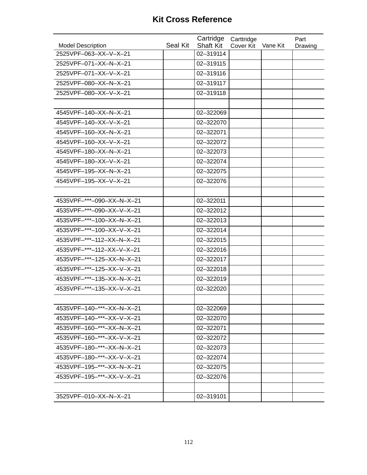|                                                   |          | Cartridge                     | Carttridge |          | Part    |
|---------------------------------------------------|----------|-------------------------------|------------|----------|---------|
| <b>Model Description</b><br>2525VPF-063-XX-V-X-21 | Seal Kit | <b>Shaft Kit</b><br>02-319114 | Cover Kit  | Vane Kit | Drawing |
| 2525VPF-071-XX-N-X-21                             |          | 02-319115                     |            |          |         |
|                                                   |          |                               |            |          |         |
| 2525VPF-071-XX-V-X-21                             |          | 02-319116                     |            |          |         |
| 2525VPF-080-XX-N-X-21                             |          | 02-319117                     |            |          |         |
| 2525VPF-080-XX-V-X-21                             |          | 02-319118                     |            |          |         |
|                                                   |          |                               |            |          |         |
| 4545VPF-140-XX-N-X-21                             |          | 02-322069                     |            |          |         |
| 4545VPF-140-XX-V-X-21                             |          | 02-322070                     |            |          |         |
| 4545VPF-160-XX-N-X-21                             |          | 02-322071                     |            |          |         |
| 4545VPF-160-XX-V-X-21                             |          | 02-322072                     |            |          |         |
| 4545VPF-180-XX-N-X-21                             |          | 02-322073                     |            |          |         |
| 4545VPF-180-XX-V-X-21                             |          | 02-322074                     |            |          |         |
| 4545VPF-195-XX-N-X-21                             |          | 02-322075                     |            |          |         |
| 4545VPF-195-XX-V-X-21                             |          | 02-322076                     |            |          |         |
|                                                   |          |                               |            |          |         |
| 4535VPF-***-090-XX-N-X-21                         |          | 02-322011                     |            |          |         |
| 4535VPF-***-090-XX-V-X-21                         |          | 02-322012                     |            |          |         |
| 4535VPF-***-100-XX-N-X-21                         |          | 02-322013                     |            |          |         |
| 4535VPF-***-100-XX-V-X-21                         |          | 02-322014                     |            |          |         |
| 4535VPF-***-112-XX-N-X-21                         |          | 02-322015                     |            |          |         |
| 4535VPF-***-112-XX-V-X-21                         |          | 02-322016                     |            |          |         |
| 4535VPF-***-125-XX-N-X-21                         |          | 02-322017                     |            |          |         |
| 4535VPF-***-125-XX-V-X-21                         |          | 02-322018                     |            |          |         |
| 4535VPF-***-135-XX-N-X-21                         |          | 02-322019                     |            |          |         |
| 4535VPF-***-135-XX-V-X-21                         |          | 02-322020                     |            |          |         |
|                                                   |          |                               |            |          |         |
| 4535VPF-140-***-XX-N-X-21                         |          | 02-322069                     |            |          |         |
| 4535VPF-140-***-XX-V-X-21                         |          | 02-322070                     |            |          |         |
| 4535VPF-160-***-XX-N-X-21                         |          | 02-322071                     |            |          |         |
| 4535VPF-160-***-XX-V-X-21                         |          | 02-322072                     |            |          |         |
| 4535VPF-180-***-XX-N-X-21                         |          | 02-322073                     |            |          |         |
| 4535VPF-180-***-XX-V-X-21                         |          | 02-322074                     |            |          |         |
| 4535VPF-195-***-XX-N-X-21                         |          | 02-322075                     |            |          |         |
| 4535VPF-195-***-XX-V-X-21                         |          | 02-322076                     |            |          |         |
|                                                   |          |                               |            |          |         |
| 3525VPF-010-XX-N-X-21                             |          | 02-319101                     |            |          |         |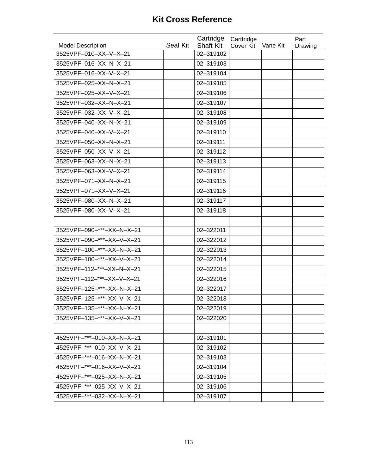| <b>Model Description</b>  | Seal Kit | Cartridge<br><b>Shaft Kit</b> | Carttridge<br>Cover Kit | Vane Kit | Part<br>Drawing |
|---------------------------|----------|-------------------------------|-------------------------|----------|-----------------|
| 3525VPF-010-XX-V-X-21     |          | 02-319102                     |                         |          |                 |
| 3525VPF-016-XX-N-X-21     |          | 02-319103                     |                         |          |                 |
| 3525VPF-016-XX-V-X-21     |          | 02-319104                     |                         |          |                 |
| 3525VPF-025-XX-N-X-21     |          | 02-319105                     |                         |          |                 |
| 3525VPF-025-XX-V-X-21     |          | 02-319106                     |                         |          |                 |
| 3525VPF-032-XX-N-X-21     |          | 02-319107                     |                         |          |                 |
| 3525VPF-032-XX-V-X-21     |          | 02-319108                     |                         |          |                 |
| 3525VPF-040-XX-N-X-21     |          | 02-319109                     |                         |          |                 |
| 3525VPF-040-XX-V-X-21     |          | 02-319110                     |                         |          |                 |
| 3525VPF-050-XX-N-X-21     |          | 02-319111                     |                         |          |                 |
| 3525VPF-050-XX-V-X-21     |          | 02-319112                     |                         |          |                 |
| 3525VPF-063-XX-N-X-21     |          | 02-319113                     |                         |          |                 |
| 3525VPF-063-XX-V-X-21     |          | 02-319114                     |                         |          |                 |
| 3525VPF-071-XX-N-X-21     |          | 02-319115                     |                         |          |                 |
| 3525VPF-071-XX-V-X-21     |          | 02-319116                     |                         |          |                 |
| 3525VPF-080-XX-N-X-21     |          | 02-319117                     |                         |          |                 |
| 3525VPF-080-XX-V-X-21     |          | 02-319118                     |                         |          |                 |
|                           |          |                               |                         |          |                 |
| 3525VPF-090-***-XX-N-X-21 |          | 02-322011                     |                         |          |                 |
| 3525VPF-090-***-XX-V-X-21 |          | 02-322012                     |                         |          |                 |
| 3525VPF-100-***-XX-N-X-21 |          | 02-322013                     |                         |          |                 |
| 3525VPF-100-***-XX-V-X-21 |          | 02-322014                     |                         |          |                 |
| 3525VPF-112-***-XX-N-X-21 |          | 02-322015                     |                         |          |                 |
| 3525VPF-112-***-XX-V-X-21 |          | 02-322016                     |                         |          |                 |
| 3525VPF-125-***-XX-N-X-21 |          | 02-322017                     |                         |          |                 |
| 3525VPF-125-***-XX-V-X-21 |          | 02-322018                     |                         |          |                 |
| 3525VPF-135-***-XX-N-X-21 |          | 02-322019                     |                         |          |                 |
| 3525VPF-135-***-XX-V-X-21 |          | 02-322020                     |                         |          |                 |
|                           |          |                               |                         |          |                 |
| 4525VPF-***-010-XX-N-X-21 |          | 02-319101                     |                         |          |                 |
| 4525VPF-***-010-XX-V-X-21 |          | 02-319102                     |                         |          |                 |
| 4525VPF-***-016-XX-N-X-21 |          | 02-319103                     |                         |          |                 |
| 4525VPF-***-016-XX-V-X-21 |          | 02-319104                     |                         |          |                 |
| 4525VPF-***-025-XX-N-X-21 |          | 02-319105                     |                         |          |                 |
| 4525VPF-***-025-XX-V-X-21 |          | 02-319106                     |                         |          |                 |
| 4525VPF-***-032-XX-N-X-21 |          | 02-319107                     |                         |          |                 |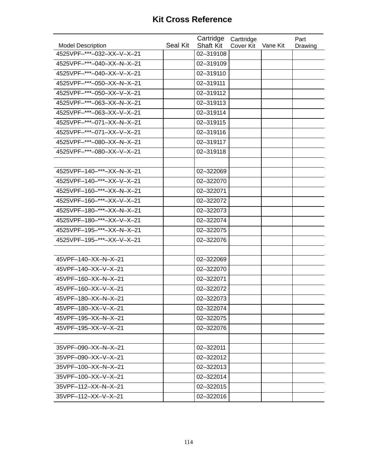| <b>Model Description</b>                               | Seal Kit | Cartridge<br><b>Shaft Kit</b> | Carttridge<br>Cover Kit | Vane Kit | Part    |
|--------------------------------------------------------|----------|-------------------------------|-------------------------|----------|---------|
| 4525VPF-***-032-XX-V-X-21                              |          | 02-319108                     |                         |          | Drawing |
| 4525VPF-***-040-XX-N-X-21                              |          | 02-319109                     |                         |          |         |
| 4525VPF-***-040-XX-V-X-21                              |          | 02-319110                     |                         |          |         |
| 4525VPF-***-050-XX-N-X-21                              |          | 02-319111                     |                         |          |         |
| 4525VPF-***-050-XX-V-X-21                              |          | 02-319112                     |                         |          |         |
|                                                        |          |                               |                         |          |         |
| 4525VPF-***-063-XX-N-X-21<br>4525VPF-***-063-XX-V-X-21 |          | 02-319113                     |                         |          |         |
|                                                        |          | 02-319114                     |                         |          |         |
| 4525VPF-***-071-XX-N-X-21                              |          | 02-319115                     |                         |          |         |
| 4525VPF-***-071-XX-V-X-21                              |          | 02-319116                     |                         |          |         |
| 4525VPF-***-080-XX-N-X-21                              |          | 02-319117                     |                         |          |         |
| 4525VPF-***-080-XX-V-X-21                              |          | 02-319118                     |                         |          |         |
|                                                        |          |                               |                         |          |         |
| 4525VPF-140-***-XX-N-X-21                              |          | 02-322069                     |                         |          |         |
| 4525VPF-140-***-XX-V-X-21                              |          | 02-322070                     |                         |          |         |
| 4525VPF-160-***-XX-N-X-21                              |          | 02-322071                     |                         |          |         |
| 4525VPF-160-***-XX-V-X-21                              |          | 02-322072                     |                         |          |         |
| 4525VPF-180-***-XX-N-X-21                              |          | 02-322073                     |                         |          |         |
| 4525VPF-180-***-XX-V-X-21                              |          | 02-322074                     |                         |          |         |
| 4525VPF-195-***-XX-N-X-21                              |          | 02-322075                     |                         |          |         |
| 4525VPF-195-***-XX-V-X-21                              |          | 02-322076                     |                         |          |         |
|                                                        |          |                               |                         |          |         |
| 45VPF-140-XX-N-X-21                                    |          | 02-322069                     |                         |          |         |
| 45VPF-140-XX-V-X-21                                    |          | 02-322070                     |                         |          |         |
| 45VPF-160-XX-N-X-21                                    |          | 02-322071                     |                         |          |         |
| 45VPF-160-XX-V-X-21                                    |          | 02-322072                     |                         |          |         |
| 45VPF-180-XX-N-X-21                                    |          | 02-322073                     |                         |          |         |
| 45VPF-180-XX-V-X-21                                    |          | 02-322074                     |                         |          |         |
| 45VPF-195-XX-N-X-21                                    |          | 02-322075                     |                         |          |         |
| 45VPF-195-XX-V-X-21                                    |          | 02-322076                     |                         |          |         |
|                                                        |          |                               |                         |          |         |
| 35VPF-090-XX-N-X-21                                    |          | 02-322011                     |                         |          |         |
| 35VPF-090-XX-V-X-21                                    |          | 02-322012                     |                         |          |         |
| 35VPF-100-XX-N-X-21                                    |          | 02-322013                     |                         |          |         |
| 35VPF-100-XX-V-X-21                                    |          | 02-322014                     |                         |          |         |
| 35VPF-112-XX-N-X-21                                    |          | 02-322015                     |                         |          |         |
| 35VPF-112-XX-V-X-21                                    |          | 02-322016                     |                         |          |         |
|                                                        |          |                               |                         |          |         |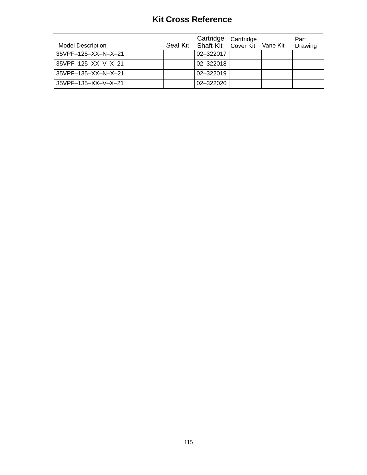| <b>Model Description</b>        | Cartridge<br>Seal Kit Shaft Kit | Carttridge<br>Cover Kit | Vane Kit | Part<br>Drawing |
|---------------------------------|---------------------------------|-------------------------|----------|-----------------|
| $35VPF - 125 - XX - N - X - 21$ | 02-322017                       |                         |          |                 |
| 35VPF-125-XX-V-X-21             | 02-322018                       |                         |          |                 |
| 35VPF-135-XX-N-X-21             | 02-322019                       |                         |          |                 |
| 35VPF-135-XX-V-X-21             | 02-322020                       |                         |          |                 |